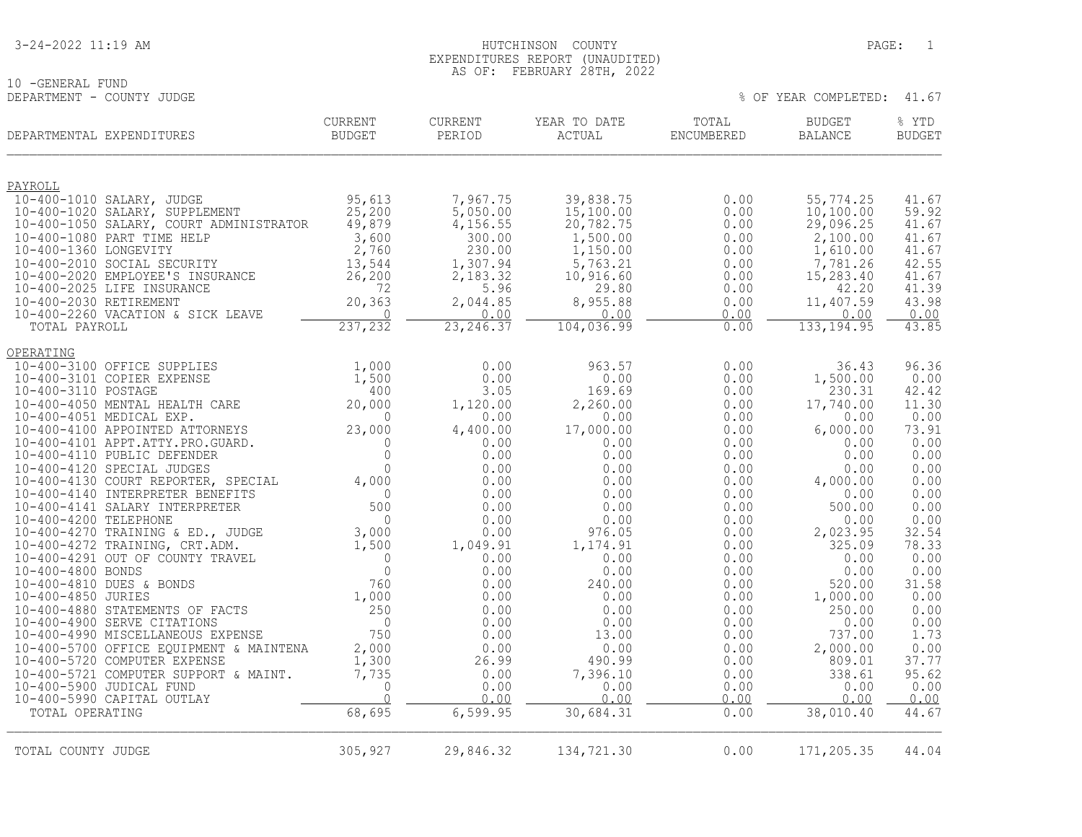## 10 -GENERAL FUND<br>DEPARTMENT - COUNTY JUDGE

| DEPARTMENTAL EXPENDITURES                                   | <b>CURRENT</b><br><b>BUDGET</b> | <b>CURRENT</b><br>PERIOD | YEAR TO DATE<br>ACTUAL | TOTAL<br>ENCUMBERED | <b>BUDGET</b><br><b>BALANCE</b> | % YTD<br><b>BUDGET</b> |
|-------------------------------------------------------------|---------------------------------|--------------------------|------------------------|---------------------|---------------------------------|------------------------|
| PAYROLL                                                     |                                 |                          |                        |                     |                                 |                        |
| 10-400-1010 SALARY, JUDGE                                   | 95,613                          | 7,967.75                 | 39,838.75              | 0.00                | 55,774.25                       | 41.67                  |
| 10-400-1020 SALARY, SUPPLEMENT                              | 25,200                          | 5,050.00                 | 15,100.00              | 0.00                | 10,100.00                       | 59.92                  |
| 10-400-1050 SALARY, COURT ADMINISTRATOR                     | 49,879                          | 4,156.55                 | 20,782.75              | 0.00                | 29,096.25                       | 41.67                  |
| 10-400-1080 PART TIME HELP                                  | 3,600                           | 300.00                   | 1,500.00               | 0.00                | 2,100.00                        | 41.67                  |
| 10-400-1360 LONGEVITY                                       | 2,760                           | 230.00                   | 1,150.00               | 0.00                | 1,610.00                        | 41.67                  |
| 10-400-2010 SOCIAL SECURITY                                 | 13,544                          | 1,307.94                 | 5,763.21               | 0.00                | 7,781.26                        | 42.55                  |
| 10-400-2020 EMPLOYEE'S INSURANCE                            | 26,200                          | 2,183.32                 | 10,916.60              | 0.00                | 15,283.40                       | 41.67                  |
| 10-400-2025 LIFE INSURANCE                                  | 72                              | 5.96                     | 29.80                  | 0.00                | 42.20                           | 41.39                  |
| 10-400-2030 RETIREMENT<br>10-400-2260 VACATION & SICK LEAVE | 20,363<br>$\Omega$              | 2,044.85<br>0.00         | 8,955.88<br>0.00       | 0.00<br>0.00        | 11,407.59<br>0.00               | 43.98<br>0.00          |
| TOTAL PAYROLL                                               | 237,232                         | 23, 246.37               | 104,036.99             | 0.00                | 133, 194.95                     | 43.85                  |
| OPERATING                                                   |                                 |                          |                        |                     |                                 |                        |
| 10-400-3100 OFFICE SUPPLIES                                 | 1,000                           | 0.00                     | 963.57                 | 0.00                | 36.43                           | 96.36                  |
| 10-400-3101 COPIER EXPENSE                                  | 1,500                           | 0.00                     | 0.00                   | 0.00                | 1,500.00                        | 0.00                   |
| 10-400-3110 POSTAGE                                         | 400                             | 3.05                     | 169.69                 | 0.00                | 230.31                          | 42.42                  |
| 10-400-4050 MENTAL HEALTH CARE                              | 20,000                          | 1,120.00                 | 2,260.00               | 0.00                | 17,740.00                       | 11.30                  |
| 10-400-4051 MEDICAL EXP.                                    | $\Omega$                        | 0.00                     | 0.00                   | 0.00                | 0.00                            | 0.00                   |
| 10-400-4100 APPOINTED ATTORNEYS                             | 23,000                          | 4,400.00                 | 17,000.00              | 0.00                | 6,000.00                        | 73.91                  |
| 10-400-4101 APPT.ATTY.PRO.GUARD.                            | $\Omega$                        | 0.00                     | 0.00                   | 0.00                | 0.00                            | 0.00                   |
| 10-400-4110 PUBLIC DEFENDER<br>10-400-4120 SPECIAL JUDGES   | $\mathbf{0}$<br>$\Omega$        | 0.00<br>0.00             | 0.00<br>0.00           | 0.00<br>0.00        | 0.00<br>0.00                    | 0.00<br>0.00           |
| 10-400-4130 COURT REPORTER, SPECIAL                         | 4,000                           | 0.00                     | 0.00                   | 0.00                | 4,000.00                        | 0.00                   |
| 10-400-4140 INTERPRETER BENEFITS                            | 0                               | 0.00                     | 0.00                   | 0.00                | 0.00                            | 0.00                   |
| 10-400-4141 SALARY INTERPRETER                              | 500                             | 0.00                     | 0.00                   | 0.00                | 500.00                          | 0.00                   |
| 10-400-4200 TELEPHONE                                       | $\Omega$                        | 0.00                     | 0.00                   | 0.00                | 0.00                            | 0.00                   |
| 10-400-4270 TRAINING & ED., JUDGE                           | 3,000                           | 0.00                     | 976.05                 | 0.00                | 2,023.95                        | 32.54                  |
| 10-400-4272 TRAINING, CRT.ADM.                              | 1,500                           | 1,049.91                 | 1,174.91               | 0.00                | 325.09                          | 78.33                  |
| 10-400-4291 OUT OF COUNTY TRAVEL                            | $\mathbf{0}$                    | 0.00                     | 0.00                   | 0.00                | 0.00                            | 0.00                   |
| 10-400-4800 BONDS                                           | $\Omega$                        | 0.00                     | 0.00                   | 0.00                | 0.00                            | 0.00                   |
| 10-400-4810 DUES & BONDS                                    | 760                             | 0.00                     | 240.00                 | 0.00                | 520.00                          | 31.58                  |
| 10-400-4850 JURIES<br>10-400-4880 STATEMENTS OF FACTS       | 1,000                           | 0.00                     | 0.00                   | 0.00                | 1,000.00                        | 0.00<br>0.00           |
| 10-400-4900 SERVE CITATIONS                                 | 250<br>$\overline{0}$           | 0.00<br>0.00             | 0.00<br>0.00           | 0.00<br>0.00        | 250.00<br>0.00                  | 0.00                   |
| 10-400-4990 MISCELLANEOUS EXPENSE                           | 750                             | 0.00                     | 13.00                  | 0.00                | 737.00                          | 1.73                   |
| 10-400-5700 OFFICE EQUIPMENT & MAINTENA                     | 2,000                           | 0.00                     | 0.00                   | 0.00                | 2,000.00                        | 0.00                   |
| 10-400-5720 COMPUTER EXPENSE                                | 1,300                           | 26.99                    | 490.99                 | 0.00                | 809.01                          | 37.77                  |
| 10-400-5721 COMPUTER SUPPORT & MAINT.                       | 7,735                           | 0.00                     | 7,396.10               | 0.00                | 338.61                          | 95.62                  |
| 10-400-5900 JUDICAL FUND                                    | $\Omega$                        | 0.00                     | 0.00                   | 0.00                | 0.00                            | 0.00                   |
| 10-400-5990 CAPITAL OUTLAY                                  | $\Omega$                        | 0.00                     | 0.00                   | 0.00                | 0.00                            | 0.00                   |
| TOTAL OPERATING                                             | 68,695                          | 6,599.95                 | 30,684.31              | 0.00                | 38,010.40                       | 44.67                  |
| TOTAL COUNTY JUDGE                                          | 305,927                         | 29,846.32                | 134,721.30             | 0.00                | 171,205.35                      | 44.04                  |
|                                                             |                                 |                          |                        |                     |                                 |                        |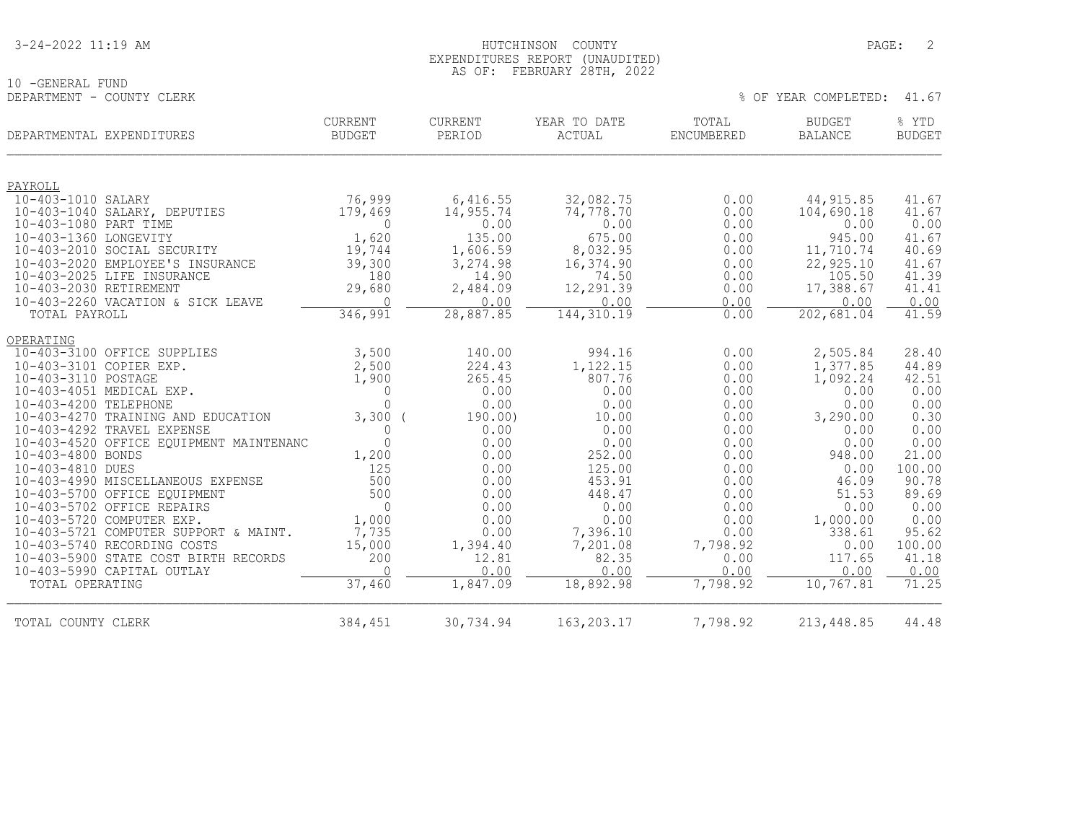| 3-24-2022 11:19 AM |
|--------------------|
|--------------------|

10 -GENERAL FUND<br>DEPARTMENT - COUNTY CLERK

| DEPARTMENTAL EXPENDITURES |                                         | <b>CURRENT</b><br><b>BUDGET</b> | <b>CURRENT</b><br>PERIOD | YEAR TO DATE<br>ACTUAL | TOTAL<br><b>ENCUMBERED</b> | <b>BUDGET</b><br><b>BALANCE</b> | % YTD<br><b>BUDGET</b> |
|---------------------------|-----------------------------------------|---------------------------------|--------------------------|------------------------|----------------------------|---------------------------------|------------------------|
| PAYROLL                   |                                         |                                 |                          |                        |                            |                                 |                        |
| 10-403-1010 SALARY        |                                         | 76,999                          | 6,416.55                 | 32,082.75              | 0.00                       | 44, 915.85                      | 41.67                  |
|                           | 10-403-1040 SALARY, DEPUTIES            | 179,469                         | 14,955.74                | 74,778.70              | 0.00                       | 104,690.18                      | 41.67                  |
| 10-403-1080 PART TIME     |                                         | $\Omega$                        | 0.00                     | 0.00                   | 0.00                       | 0.00                            | 0.00                   |
| 10-403-1360 LONGEVITY     |                                         | 1,620                           | 135.00                   | 675.00                 | 0.00                       | 945.00                          | 41.67                  |
|                           | 10-403-2010 SOCIAL SECURITY             | 19,744                          | 1,606.59                 | 8,032.95               | 0.00                       | 11,710.74                       | 40.69                  |
|                           | 10-403-2020 EMPLOYEE'S INSURANCE        | 39,300                          | 3,274.98                 | 16,374.90              | 0.00                       | 22,925.10                       | 41.67                  |
|                           | 10-403-2025 LIFE INSURANCE              | 180                             | 14.90                    | 74.50                  | 0.00                       | 105.50                          | 41.39                  |
| 10-403-2030 RETIREMENT    |                                         | 29,680                          | 2,484.09                 | 12,291.39              | 0.00                       | 17,388.67                       | 41.41                  |
|                           | 10-403-2260 VACATION & SICK LEAVE       | $\bigcap$                       | 0.00                     | 0.00                   | 0.00                       | 0.00                            | 0.00                   |
| TOTAL PAYROLL             |                                         | 346,991                         | 28,887.85                | 144,310.19             | 0.00                       | 202,681.04                      | 41.59                  |
| OPERATING                 |                                         |                                 |                          |                        |                            |                                 |                        |
|                           | 10-403-3100 OFFICE SUPPLIES             | 3,500                           | 140.00                   | 994.16                 | 0.00                       | 2,505.84                        | 28.40                  |
| 10-403-3101 COPIER EXP.   |                                         | 2,500                           | 224.43                   | 1,122.15               | 0.00                       | 1,377.85                        | 44.89                  |
| 10-403-3110 POSTAGE       |                                         | 1,900                           | 265.45                   | 807.76                 | 0.00                       | 1,092.24                        | 42.51                  |
|                           | 10-403-4051 MEDICAL EXP.                | 0                               | 0.00                     | 0.00                   | 0.00                       | 0.00                            | 0.00                   |
| 10-403-4200 TELEPHONE     |                                         | $\Omega$                        | 0.00                     | 0.00                   | 0.00                       | 0.00                            | 0.00                   |
|                           | 10-403-4270 TRAINING AND EDUCATION      | $3,300$ (                       | 190.00                   | 10.00                  | 0.00                       | 3,290.00                        | 0.30                   |
|                           | 10-403-4292 TRAVEL EXPENSE              | 0                               | 0.00                     | 0.00                   | 0.00                       | 0.00                            | 0.00                   |
|                           | 10-403-4520 OFFICE EQUIPMENT MAINTENANC | $\Omega$                        | 0.00                     | 0.00                   | 0.00                       | 0.00                            | 0.00                   |
| 10-403-4800 BONDS         |                                         | 1,200                           | 0.00                     | 252.00                 | 0.00                       | 948.00                          | 21.00                  |
| 10-403-4810 DUES          |                                         | 125                             | 0.00                     | 125.00                 | 0.00                       | 0.00                            | 100.00                 |
|                           | 10-403-4990 MISCELLANEOUS EXPENSE       | 500                             | 0.00                     | 453.91                 | 0.00                       | 46.09                           | 90.78                  |
|                           | 10-403-5700 OFFICE EQUIPMENT            | 500                             | 0.00                     | 448.47                 | 0.00                       | 51.53                           | 89.69                  |
|                           | 10-403-5702 OFFICE REPAIRS              | $\Omega$                        | 0.00                     | 0.00                   | 0.00                       | 0.00                            | 0.00                   |
|                           | 10-403-5720 COMPUTER EXP.               | 1,000                           | 0.00                     | 0.00                   | 0.00                       | 1,000.00                        | 0.00                   |
|                           | 10-403-5721 COMPUTER SUPPORT & MAINT.   | 7,735                           | 0.00                     | 7,396.10               | 0.00                       | 338.61                          | 95.62                  |
|                           | 10-403-5740 RECORDING COSTS             | 15,000                          | 1,394.40                 | 7,201.08               | 7,798.92                   | 0.00                            | 100.00                 |
|                           | 10-403-5900 STATE COST BIRTH RECORDS    | 200                             | 12.81                    | 82.35                  | 0.00                       | 117.65                          | 41.18                  |
|                           | 10-403-5990 CAPITAL OUTLAY              | $\Omega$                        | 0.00                     | 0.00                   | 0.00                       | 0.00                            | 0.00                   |
| TOTAL OPERATING           |                                         | 37,460                          | 1,847.09                 | 18,892.98              | 7,798.92                   | 10, 767.81                      | 71.25                  |
| TOTAL COUNTY CLERK        |                                         | 384,451                         | 30,734.94                | 163,203.17             | 7,798.92                   | 213, 448.85                     | 44.48                  |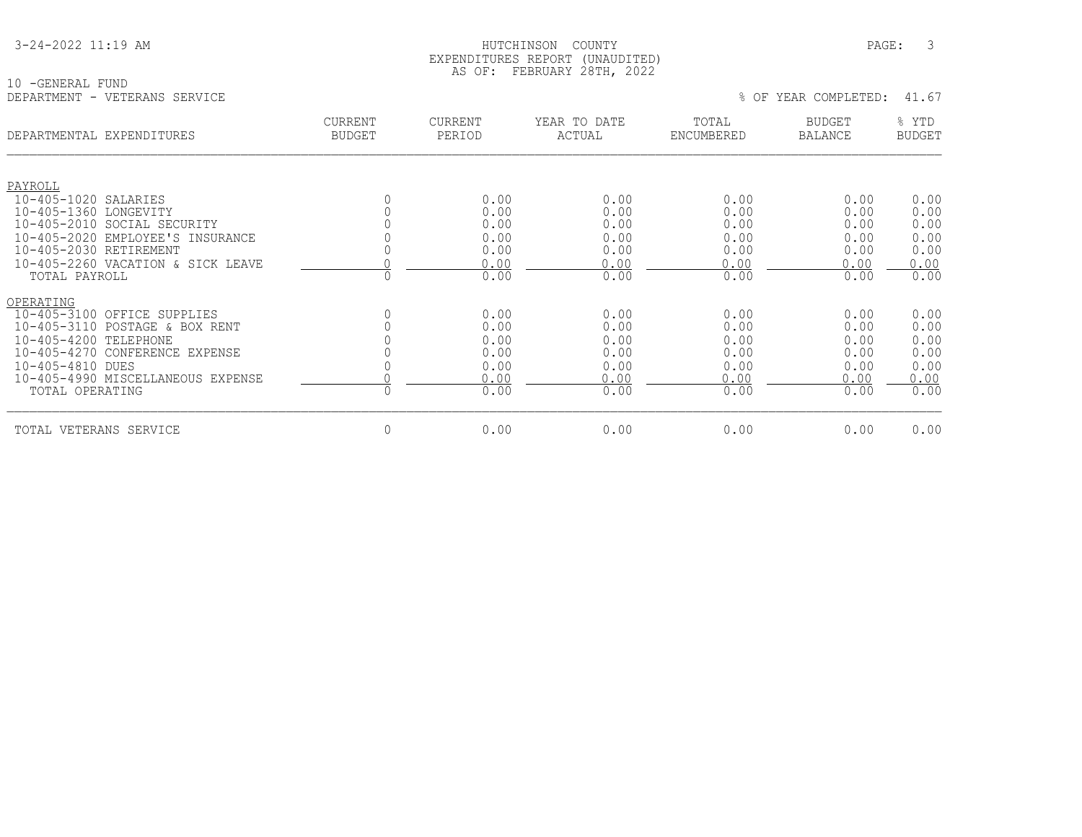| 3-24-2022 11:19 AM |  |  |
|--------------------|--|--|
|                    |  |  |

#### HUTCHINSON COUNTY PAGE: 3 EXPENDITURES REPORT (UNAUDITED) AS OF: FEBRUARY 28TH, 2022

10 -GENERAL FUND<br>DEPARTMENT - VETERANS SERVICE

| DEPARTMENTAL EXPENDITURES                                                                                                                                                                                                                                     | <b>CURRENT</b><br><b>BUDGET</b> | <b>CURRENT</b><br>PERIOD                                     | YEAR TO DATE<br>ACTUAL                                       | TOTAL<br><b>ENCUMBERED</b>                                   | <b>BUDGET</b><br><b>BALANCE</b>                              | % YTD<br><b>BUDGET</b>                                       |
|---------------------------------------------------------------------------------------------------------------------------------------------------------------------------------------------------------------------------------------------------------------|---------------------------------|--------------------------------------------------------------|--------------------------------------------------------------|--------------------------------------------------------------|--------------------------------------------------------------|--------------------------------------------------------------|
| PAYROLL<br>$10 - 405 - 1020$<br>SALARIES<br>$10 - 405 - 1360$<br>LONGEVITY<br>$10 - 405 - 2010$<br>SOCIAL SECURITY<br>$10 - 405 - 2020$<br>EMPLOYEE'S INSURANCE<br>10-405-2030 RETIREMENT<br>10-405-2260 VACATION & SICK LEAVE                                |                                 | 0.00<br>0.00<br>0.00<br>0.00<br>0.00<br>0.00                 | 0.00<br>0.00<br>0.00<br>0.00<br>0.00<br>0.00                 | 0.00<br>0.00<br>0.00<br>0.00<br>0.00<br>0.00                 | 0.00<br>0.00<br>0.00<br>0.00<br>0.00<br>0.00                 | 0.00<br>0.00<br>0.00<br>0.00<br>0.00<br>0.00                 |
| TOTAL PAYROLL<br>OPERATING<br>$10 - 405 - 3100$<br>OFFICE SUPPLIES<br>$10 - 405 - 3110$<br>POSTAGE & BOX RENT<br>$10 - 405 - 4200$<br>TELEPHONE<br>10-405-4270 CONFERENCE EXPENSE<br>10-405-4810 DUES<br>10-405-4990 MISCELLANEOUS EXPENSE<br>TOTAL OPERATING | $\Omega$                        | 0.00<br>0.00<br>0.00<br>0.00<br>0.00<br>0.00<br>0.00<br>0.00 | 0.00<br>0.00<br>0.00<br>0.00<br>0.00<br>0.00<br>0.00<br>0.00 | 0.00<br>0.00<br>0.00<br>0.00<br>0.00<br>0.00<br>0.00<br>0.00 | 0.00<br>0.00<br>0.00<br>0.00<br>0.00<br>0.00<br>0.00<br>0.00 | 0.00<br>0.00<br>0.00<br>0.00<br>0.00<br>0.00<br>0.00<br>0.00 |
| TOTAL VETERANS SERVICE                                                                                                                                                                                                                                        | $\overline{0}$                  | 0.00                                                         | 0.00                                                         | 0.00                                                         | 0.00                                                         | 0.00                                                         |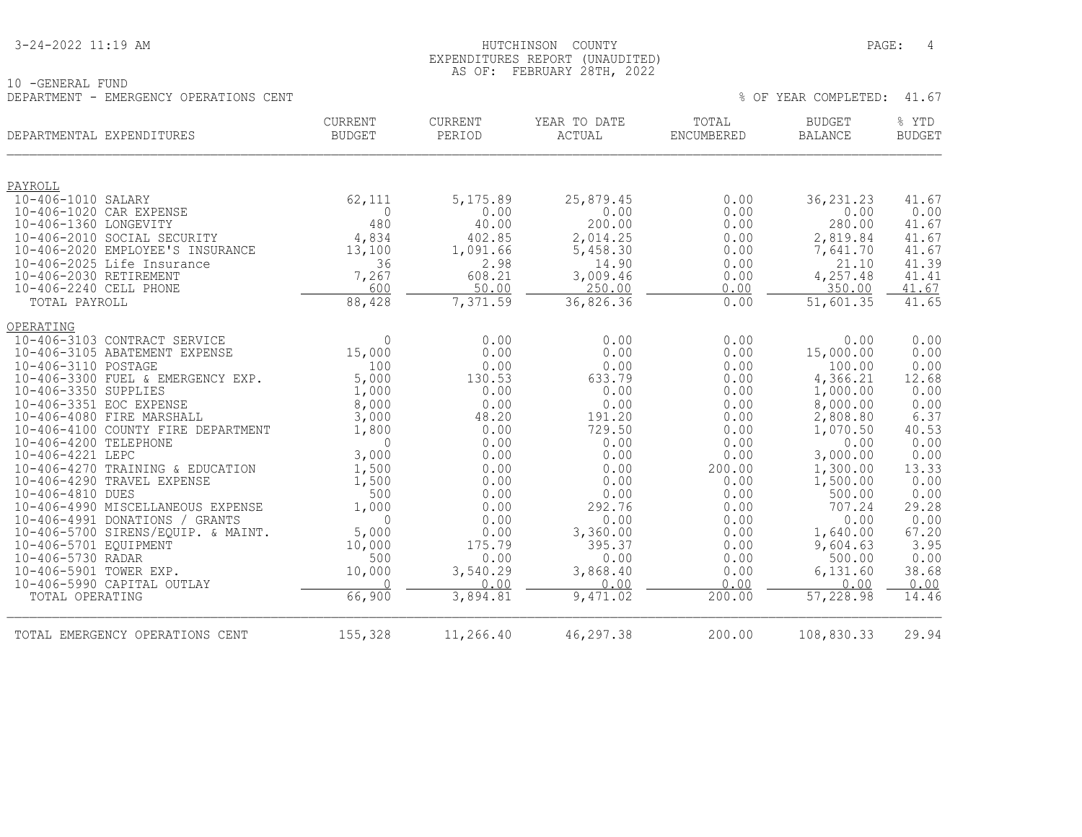#### 3-24-2022 11:19 AM PAGE: 4 EXPENDITURES REPORT (UNAUDITED) AS OF: FEBRUARY 28TH, 2022

| 10 -GENERAL FUND                       |  |
|----------------------------------------|--|
| DEPARTMENT - EMERGENCY OPERATIONS CENT |  |

|                         | DEPARTMENTAL EXPENDITURES                                       | <b>CURRENT</b><br><b>BUDGET</b> | <b>CURRENT</b><br>PERIOD | YEAR TO DATE<br><b>ACTUAL</b> | TOTAL<br><b>ENCUMBERED</b> | <b>BUDGET</b><br><b>BALANCE</b> | % YTD<br><b>BUDGET</b> |
|-------------------------|-----------------------------------------------------------------|---------------------------------|--------------------------|-------------------------------|----------------------------|---------------------------------|------------------------|
| PAYROLL                 |                                                                 |                                 |                          |                               |                            |                                 |                        |
| 10-406-1010 SALARY      |                                                                 | 62,111                          | 5,175.89                 | 25,879.45                     | 0.00                       | 36, 231.23                      | 41.67                  |
| 10-406-1020 CAR EXPENSE |                                                                 | $\Omega$                        | 0.00                     | 0.00                          | 0.00                       | 0.00                            | 0.00                   |
| 10-406-1360 LONGEVITY   |                                                                 | 480                             | 40.00                    | 200.00                        | 0.00                       | 280.00                          | 41.67                  |
|                         | 10-406-2010 SOCIAL SECURITY                                     | 4,834                           | 402.85                   | 2,014.25                      | 0.00                       | 2,819.84                        | 41.67                  |
|                         | 10-406-2020 EMPLOYEE'S INSURANCE                                | 13,100                          | 1,091.66                 | 5,458.30                      | 0.00                       | 7,641.70                        | 41.67                  |
|                         | 10-406-2025 Life Insurance                                      | 36                              | 2.98                     | 14.90                         | 0.00                       | 21.10                           | 41.39                  |
| 10-406-2030 RETIREMENT  |                                                                 | 7,267                           | 608.21                   | 3,009.46                      | 0.00                       | 4,257.48                        | 41.41                  |
| 10-406-2240 CELL PHONE  |                                                                 | 600                             | 50.00                    | 250.00                        | 0.00                       | 350.00                          | 41.67                  |
| TOTAL PAYROLL           |                                                                 | 88,428                          | 7,371.59                 | 36,826.36                     | 0.00                       | 51,601.35                       | 41.65                  |
| OPERATING               |                                                                 |                                 |                          |                               |                            |                                 |                        |
|                         | 10-406-3103 CONTRACT SERVICE                                    | $\Omega$                        | 0.00                     | 0.00                          | 0.00                       | 0.00                            | 0.00                   |
|                         | 10-406-3105 ABATEMENT EXPENSE                                   | 15,000                          | 0.00                     | 0.00                          | 0.00                       | 15,000.00                       | 0.00                   |
| 10-406-3110 POSTAGE     |                                                                 | 100                             | 0.00                     | 0.00                          | 0.00                       | 100.00                          | 0.00                   |
|                         | 10-406-3300 FUEL & EMERGENCY EXP.                               | 5,000                           | 130.53                   | 633.79                        | 0.00                       | 4,366.21                        | 12.68                  |
| 10-406-3350 SUPPLIES    |                                                                 | 1,000                           | 0.00                     | 0.00                          | 0.00                       | 1,000.00                        | 0.00                   |
| 10-406-3351 EOC EXPENSE |                                                                 | 8,000                           | 0.00                     | 0.00                          | 0.00                       | 8,000.00                        | 0.00                   |
|                         | 10-406-4080 FIRE MARSHALL<br>10-406-4100 COUNTY FIRE DEPARTMENT | 3,000                           | 48.20<br>0.00            | 191.20<br>729.50              | 0.00                       | 2,808.80                        | 6.37<br>40.53          |
| 10-406-4200 TELEPHONE   |                                                                 | 1,800<br>$\Omega$               | 0.00                     | 0.00                          | 0.00<br>0.00               | 1,070.50<br>0.00                | 0.00                   |
| 10-406-4221 LEPC        |                                                                 | 3,000                           | 0.00                     | 0.00                          | 0.00                       | 3,000.00                        | 0.00                   |
|                         | 10-406-4270 TRAINING & EDUCATION                                | 1,500                           | 0.00                     | 0.00                          | 200.00                     | 1,300.00                        | 13.33                  |
|                         | 10-406-4290 TRAVEL EXPENSE                                      | 1,500                           | 0.00                     | 0.00                          | 0.00                       | 1,500.00                        | 0.00                   |
| 10-406-4810 DUES        |                                                                 | 500                             | 0.00                     | 0.00                          | 0.00                       | 500.00                          | 0.00                   |
|                         | 10-406-4990 MISCELLANEOUS EXPENSE                               | 1,000                           | 0.00                     | 292.76                        | 0.00                       | 707.24                          | 29.28                  |
|                         | 10-406-4991 DONATIONS / GRANTS                                  | $\Omega$                        | 0.00                     | 0.00                          | 0.00                       | 0.00                            | 0.00                   |
|                         | 10-406-5700 SIRENS/EQUIP. & MAINT.                              | 5,000                           | 0.00                     | 3,360.00                      | 0.00                       | 1,640.00                        | 67.20                  |
| 10-406-5701 EOUIPMENT   |                                                                 | 10,000                          | 175.79                   | 395.37                        | 0.00                       | 9,604.63                        | 3.95                   |
| 10-406-5730 RADAR       |                                                                 | 500                             | 0.00                     | 0.00                          | 0.00                       | 500.00                          | 0.00                   |
| 10-406-5901 TOWER EXP.  |                                                                 | 10,000                          | 3,540.29                 | 3,868.40                      | 0.00                       | 6,131.60                        | 38.68                  |
|                         | 10-406-5990 CAPITAL OUTLAY                                      | $\bigcap$                       | 0.00                     | 0.00                          | 0.00                       | 0.00                            | 0.00                   |
| TOTAL OPERATING         |                                                                 | 66,900                          | 3,894.81                 | 9,471.02                      | 200.00                     | 57,228.98                       | 14.46                  |
|                         | TOTAL EMERGENCY OPERATIONS CENT                                 | 155,328                         | 11,266.40                | 46,297.38                     | 200.00                     | 108,830.33                      | 29.94                  |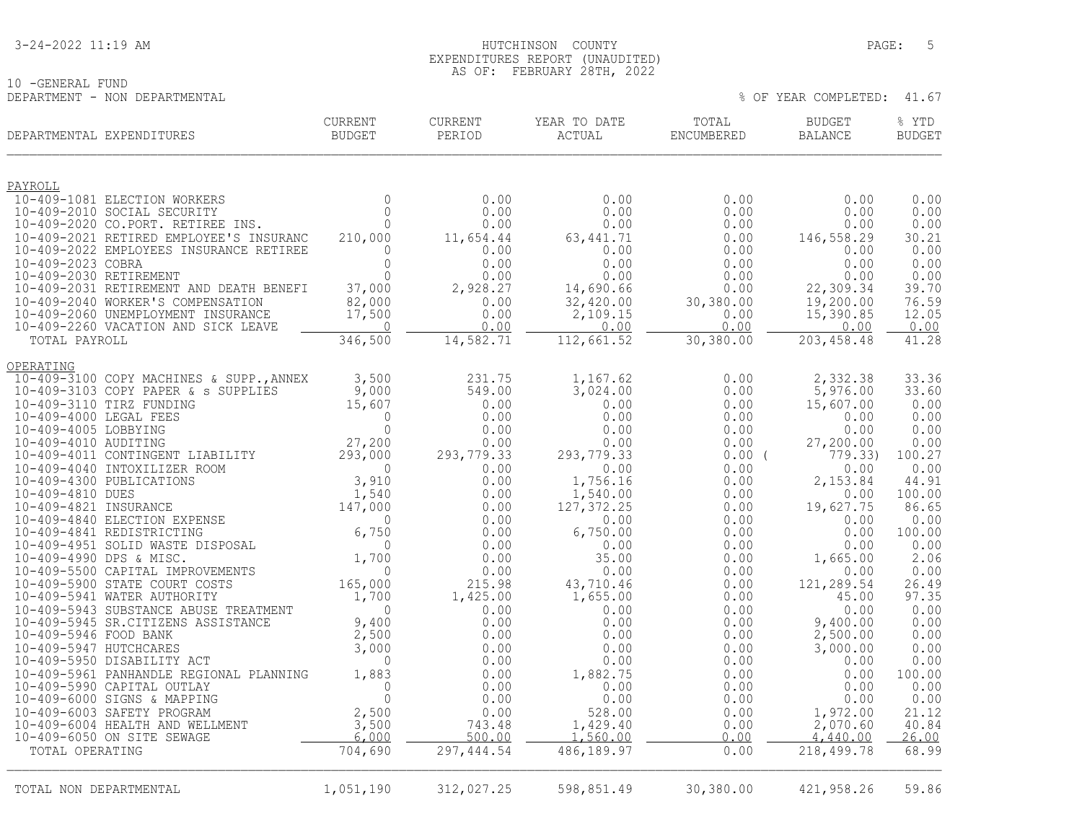#### 3-24-2022 11:19 AM PAGE: 5 EXPENDITURES REPORT (UNAUDITED) AS OF: FEBRUARY 28TH, 2022

|                               | FLBRUARI Z0IH, ZUZZ |  |                            |  |
|-------------------------------|---------------------|--|----------------------------|--|
| 10 -GENERAL FUND              |                     |  |                            |  |
| DEPARTMENT - NON DEPARTMENTAL |                     |  | % OF YEAR COMPLETED: 41.67 |  |

|                        | DEPARTMENTAL EXPENDITURES                                                                                                                                                                                                                      | CURRENT<br>BUDGET             | CURRENT<br>PERIOD | YEAR TO DATE<br>ACTUAL  | TOTAL<br>ENCUMBERED | <b>BUDGET</b><br><b>BALANCE</b> | % YTD<br><b>BUDGET</b> |
|------------------------|------------------------------------------------------------------------------------------------------------------------------------------------------------------------------------------------------------------------------------------------|-------------------------------|-------------------|-------------------------|---------------------|---------------------------------|------------------------|
| PAYROLL                |                                                                                                                                                                                                                                                |                               |                   |                         |                     |                                 |                        |
|                        | 10-409-1081 ELECTION WORKERS                                                                                                                                                                                                                   | $\mathbf{0}$                  | 0.00              | 0.00                    | 0.00                | 0.00                            | 0.00                   |
|                        | 10-409-2010 SOCIAL SECURITY                                                                                                                                                                                                                    | $\Omega$                      | 0.00              | 0.00                    | 0.00                | 0.00                            | 0.00                   |
|                        | 10-409-2020 CO.PORT. RETIREE INS.                                                                                                                                                                                                              | $\mathbf 0$                   | 0.00              | 0.00                    | 0.00                | 0.00                            | 0.00                   |
|                        | 10-409-2021 RETIRED EMPLOYEE'S INSURANC<br>10-409-2022 EMPLOYEES INSURANCE RETIREE                                                                                                                                                             | 210,000<br>0                  | 11,654.44<br>0.00 | 63, 441. 71<br>0.00     | 0.00<br>0.00        | 146,558.29<br>0.00              | 30.21<br>0.00          |
| 10-409-2023 COBRA      |                                                                                                                                                                                                                                                | $\Omega$                      | 0.00              | 0.00                    | 0.00                | 0.00                            | 0.00                   |
| 10-409-2030 RETIREMENT |                                                                                                                                                                                                                                                | $\Omega$                      | 0.00              | 0.00                    | 0.00                | 0.00                            | 0.00                   |
|                        | 10-409-2031 RETIREMENT AND DEATH BENEFI                                                                                                                                                                                                        | 37,000                        | 2,928.27          | 14,690.66               | 0.00                | 22,309.34                       | 39.70                  |
|                        | 10-409-2040 WORKER'S COMPENSATION                                                                                                                                                                                                              | 82,000                        | 0.00              | 32,420.00               | 30,380.00           | 19,200.00                       | 76.59                  |
|                        | 10-409-2060 UNEMPLOYMENT INSURANCE<br>10-409-2260 VACATION AND SICK LEAVE                                                                                                                                                                      | 17,500<br>$\overline{0}$      | 0.00<br>0.00      | 2,109.15<br>0.00        | 0.00<br>0.00        | 15,390.85                       | 12.05<br>0.00          |
| TOTAL PAYROLL          |                                                                                                                                                                                                                                                | 346,500                       | 14,582.71         | 112,661.52              | 30,380.00           | 0.00<br>203, 458.48             | 41.28                  |
|                        |                                                                                                                                                                                                                                                |                               |                   |                         |                     |                                 |                        |
| OPERATING              |                                                                                                                                                                                                                                                |                               |                   |                         |                     |                                 |                        |
|                        | 10-409-3100 COPY MACHINES & SUPP., ANNEX                                                                                                                                                                                                       | 3,500                         | 231.75            | 1,167.62                | 0.00                | 2,332.38                        | 33.36                  |
|                        | 10-409-3103 COPY PAPER & s SUPPLIES<br>10-409-3110 TIRZ FUNDING                                                                                                                                                                                | 9,000<br>15,607               | 549.00<br>0.00    | 3,024.00<br>0.00        | 0.00<br>0.00        | 5,976.00<br>15,607.00           | 33.60<br>0.00          |
| 10-409-4000 LEGAL FEES |                                                                                                                                                                                                                                                | $\Omega$                      | 0.00              | 0.00                    | 0.00                | 0.00                            | 0.00                   |
| 10-409-4005 LOBBYING   |                                                                                                                                                                                                                                                | $\circ$                       | 0.00              | 0.00                    | 0.00                | 0.00                            | 0.00                   |
|                        |                                                                                                                                                                                                                                                |                               | 0.00              | 0.00                    | 0.00                | 27,200.00                       | 0.00                   |
|                        | 10-409-4005 LOBBYING<br>10-409-4010 AUDITING<br>10-409-4011 CONTINGENT LIABILITY<br>10-409-4040 INTOXILIZER ROOM<br>10-409-4300 PUBLICATIONS<br>10-409-4810 DUES<br>10-409-4821 INSURANCE<br>10-409-4840 ELECTION EXPENSE<br>10-409-4841 REDIS |                               | 293, 779.33       | 293,779.33              | $0.00$ (            | 779.33                          | 100.27                 |
|                        |                                                                                                                                                                                                                                                |                               | 0.00              | 0.00                    | 0.00                | 0.00                            | 0.00                   |
|                        |                                                                                                                                                                                                                                                |                               | 0.00              | 1,756.16                | 0.00                | 2,153.84                        | 44.91                  |
|                        |                                                                                                                                                                                                                                                |                               | 0.00<br>0.00      | 1,540.00<br>127, 372.25 | 0.00<br>0.00        | 0.00<br>19,627.75               | 100.00<br>86.65        |
|                        |                                                                                                                                                                                                                                                |                               | 0.00              | 0.00                    | 0.00                | 0.00                            | 0.00                   |
|                        |                                                                                                                                                                                                                                                |                               | 0.00              | 6,750.00                | 0.00                | 0.00                            | 100.00                 |
|                        |                                                                                                                                                                                                                                                |                               | 0.00              | 0.00                    | 0.00                | 0.00                            | 0.00                   |
|                        |                                                                                                                                                                                                                                                |                               | 0.00              | 35.00                   | 0.00                | 1,665.00                        | 2.06                   |
|                        |                                                                                                                                                                                                                                                |                               | 0.00              | 0.00                    | 0.00                | 0.00                            | 0.00                   |
|                        | 10-409-5941 WATER AUTHORITY                                                                                                                                                                                                                    |                               | 215.98            | 43,710.46               | 0.00                | 121,289.54<br>45.00             | 26.49<br>97.35         |
|                        | 10-409-5943 SUBSTANCE ABUSE TREATMENT                                                                                                                                                                                                          | 1,700                         | 1,425.00<br>0.00  | 1,655.00<br>0.00        | 0.00<br>0.00        | 0.00                            | 0.00                   |
|                        | 10-409-5945 SR. CITIZENS ASSISTANCE                                                                                                                                                                                                            | $9,400$<br>$2,500$<br>$3,000$ | 0.00              | 0.00                    | 0.00                | 9,400.00                        | 0.00                   |
| 10-409-5946 FOOD BANK  |                                                                                                                                                                                                                                                |                               | 0.00              | 0.00                    | 0.00                | 2,500.00                        | 0.00                   |
| 10-409-5947 HUTCHCARES |                                                                                                                                                                                                                                                |                               | 0.00              | 0.00                    | 0.00                | 3,000.00                        | 0.00                   |
|                        | 10-409-5950 DISABILITY ACT                                                                                                                                                                                                                     | $\mathbf 0$                   | 0.00              | 0.00                    | 0.00                | 0.00                            | 0.00                   |
|                        | 10-409-5961 PANHANDLE REGIONAL PLANNING                                                                                                                                                                                                        | 1,883                         | 0.00              | 1,882.75                | 0.00                | 0.00                            | 100.00                 |
|                        | 10-409-5990 CAPITAL OUTLAY                                                                                                                                                                                                                     | $\mathbf{0}$<br>$\circ$       | 0.00              | 0.00                    | 0.00                | 0.00                            | 0.00<br>0.00           |
|                        | 10-409-6000 SIGNS & MAPPING<br>10-409-6003 SAFETY PROGRAM                                                                                                                                                                                      |                               | 0.00<br>0.00      | 0.00<br>528.00          | 0.00<br>0.00        | 0.00<br>1,972.00                | 21.12                  |
|                        | 10-409-6004 HEALTH AND WELLMENT                                                                                                                                                                                                                | $\frac{2,500}{3,500}$         | 743.48            | 1,429.40                | 0.00                | 2,070.60                        | 40.84                  |
|                        | 10-409-6050 ON SITE SEWAGE                                                                                                                                                                                                                     | 6,000                         | 500.00            | 1,560.00                | 0.00                | 4,440.00                        | 26.00                  |
| TOTAL OPERATING        |                                                                                                                                                                                                                                                | 704,690                       | 297, 444.54       | 486,189.97              | 0.00                | 218, 499.78                     | 68.99                  |
| TOTAL NON DEPARTMENTAL |                                                                                                                                                                                                                                                | 1,051,190                     | 312,027.25        | 598,851.49              | 30,380.00           | 421,958.26                      | 59.86                  |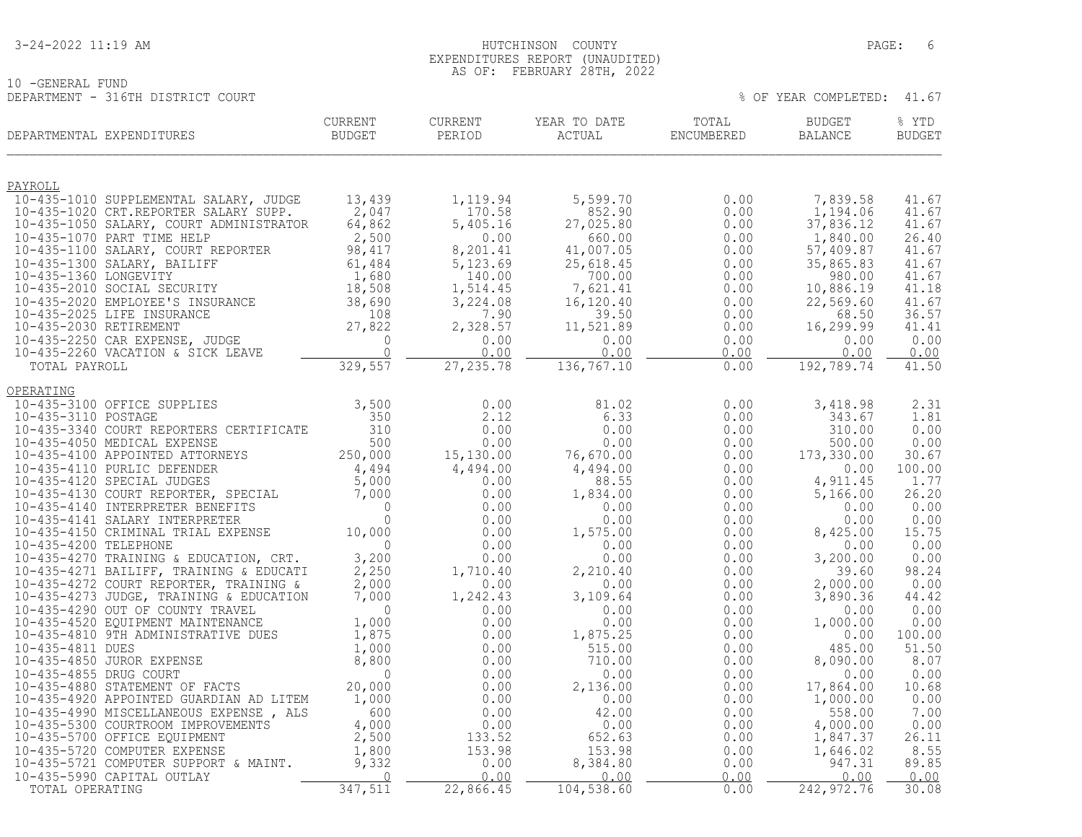10 -GENERAL FUND

#### 3-24-2022 11:19 AM HUTCHINSON COUNTY PAGE: 6 EXPENDITURES REPORT (UNAUDITED) AS OF: FEBRUARY 28TH, 2022

DEPARTMENT - 316TH DISTRICT COURT THE SERVICE OF YEAR COMPLETED: 41.67

| DEPARTMENTAL EXPENDITURES                                                    | <b>CURRENT</b><br>BUDGET  | <b>CURRENT</b><br>PERIOD | YEAR TO DATE<br>ACTUAL | TOTAL<br>ENCUMBERED | <b>BUDGET</b><br><b>BALANCE</b> | % YTD<br><b>BUDGET</b> |
|------------------------------------------------------------------------------|---------------------------|--------------------------|------------------------|---------------------|---------------------------------|------------------------|
| PAYROLL                                                                      |                           |                          |                        |                     |                                 |                        |
| 10-435-1010 SUPPLEMENTAL SALARY, JUDGE                                       | 13,439                    | 1,119.94                 | 5,599.70               | 0.00                | 7,839.58                        | 41.67                  |
| 10-435-1020 CRT.REPORTER SALARY SUPP.                                        | 2,047                     | 170.58<br>5,405.16       | 852.90<br>27,025.80    | 0.00                | 1,194.06<br>37,836.12           | 41.67                  |
| 10-435-1050 SALARY, COURT ADMINISTRATOR<br>10-435-1070 PART TIME HELP        | 64,862<br>2,500           | 0.00                     | 660.00                 | 0.00<br>0.00        | 1,840.00                        | 41.67<br>26.40         |
| 10-435-1100 SALARY, COURT REPORTER                                           | 98,417                    | 8,201.41                 | 41,007.05              | 0.00                | 57,409.87                       | 41.67                  |
| 10-435-1300 SALARY, BAILIFF                                                  | 61,484                    | 5,123.69                 | 25,618.45              | 0.00                | 35,865.83                       | 41.67                  |
| 10-435-1360 LONGEVITY                                                        | 1,680                     | 140.00                   | 700.00                 | 0.00                | 980.00                          | 41.67                  |
| 10-435-2010 SOCIAL SECURITY                                                  | 18,508                    | 1,514.45<br>3,224.08     | 7,621.41               | 0.00                | 10,886.19                       | 41.18                  |
| 10-435-2020 EMPLOYEE'S INSURANCE<br>10-435-2025 LIFE INSURANCE               | 38,690<br>108             | 7.90                     | 16,120.40<br>39.50     | 0.00<br>0.00        | 22,569.60<br>68.50              | 41.67<br>36.57         |
| 10-435-2030 RETIREMENT                                                       | 27,822                    | 2,328.57                 | 11,521.89              | 0.00                | 16,299.99                       | 41.41                  |
| 10-435-2250 CAR EXPENSE, JUDGE                                               | $\mathbf{0}$              | 0.00                     | 0.00                   | 0.00                | 0.00                            | 0.00                   |
| 10-435-2260 VACATION & SICK LEAVE                                            | $\overline{0}$            | 0.00                     | 0.00                   | 0.00                | 0.00                            | 0.00                   |
| TOTAL PAYROLL                                                                | 329,557                   | 27, 235.78               | 136,767.10             | 0.00                | 192,789.74                      | 41.50                  |
| OPERATING<br>10-435-3100 OFFICE SUPPLIES                                     | 3,500                     |                          |                        |                     |                                 | 2.31                   |
| 10-435-3110 POSTAGE                                                          | 350                       | 0.00<br>2.12             | 81.02<br>6.33          | 0.00<br>0.00        | 3,418.98<br>343.67              | 1.81                   |
| 10-435-3340 COURT REPORTERS CERTIFICATE                                      | 310                       | 0.00                     | 0.00                   | 0.00                | 310.00                          | 0.00                   |
| 10-435-4050 MEDICAL EXPENSE                                                  | 500                       | 0.00                     | 0.00                   | 0.00                | 500.00                          | 0.00                   |
| 10-435-4100 APPOINTED ATTORNEYS                                              | 250,000                   | 15,130.00                | 76,670.00              | 0.00                | 173,330.00                      | 30.67                  |
| 10-435-4110 PURLIC DEFENDER<br>10-435-4120 SPECIAL JUDGES                    | 4,494                     | 4,494.00<br>0.00         | 4,494.00<br>88.55      | 0.00<br>0.00        | 0.00<br>4,911.45                | 100.00<br>1.77         |
| 10-435-4130 COURT REPORTER, SPECIAL                                          | $5,000$<br>7.000<br>7,000 | 0.00                     | 1,834.00               | 0.00                | 5,166.00                        | 26.20                  |
| 10-435-4140 INTERPRETER BENEFITS                                             | $\overline{0}$            | 0.00                     | 0.00                   | 0.00                | 0.00                            | 0.00                   |
| 10-435-4141 SALARY INTERPRETER                                               | $\Omega$                  | 0.00                     | 0.00                   | 0.00                | 0.00                            | 0.00                   |
| 10-435-4150 CRIMINAL TRIAL EXPENSE                                           | 10,000                    | 0.00                     | 1,575.00               | 0.00                | 8,425.00                        | 15.75                  |
| 10-435-4200 TELEPHONE<br>10-435-4270 TRAINING & EDUCATION, CRT.              | $\Omega$<br>3,200         | 0.00<br>0.00             | 0.00<br>0.00           | 0.00<br>0.00        | 0.00<br>3,200.00                | 0.00<br>0.00           |
| 10-435-4271 BAILIFF, TRAINING & EDUCATI                                      | 2,250                     | 1,710.40                 | 2,210.40               | 0.00                | 39.60                           | 98.24                  |
| 10-435-4272 COURT REPORTER, TRAINING &                                       | 2,000                     | 0.00                     | 0.00                   | 0.00                | 2,000.00                        | 0.00                   |
| 10-435-4273 JUDGE, TRAINING & EDUCATION                                      | 7,000                     | 1,242.43                 | 3,109.64               | 0.00                | 3,890.36                        | 44.42                  |
| 10-435-4290 OUT OF COUNTY TRAVEL                                             | $\overline{0}$            | 0.00                     | 0.00                   | 0.00                | 0.00                            | 0.00                   |
| 10-435-4520 EQUIPMENT MAINTENANCE<br>10-435-4810 9TH ADMINISTRATIVE DUES     | 1,000<br>1,875            | 0.00<br>0.00             | 0.00<br>1,875.25       | 0.00<br>0.00        | 1,000.00<br>0.00                | 0.00<br>100.00         |
| 10-435-4811 DUES                                                             | 1,000                     | 0.00                     | 515.00                 | 0.00                | 485.00                          | 51.50                  |
| 10-435-4850 JUROR EXPENSE                                                    | 8,800                     | 0.00                     | 710.00                 | 0.00                | 8,090.00                        | 8.07                   |
| 10-435-4855 DRUG COURT                                                       | $\Omega$                  | 0.00                     | 0.00                   | 0.00                | 0.00                            | 0.00                   |
| 10-435-4880 STATEMENT OF FACTS                                               | 20,000                    | 0.00                     | 2,136.00               | 0.00                | 17,864.00                       | 10.68                  |
| 10-435-4920 APPOINTED GUARDIAN AD LITEM                                      | 1,000<br>600              | 0.00                     | 0.00<br>42.00          | 0.00<br>0.00        | 1,000.00<br>558.00              | 0.00<br>7.00           |
| 10-435-4990 MISCELLANEOUS EXPENSE, ALS<br>10-435-5300 COURTROOM IMPROVEMENTS | 4,000                     | 0.00<br>0.00             | 0.00                   | 0.00                | 4,000.00                        | 0.00                   |
| 10-435-5700 OFFICE EQUIPMENT                                                 | 2,500                     | 133.52                   | 652.63                 | 0.00                | 1,847.37                        | 26.11                  |
| 10-435-5720 COMPUTER EXPENSE                                                 | 1,800                     | 153.98                   | 153.98                 | 0.00                | 1,646.02                        | 8.55                   |
| 10-435-5721 COMPUTER SUPPORT & MAINT.                                        | 9,332                     | 0.00                     | 8,384.80               | 0.00                | 947.31                          | 89.85                  |
| 10-435-5990 CAPITAL OUTLAY                                                   | $\Omega$                  | 0.00                     | 0.00                   | 0.00                | 0.00                            | 0.00                   |
| TOTAL OPERATING                                                              | 347,511                   | 22,866.45                | 104, 538.60            | 0.00                | 242, 972. 76                    | 30.08                  |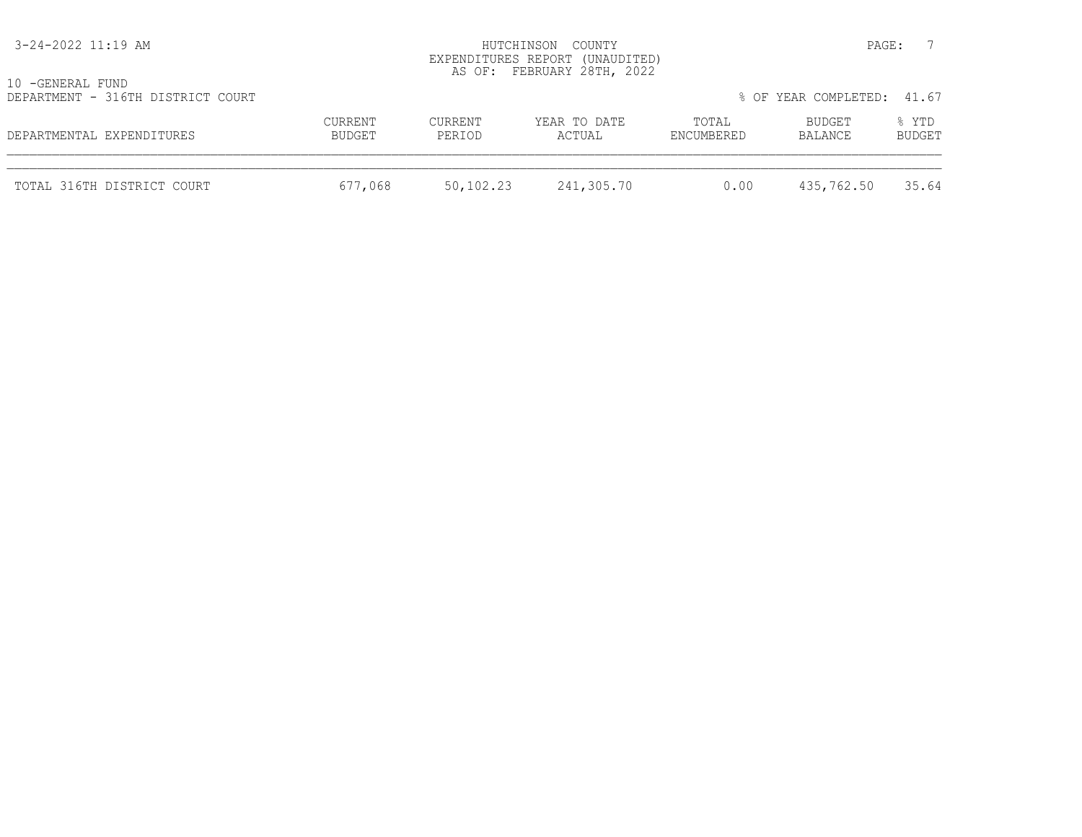| 3-24-2022 11:19 AM                                    |                   |                   | HUTCHINSON COUNTY<br>EXPENDITURES REPORT (UNAUDITED)<br>AS OF: FEBRUARY 28TH, 2022 |                     | PAGE:                      |                        |
|-------------------------------------------------------|-------------------|-------------------|------------------------------------------------------------------------------------|---------------------|----------------------------|------------------------|
| 10 -GENERAL FUND<br>DEPARTMENT - 316TH DISTRICT COURT |                   |                   |                                                                                    |                     | % OF YEAR COMPLETED: 41.67 |                        |
| DEPARTMENTAL EXPENDITURES                             | CURRENT<br>BUDGET | CURRENT<br>PERIOD | YEAR TO DATE<br>ACTUAL                                                             | TOTAL<br>ENCUMBERED | BUDGET<br>BALANCE          | % YTD<br><b>BUDGET</b> |
| TOTAL 316TH DISTRICT COURT                            | 677,068           | 50,102.23         | 241,305.70                                                                         | 0.00                | 435,762.50                 | 35.64                  |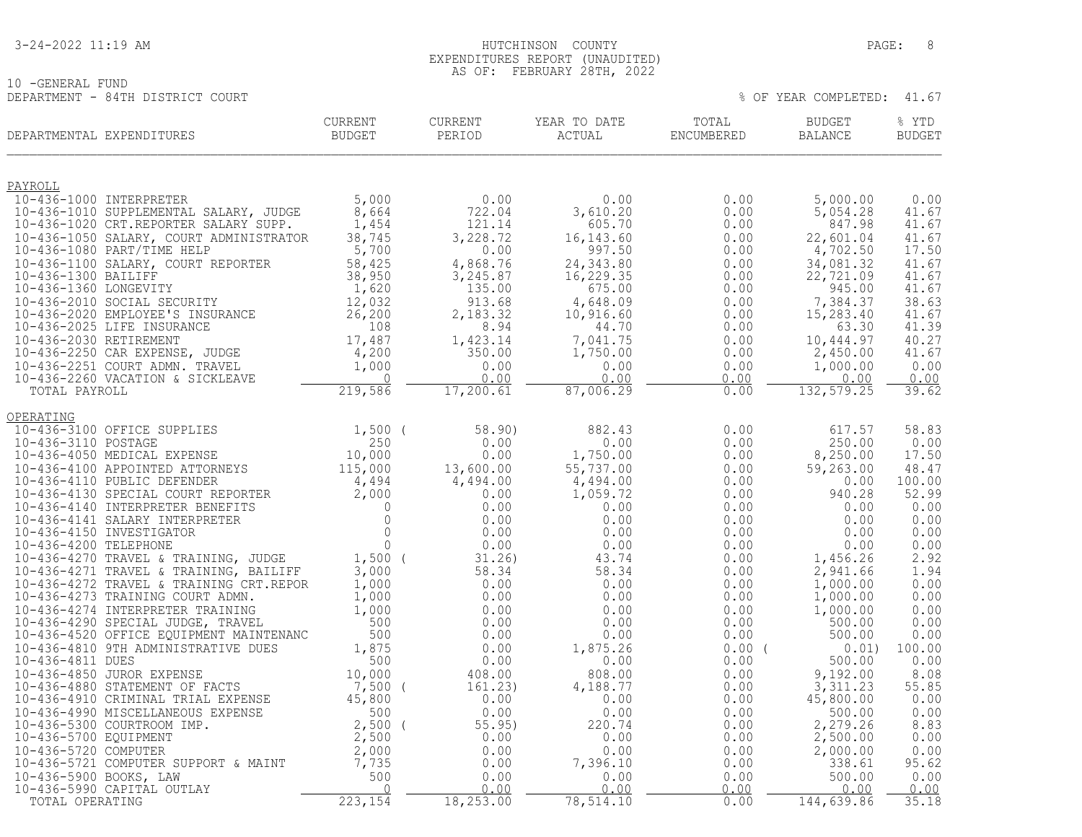10 -GENERAL FUND<br>DEPARTMENT - 84TH DISTRICT COURT

#### 3-24-2022 11:19 AM PAGE: 8 EXPENDITURES REPORT (UNAUDITED) AS OF: FEBRUARY 28TH, 2022

| DEPARTMENTAL EXPENDITURES                                                                                                                                                                                      | <b>CURRENT</b><br>BUDGET | <b>CURRENT</b><br>PERIOD | YEAR TO DATE<br>ACTUAL  | TOTAL<br>ENCUMBERED | <b>BUDGET</b><br>BALANCE | % YTD<br><b>BUDGET</b> |
|----------------------------------------------------------------------------------------------------------------------------------------------------------------------------------------------------------------|--------------------------|--------------------------|-------------------------|---------------------|--------------------------|------------------------|
| PAYROLL                                                                                                                                                                                                        |                          |                          |                         |                     |                          |                        |
| 10-436-1000 INTERPRETER                                                                                                                                                                                        | 5,000                    | 0.00                     | 0.00                    | 0.00                | 5,000.00                 | 0.00                   |
| 10-436-1010 SUPPLEMENTAL SALARY, JUDGE<br>10-436-1020 CRT.REPORTER SALARY SUPP.                                                                                                                                | 8,664<br>1,454           | 722.04<br>121.14         | 3,610.20<br>605.70      | 0.00<br>0.00        | 5,054.28<br>847.98       | 41.67<br>41.67         |
| 10-436-1050 SALARY, COURT ADMINISTRATOR                                                                                                                                                                        | 38,745                   | 3,228.72                 | 16, 143.60              | 0.00                | 22,601.04                | 41.67                  |
| 10-436-1080 PART/TIME HELP                                                                                                                                                                                     | 5,700                    | 0.00                     | 997.50                  | 0.00                | 4,702.50                 | 17.50                  |
| 10-436-1100 SALARY, COURT REPORTER<br>10-436-1300 BAILIFF                                                                                                                                                      | 58,425<br>38,950         | 4,868.76<br>3,245.87     | 24, 343.80<br>16,229.35 | 0.00<br>0.00        | 34,081.32<br>22,721.09   | 41.67<br>41.67         |
| 10-436-1360 LONGEVITY                                                                                                                                                                                          | 1,620                    | 135.00                   | 675.00                  | 0.00                | 945.00                   | 41.67                  |
| $10-436-2010$ SOCIAL SECURITY                                                                                                                                                                                  | 12,032                   | 913.68                   | 4,648.09                | 0.00                | 7,384.37                 | 38.63                  |
| 10-436-2020 EMPLOYEE'S INSURANCE                                                                                                                                                                               | 26, 200                  | 2,183.32                 | 10,916.60               | 0.00                | 15, 283.40               | 41.67                  |
| 10-436-2025 LIFE INSURANCE<br>10-436-2030 RETIREMENT                                                                                                                                                           | 108<br>17,487            | 8.94<br>1,423.14         | 44.70<br>7,041.75       | 0.00<br>0.00        | 63.30<br>10,444.97       | 41.39<br>40.27         |
| 10-436-2250 CAR EXPENSE, JUDGE                                                                                                                                                                                 | 4,200                    | 350.00                   | 1,750.00                | 0.00                | 2,450.00                 | 41.67                  |
| 10-436-2251 COURT ADMN. TRAVEL                                                                                                                                                                                 | 1,000                    | 0.00                     | 0.00                    | 0.00                | 1,000.00                 | 0.00                   |
| 10-436-2260 VACATION & SICKLEAVE<br>TOTAL PAYROLL                                                                                                                                                              | $\Omega$<br>219,586      | 0.00<br>17, 200.61       | 0.00<br>87,006.29       | 0.00<br>0.00        | 0.00<br>132,579.25       | 0.00<br>39.62          |
|                                                                                                                                                                                                                |                          |                          |                         |                     |                          |                        |
| OPERATING<br>10-436-3100 OFFICE SUPPLIES                                                                                                                                                                       | $1,500$ (                | 58.90)                   | 882.43                  | 0.00                | 617.57                   | 58.83                  |
| 10-436-3110 POSTAGE                                                                                                                                                                                            | 250                      | 0.00                     | 0.00                    | 0.00                | 250.00                   | 0.00                   |
| 10-436-4050 MEDICAL EXPENSE                                                                                                                                                                                    | 10,000                   | 0.00                     | 1,750.00                | 0.00                | 8,250.00                 | 17.50                  |
| 10-436-4100 APPOINTED ATTORNEYS                                                                                                                                                                                | 115,000                  | 13,600.00                | 55,737.00               | 0.00                | 59,263.00                | 48.47                  |
| 10-436-4110 PUBLIC DEFENDER                                                                                                                                                                                    | 4,494                    | 4,494.00<br>0.00         | 4,494.00<br>1,059.72    | 0.00<br>0.00        | 0.00<br>940.28           | 100.00<br>52.99        |
|                                                                                                                                                                                                                |                          | 0.00                     | 0.00                    | 0.00                | 0.00                     | 0.00                   |
| 10-436-4110 PUBLIC DEFENDER 4,494<br>10-436-4130 SPECIAL COURT REPORTER 2,000<br>10-436-4140 INTERPRETER BENEFITS 0<br>10-436-4141 SALARY INTERPRETER 0<br>10-436-4150 INVESTIGATOR<br>10-436-4200 TELEPHONE 0 |                          | 0.00                     | 0.00                    | 0.00                | 0.00                     | 0.00                   |
|                                                                                                                                                                                                                | $\overline{0}$           | 0.00                     | 0.00                    | 0.00                | 0.00                     | 0.00                   |
| 10-436-4200 TELEPHONE<br>10-436-4270 TRAVEL & TRAINING, JUDGE<br>10-436-4270 TRAVEL & TRAINING, JUDGE                                                                                                          | $1,500$ (                | 0.00<br>31.26)           | 0.00<br>43.74           | 0.00<br>0.00        | 0.00<br>1,456.26         | 0.00<br>2.92           |
| 10-436-4271 TRAVEL & TRAINING, BAILIFF                                                                                                                                                                         | 3,000                    | 58.34                    | 58.34                   | 0.00                | 2,941.66                 | 1.94                   |
| 10-436-4272 TRAVEL & TRAINING CRT.REPOR                                                                                                                                                                        | 1,000                    | 0.00                     | 0.00                    | 0.00                | 1,000.00                 | 0.00                   |
| 10-436-4273 TRAINING COURT ADMN.                                                                                                                                                                               | 1,000                    | 0.00                     | 0.00                    | 0.00                | 1,000.00                 | 0.00                   |
| 10-436-4274 INTERPRETER TRAINING<br>10-436-4290 SPECIAL JUDGE, TRAVEL                                                                                                                                          | 1,000<br>500             | 0.00<br>0.00             | 0.00<br>0.00            | 0.00<br>0.00        | 1,000.00<br>500.00       | 0.00<br>0.00           |
| 10-436-4520 OFFICE EQUIPMENT MAINTENANC                                                                                                                                                                        | 500                      | 0.00                     | 0.00                    | 0.00                | 500.00                   | 0.00                   |
| 10-436-4810 9TH ADMINISTRATIVE DUES                                                                                                                                                                            | 1,875                    | 0.00                     | 1,875.26                | 0.00(               | 0.01)                    | 100.00                 |
| 10-436-4811 DUES                                                                                                                                                                                               | 500                      | 0.00                     | 0.00                    | 0.00                | 500.00                   | 0.00                   |
| 10-436-4850 JUROR EXPENSE<br>10-436-4880 STATEMENT OF FACTS<br>10-436-4810 CLINING ---                                                                                                                         | 10,000<br>7,500          | 408.00<br>161.23)        | 808.00<br>4,188.77      | 0.00<br>0.00        | 9,192.00<br>3,311.23     | 8.08<br>55.85          |
|                                                                                                                                                                                                                | 45,800                   | 0.00                     | 0.00                    | 0.00                | 45,800.00                | 0.00                   |
| 10-436-4910 CRIMINAL TRIAL EXPENSE<br>10-436-4990 MISCELLANEOUS EXPENSE                                                                                                                                        | 500                      | 0.00                     | 0.00                    | 0.00                | 500.00                   | 0.00                   |
| 10-436-5300 COURTROOM IMP.<br>10-436-5700 EQUIPMENT                                                                                                                                                            | $2,500$ (<br>2,500       | 55.95)<br>0.00           | 220.74<br>0.00          | 0.00<br>0.00        | 2,279.26<br>2,500.00     | 8.83<br>0.00           |
| 10-436-5720 COMPUTER                                                                                                                                                                                           | 2,000                    | 0.00                     | 0.00                    | 0.00                | 2,000.00                 | 0.00                   |
| 10-436-5721 COMPUTER SUPPORT & MAINT                                                                                                                                                                           | 7,735                    | 0.00                     | 7,396.10                | 0.00                | 338.61                   | 95.62                  |
| 10-436-5900 BOOKS, LAW                                                                                                                                                                                         | 500                      | 0.00                     | 0.00                    | 0.00                | 500.00                   | 0.00                   |
| 10-436-5990 CAPITAL OUTLAY<br>TOTAL OPERATING                                                                                                                                                                  | $\Omega$<br>223,154      | 0.00<br>18, 253.00       | 0.00<br>78,514.10       | 0.00<br>0.00        | 0.00<br>144,639.86       | 0.00<br>35.18          |
|                                                                                                                                                                                                                |                          |                          |                         |                     |                          |                        |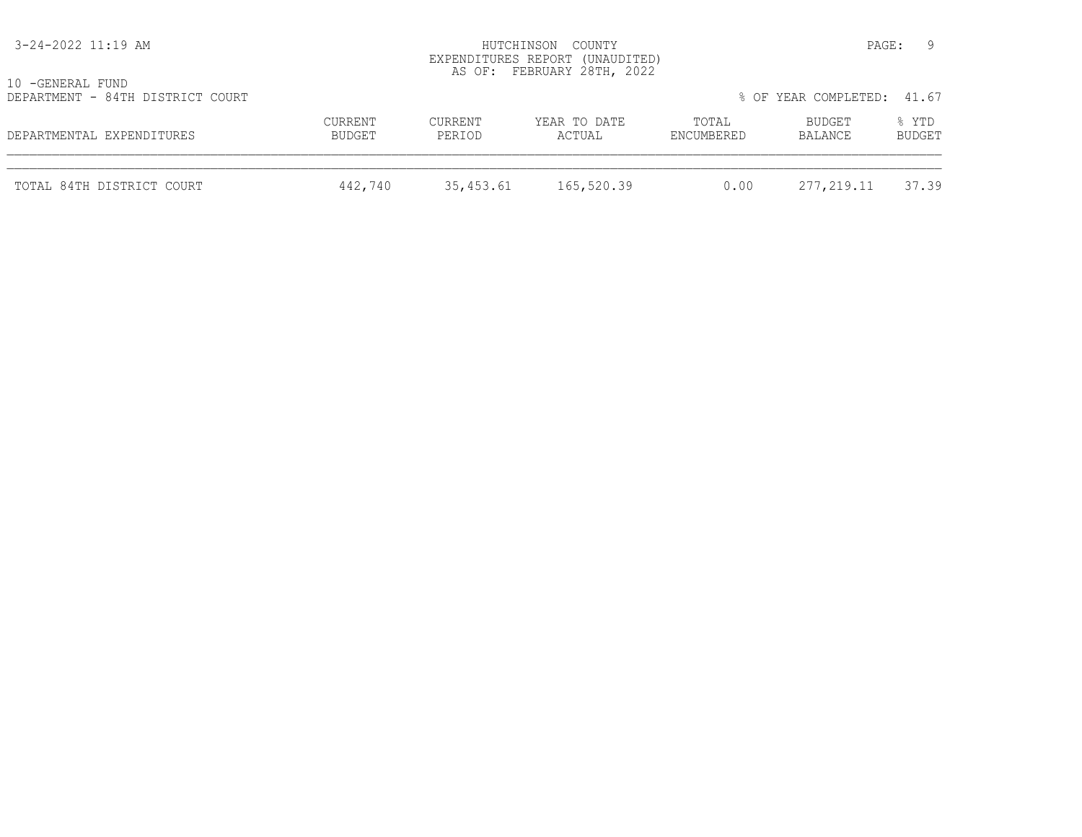| 3-24-2022 11:19 AM                                   |                   |                   | HUTCHINSON COUNTY<br>EXPENDITURES REPORT (UNAUDITED)<br>AS OF: FEBRUARY 28TH, 2022 |                     |                            | - 9<br>PAGE:    |
|------------------------------------------------------|-------------------|-------------------|------------------------------------------------------------------------------------|---------------------|----------------------------|-----------------|
| 10 -GENERAL FUND<br>DEPARTMENT - 84TH DISTRICT COURT |                   |                   |                                                                                    |                     | % OF YEAR COMPLETED: 41.67 |                 |
| DEPARTMENTAL EXPENDITURES                            | CURRENT<br>BUDGET | CURRENT<br>PERIOD | YEAR TO DATE<br>ACTUAL                                                             | TOTAL<br>ENCUMBERED | BUDGET<br>BALANCE          | % YTD<br>BUDGET |
| TOTAL 84TH DISTRICT COURT                            | 442,740           | 35,453.61         | 165,520.39                                                                         | 0.00                | 277,219.11                 | 37.39           |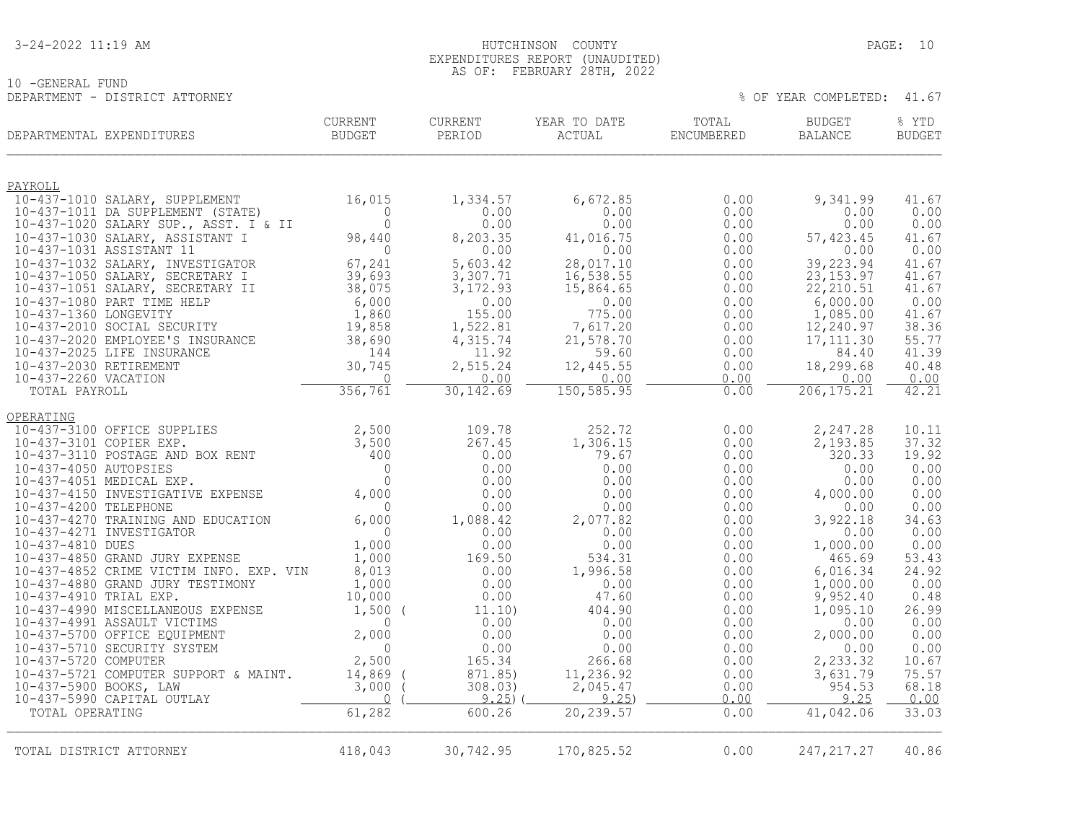10 -GENERAL FUND

 3-24-2022 11:19 AM HUTCHINSON COUNTY PAGE: 10 EXPENDITURES REPORT (UNAUDITED) AS OF: FEBRUARY 28TH, 2022

| TOTAL<br>CURRENT<br>CURRENT<br>YEAR TO DATE<br><b>BUDGET</b><br>PERIOD<br>DEPARTMENTAL EXPENDITURES<br>BUDGET<br>ACTUAL<br>ENCUMBERED<br>BALANCE                      | % YTD<br><b>BUDGET</b>   |
|-----------------------------------------------------------------------------------------------------------------------------------------------------------------------|--------------------------|
|                                                                                                                                                                       |                          |
| PAYROLL                                                                                                                                                               |                          |
| 16,015<br>10-437-1010 SALARY, SUPPLEMENT<br>1,334.57<br>6,672.85<br>0.00<br>9,341.99<br>$\Omega$<br>0.00<br>0.00<br>0.00<br>10-437-1011 DA SUPPLEMENT (STATE)         | 41.67<br>0.00<br>0.00    |
| $\mathbf{0}$<br>0.00<br>0.00<br>10-437-1020 SALARY SUP., ASST. I & II<br>0.00                                                                                         | 0.00<br>0.00             |
| 8,203.35<br>10-437-1030 SALARY, ASSISTANT I<br>98,440<br>41,016.75<br>0.00<br>57,423.45<br>10-437-1031 ASSISTANT 11<br>$\overline{0}$<br>0.00<br>0.00<br>0.00         | 41.67<br>0.00<br>0.00    |
| 67,241<br>10-437-1032 SALARY, INVESTIGATOR<br>5,603.42<br>28,017.10<br>0.00<br>39,223.94                                                                              | 41.67                    |
| 10-437-1050 SALARY, SECRETARY I<br>39,693<br>3,307.71<br>16, 538.55<br>0.00<br>23, 153.97                                                                             | 41.67                    |
| 22, 210.51<br>10-437-1051 SALARY, SECRETARY II<br>38,075<br>3, 172.93<br>15,864.65<br>0.00<br>6,000<br>6,000.00<br>10-437-1080 PART TIME HELP<br>0.00<br>0.00<br>0.00 | 41.67<br>0.00            |
| 10-437-1360 LONGEVITY<br>1,860<br>155.00<br>775.00<br>0.00<br>1,085.00                                                                                                | 41.67                    |
| 10-437-2010 SOCIAL SECURITY<br>1,522.81<br>7,617.20<br>12,240.97<br>19,858<br>0.00                                                                                    | 38.36                    |
| 10-437-2020 EMPLOYEE'S INSURANCE<br>38,690<br>4,315.74<br>21,578.70<br>0.00<br>17, 111.30<br>10-437-2025 LIFE INSURANCE<br>144<br>11.92<br>59.60<br>0.00              | 55.77<br>41.39<br>84.40  |
| 10-437-2030 RETIREMENT<br>30,745<br>2,515.24<br>18,299.68<br>12,445.55<br>0.00                                                                                        | 40.48                    |
| 10-437-2260 VACATION<br>$\bigcap$<br>0.00<br>0.00<br>0.00                                                                                                             | 0.00<br>0.00             |
| 356,761<br>30, 142.69<br>150, 585.95<br>206, 175.21<br>0.00<br>TOTAL PAYROLL                                                                                          | 42.21                    |
| OPERATING                                                                                                                                                             |                          |
| 2,500<br>109.78<br>252.72<br>0.00<br>2,247.28<br>10-437-3100 OFFICE SUPPLIES                                                                                          | 10.11                    |
| 10-437-3101 COPIER EXP.<br>3,500<br>267.45<br>1,306.15<br>0.00<br>2,193.85<br>10-437-3110 POSTAGE AND BOX RENT<br>0.00<br>400<br>79.67<br>0.00                        | 37.32<br>19.92<br>320.33 |
| 10-437-4050 AUTOPSIES<br>$\Omega$<br>0.00<br>0.00<br>0.00                                                                                                             | 0.00<br>0.00             |
| 10-437-4051 MEDICAL EXP.<br>$\Omega$<br>0.00<br>0.00<br>0.00                                                                                                          | 0.00<br>0.00             |
| 10-437-4150 INVESTIGATIVE EXPENSE<br>4,000<br>0.00<br>0.00<br>0.00<br>4,000.00<br>10-437-4200 TELEPHONE<br>0.00<br>$\Omega$<br>0.00<br>0.00                           | 0.00<br>0.00<br>0.00     |
| 10-437-4270 TRAINING AND EDUCATION<br>6,000<br>1,088.42<br>2,077.82<br>3,922.18<br>0.00                                                                               | 34.63                    |
| $\overline{0}$<br>10-437-4271 INVESTIGATOR<br>0.00<br>0.00<br>0.00                                                                                                    | 0.00<br>0.00             |
| 1,000<br>10-437-4810 DUES<br>0.00<br>0.00<br>0.00<br>1,000.00<br>10-437-4850 GRAND JURY EXPENSE<br>1,000<br>169.50<br>534.31<br>0.00                                  | 0.00<br>465.69<br>53.43  |
| 8,013<br>1,996.58<br>10-437-4852 CRIME VICTIM INFO. EXP. VIN<br>0.00<br>0.00<br>6,016.34                                                                              | 24.92                    |
| 10-437-4880 GRAND JURY TESTIMONY<br>1,000<br>0.00<br>1,000.00<br>0.00<br>0.00                                                                                         | 0.00                     |
| 10-437-4910 TRIAL EXP.<br>0.00<br>47.60<br>0.00<br>9,952.40<br>10,000                                                                                                 | 0.48                     |
| 10-437-4990 MISCELLANEOUS EXPENSE<br>$1,500$ (<br>404.90<br>11.10)<br>0.00<br>1,095.10<br>10-437-4991 ASSAULT VICTIMS<br>0.00<br>$\Omega$<br>0.00<br>0.00             | 26.99<br>0.00<br>0.00    |
| 2,000<br>10-437-5700 OFFICE EQUIPMENT<br>0.00<br>0.00<br>0.00<br>2,000.00                                                                                             | 0.00                     |
| $\mathbf{0}$<br>10-437-5710 SECURITY SYSTEM<br>0.00<br>0.00<br>0.00                                                                                                   | 0.00<br>0.00             |
| 2,500<br>10-437-5720 COMPUTER<br>165.34<br>266.68<br>2,233.32<br>0.00<br>10-437-5721 COMPUTER SUPPORT & MAINT.<br>11,236.92<br>3,631.79<br>14,869<br>871.85)<br>0.00  | 10.67<br>75.57           |
| 10-437-5900 BOOKS, LAW<br>3,000<br>308.03)<br>2,045.47<br>0.00                                                                                                        | 954.53<br>68.18          |
| $\overline{0}$<br>9.25<br>9.25<br>0.00<br>10-437-5990 CAPITAL OUTLAY                                                                                                  | 9.25<br>0.00             |
| 61,282<br>20, 239.57<br>600.26<br>41,042.06<br>0.00<br>TOTAL OPERATING                                                                                                | 33.03                    |
| 170,825.52<br>TOTAL DISTRICT ATTORNEY<br>418,043<br>30,742.95<br>0.00<br>247, 217. 27                                                                                 | 40.86                    |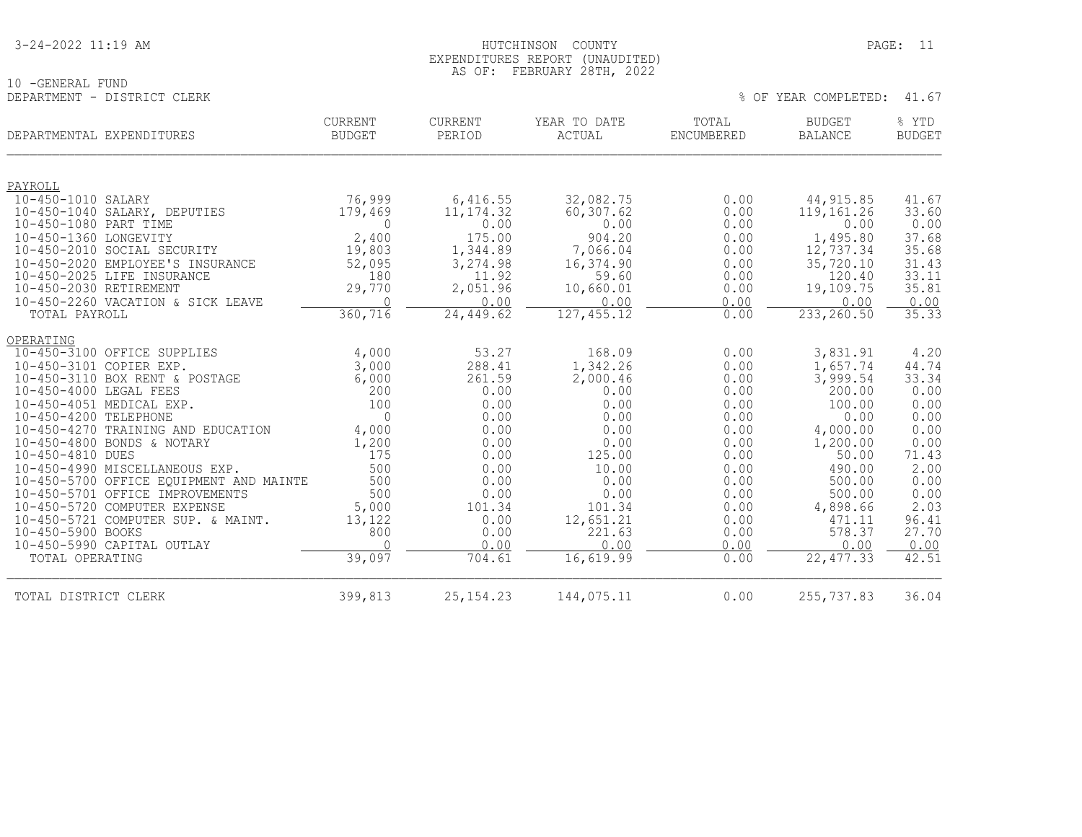| 3-24-2022 11:19 AM |
|--------------------|
|--------------------|

#### HUTCHINSON COUNTY PAGE: 11 EXPENDITURES REPORT (UNAUDITED) AS OF: FEBRUARY 28TH, 2022

|                             | ILDRUARI ZOIN, ZUZZ |  |                            |  |
|-----------------------------|---------------------|--|----------------------------|--|
| 10 -GENERAL FUND            |                     |  |                            |  |
| DEPARTMENT - DISTRICT CLERK |                     |  | % OF YEAR COMPLETED: 41.67 |  |

| DEPARTMENTAL EXPENDITURES                                   | CURRENT<br><b>BUDGET</b> | CURRENT<br>PERIOD | YEAR TO DATE<br>ACTUAL | TOTAL<br><b>ENCUMBERED</b> | <b>BUDGET</b><br><b>BALANCE</b> | % YTD<br><b>BUDGET</b> |
|-------------------------------------------------------------|--------------------------|-------------------|------------------------|----------------------------|---------------------------------|------------------------|
| PAYROLL                                                     |                          |                   |                        |                            |                                 |                        |
| 10-450-1010 SALARY                                          | 76,999                   | 6,416.55          | 32,082.75              | 0.00                       | 44, 915.85                      | 41.67                  |
| 10-450-1040 SALARY, DEPUTIES                                | 179,469                  | 11, 174.32        | 60, 307.62             | 0.00                       | 119,161.26                      | 33.60                  |
| 10-450-1080 PART TIME                                       | 0                        | 0.00              | 0.00                   | 0.00                       | 0.00                            | 0.00                   |
| 10-450-1360 LONGEVITY                                       | 2,400                    | 175.00            | 904.20                 | 0.00                       | 1,495.80                        | 37.68                  |
| 10-450-2010 SOCIAL SECURITY                                 | 19,803                   | 1,344.89          | 7,066.04               | 0.00                       | 12,737.34                       | 35.68                  |
| 10-450-2020 EMPLOYEE'S INSURANCE                            | 52,095                   | 3,274.98          | 16,374.90              | 0.00                       | 35,720.10                       | 31.43                  |
| 10-450-2025 LIFE INSURANCE                                  | 180                      | 11.92             | 59.60                  | 0.00                       | 120.40                          | 33.11                  |
| 10-450-2030 RETIREMENT<br>10-450-2260 VACATION & SICK LEAVE | 29,770<br>$\Omega$       | 2,051.96<br>0.00  | 10,660.01<br>0.00      | 0.00<br>0.00               | 19,109.75<br>0.00               | 35.81                  |
| TOTAL PAYROLL                                               | 360,716                  | 24, 449.62        | 127, 455.12            | 0.00                       | 233, 260.50                     | 0.00<br>35.33          |
|                                                             |                          |                   |                        |                            |                                 |                        |
| OPERATING                                                   |                          |                   |                        |                            |                                 |                        |
| 10-450-3100 OFFICE SUPPLIES                                 | 4,000                    | 53.27             | 168.09                 | 0.00                       | 3,831.91                        | 4.20                   |
| 10-450-3101 COPIER EXP.                                     | 3,000                    | 288.41            | 1,342.26               | 0.00                       | 1,657.74                        | 44.74                  |
| 10-450-3110 BOX RENT & POSTAGE                              | 6,000                    | 261.59            | 2,000.46               | 0.00                       | 3,999.54                        | 33.34                  |
| 10-450-4000 LEGAL FEES                                      | 200                      | 0.00              | 0.00                   | 0.00                       | 200.00                          | 0.00                   |
| 10-450-4051 MEDICAL EXP.                                    | 100                      | 0.00              | 0.00                   | 0.00                       | 100.00                          | 0.00                   |
| 10-450-4200 TELEPHONE                                       | $\Omega$                 | 0.00              | 0.00                   | 0.00                       | 0.00                            | 0.00                   |
| 10-450-4270 TRAINING AND EDUCATION                          | 4,000                    | 0.00              | 0.00                   | 0.00                       | 4,000.00                        | 0.00                   |
| 10-450-4800 BONDS & NOTARY<br>10-450-4810 DUES              | 1,200<br>175             | 0.00<br>0.00      | 0.00<br>125.00         | 0.00<br>0.00               | 1,200.00<br>50.00               | 0.00<br>71.43          |
| 10-450-4990 MISCELLANEOUS EXP.                              | 500                      | 0.00              | 10.00                  | 0.00                       | 490.00                          | 2.00                   |
| 10-450-5700 OFFICE EOUIPMENT AND MAINTE                     | 500                      | 0.00              | 0.00                   | 0.00                       | 500.00                          | 0.00                   |
| 10-450-5701 OFFICE IMPROVEMENTS                             | 500                      | 0.00              | 0.00                   | 0.00                       | 500.00                          | 0.00                   |
| 10-450-5720 COMPUTER EXPENSE                                | 5,000                    | 101.34            | 101.34                 | 0.00                       | 4,898.66                        | 2.03                   |
| 10-450-5721 COMPUTER SUP. & MAINT.                          | 13,122                   | 0.00              | 12,651.21              | 0.00                       | 471.11                          | 96.41                  |
| 10-450-5900 BOOKS                                           | 800                      | 0.00              | 221.63                 | 0.00                       | 578.37                          | 27.70                  |
| 10-450-5990 CAPITAL OUTLAY                                  | $\cap$                   | 0.00              | 0.00                   | 0.00                       | 0.00                            | 0.00                   |
| TOTAL OPERATING                                             | 39,097                   | 704.61            | 16,619.99              | 0.00                       | 22, 477.33                      | 42.51                  |
| TOTAL DISTRICT CLERK                                        | 399,813                  | 25, 154. 23       | 144,075.11             | 0.00                       | 255,737.83                      | 36.04                  |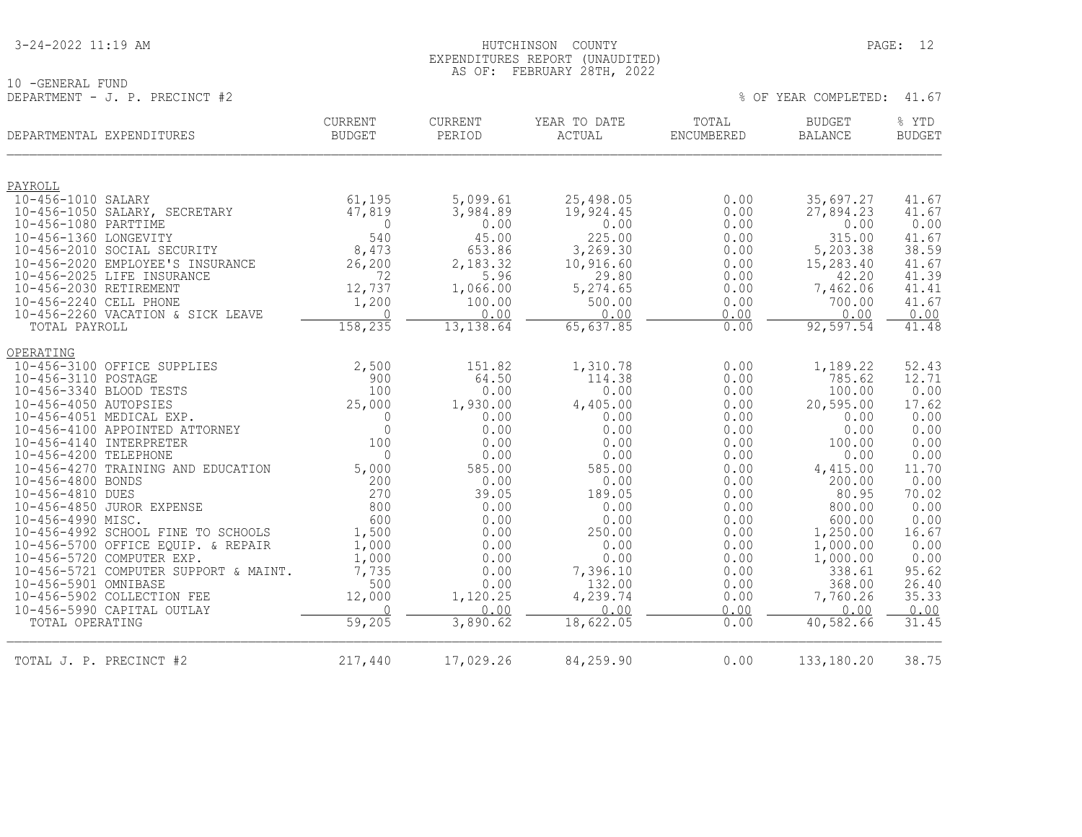#### 3-24-2022 11:19 AM PAGE: 12 EXPENDITURES REPORT (UNAUDITED) AS OF: FEBRUARY 28TH, 2022

10 -GENERAL FUND DEPARTMENT - J. P. PRECINCT  $#2$ 

| YEAR COMPLETED: |  |
|-----------------|--|
|-----------------|--|

| DEPARTMENTAL EXPENDITURES                             | CURRENT<br><b>BUDGET</b> | CURRENT<br>PERIOD | YEAR TO DATE<br>ACTUAL | TOTAL<br>ENCUMBERED | <b>BUDGET</b><br><b>BALANCE</b> | % YTD<br><b>BUDGET</b> |
|-------------------------------------------------------|--------------------------|-------------------|------------------------|---------------------|---------------------------------|------------------------|
|                                                       |                          |                   |                        |                     |                                 |                        |
| PAYROLL                                               |                          |                   |                        |                     |                                 |                        |
| 10-456-1010 SALARY                                    | 61,195                   | 5,099.61          | 25,498.05              | 0.00                | 35,697.27                       | 41.67                  |
| 10-456-1050 SALARY, SECRETARY<br>10-456-1080 PARTTIME | 47,819<br>$\Omega$       | 3,984.89<br>0.00  | 19,924.45<br>0.00      | 0.00<br>0.00        | 27,894.23<br>0.00               | 41.67<br>0.00          |
| 10-456-1360 LONGEVITY                                 | 540                      | 45.00             | 225.00                 | 0.00                | 315.00                          | 41.67                  |
| 10-456-2010 SOCIAL SECURITY                           | 8,473                    | 653.86            | 3,269.30               | 0.00                | 5,203.38                        | 38.59                  |
| 10-456-2020 EMPLOYEE'S INSURANCE                      | 26,200                   | 2,183.32          | 10,916.60              | 0.00                | 15,283.40                       | 41.67                  |
| 10-456-2025 LIFE INSURANCE                            | 72                       | 5.96              | 29.80                  | 0.00                | 42.20                           | 41.39                  |
| 10-456-2030 RETIREMENT                                | 12,737                   | 1,066.00          | 5,274.65               | 0.00                | 7,462.06                        | 41.41                  |
| 10-456-2240 CELL PHONE                                | 1,200                    | 100.00            | 500.00                 | 0.00                | 700.00                          | 41.67                  |
| 10-456-2260 VACATION & SICK LEAVE                     | $\bigcap$                | 0.00              | 0.00                   | 0.00                | 0.00                            | 0.00                   |
| TOTAL PAYROLL                                         | 158,235                  | 13, 138.64        | 65,637.85              | 0.00                | 92,597.54                       | 41.48                  |
| OPERATING                                             |                          |                   |                        |                     |                                 |                        |
| 10-456-3100 OFFICE SUPPLIES                           | 2,500                    | 151.82            | 1,310.78               | 0.00                | 1,189.22                        | 52.43                  |
| 10-456-3110 POSTAGE                                   | 900                      | 64.50             | 114.38                 | 0.00                | 785.62                          | 12.71                  |
| 10-456-3340 BLOOD TESTS                               | 100                      | 0.00              | 0.00                   | 0.00                | 100.00                          | 0.00                   |
| 10-456-4050 AUTOPSIES                                 | 25,000                   | 1,930.00          | 4,405.00               | 0.00                | 20,595.00                       | 17.62                  |
| 10-456-4051 MEDICAL EXP.                              | $\Omega$                 | 0.00              | 0.00                   | 0.00                | 0.00                            | 0.00                   |
| 10-456-4100 APPOINTED ATTORNEY                        | $\mathbf{0}$             | 0.00              | 0.00                   | 0.00                | 0.00                            | 0.00                   |
| 10-456-4140 INTERPRETER<br>10-456-4200 TELEPHONE      | 100<br>$\mathbf{0}$      | 0.00<br>0.00      | 0.00<br>0.00           | 0.00<br>0.00        | 100.00<br>0.00                  | 0.00<br>0.00           |
| 10-456-4270 TRAINING AND EDUCATION                    | 5,000                    | 585.00            | 585.00                 | 0.00                |                                 | 11.70                  |
| 10-456-4800 BONDS                                     | 200                      | 0.00              | 0.00                   | 0.00                | 4,415.00<br>200.00              | 0.00                   |
| 10-456-4810 DUES                                      | 270                      | 39.05             | 189.05                 | 0.00                | 80.95                           | 70.02                  |
| 10-456-4850 JUROR EXPENSE                             | 800                      | 0.00              | 0.00                   | 0.00                | 800.00                          | 0.00                   |
| 10-456-4990 MISC.                                     | 600                      | 0.00              | 0.00                   | 0.00                | 600.00                          | 0.00                   |
| 10-456-4992 SCHOOL FINE TO SCHOOLS                    | 1,500                    | 0.00              | 250.00                 | 0.00                | 1,250.00                        | 16.67                  |
| 10-456-5700 OFFICE EQUIP. & REPAIR                    | 1,000                    | 0.00              | 0.00                   | 0.00                | 1,000.00                        | 0.00                   |
| 10-456-5720 COMPUTER EXP.                             | 1,000                    | 0.00              | 0.00                   | 0.00                | 1,000.00                        | 0.00                   |
| 10-456-5721 COMPUTER SUPPORT & MAINT.                 | 7,735                    | 0.00              | 7,396.10               | 0.00                | 338.61                          | 95.62                  |
| 10-456-5901 OMNIBASE                                  | 500                      | 0.00              | 132.00                 | 0.00                | 368.00                          | 26.40                  |
| 10-456-5902 COLLECTION FEE                            | 12,000                   | 1,120.25          | 4,239.74               | 0.00                | 7,760.26                        | 35.33                  |
| 10-456-5990 CAPITAL OUTLAY                            | $\cap$                   | 0.00              | 0.00                   | 0.00                | 0.00                            | 0.00                   |
| TOTAL OPERATING                                       | 59,205                   | 3,890.62          | 18,622.05              | 0.00                | 40,582.66                       | 31.45                  |
| TOTAL J. P. PRECINCT #2                               | 217,440                  | 17,029.26         | 84,259.90              | 0.00                | 133, 180. 20                    | 38.75                  |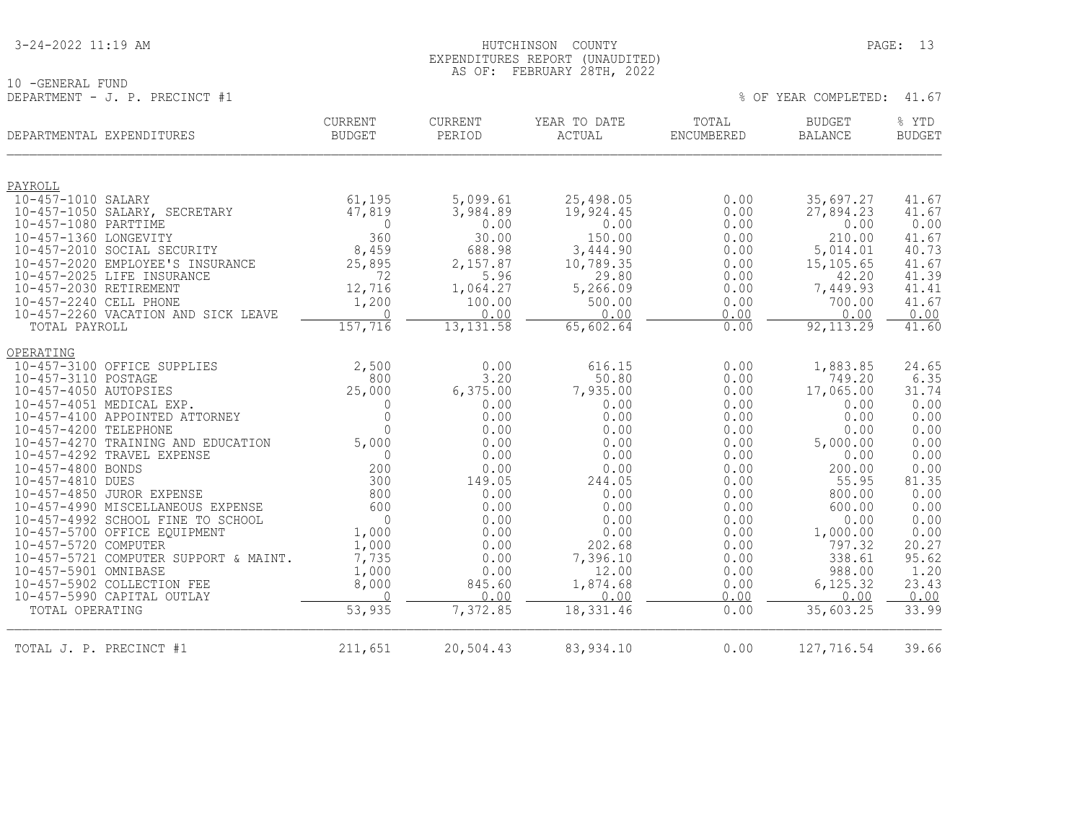#### 3-24-2022 11:19 AM HUTCHINSON COUNTY PAGE: 13 EXPENDITURES REPORT (UNAUDITED) AS OF: FEBRUARY 28TH, 2022

10 -GENERAL FUND DEPARTMENT - J. P. PRECINCT #1  $\sim$  0.000  $\mu$  0.000  $\mu$  0.000  $\mu$  0.000  $\mu$  0.000  $\mu$  0.000  $\mu$  0.000  $\mu$  0.000  $\mu$  0.000  $\mu$  0.000  $\mu$  0.000  $\mu$  0.000  $\mu$  0.000  $\mu$  0.000  $\mu$  0.000  $\mu$  0.000  $\mu$  0.000  $\mu$ 

| DEPARTMENTAL EXPENDITURES                               | <b>CURRENT</b><br><b>BUDGET</b> | <b>CURRENT</b><br>PERIOD | YEAR TO DATE<br>ACTUAL | TOTAL<br>ENCUMBERED | <b>BUDGET</b><br><b>BALANCE</b> | % YTD<br><b>BUDGET</b> |
|---------------------------------------------------------|---------------------------------|--------------------------|------------------------|---------------------|---------------------------------|------------------------|
|                                                         |                                 |                          |                        |                     |                                 |                        |
| PAYROLL<br>10-457-1010 SALARY                           | 61,195                          | 5,099.61                 | 25,498.05              | 0.00                | 35,697.27                       | 41.67                  |
| 10-457-1050 SALARY, SECRETARY                           | 47,819                          | 3,984.89                 | 19,924.45              | 0.00                | 27,894.23                       | 41.67                  |
| 10-457-1080 PARTTIME                                    | $\overline{0}$                  | 0.00                     | 0.00                   | 0.00                | 0.00                            | 0.00                   |
| 10-457-1360 LONGEVITY                                   | 360                             | 30.00                    | 150.00                 | 0.00                | 210.00                          | 41.67                  |
| 10-457-2010 SOCIAL SECURITY                             | 8,459                           | 688.98                   | 3,444.90               | 0.00                | 5,014.01                        | 40.73                  |
| 10-457-2020 EMPLOYEE'S INSURANCE                        | 25,895                          | 2,157.87                 | 10,789.35              | 0.00                | 15,105.65                       | 41.67                  |
| 10-457-2025 LIFE INSURANCE                              | 72                              | 5.96                     | 29.80                  | 0.00                | 42.20                           | 41.39                  |
| 10-457-2030 RETIREMENT                                  | 12,716                          | 1,064.27                 | 5,266.09               | 0.00                | 7,449.93                        | 41.41                  |
| 10-457-2240 CELL PHONE                                  | 1,200                           | 100.00                   | 500.00                 | 0.00                | 700.00                          | 41.67                  |
| 10-457-2260 VACATION AND SICK LEAVE<br>TOTAL PAYROLL    | $\cap$<br>157,716               | 0.00<br>13, 131.58       | 0.00<br>65,602.64      | 0.00<br>0.00        | 0.00<br>92, 113.29              | 0.00<br>41.60          |
|                                                         |                                 |                          |                        |                     |                                 |                        |
| OPERATING                                               |                                 |                          |                        |                     |                                 |                        |
| 10-457-3100 OFFICE SUPPLIES                             | 2,500                           | 0.00                     | 616.15                 | 0.00                | 1,883.85                        | 24.65                  |
| 10-457-3110 POSTAGE                                     | 800                             | 3.20                     | 50.80                  | 0.00                | 749.20                          | 6.35                   |
| 10-457-4050 AUTOPSIES                                   | 25,000                          | 6,375.00                 | 7,935.00               | 0.00                | 17,065.00                       | 31.74                  |
| 10-457-4051 MEDICAL EXP.                                | $\Omega$                        | 0.00                     | 0.00<br>0.00           | 0.00<br>0.00        | 0.00<br>0.00                    | 0.00<br>0.00           |
| 10-457-4100 APPOINTED ATTORNEY<br>10-457-4200 TELEPHONE | $\mathbf 0$<br>$\Omega$         | 0.00<br>0.00             | 0.00                   | 0.00                | 0.00                            | 0.00                   |
| 10-457-4270 TRAINING AND EDUCATION                      | 5,000                           | 0.00                     | 0.00                   | 0.00                | 5,000.00                        | 0.00                   |
| 10-457-4292 TRAVEL EXPENSE                              | $\Omega$                        | 0.00                     | 0.00                   | 0.00                | 0.00                            | 0.00                   |
| 10-457-4800 BONDS                                       | 200                             | 0.00                     | 0.00                   | 0.00                | 200.00                          | 0.00                   |
| 10-457-4810 DUES                                        | 300                             | 149.05                   | 244.05                 | 0.00                | 55.95                           | 81.35                  |
| 10-457-4850 JUROR EXPENSE                               | 800                             | 0.00                     | 0.00                   | 0.00                | 800.00                          | 0.00                   |
| 10-457-4990 MISCELLANEOUS EXPENSE                       | 600                             | 0.00                     | 0.00                   | 0.00                | 600.00                          | 0.00                   |
| 10-457-4992 SCHOOL FINE TO SCHOOL                       | $\Omega$                        | 0.00                     | 0.00                   | 0.00                | 0.00                            | 0.00                   |
| 10-457-5700 OFFICE EQUIPMENT                            | 1,000                           | 0.00                     | 0.00                   | 0.00                | 1,000.00                        | 0.00                   |
| 10-457-5720 COMPUTER                                    | 1,000                           | 0.00                     | 202.68                 | 0.00                | 797.32                          | 20.27                  |
| 10-457-5721 COMPUTER SUPPORT & MAINT.                   | 7,735                           | 0.00                     | 7,396.10               | 0.00                | 338.61                          | 95.62                  |
| 10-457-5901 OMNIBASE<br>10-457-5902 COLLECTION FEE      | 1,000                           | 0.00<br>845.60           | 12.00<br>1,874.68      | 0.00                | 988.00<br>6, 125.32             | 1.20<br>23.43          |
| 10-457-5990 CAPITAL OUTLAY                              | 8,000<br>$\Omega$               | 0.00                     | 0.00                   | 0.00<br>0.00        | 0.00                            | 0.00                   |
| TOTAL OPERATING                                         | 53,935                          | 7,372.85                 | 18,331.46              | 0.00                | 35,603.25                       | 33.99                  |
| TOTAL J. P. PRECINCT #1                                 | 211,651                         | 20,504.43                | 83,934.10              | 0.00                | 127,716.54                      | 39.66                  |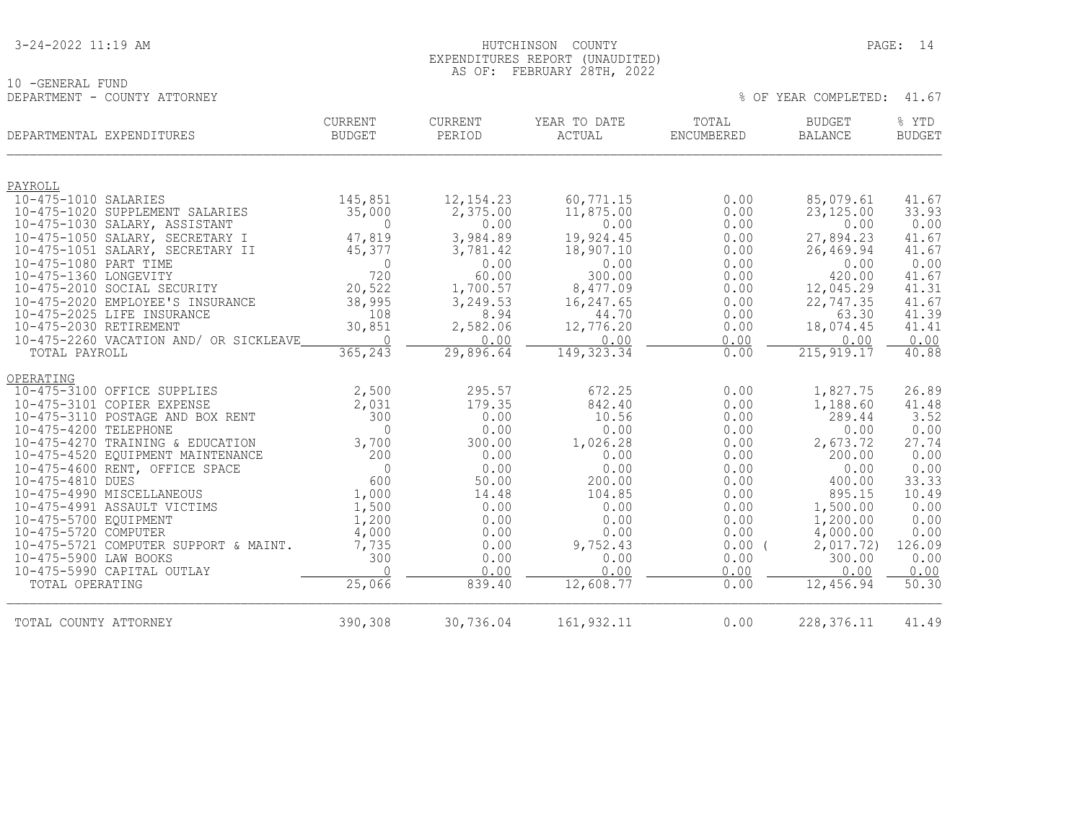10 -GENERAL FUND

#### 3-24-2022 11:19 AM PAGE: 14 EXPENDITURES REPORT (UNAUDITED) AS OF: FEBRUARY 28TH, 2022

| DEPARTMENT - COUNTY ATTORNEY           |                |            |              |            | % OF YEAR COMPLETED: | 41.67         |
|----------------------------------------|----------------|------------|--------------|------------|----------------------|---------------|
| DEPARTMENTAL EXPENDITURES              | CURRENT        | CURRENT    | YEAR TO DATE | TOTAL      | BUDGET               | % YTD         |
|                                        | <b>BUDGET</b>  | PERIOD     | ACTUAL       | ENCUMBERED | <b>BALANCE</b>       | <b>BUDGET</b> |
| PAYROLL                                |                |            |              |            |                      |               |
| 10-475-1010 SALARIES                   | 145,851        | 12, 154.23 | 60,771.15    | 0.00       | 85,079.61            | 41.67         |
| 10-475-1020 SUPPLEMENT SALARIES        | 35,000         | 2,375.00   | 11,875.00    | 0.00       | 23, 125.00           | 33.93         |
| 10-475-1030 SALARY, ASSISTANT          | $\mathbf{0}$   | 0.00       | 0.00         | 0.00       | 0.00                 | 0.00          |
| 10-475-1050 SALARY, SECRETARY I        | 47,819         | 3,984.89   | 19,924.45    | 0.00       | 27,894.23            | 41.67         |
| 10-475-1051 SALARY, SECRETARY II       | 45,377         | 3,781.42   | 18,907.10    | 0.00       | 26,469.94            | 41.67         |
| 10-475-1080 PART TIME                  | $\mathbf{0}$   | 0.00       | 0.00         | 0.00       | 0.00                 | 0.00          |
| 10-475-1360 LONGEVITY                  | 720            | 60.00      | 300.00       | 0.00       | 420.00               | 41.67         |
| 10-475-2010 SOCIAL SECURITY            | 20,522         | 1,700.57   | 8,477.09     | 0.00       | 12,045.29            | 41.31         |
| 10-475-2020 EMPLOYEE'S INSURANCE       | 38,995         | 3,249.53   | 16,247.65    | 0.00       | 22,747.35            | 41.67         |
| 10-475-2025 LIFE INSURANCE             | 108            | 8.94       | 44.70        | 0.00       | 63.30                | 41.39         |
| 10-475-2030 RETIREMENT                 | 30,851         | 2,582.06   | 12,776.20    | 0.00       | 18,074.45            | 41.41         |
| 10-475-2260 VACATION AND/ OR SICKLEAVE | $\overline{0}$ | 0.00       | 0.00         | 0.00       | 0.00                 | 0.00          |
| TOTAL PAYROLL                          | 365,243        | 29,896.64  | 149, 323.34  | 0.00       | 215, 919.17          | 40.88         |
| OPERATING                              |                |            |              |            |                      |               |
| 10-475-3100 OFFICE SUPPLIES            | 2,500          | 295.57     | 672.25       | 0.00       | 1,827.75             | 26.89         |
| 10-475-3101 COPIER EXPENSE             | 2,031          | 179.35     | 842.40       | 0.00       | 1,188.60             | 41.48         |
| 10-475-3110 POSTAGE AND BOX RENT       | 300            | 0.00       | 10.56        | 0.00       | 289.44               | 3.52          |
| 10-475-4200 TELEPHONE                  | $\Omega$       | 0.00       | 0.00         | 0.00       | 0.00                 | 0.00          |
| 10-475-4270 TRAINING & EDUCATION       | 3,700          | 300.00     | 1,026.28     | 0.00       | 2,673.72             | 27.74         |
| 10-475-4520 EQUIPMENT MAINTENANCE      | 200            | 0.00       | 0.00         | 0.00       | 200.00               | 0.00          |
| 10-475-4600 RENT, OFFICE SPACE         | $\Omega$       | 0.00       | 0.00         | 0.00       | 0.00                 | 0.00          |
| 10-475-4810 DUES                       | 600            | 50.00      | 200.00       | 0.00       | 400.00               | 33.33         |
| 10-475-4990 MISCELLANEOUS              | 1,000          | 14.48      | 104.85       | 0.00       | 895.15               | 10.49         |
| 10-475-4991 ASSAULT VICTIMS            | 1,500          | 0.00       | 0.00         | 0.00       | 1,500.00             | 0.00          |
| 10-475-5700 EQUIPMENT                  | 1,200          | 0.00       | 0.00         | 0.00       | 1,200.00             | 0.00          |
| 10-475-5720 COMPUTER                   | 4,000          | 0.00       | 0.00         | 0.00       | 4,000.00             | 0.00          |
| 10-475-5721 COMPUTER SUPPORT & MAINT.  | 7,735          | 0.00       | 9,752.43     | $0.00$ (   | 2,017.72)            | 126.09        |
| 10-475-5900 LAW BOOKS                  | 300            | 0.00       | 0.00         | 0.00       | 300.00               | 0.00          |
| 10-475-5990 CAPITAL OUTLAY             | $\Omega$       | 0.00       | 0.00         | 0.00       | 0.00                 | 0.00          |
| TOTAL OPERATING                        | 25,066         | 839.40     | 12,608.77    | 0.00       | 12,456.94            | 50.30         |
| TOTAL COUNTY ATTORNEY                  | 390,308        | 30,736.04  | 161, 932.11  | 0.00       | 228, 376.11          | 41.49         |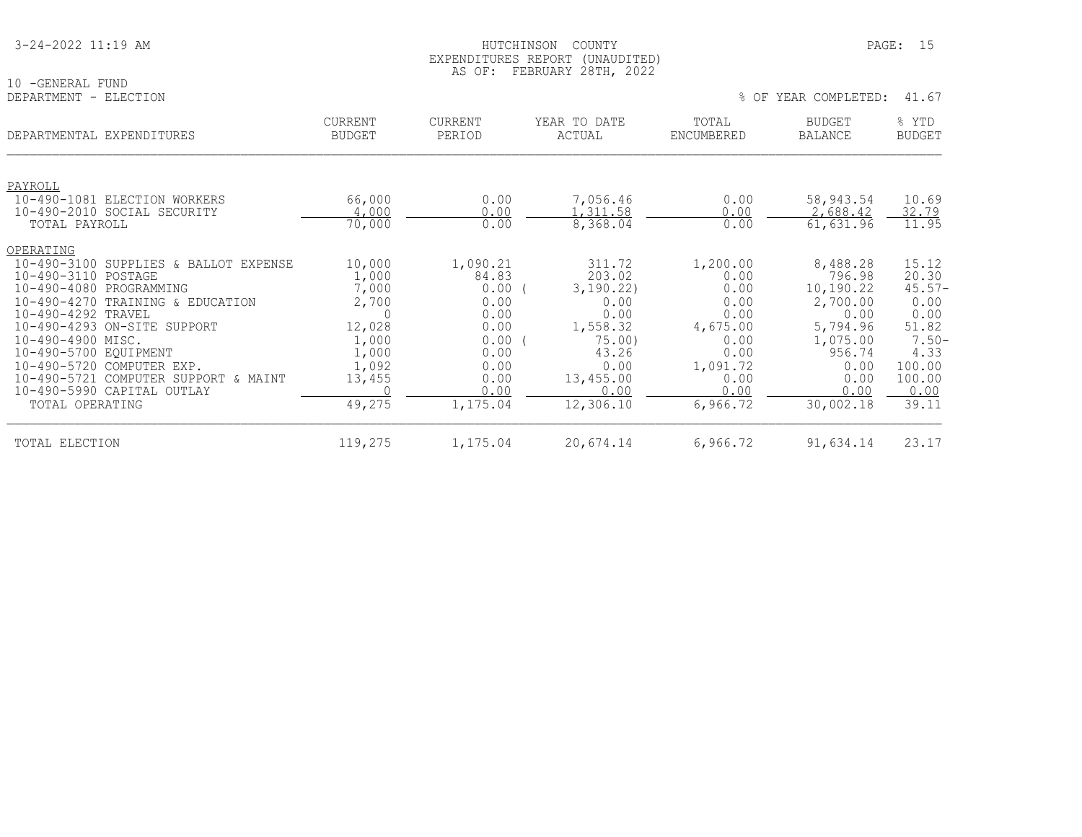| 3-24-2022 11:19 AM |
|--------------------|
|--------------------|

10 -GENERAL FUND<br>DEPARTMENT - ELECTION

| DEPARTMENTAL EXPENDITURES                                                                                                                                                                                                                                                                                                                                                                                         | <b>CURRENT</b><br><b>BUDGET</b>                                                            | <b>CURRENT</b><br>PERIOD                                                                              | YEAR TO DATE<br>ACTUAL                                                                                                | TOTAL<br>ENCUMBERED                                                                                          | <b>BUDGET</b><br><b>BALANCE</b>                                                                                            | % YTD<br><b>BUDGET</b>                                                                                       |
|-------------------------------------------------------------------------------------------------------------------------------------------------------------------------------------------------------------------------------------------------------------------------------------------------------------------------------------------------------------------------------------------------------------------|--------------------------------------------------------------------------------------------|-------------------------------------------------------------------------------------------------------|-----------------------------------------------------------------------------------------------------------------------|--------------------------------------------------------------------------------------------------------------|----------------------------------------------------------------------------------------------------------------------------|--------------------------------------------------------------------------------------------------------------|
| PAYROLL<br>$10 - 490 - 1081$<br>ELECTION WORKERS<br>10-490-2010 SOCIAL SECURITY<br>TOTAL PAYROLL                                                                                                                                                                                                                                                                                                                  | 66,000<br>4,000<br>70,000                                                                  | 0.00<br>0.00<br>0.00                                                                                  | 7,056.46<br>.,311.58<br>8,368.04                                                                                      | 0.00<br>0.00<br>0.00                                                                                         | 58,943.54<br>2,688.42<br>61,631.96                                                                                         | 10.69<br>32.79<br>11.95                                                                                      |
| OPERATING<br>$10 - 490 - 3100$<br>SUPPLIES<br>BALLOT EXPENSE<br>&<br>10-490-3110<br>POSTAGE<br>$10 - 490 - 4080$<br>PROGRAMMING<br>$10 - 490 - 4270$<br>TRAINING & EDUCATION<br>10-490-4292 TRAVEL<br>10-490-4293 ON-SITE SUPPORT<br>10-490-4900 MISC.<br>10-490-5700 EQUIPMENT<br>10-490-5720<br>COMPUTER EXP.<br>$10 - 490 - 5721$<br>COMPUTER SUPPORT & MAINT<br>10-490-5990 CAPITAL OUTLAY<br>TOTAL OPERATING | 10,000<br>1,000<br>7,000<br>2,700<br>12,028<br>1,000<br>1,000<br>1,092<br>13,455<br>49,275 | 1,090.21<br>84.83<br>0.00<br>0.00<br>0.00<br>0.00<br>0.00<br>0.00<br>0.00<br>0.00<br>0.00<br>1,175.04 | 311.72<br>203.02<br>3,190.22)<br>0.00<br>0.00<br>1,558.32<br>75.00<br>43.26<br>0.00<br>13,455.00<br>0.00<br>12,306.10 | 1,200.00<br>0.00<br>0.00<br>0.00<br>0.00<br>4,675.00<br>0.00<br>0.00<br>1,091.72<br>0.00<br>0.00<br>6,966.72 | 8,488.28<br>796.98<br>10,190.22<br>2,700.00<br>0.00<br>5,794.96<br>1,075.00<br>956.74<br>0.00<br>0.00<br>0.00<br>30,002.18 | 15.12<br>20.30<br>$45.57-$<br>0.00<br>0.00<br>51.82<br>$7.50 -$<br>4.33<br>100.00<br>100.00<br>0.00<br>39.11 |
| TOTAL ELECTION                                                                                                                                                                                                                                                                                                                                                                                                    | 119,275                                                                                    | 1,175.04                                                                                              | 20,674.14                                                                                                             | 6,966.72                                                                                                     | 91,634.14                                                                                                                  | 23.17                                                                                                        |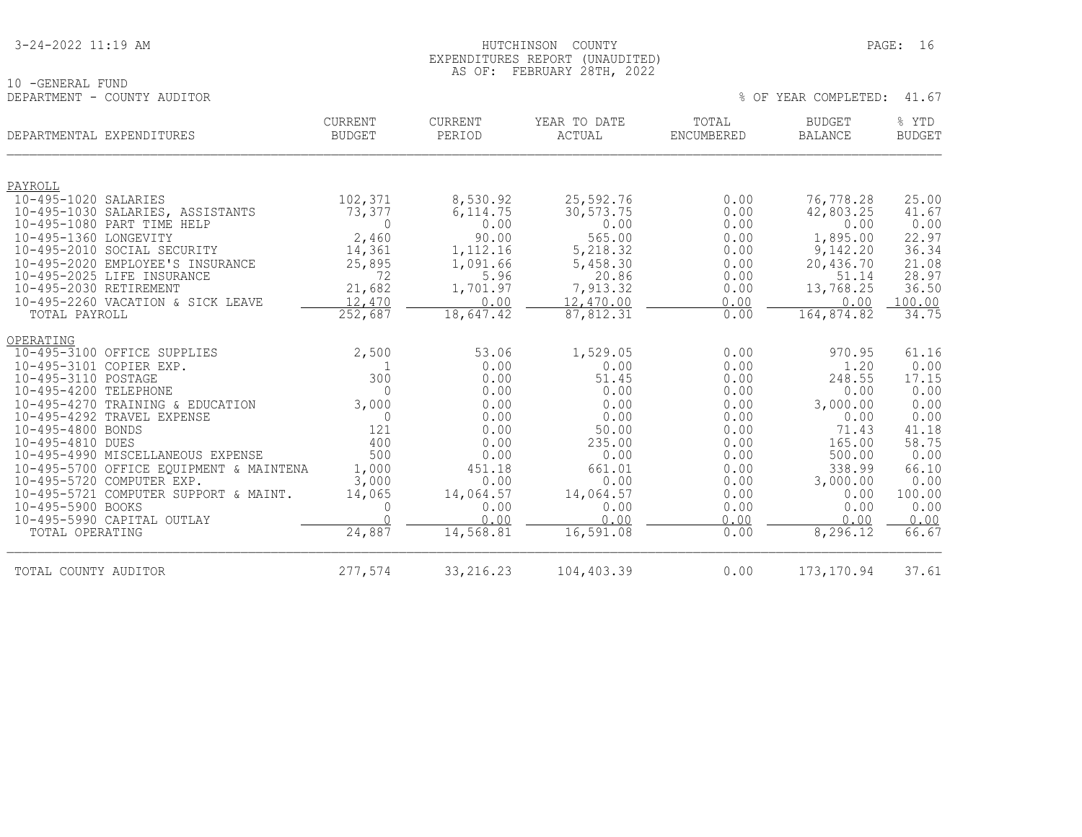| 3-24-2022 11:19 AM |
|--------------------|
|--------------------|

#### HUTCHINSON COUNTY PAGE: 16 EXPENDITURES REPORT (UNAUDITED) AS OF: FEBRUARY 28TH, 2022

10 -GENERAL FUND DEPARTMENT - COUNTY AUDITOR

| YEAR COMPLETED: |  |
|-----------------|--|
|-----------------|--|

| DEPARTMENTAL EXPENDITURES                          | <b>CURRENT</b><br><b>BUDGET</b> | <b>CURRENT</b><br>PERIOD       | YEAR TO DATE<br>ACTUAL | TOTAL<br>ENCUMBERED | <b>BUDGET</b><br><b>BALANCE</b> | % YTD<br><b>BUDGET</b> |
|----------------------------------------------------|---------------------------------|--------------------------------|------------------------|---------------------|---------------------------------|------------------------|
| PAYROLL                                            |                                 |                                |                        |                     |                                 |                        |
| 10-495-1020 SALARIES                               | 102,371                         | 8,530.92                       | 25,592.76              | 0.00                | 76,778.28                       | 25.00                  |
| 10-495-1030 SALARIES, ASSISTANTS                   | 73,377                          | 6,114.75                       | 30,573.75              | 0.00                | 42,803.25                       | 41.67                  |
| 10-495-1080 PART TIME HELP                         | $\Omega$                        | 0.00                           | 0.00                   | 0.00                | 0.00                            | 0.00                   |
| 10-495-1360 LONGEVITY                              | 2,460                           | 90.00                          | 565.00                 | 0.00                | 1,895.00                        | 22.97                  |
| 10-495-2010 SOCIAL SECURITY                        | 14,361                          | 1,112.16                       | 5,218.32               | 0.00                | 9,142.20                        | 36.34                  |
| 10-495-2020 EMPLOYEE'S INSURANCE                   | 25,895                          | 1,091.66                       | 5,458.30               | 0.00                | 20,436.70                       | 21.08                  |
| 10-495-2025 LIFE INSURANCE                         | 72                              | 5.96                           | 20.86                  | 0.00                | 51.14                           | 28.97                  |
| 10-495-2030 RETIREMENT                             | 21,682                          | 1,701.97                       | 7,913.32               | 0.00                | 13,768.25                       | 36.50                  |
| 10-495-2260 VACATION & SICK LEAVE<br>TOTAL PAYROLL | 12,470                          | 0.00<br>$18,647.\overline{42}$ | 12,470.00              | 0.00<br>0.00        | 0.00<br>164,874.82              | 100.00<br>34.75        |
|                                                    | 252,687                         |                                | 87,812.31              |                     |                                 |                        |
| OPERATING                                          |                                 |                                |                        |                     |                                 |                        |
| 10-495-3100 OFFICE SUPPLIES                        | 2,500                           | 53.06                          | 1,529.05               | 0.00                | 970.95                          | 61.16                  |
| 10-495-3101 COPIER EXP.                            |                                 | 0.00                           | 0.00                   | 0.00                | 1.20                            | 0.00                   |
| 10-495-3110 POSTAGE                                | 300                             | 0.00                           | 51.45                  | 0.00                | 248.55                          | 17.15                  |
| 10-495-4200 TELEPHONE                              | $\Omega$                        | 0.00                           | 0.00                   | 0.00                | 0.00                            | 0.00                   |
| 10-495-4270 TRAINING & EDUCATION                   | 3,000                           | 0.00                           | 0.00                   | 0.00                | 3,000.00                        | 0.00                   |
| 10-495-4292 TRAVEL EXPENSE                         | $\mathbf 0$                     | 0.00                           | 0.00                   | 0.00                | 0.00                            | 0.00                   |
| 10-495-4800 BONDS                                  | 121                             | 0.00                           | 50.00                  | 0.00                | 71.43                           | 41.18                  |
| 10-495-4810 DUES                                   | 400                             | 0.00                           | 235.00                 | 0.00                | 165.00                          | 58.75                  |
| 10-495-4990 MISCELLANEOUS EXPENSE                  | 500                             | 0.00                           | 0.00                   | 0.00                | 500.00                          | 0.00                   |
| 10-495-5700 OFFICE EQUIPMENT & MAINTENA            | 1,000                           | 451.18                         | 661.01                 | 0.00                | 338.99                          | 66.10                  |
| 10-495-5720 COMPUTER EXP.                          | 3,000                           | 0.00                           | 0.00                   | 0.00                | 3,000.00                        | 0.00                   |
| 10-495-5721 COMPUTER SUPPORT & MAINT.              | 14,065                          | 14,064.57                      | 14,064.57              | 0.00                | 0.00                            | 100.00                 |
| 10-495-5900 BOOKS<br>10-495-5990 CAPITAL OUTLAY    | 0<br>$\cap$                     | 0.00<br>0.00                   | 0.00<br>0.00           | 0.00<br>0.00        | 0.00<br>0.00                    | 0.00<br>0.00           |
| TOTAL OPERATING                                    | 24,887                          | 14,568.81                      | 16,591.08              | 0.00                | 8,296.12                        | 66.67                  |
|                                                    |                                 |                                |                        |                     |                                 |                        |
| TOTAL COUNTY AUDITOR                               | 277,574                         | 33, 216.23                     | 104,403.39             | 0.00                | 173, 170.94                     | 37.61                  |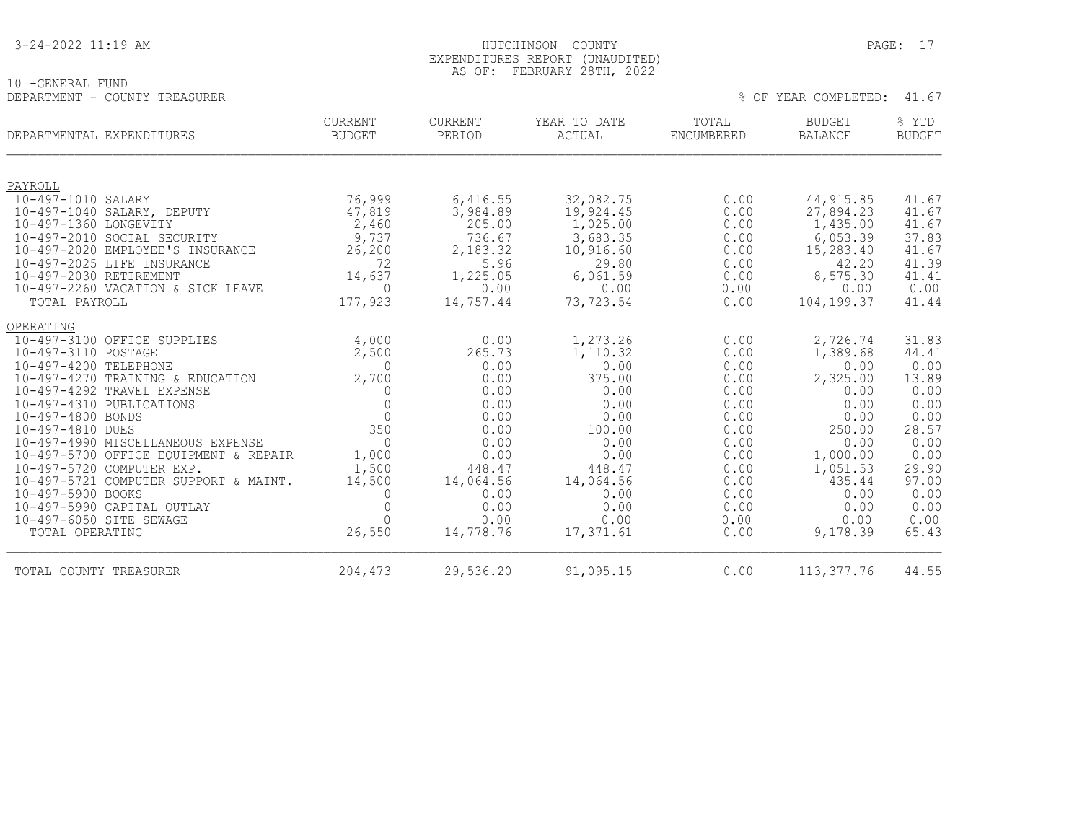| 3-24-2022 11:19 AM |
|--------------------|
|--------------------|

#### HUTCHINSON COUNTY PAGE: 17 EXPENDITURES REPORT (UNAUDITED) AS OF: FEBRUARY 28TH, 2022

| 10 -GENERAL FUND              | --- -- - |  |  |                            |  |
|-------------------------------|----------|--|--|----------------------------|--|
| DEPARTMENT - COUNTY TREASURER |          |  |  | % OF YEAR COMPLETED: 41.67 |  |

|  |  |  | YEAR COMPLETED: |  |  |
|--|--|--|-----------------|--|--|
|--|--|--|-----------------|--|--|

| DEPARTMENTAL EXPENDITURES                            | <b>CURRENT</b><br><b>BUDGET</b> | CURRENT<br>PERIOD | YEAR TO DATE<br><b>ACTUAL</b> | TOTAL<br>ENCUMBERED | <b>BUDGET</b><br><b>BALANCE</b> | % YTD<br><b>BUDGET</b> |
|------------------------------------------------------|---------------------------------|-------------------|-------------------------------|---------------------|---------------------------------|------------------------|
| PAYROLL                                              |                                 |                   |                               |                     |                                 |                        |
| 10-497-1010 SALARY                                   | 76,999                          | 6,416.55          | 32,082.75                     | 0.00                | 44, 915.85                      | 41.67                  |
| 10-497-1040 SALARY, DEPUTY                           | 47,819                          | 3,984.89          | 19,924.45                     | 0.00                | 27,894.23                       | 41.67                  |
| 10-497-1360 LONGEVITY                                | 2,460                           | 205.00            | 1,025.00                      | 0.00                | 1,435.00                        | 41.67                  |
| 10-497-2010 SOCIAL SECURITY                          | 9,737                           | 736.67            | 3,683.35                      | 0.00                | 6,053.39                        | 37.83                  |
| 10-497-2020 EMPLOYEE'S INSURANCE                     | 26,200                          | 2,183.32          | 10,916.60                     | 0.00                | 15,283.40                       | 41.67                  |
| 10-497-2025 LIFE INSURANCE<br>10-497-2030 RETIREMENT | 72                              | 5.96              | 29.80                         | 0.00                | 42.20<br>8,575.30               | 41.39<br>41.41         |
| 10-497-2260 VACATION & SICK LEAVE                    | 14,637<br>$\bigcap$             | 1,225.05<br>0.00  | 6,061.59<br>0.00              | 0.00<br>0.00        | 0.00                            | 0.00                   |
| TOTAL PAYROLL                                        | 177,923                         | 14,757.44         | 73,723.54                     | 0.00                | 104,199.37                      | 41.44                  |
| OPERATING                                            |                                 |                   |                               |                     |                                 |                        |
| 10-497-3100 OFFICE SUPPLIES                          | 4,000                           | 0.00              | 1,273.26                      | 0.00                | 2,726.74                        | 31.83                  |
| 10-497-3110 POSTAGE                                  | 2,500                           | 265.73            | 1,110.32                      | 0.00                | 1,389.68                        | 44.41                  |
| 10-497-4200 TELEPHONE                                | $\Omega$                        | 0.00              | 0.00                          | 0.00                | 0.00                            | 0.00                   |
| $10 - 497 - 4270$<br>TRAINING & EDUCATION            | 2,700                           | 0.00              | 375.00                        | 0.00                | 2,325.00                        | 13.89                  |
| 10-497-4292 TRAVEL EXPENSE                           | 0                               | 0.00              | 0.00                          | 0.00                | 0.00                            | 0.00                   |
| 10-497-4310 PUBLICATIONS                             | $\mathbf{0}$                    | 0.00              | 0.00                          | 0.00                | 0.00                            | 0.00                   |
| 10-497-4800 BONDS<br>10-497-4810 DUES                | $\Omega$<br>350                 | 0.00<br>0.00      | 0.00<br>100.00                | 0.00<br>0.00        | 0.00<br>250.00                  | 0.00<br>28.57          |
| 10-497-4990 MISCELLANEOUS EXPENSE                    | $\Omega$                        | 0.00              | 0.00                          | 0.00                | 0.00                            | 0.00                   |
| 10-497-5700 OFFICE EQUIPMENT & REPAIR                | 1,000                           | 0.00              | 0.00                          | 0.00                | 1,000.00                        | 0.00                   |
| $10 - 497 - 5720$<br>COMPUTER EXP.                   | 1,500                           | 448.47            | 448.47                        | 0.00                | 1,051.53                        | 29.90                  |
| 10-497-5721 COMPUTER SUPPORT & MAINT.                | 14,500                          | 14,064.56         | 14,064.56                     | 0.00                | 435.44                          | 97.00                  |
| 10-497-5900 BOOKS                                    | $\Omega$                        | 0.00              | 0.00                          | 0.00                | 0.00                            | 0.00                   |
| 10-497-5990 CAPITAL OUTLAY                           | $\Omega$                        | 0.00              | 0.00                          | 0.00                | 0.00                            | 0.00                   |
| 10-497-6050 SITE SEWAGE                              |                                 | 0.00              | 0.00                          | 0.00                | 0.00                            | 0.00                   |
| TOTAL OPERATING                                      | 26,550                          | 14,778.76         | 17,371.61                     | 0.00                | 9,178.39                        | 65.43                  |
| TOTAL COUNTY TREASURER                               | 204,473                         | 29,536.20         | 91,095.15                     | 0.00                | 113, 377.76                     | 44.55                  |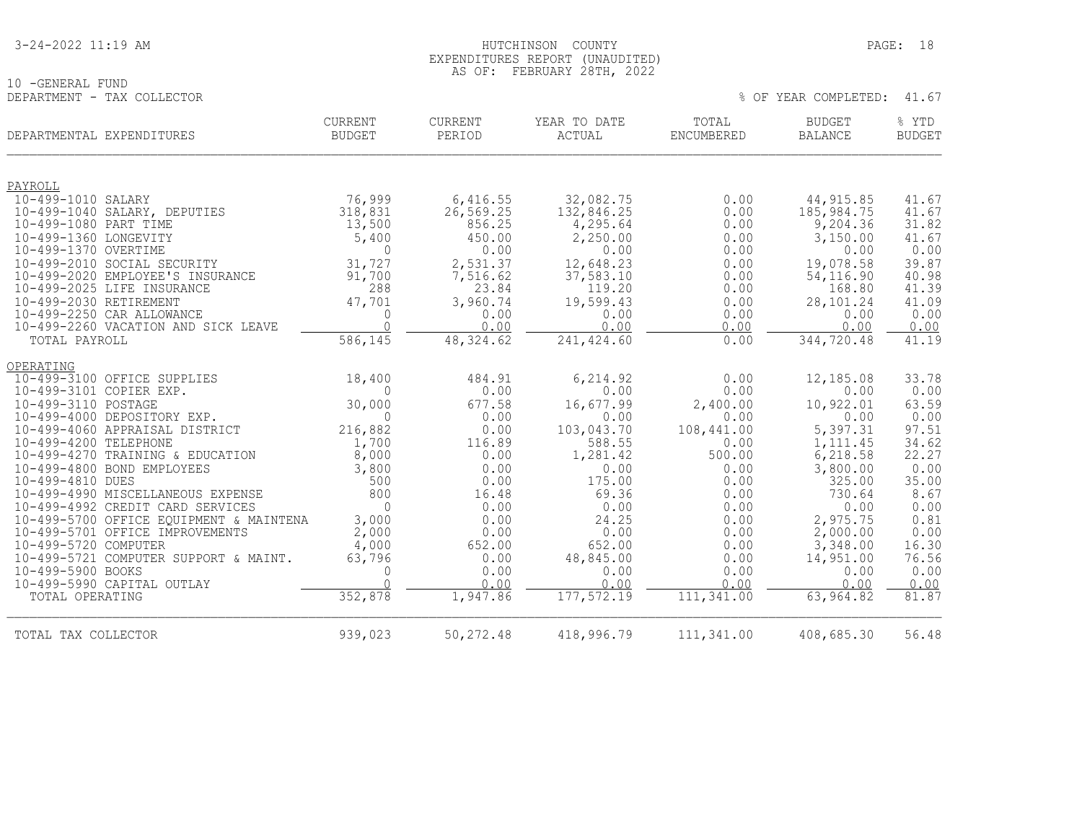| 3-24-2022 11:19 AM |
|--------------------|
|--------------------|

10 -GENERAL FUND<br>DEPARTMENT - TAX COLLECTOR

#### HUTCHINSON COUNTY PAGE: 18 EXPENDITURES REPORT (UNAUDITED) AS OF: FEBRUARY 28TH, 2022

| DEPARTMENTAL EXPENDITURES                             | <b>CURRENT</b><br><b>BUDGET</b> | <b>CURRENT</b><br>PERIOD | YEAR TO DATE<br>ACTUAL | TOTAL<br>ENCUMBERED | <b>BUDGET</b><br><b>BALANCE</b> | % YTD<br><b>BUDGET</b> |
|-------------------------------------------------------|---------------------------------|--------------------------|------------------------|---------------------|---------------------------------|------------------------|
| PAYROLL                                               |                                 |                          |                        |                     |                                 |                        |
| 10-499-1010 SALARY                                    | 76,999                          | 6,416.55                 | 32,082.75              | 0.00                | 44, 915.85                      | 41.67                  |
| 10-499-1040 SALARY, DEPUTIES                          | 318,831                         | 26, 569.25               | 132,846.25             | 0.00                | 185, 984.75                     | 41.67                  |
| 10-499-1080 PART TIME                                 | 13,500                          | 856.25                   | 4,295.64               | 0.00                | 9,204.36                        | 31.82                  |
| 10-499-1360 LONGEVITY                                 | 5,400                           | 450.00                   | 2,250.00               | 0.00                | 3,150.00                        | 41.67                  |
| 10-499-1370 OVERTIME                                  | $\mathbf{0}$                    | 0.00                     | 0.00                   | 0.00                | 0.00                            | 0.00                   |
| 10-499-2010 SOCIAL SECURITY                           | 31,727                          | 2,531.37                 | 12,648.23              | 0.00                | 19,078.58                       | 39.87                  |
| 10-499-2020 EMPLOYEE'S INSURANCE                      | 91,700                          | 7,516.62                 | 37,583.10              | 0.00                | 54, 116.90                      | 40.98                  |
| 10-499-2025 LIFE INSURANCE                            | 288                             | 23.84                    | 119.20                 | 0.00                | 168.80                          | 41.39                  |
| 10-499-2030 RETIREMENT<br>10-499-2250 CAR ALLOWANCE   | 47,701<br>$\mathbf{0}$          | 3,960.74<br>0.00         | 19,599.43<br>0.00      | 0.00<br>0.00        | 28,101.24<br>0.00               | 41.09<br>0.00          |
| 10-499-2260 VACATION AND SICK LEAVE                   | $\Omega$                        | 0.00                     | 0.00                   | 0.00                | 0.00                            | 0.00                   |
| TOTAL PAYROLL                                         | 586,145                         | 48, 324.62               | 241, 424.60            | 0.00                | 344,720.48                      | 41.19                  |
| OPERATING                                             |                                 |                          |                        |                     |                                 |                        |
| 10-499-3100 OFFICE SUPPLIES                           | 18,400                          | 484.91                   | 6,214.92               | 0.00                | 12,185.08                       | 33.78                  |
| 10-499-3101 COPIER EXP.                               | $\Omega$                        | 0.00                     | 0.00                   | 0.00                | 0.00                            | 0.00                   |
| 10-499-3110 POSTAGE                                   | 30,000                          | 677.58                   | 16,677.99              | 2,400.00            | 10,922.01                       | 63.59                  |
| 10-499-4000 DEPOSITORY EXP.                           | $\Omega$                        | 0.00                     | 0.00                   | 0.00                | 0.00                            | 0.00                   |
| 10-499-4060 APPRAISAL DISTRICT                        | 216,882                         | 0.00                     | 103,043.70             | 108,441.00          | 5,397.31                        | 97.51                  |
| 10-499-4200 TELEPHONE                                 | 1,700                           | 116.89                   | 588.55                 | 0.00                | 1,111.45                        | 34.62                  |
| 10-499-4270 TRAINING & EDUCATION                      | 8,000                           | 0.00                     | 1,281.42               | 500.00              | 6,218.58                        | 22.27                  |
| 10-499-4800 BOND EMPLOYEES                            | 3,800                           | 0.00                     | 0.00                   | 0.00                | 3,800.00                        | 0.00                   |
| 10-499-4810 DUES<br>10-499-4990 MISCELLANEOUS EXPENSE | 500<br>800                      | 0.00<br>16.48            | 175.00<br>69.36        | 0.00<br>0.00        | 325.00<br>730.64                | 35.00<br>8.67          |
| 10-499-4992 CREDIT CARD SERVICES                      | $\Omega$                        | 0.00                     | 0.00                   | 0.00                | 0.00                            | 0.00                   |
| 10-499-5700 OFFICE EQUIPMENT & MAINTENA               | 3,000                           | 0.00                     | 24.25                  | 0.00                | 2,975.75                        | 0.81                   |
| 10-499-5701 OFFICE IMPROVEMENTS                       | 2,000                           | 0.00                     | 0.00                   | 0.00                | 2,000.00                        | 0.00                   |
| 10-499-5720 COMPUTER                                  | 4,000                           | 652.00                   | 652.00                 | 0.00                | 3,348.00                        | 16.30                  |
| 10-499-5721 COMPUTER SUPPORT & MAINT.                 | 63,796                          | 0.00                     | 48,845.00              | 0.00                | 14,951.00                       | 76.56                  |
| 10-499-5900 BOOKS                                     | $\mathbf{0}$                    | 0.00                     | 0.00                   | 0.00                | 0.00                            | 0.00                   |
| 10-499-5990 CAPITAL OUTLAY                            | $\cap$                          | 0.00                     | 0.00                   | 0.00                | 0.00                            | 0.00                   |
| TOTAL OPERATING                                       | 352,878                         | 1,947.86                 | 177,572.19             | 111,341.00          | 63,964.82                       | 81.87                  |
| TOTAL TAX COLLECTOR                                   | 939,023                         | 50,272.48                | 418,996.79             | 111,341.00          | 408,685.30                      | 56.48                  |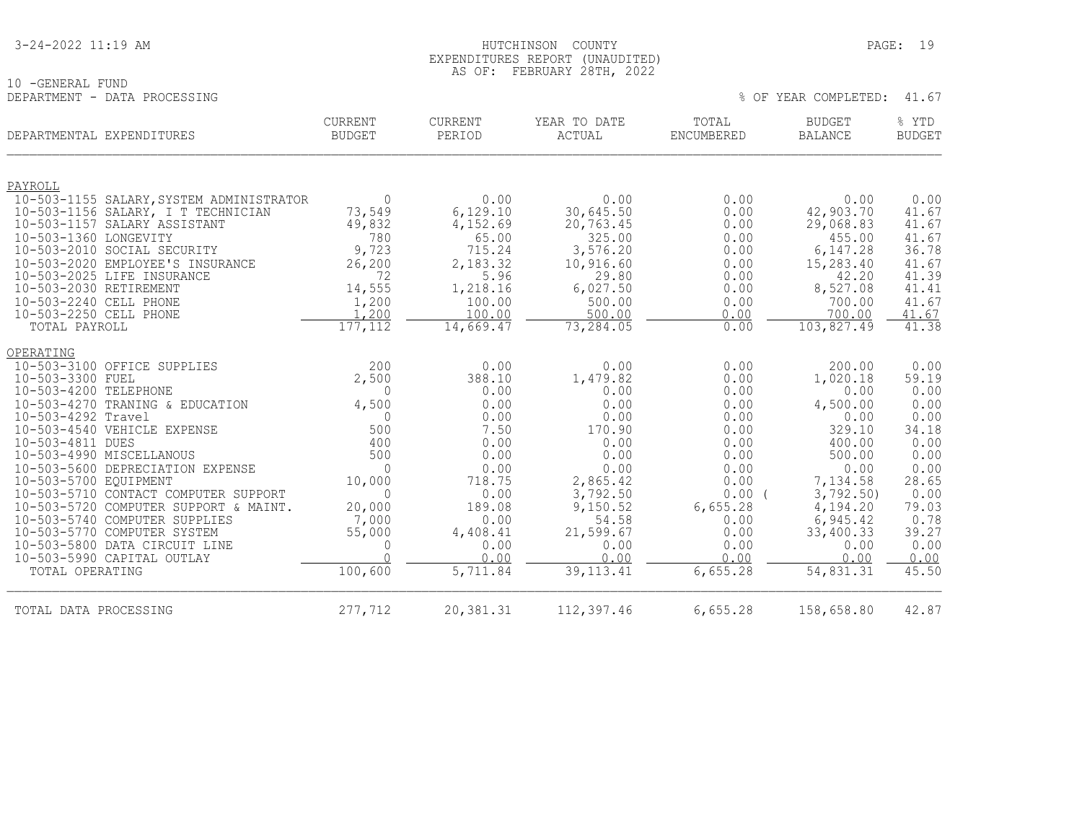| 3-24-2022 11:19 AM |
|--------------------|
|--------------------|

#### HUTCHINSON COUNTY PAGE: 19 EXPENDITURES REPORT (UNAUDITED) AS OF: FEBRUARY 28TH, 2022

|                              | AS VI. ILDRUARI ZOIN, ZUZZ |  |  |                            |  |
|------------------------------|----------------------------|--|--|----------------------------|--|
| 10 -GENERAL FUND             |                            |  |  |                            |  |
| DEPARTMENT - DATA PROCESSING |                            |  |  | % OF YEAR COMPLETED: 41.67 |  |

| DEPARTMENTAL EXPENDITURES                                      | <b>CURRENT</b><br>BUDGET | <b>CURRENT</b><br>PERIOD | YEAR TO DATE<br>ACTUAL | TOTAL<br>ENCUMBERED | <b>BUDGET</b><br><b>BALANCE</b> | % YTD<br><b>BUDGET</b> |
|----------------------------------------------------------------|--------------------------|--------------------------|------------------------|---------------------|---------------------------------|------------------------|
| PAYROLL                                                        |                          |                          |                        |                     |                                 |                        |
| 10-503-1155 SALARY, SYSTEM ADMINISTRATOR                       | $\overline{0}$           | 0.00                     | 0.00                   | 0.00                | 0.00                            | 0.00                   |
| 10-503-1156 SALARY, I T TECHNICIAN                             | 73,549                   | 6,129.10                 | 30,645.50              | 0.00                | 42,903.70                       | 41.67                  |
| 10-503-1157 SALARY ASSISTANT                                   | 49,832                   | 4,152.69                 | 20,763.45              | 0.00                | 29,068.83                       | 41.67                  |
| 10-503-1360 LONGEVITY                                          | 780                      | 65.00                    | 325.00                 | 0.00                | 455.00                          | 41.67                  |
| 10-503-2010 SOCIAL SECURITY                                    | 9,723                    | 715.24                   | 3,576.20               | 0.00                | 6,147.28                        | 36.78                  |
| 10-503-2020 EMPLOYEE'S INSURANCE<br>10-503-2025 LIFE INSURANCE | 26,200<br>72             | 2,183.32<br>5.96         | 10,916.60<br>29.80     | 0.00<br>0.00        | 15,283.40<br>42.20              | 41.67<br>41.39         |
| 10-503-2030 RETIREMENT                                         | 14,555                   | 1,218.16                 | 6,027.50               | 0.00                | 8,527.08                        | 41.41                  |
| 10-503-2240 CELL PHONE                                         | 1,200                    | 100.00                   | 500.00                 | 0.00                | 700.00                          | 41.67                  |
| 10-503-2250 CELL PHONE                                         | 1,200                    | 100.00                   | 500.00                 | 0.00                | 700.00                          | 41.67                  |
| TOTAL PAYROLL                                                  | 177,112                  | 14,669.47                | 73,284.05              | 0.00                | 103,827.49                      | 41.38                  |
| OPERATING                                                      |                          |                          |                        |                     |                                 |                        |
| 10-503-3100 OFFICE SUPPLIES                                    | 200                      | 0.00                     | 0.00                   | 0.00                | 200.00                          | 0.00                   |
| 10-503-3300 FUEL                                               | 2,500                    | 388.10                   | 1,479.82               | 0.00                | 1,020.18                        | 59.19                  |
| 10-503-4200 TELEPHONE                                          | 0                        | 0.00                     | 0.00                   | 0.00                | 0.00                            | 0.00                   |
| 10-503-4270 TRANING & EDUCATION                                | 4,500                    | 0.00                     | 0.00                   | 0.00                | 4,500.00                        | 0.00                   |
| 10-503-4292 Travel                                             | $\Omega$                 | 0.00                     | 0.00                   | 0.00                | 0.00                            | 0.00                   |
| 10-503-4540 VEHICLE EXPENSE                                    | 500                      | 7.50                     | 170.90                 | 0.00                | 329.10                          | 34.18                  |
| 10-503-4811 DUES<br>10-503-4990 MISCELLANOUS                   | 400<br>500               | 0.00<br>0.00             | 0.00<br>0.00           | 0.00<br>0.00        | 400.00<br>500.00                | 0.00<br>0.00           |
| 10-503-5600 DEPRECIATION EXPENSE                               | $\Omega$                 | 0.00                     | 0.00                   | 0.00                | 0.00                            | 0.00                   |
| 10-503-5700 EQUIPMENT                                          | 10,000                   | 718.75                   | 2,865.42               | 0.00                | 7,134.58                        | 28.65                  |
| 10-503-5710 CONTACT COMPUTER SUPPORT                           | $\Omega$                 | 0.00                     | 3,792.50               | 0.00(               | 3,792.50                        | 0.00                   |
| 10-503-5720 COMPUTER SUPPORT & MAINT.                          | 20,000                   | 189.08                   | 9,150.52               | 6,655.28            | 4,194.20                        | 79.03                  |
| 10-503-5740 COMPUTER SUPPLIES                                  | 7,000                    | 0.00                     | 54.58                  | 0.00                | 6,945.42                        | 0.78                   |
| 10-503-5770 COMPUTER SYSTEM                                    | 55,000                   | 4,408.41                 | 21,599.67              | 0.00                | 33,400.33                       | 39.27                  |
| 10-503-5800 DATA CIRCUIT LINE                                  | $\mathbf{0}$             | 0.00                     | 0.00                   | 0.00                | 0.00                            | 0.00                   |
| 10-503-5990 CAPITAL OUTLAY                                     | $\Omega$                 | 0.00                     | 0.00                   | 0.00                | 0.00                            | 0.00                   |
| TOTAL OPERATING                                                | 100,600                  | 5,711.84                 | 39, 113. 41            | 6,655.28            | 54,831.31                       | 45.50                  |
| TOTAL DATA PROCESSING                                          | 277,712                  | 20,381.31                | 112,397.46             | 6,655.28            | 158,658.80                      | 42.87                  |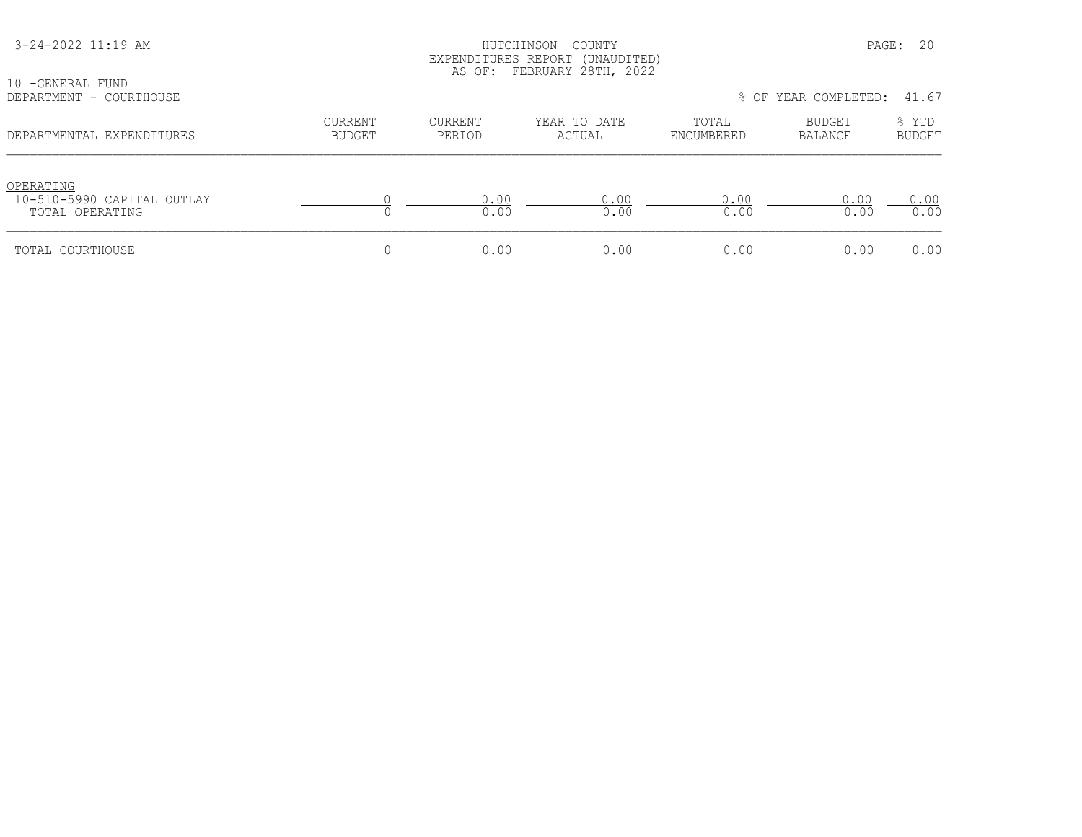| 3-24-2022 11:19 AM<br>10 - GENERAL FUND                    |                                 |                   | COUNTY<br>HUTCHINSON<br>EXPENDITURES REPORT (UNAUDITED)<br>AS OF: FEBRUARY 28TH, 2022 |                     | PAGE:                           | 20                     |
|------------------------------------------------------------|---------------------------------|-------------------|---------------------------------------------------------------------------------------|---------------------|---------------------------------|------------------------|
| DEPARTMENT - COURTHOUSE                                    |                                 |                   |                                                                                       |                     | % OF YEAR COMPLETED:            | 41.67                  |
| DEPARTMENTAL EXPENDITURES                                  | <b>CURRENT</b><br><b>BUDGET</b> | CURRENT<br>PERIOD | YEAR TO DATE<br>ACTUAL                                                                | TOTAL<br>ENCUMBERED | <b>BUDGET</b><br><b>BALANCE</b> | % YTD<br><b>BUDGET</b> |
| OPERATING<br>10-510-5990 CAPITAL OUTLAY<br>TOTAL OPERATING |                                 | 0.00<br>0.00      | 0.00<br>0.00                                                                          | 0.00<br>0.00        | 0.00<br>0.00                    | 0.00<br>0.00           |
| TOTAL COURTHOUSE                                           | 0                               | 0.00              | 0.00                                                                                  | 0.00                | 0.00                            | 0.00                   |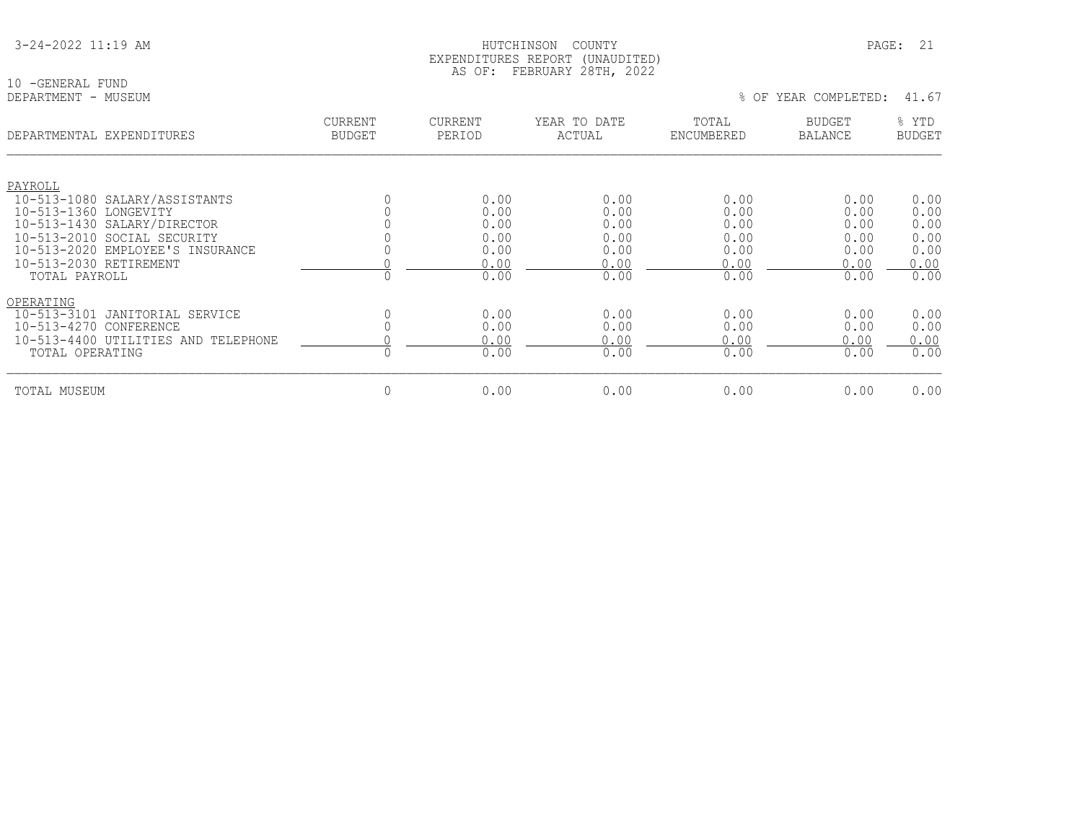| 3-24-2022 11:19 AM |  |  |
|--------------------|--|--|
|                    |  |  |

10 -GENERAL FUND<br>DEPARTMENT - MUSEUM

| DEPARTMENTAL EXPENDITURES                    | <b>CURRENT</b><br><b>BUDGET</b> | CURRENT<br>PERIOD | YEAR TO DATE<br>ACTUAL | TOTAL<br>ENCUMBERED | <b>BUDGET</b><br><b>BALANCE</b> | % YTD<br><b>BUDGET</b> |
|----------------------------------------------|---------------------------------|-------------------|------------------------|---------------------|---------------------------------|------------------------|
|                                              |                                 |                   |                        |                     |                                 |                        |
| PAYROLL                                      |                                 |                   |                        |                     |                                 |                        |
| 10-513-1080 SALARY/ASSISTANTS                |                                 | 0.00              | 0.00                   | 0.00                | 0.00                            | 0.00                   |
| 10-513-1360 LONGEVITY                        |                                 | 0.00              | 0.00                   | 0.00                | 0.00                            | 0.00                   |
| 10-513-1430 SALARY/DIRECTOR                  |                                 | 0.00              | 0.00                   | 0.00                | 0.00                            | 0.00                   |
| 10-513-2010 SOCIAL SECURITY                  |                                 | 0.00              | 0.00                   | 0.00                | 0.00                            | 0.00                   |
| 10-513-2020 EMPLOYEE'S INSURANCE             |                                 | 0.00              | 0.00                   | 0.00                | 0.00                            | 0.00                   |
| 10-513-2030 RETIREMENT                       |                                 | 0.00              | 0.00                   | 0.00                | 0.00                            | 0.00                   |
| TOTAL PAYROLL                                |                                 | 0.00              | 0.00                   | 0.00                | 0.00                            | 0.00                   |
| OPERATING                                    |                                 |                   |                        |                     |                                 |                        |
| $10 - 513 - 3101$<br>JANITORIAL SERVICE      |                                 | 0.00              | 0.00                   | 0.00                | 0.00                            | 0.00                   |
| $10 - 513 - 4270$<br>CONFERENCE              |                                 | 0.00              | 0.00                   | 0.00                | 0.00                            | 0.00                   |
| $10 - 513 - 4400$<br>UTILITIES AND TELEPHONE |                                 | 0.00              | 0.00                   | 0.00                | 0.00                            | 0.00                   |
| TOTAL OPERATING                              |                                 | 0.00              | 0.00                   | 0.00                | 0.00                            | 0.00                   |
| TOTAL MUSEUM                                 | 0                               | 0.00              | 0.00                   | 0.00                | 0.00                            | 0.00                   |
|                                              |                                 |                   |                        |                     |                                 |                        |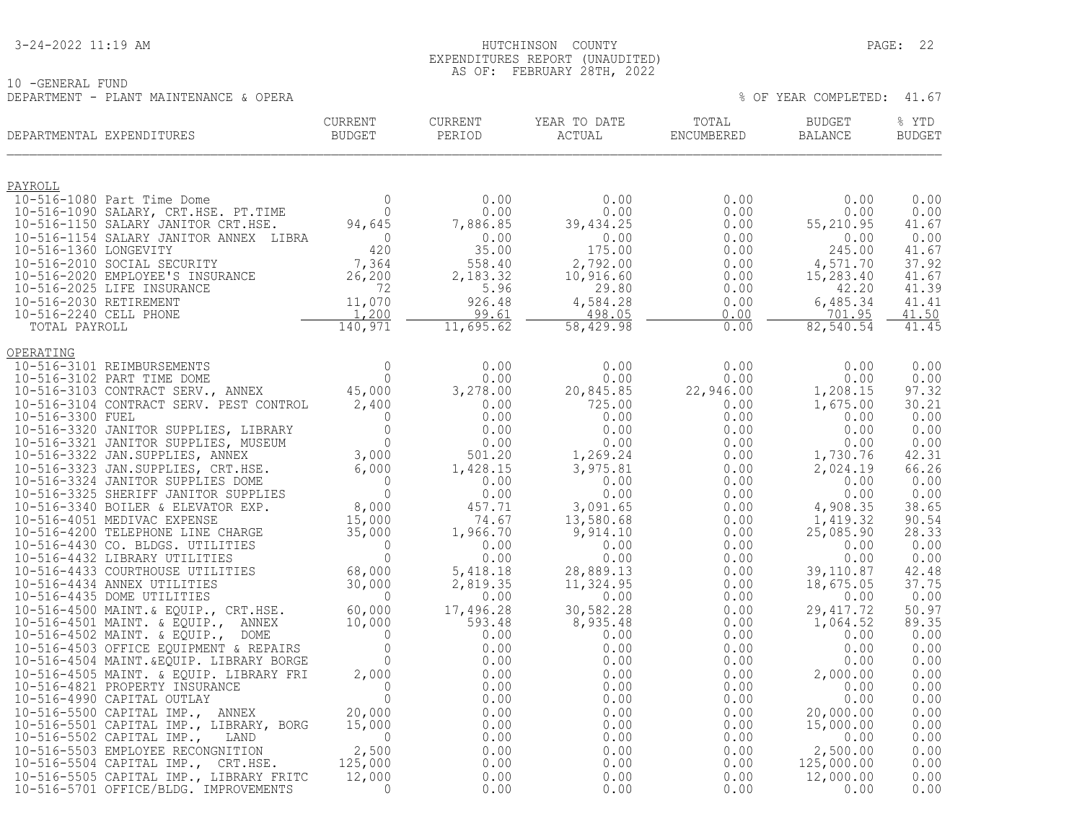#### 3-24-2022 11:19 AM HUTCHINSON COUNTY PAGE: 22 EXPENDITURES REPORT (UNAUDITED) AS OF: FEBRUARY 28TH, 2022

|                                                           | $H$ K $H$ $H$ $H$<br>78.I.H<br>. \ V 1 1 1 \ 1 | LULL |    |      |            |                              |
|-----------------------------------------------------------|------------------------------------------------|------|----|------|------------|------------------------------|
| 10<br>OENERA⊥<br>FUND<br>— 1 – H                          |                                                |      |    |      |            |                              |
| OPERA<br>DEPARTMENT - PLANT<br>MAINTENANCE<br>$\lambda$ . |                                                |      | ΟF | YEAR | COMPIETTED | $\sim$<br>$\Delta$<br>.⊥ . ∪ |

| CORRENT<br>BUDGET<br>DEPARTMENTAL EXPENDITURES | CURRENT |  |           | % YTD<br>BUDGET |
|------------------------------------------------|---------|--|-----------|-----------------|
|                                                |         |  |           | 0.00            |
|                                                |         |  |           | 0.00            |
|                                                |         |  |           | 41.67           |
|                                                |         |  |           | 0.00<br>41.67   |
|                                                |         |  |           | 37.92           |
|                                                |         |  |           | 41.67<br>41.39  |
|                                                |         |  |           | 41.41           |
|                                                |         |  |           | 41.50<br>41.45  |
|                                                |         |  |           |                 |
|                                                |         |  |           |                 |
|                                                |         |  |           | 0.00<br>0.00    |
|                                                |         |  |           | 97.32           |
|                                                |         |  |           | 30.21<br>0.00   |
|                                                |         |  |           | 0.00            |
|                                                |         |  |           | 0.00            |
|                                                |         |  |           | 42.31<br>66.26  |
|                                                |         |  |           | 0.00            |
|                                                |         |  |           | 0.00<br>38.65   |
|                                                |         |  |           | 90.54           |
|                                                |         |  |           | 28.33           |
|                                                |         |  |           | 0.00<br>0.00    |
|                                                |         |  | 39,110.87 | 42.48           |
|                                                |         |  |           | 37.75           |
|                                                |         |  |           | 0.00<br>50.97   |
|                                                |         |  |           | 89.35           |
|                                                |         |  |           | 0.00<br>0.00    |
|                                                |         |  |           | 0.00            |
|                                                |         |  |           | 0.00            |
|                                                |         |  |           | 0.00<br>0.00    |
|                                                |         |  |           | 0.00            |
|                                                |         |  |           | 0.00<br>0.00    |
|                                                |         |  |           | 0.00            |
|                                                |         |  |           | 0.00            |
|                                                |         |  |           | 0.00<br>0.00    |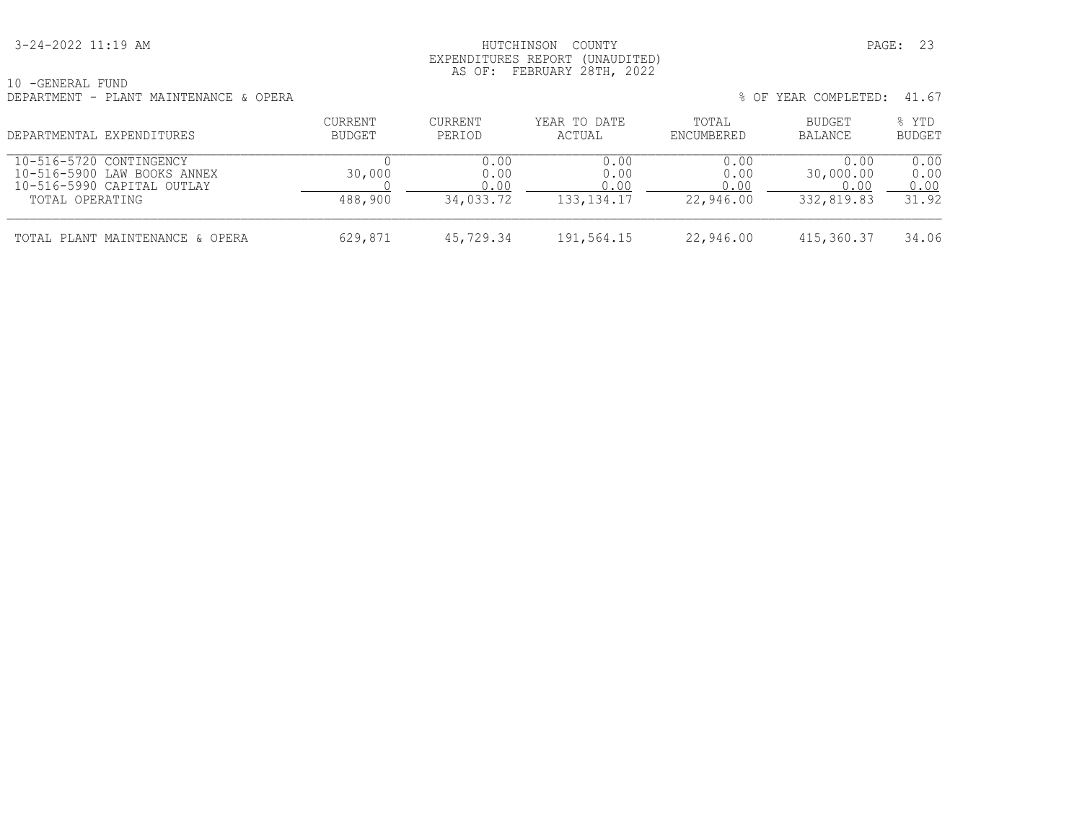### 3-24-2022 11:19 AM HUTCHINSON COUNTY PAGE: 23 EXPENDITURES REPORT (UNAUDITED) AS OF: FEBRUARY 28TH, 2022

| 10<br>-GENERAL<br>FUND                 |                       |       |
|----------------------------------------|-----------------------|-------|
| DEPARTMENT - PLANT MAINTENANCE & OPERA | COMPLETED:<br>OF YEAR | 41.67 |

|  | % OF YEAR COMPLETED: 41.67 |  |
|--|----------------------------|--|
|  |                            |  |

| DEPARTMENTAL EXPENDITURES                                                                               | <b>CURRENT</b><br>BUDGET | CURRENT<br>PERIOD                 | YEAR TO DATE<br>ACTUAL               | TOTAL<br><b>ENCUMBERED</b>        | <b>BUDGET</b><br>BALANCE                | % YTD<br><b>BUDGET</b>        |  |
|---------------------------------------------------------------------------------------------------------|--------------------------|-----------------------------------|--------------------------------------|-----------------------------------|-----------------------------------------|-------------------------------|--|
| 10-516-5720 CONTINGENCY<br>10-516-5900 LAW BOOKS ANNEX<br>10-516-5990 CAPITAL OUTLAY<br>TOTAL OPERATING | 30,000<br>488,900        | 0.00<br>0.00<br>0.00<br>34,033.72 | 0.00<br>0.00<br>0.00<br>133, 134. 17 | 0.00<br>0.00<br>0.00<br>22,946.00 | 0.00<br>30,000.00<br>0.00<br>332,819.83 | 0.00<br>0.00<br>0.00<br>31.92 |  |
| TOTAL PLANT MAINTENANCE & OPERA                                                                         | 629,871                  | 45,729.34                         | 191,564.15                           | 22,946.00                         | 415,360.37                              | 34.06                         |  |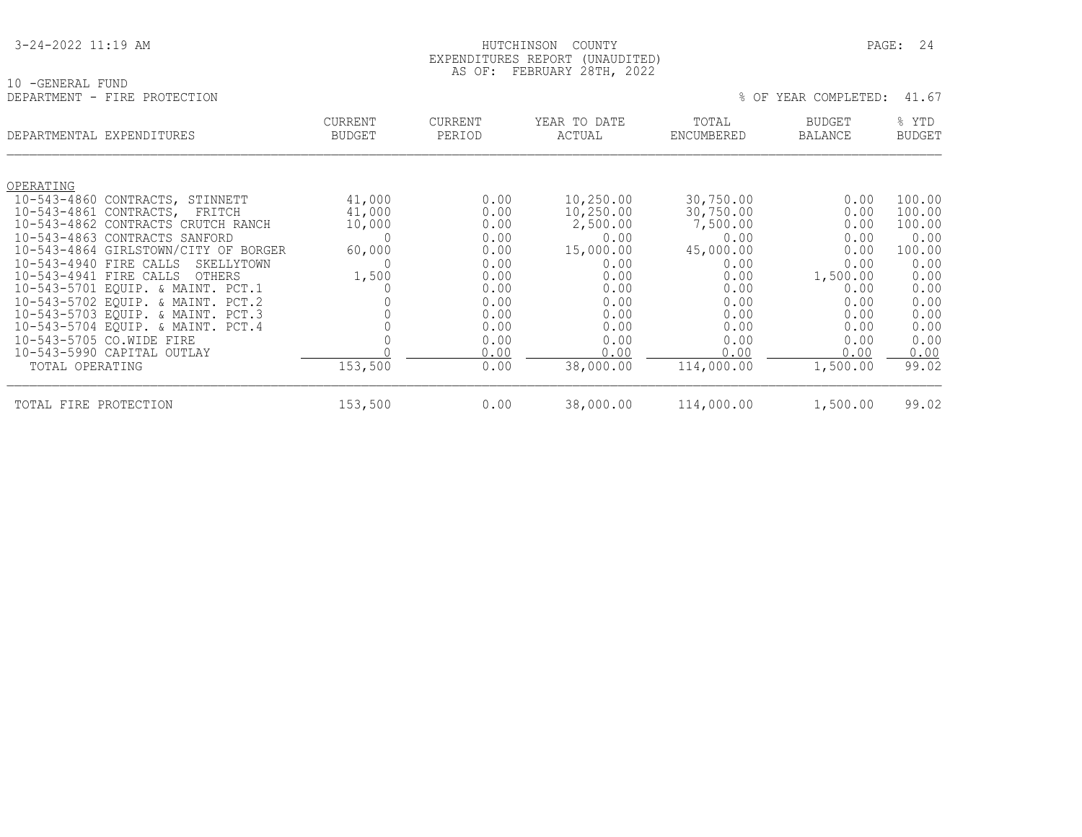| 3-24-2022 11:19 AM |  |  |
|--------------------|--|--|
|                    |  |  |

#### HUTCHINSON COUNTY PAGE: 24 EXPENDITURES REPORT (UNAUDITED) AS OF: FEBRUARY 28TH, 2022

10 -GENERAL FUND<br>DEPARTMENT - FIRE PROTECTION

| DEPARTMENTAL EXPENDITURES                     | <b>CURRENT</b><br><b>BUDGET</b> | <b>CURRENT</b><br>PERIOD | YEAR TO DATE<br>ACTUAL | TOTAL<br>ENCUMBERED | <b>BUDGET</b><br><b>BALANCE</b> | % YTD<br><b>BUDGET</b> |
|-----------------------------------------------|---------------------------------|--------------------------|------------------------|---------------------|---------------------------------|------------------------|
|                                               |                                 |                          |                        |                     |                                 |                        |
| OPERATING                                     |                                 |                          |                        |                     |                                 |                        |
| $10 - 543 - 4860$<br>CONTRACTS, STINNETT      | 41,000                          | 0.00                     | 10,250.00              | 30,750.00           | 0.00                            | 100.00                 |
| 10-543-4861 CONTRACTS,<br>FRITCH              | 41,000                          | 0.00                     | 10,250.00              | 30,750.00           | 0.00                            | 100.00                 |
| 10-543-4862 CONTRACTS CRUTCH RANCH            | 10,000                          | 0.00                     | 2,500.00               | 7,500.00            | 0.00                            | 100.00                 |
| 10-543-4863 CONTRACTS SANFORD                 |                                 | 0.00                     | 0.00                   | 0.00                | 0.00                            | 0.00                   |
| 10-543-4864 GIRLSTOWN/CITY OF BORGER          | 60,000                          | 0.00                     | 15,000.00              | 45,000.00           | 0.00                            | 100.00                 |
| $10 - 543 - 4940$<br>FIRE CALLS<br>SKELLYTOWN |                                 | 0.00                     | 0.00                   | 0.00                | 0.00                            | 0.00                   |
| 10-543-4941 FIRE CALLS<br><b>OTHERS</b>       | 1,500                           | 0.00                     | 0.00                   | 0.00                | 1,500.00                        | 0.00                   |
| 10-543-5701 EQUIP. & MAINT. PCT.1             |                                 | 0.00                     | 0.00                   | 0.00                | 0.00                            | 0.00                   |
| 10-543-5702 EQUIP. & MAINT. PCT.2             |                                 | 0.00                     | 0.00                   | 0.00                | 0.00                            | 0.00                   |
| 10-543-5703 EQUIP. & MAINT. PCT.3             |                                 | 0.00                     | 0.00                   | 0.00                | 0.00                            | 0.00                   |
| 10-543-5704 EQUIP. & MAINT. PCT.4             |                                 | 0.00                     | 0.00                   | 0.00                | 0.00                            | 0.00                   |
| 10-543-5705 CO.WIDE FIRE                      |                                 | 0.00                     | 0.00                   | 0.00                | 0.00                            | 0.00                   |
| 10-543-5990 CAPITAL OUTLAY                    |                                 | 0.00                     | 0.00                   | 0.00                | 0.00                            | 0.00                   |
| TOTAL OPERATING                               | 153,500                         | 0.00                     | 38,000.00              | 114,000.00          | 1,500.00                        | 99.02                  |
| PROTECTION<br>TOTAL FIRE                      | 153,500                         | 0.00                     | 38,000.00              | 114,000.00          | 1,500.00                        | 99.02                  |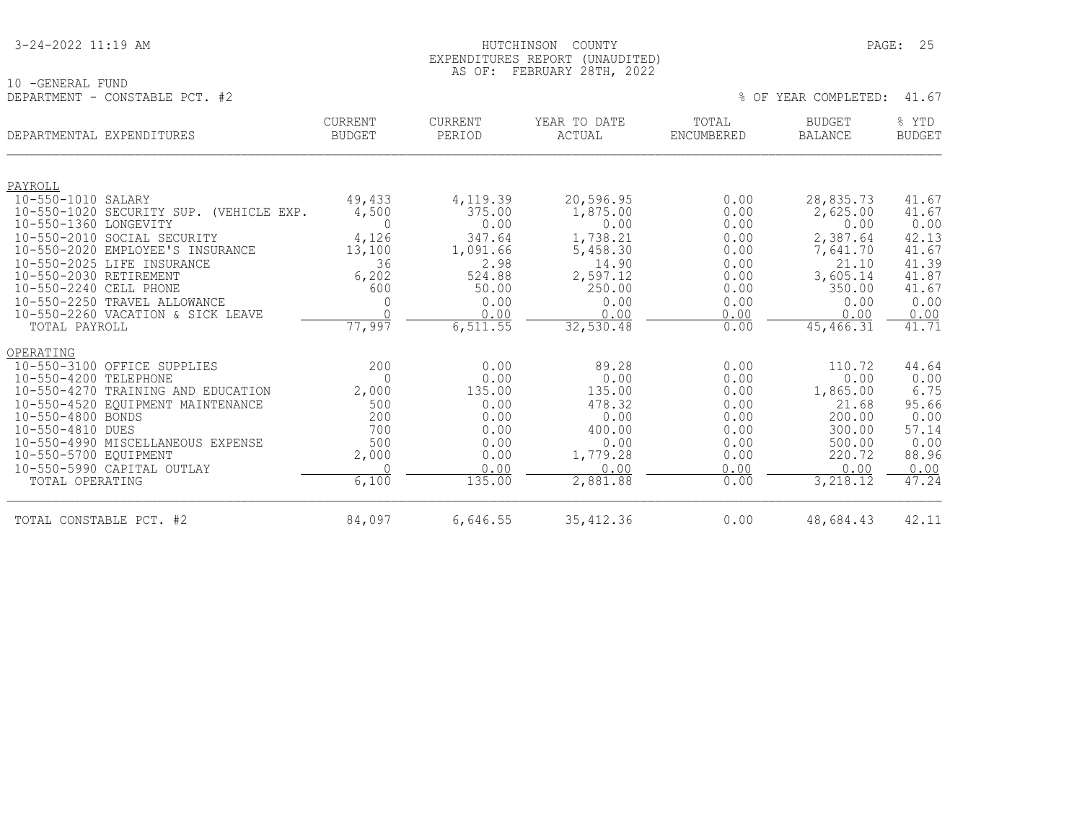#### 3-24-2022 11:19 AM HUTCHINSON COUNTY PAGE: 25 EXPENDITURES REPORT (UNAUDITED) AS OF: FEBRUARY 28TH, 2022

% OF YEAR COMPLETED: 41.67

10 -GENERAL FUND<br>DEPARTMENT - CONSTABLE PCT. #2

| DEPARTMENTAL EXPENDITURES |                                            | <b>CURRENT</b><br><b>BUDGET</b> | <b>CURRENT</b><br>PERIOD | YEAR TO DATE<br>ACTUAL | TOTAL<br>ENCUMBERED | <b>BUDGET</b><br><b>BALANCE</b> | % YTD<br><b>BUDGET</b> |
|---------------------------|--------------------------------------------|---------------------------------|--------------------------|------------------------|---------------------|---------------------------------|------------------------|
|                           |                                            |                                 |                          |                        |                     |                                 |                        |
| PAYROLL                   |                                            |                                 |                          |                        |                     |                                 |                        |
| 10-550-1010 SALARY        | 10-550-1020 SECURITY SUP.<br>(VEHICLE EXP. | 49,433                          | 4,119.39<br>375.00       | 20,596.95<br>1,875.00  | 0.00<br>0.00        | 28,835.73<br>2,625.00           | 41.67<br>41.67         |
| 10-550-1360 LONGEVITY     |                                            | 4,500<br>$\Omega$               | 0.00                     | 0.00                   | 0.00                | 0.00                            | 0.00                   |
|                           | 10-550-2010 SOCIAL SECURITY                | 4,126                           | 347.64                   | 1,738.21               | 0.00                | 2,387.64                        | 42.13                  |
|                           | 10-550-2020 EMPLOYEE'S INSURANCE           | 13,100                          | 1,091.66                 | 5,458.30               | 0.00                | 7,641.70                        | 41.67                  |
|                           | 10-550-2025 LIFE INSURANCE                 | 36                              | 2.98                     | 14.90                  | 0.00                | 21.10                           | 41.39                  |
| 10-550-2030 RETIREMENT    |                                            | 6,202                           | 524.88                   | 2,597.12               | 0.00                | 3,605.14                        | 41.87                  |
| 10-550-2240 CELL PHONE    |                                            | 600                             | 50.00                    | 250.00                 | 0.00                | 350.00                          | 41.67                  |
|                           | 10-550-2250 TRAVEL ALLOWANCE               | 0                               | 0.00                     | 0.00                   | 0.00                | 0.00                            | 0.00                   |
|                           | 10-550-2260 VACATION & SICK LEAVE          |                                 | 0.00                     | 0.00                   | 0.00                | 0.00                            | 0.00                   |
| TOTAL PAYROLL             |                                            | 77,997                          | 6,511.55                 | 32,530.48              | 0.00                | 45,466.31                       | 41.71                  |
| OPERATING                 |                                            |                                 |                          |                        |                     |                                 |                        |
|                           | 10-550-3100 OFFICE SUPPLIES                | 200                             | 0.00                     | 89.28                  | 0.00                | 110.72                          | 44.64                  |
| 10-550-4200 TELEPHONE     |                                            | $\Omega$                        | 0.00                     | 0.00                   | 0.00                | 0.00                            | 0.00                   |
|                           | 10-550-4270 TRAINING AND EDUCATION         | 2,000                           | 135.00                   | 135.00                 | 0.00                | 1,865.00                        | 6.75                   |
|                           | 10-550-4520 EQUIPMENT MAINTENANCE          | 500                             | 0.00                     | 478.32                 | 0.00                | 21.68                           | 95.66                  |
| 10-550-4800 BONDS         |                                            | 200                             | 0.00                     | 0.00                   | 0.00                | 200.00                          | 0.00                   |
| 10-550-4810 DUES          |                                            | 700                             | 0.00                     | 400.00                 | 0.00                | 300.00                          | 57.14                  |
|                           | 10-550-4990 MISCELLANEOUS EXPENSE          | 500                             | 0.00                     | 0.00                   | 0.00                | 500.00                          | 0.00                   |
| 10-550-5700 EQUIPMENT     |                                            | 2,000                           | 0.00                     | 1,779.28               | 0.00                | 220.72                          | 88.96                  |
|                           | 10-550-5990 CAPITAL OUTLAY                 |                                 | 0.00                     | 0.00                   | 0.00                | 0.00                            | 0.00                   |
| TOTAL OPERATING           |                                            | 6,100                           | 135.00                   | 2,881.88               | 0.00                | 3,218.12                        | 47.24                  |

TOTAL CONSTABLE PCT. #2 84,097 6,646.55 35,412.36 0.00 48,684.43 42.11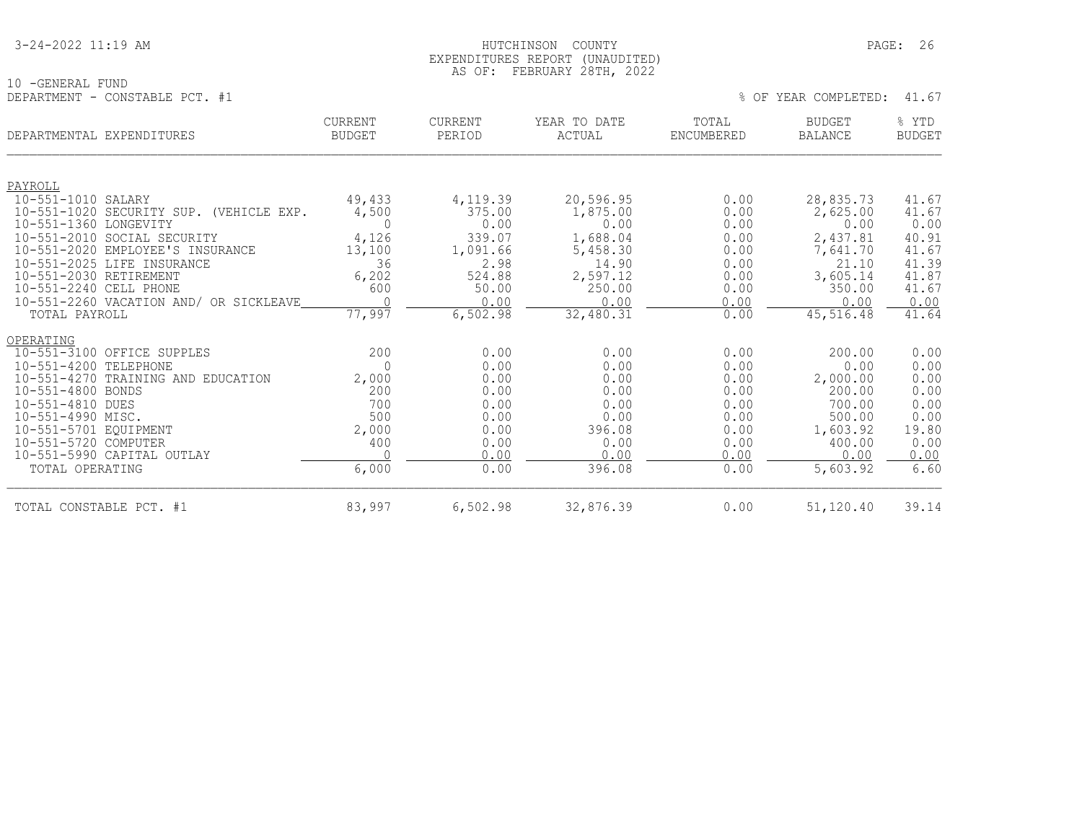#### 3-24-2022 11:19 AM HUTCHINSON COUNTY PAGE: 26 EXPENDITURES REPORT (UNAUDITED) AS OF: FEBRUARY 28TH, 2022

|                                | AU VI. IBDNUANI ZUIII, ZUZZ |  |  |                            |  |
|--------------------------------|-----------------------------|--|--|----------------------------|--|
| 10 -GENERAL FUND               |                             |  |  |                            |  |
| DEPARTMENT - CONSTABLE PCT. #1 |                             |  |  | % OF YEAR COMPLETED: 41.67 |  |

| DEPARTMENTAL EXPENDITURES                        | <b>CURRENT</b><br><b>BUDGET</b> | <b>CURRENT</b><br>PERIOD | YEAR TO DATE<br>ACTUAL | TOTAL<br><b>ENCUMBERED</b> | <b>BUDGET</b><br><b>BALANCE</b> | % YTD<br><b>BUDGET</b> |
|--------------------------------------------------|---------------------------------|--------------------------|------------------------|----------------------------|---------------------------------|------------------------|
| PAYROLL                                          |                                 |                          |                        |                            |                                 |                        |
| 10-551-1010 SALARY                               | 49,433                          | 4,119.39                 | 20,596.95              | 0.00                       | 28,835.73                       | 41.67                  |
| $10 - 551 - 1020$<br>SECURITY SUP. (VEHICLE EXP. | 4,500                           | 375.00                   | 1,875.00               | 0.00                       | 2,625.00                        | 41.67                  |
| $10 - 551 - 1360$<br>LONGEVITY                   | $\Omega$                        | 0.00                     | 0.00                   | 0.00                       | 0.00                            | 0.00                   |
| $10 - 551 - 2010$<br>SOCIAL SECURITY             | 4,126                           | 339.07                   | 1,688.04               | 0.00                       | 2,437.81                        | 40.91                  |
| $10 - 551 - 2020$<br>EMPLOYEE'S INSURANCE        | 13,100                          | 1,091.66                 | 5,458.30               | 0.00                       | 7,641.70                        | 41.67                  |
| $10 - 551 - 2025$<br>LIFE INSURANCE              | 36                              | 2.98                     | 14.90                  | 0.00                       | 21.10                           | 41.39                  |
| $10 - 551 - 2030$<br>RETIREMENT                  | 6,202                           | 524.88                   | 2,597.12               | 0.00                       | 3,605.14                        | 41.87                  |
| 10-551-2240 CELL PHONE                           | 600                             | 50.00                    | 250.00                 | 0.00                       | 350.00                          | 41.67                  |
| 10-551-2260 VACATION AND/ OR SICKLEAVE           | $\cap$                          | 0.00                     | 0.00                   | 0.00                       | 0.00                            | 0.00                   |
| TOTAL PAYROLL                                    | 77,997                          | 6,502.98                 | 32,480.31              | 0.00                       | 45, 516.48                      | 41.64                  |
| OPERATING                                        |                                 |                          |                        |                            |                                 |                        |
| $10 - 551 - 3100$<br>OFFICE SUPPLES              | 200                             | 0.00                     | 0.00                   | 0.00                       | 200.00                          | 0.00                   |
| $10 - 551 - 4200$<br>TELEPHONE                   | $\bigcap$                       | 0.00                     | 0.00                   | 0.00                       | 0.00                            | 0.00                   |
| $10 - 551 - 4270$<br>TRAINING AND EDUCATION      | 2,000                           | 0.00                     | 0.00                   | 0.00                       | 2,000.00                        | 0.00                   |
| $10 - 551 - 4800$<br>BONDS                       | 200                             | 0.00                     | 0.00                   | 0.00                       | 200.00                          | 0.00                   |
| 10-551-4810 DUES                                 | 700                             | 0.00                     | 0.00                   | 0.00                       | 700.00                          | 0.00                   |
| 10-551-4990 MISC.                                | 500                             | 0.00                     | 0.00                   | 0.00                       | 500.00                          | 0.00                   |
| 10-551-5701 EQUIPMENT                            | 2,000                           | 0.00                     | 396.08                 | 0.00                       | 1,603.92                        | 19.80                  |
| $10 - 551 - 5720$<br>COMPUTER                    | 400                             | 0.00                     | 0.00                   | 0.00                       | 400.00                          | 0.00                   |
| 10-551-5990 CAPITAL OUTLAY                       |                                 | 0.00                     | 0.00                   | 0.00                       | 0.00                            | 0.00                   |
| TOTAL OPERATING                                  | 6,000                           | 0.00                     | 396.08                 | 0.00                       | 5,603.92                        | 6.60                   |
| TOTAL CONSTABLE PCT. #1                          | 83,997                          | 6,502.98                 | 32,876.39              | 0.00                       | 51,120.40                       | 39.14                  |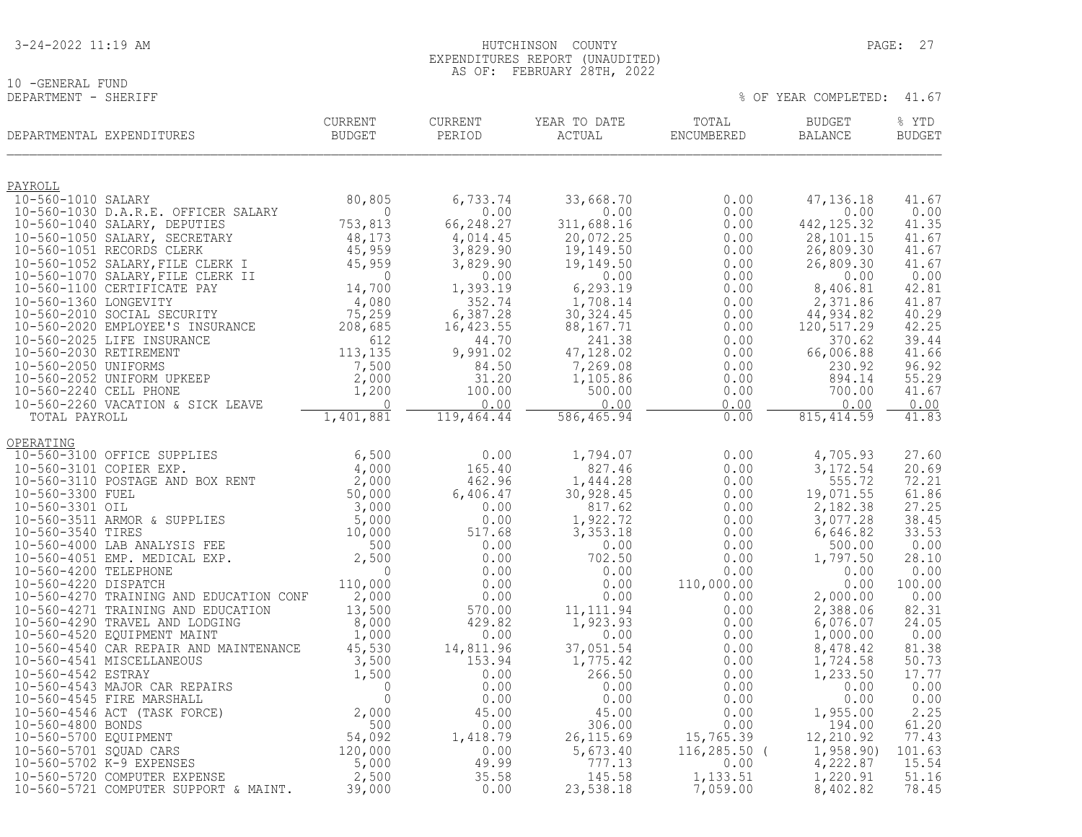| 3-24-2022 11:19 AM |
|--------------------|
|--------------------|

10 -GENERAL FUND<br>DEPARTMENT - SHERIFF

| DEPARTMENTAL EXPENDITURES                                                                                                                                  | <b>CURRENT</b><br><b>BUDGET</b>        | <b>CURRENT</b><br>PERIOD | YEAR TO DATE<br>ACTUAL | TOTAL<br>ENCUMBERED  | <b>BUDGET</b><br><b>BALANCE</b> | % YTD<br><b>BUDGET</b> |
|------------------------------------------------------------------------------------------------------------------------------------------------------------|----------------------------------------|--------------------------|------------------------|----------------------|---------------------------------|------------------------|
| PAYROLL                                                                                                                                                    |                                        |                          |                        |                      |                                 |                        |
| 10-560-1010 SALARY<br>10-560-1030 D.A.R.E. OFFICER SALARY                                                                                                  | 80,805<br>$\mathbf{0}$                 | 6,733.74<br>0.00         | 33,668.70<br>0.00      | 0.00<br>0.00         | 47, 136, 18<br>0.00             | 41.67<br>0.00          |
| 10-560-1040 SALARY, DEPUTIES                                                                                                                               | 753,813                                | 66,248.27                | 311,688.16             | 0.00                 | 442, 125.32                     | 41.35                  |
| 10-560-1050 SALARY, SECRETARY                                                                                                                              | 48,173                                 | 4,014.45                 | 20,072.25              | 0.00                 | 28,101.15                       | 41.67                  |
| 10-560-1051 RECORDS CLERK                                                                                                                                  | 45,959                                 | 3,829.90                 | 19,149.50              | 0.00                 | 26,809.30                       | 41.67                  |
| 10-560-1052 SALARY, FILE CLERK I<br>10-560-1070 SALARY, FILE CLERK II                                                                                      | 45,959<br>$\mathbf{0}$                 | 3,829.90<br>0.00         | 19,149.50<br>0.00      | 0.00<br>0.00         | 26,809.30<br>0.00               | 41.67<br>0.00          |
| 10-560-1100 CERTIFICATE PAY                                                                                                                                | 14,700                                 | 1,393.19                 | 6,293.19               | 0.00                 | 8,406.81                        | 42.81                  |
| 10-560-1360 LONGEVITY                                                                                                                                      | 4,080                                  | 352.74                   | 1,708.14               | 0.00                 | 2,371.86                        | 41.87                  |
| 10-560-2010 SOCIAL SECURITY<br>10-560-2020 EMPLOYEE'S INSURANCE                                                                                            | 75,259                                 | 6,387.28                 | 30, 324.45             | 0.00                 | 44, 934.82<br>120, 517.29       | 40.29<br>42.25         |
| 10-560-2025 LIFE INSURANCE                                                                                                                                 | 208,685<br>612                         | 16,423.55<br>44.70       | 88,167.71<br>241.38    | 0.00<br>0.00         | 370.62                          | 39.44                  |
| 10-560-2030 RETIREMENT                                                                                                                                     | 113,135                                | 9,991.02                 | 47,128.02              | 0.00                 | 66,006.88                       | 41.66                  |
| 10-560-2050 UNIFORMS                                                                                                                                       | 7,500                                  | 84.50                    | 7,269.08               | 0.00                 | 230.92                          | 96.92                  |
| 10-560-2052 UNIFORM UPKEEP                                                                                                                                 | 2,000                                  | 31.20                    | 1,105.86               | 0.00                 | 894.14<br>700.00                | 55.29<br>41.67         |
| 10-560-2240 CELL PHONE<br>10-560-2260 VACATION & SICK LEAVE                                                                                                | 1,200<br>$\bigcap$                     | 100.00<br>0.00           | 500.00<br>0.00         | 0.00<br>0.00         | 0.00                            | 0.00                   |
| TOTAL PAYROLL                                                                                                                                              | 1,401,881                              | 119,464.44               | 586, 465.94            | 0.00                 | 815, 414.59                     | 41.83                  |
| OPERATING                                                                                                                                                  |                                        |                          |                        |                      |                                 |                        |
| 10-560-3100 OFFICE SUPPLIES                                                                                                                                | 6,500                                  | 0.00                     | 1,794.07               | 0.00                 | 4,705.93                        | 27.60                  |
| 10-560-3101 COPIER EXP.                                                                                                                                    | 4,000<br>$\frac{1}{2}$ , 000<br>50.000 | 165.40                   | 827.46                 | 0.00                 | 3, 172.54                       | 20.69                  |
| 10-560-3110 POSTAGE AND BOX RENT<br>10-560-3300 FUEL                                                                                                       | 50,000                                 | 462.96<br>6,406.47       | 1,444.28<br>30,928.45  | 0.00<br>0.00         | 555.72<br>19,071.55             | 72.21<br>61.86         |
| 10-560-3301 OIL                                                                                                                                            | $3,000$<br>5,000                       | 0.00                     | 817.62                 | 0.00                 | 2,182.38                        | 27.25                  |
| 10-560-3511 ARMOR & SUPPLIES                                                                                                                               |                                        | 0.00                     | 1,922.72               | 0.00                 | 3,077.28                        | 38.45                  |
| 10-560-3540 TIRES<br>10-560-4000 LAB ANALYSIS FEE                                                                                                          | 10,000<br>500                          | 517.68<br>0.00           | 3,353.18<br>0.00       | 0.00<br>0.00         | 6,646.82<br>500.00              | 33.53<br>0.00          |
| 10-560-4051 EMP. MEDICAL EXP.                                                                                                                              | 2,500                                  | 0.00                     | 702.50                 | 0.00                 | 1,797.50                        | 28.10                  |
| 10-560-4200 TELEPHONE                                                                                                                                      | $\mathbf{0}$                           | 0.00                     | 0.00                   | 0.00                 | 0.00                            | 0.00                   |
| 10-560-4220 DISPATCH                                                                                                                                       | 110,000                                | 0.00                     | 0.00                   | 110,000.00           | 0.00                            | 100.00                 |
| 10-560-4270 TRAINING AND EDUCATION CONF<br>10-560-4271 TRAINING AND EDUCATION                                                                              | 2,000<br>13,500                        | 0.00<br>570.00           | 0.00<br>11, 111.94     | 0.00<br>0.00         | 2,000.00<br>2,388.06            | 0.00<br>82.31          |
| 10-560-4290 TRAVEL AND LODGING                                                                                                                             | 8,000                                  | 429.82                   | 1,923.93               | 0.00                 | 6,076.07                        | 24.05                  |
| 10-560-4520 EQUIPMENT MAINT                                                                                                                                | 1,000                                  | 0.00                     | 0.00                   | 0.00                 | 1,000.00                        | 0.00                   |
| 10-560-4540 CAR REPAIR AND MAINTENANCE                                                                                                                     | 45,530                                 | 14,811.96                | 37,051.54              | 0.00                 | 8,478.42                        | 81.38                  |
| 10-560-4541 MISCELLANEOUS<br>10-560-4542 ESTRAY                                                                                                            |                                        | 153.94<br>0.00           | 1,775.42<br>266.50     | 0.00<br>0.00         | 1,724.58<br>1,233.50            | 50.73<br>17.77         |
| 10-560-4543 MAJOR CAR REPAIRS                                                                                                                              |                                        | 0.00                     | 0.00                   | 0.00                 | 0.00                            | 0.00                   |
| 10-560-4545 FIRE MARSHALL                                                                                                                                  |                                        | 0.00                     | 0.00                   | 0.00                 | 0.00                            | 0.00                   |
| 10-560-4546 ACT (TASK FORCE)                                                                                                                               |                                        | 45.00                    | 45.00                  | 0.00                 | 1,955.00                        | 2.25                   |
| 10-560-4800 BONDS<br>10-560-5700 EQUIPMENT                                                                                                                 |                                        | 0.00<br>1,418.79         | 306.00<br>26, 115.69   | 0.00<br>15,765.39    | 194.00<br>12,210.92             | 61.20<br>77.43         |
| 10-560-5701 SQUAD CARS                                                                                                                                     |                                        | 0.00                     | 5,673.40               | $116, 285.50$ (      | 1,958.90)                       | 101.63                 |
| MAINTENANCE<br>3,500<br>3,500<br>1,500<br>0<br>0<br>0<br>54,092<br>120,000<br>55,000<br>SE<br>2,500<br>2,500<br>2,500<br>2,500<br>10-560-5702 K-9 EXPENSES |                                        | 49.99                    | 777.13                 | 0.00                 | 4,222.87                        | 15.54                  |
| 10-560-5720 COMPUTER EXPENSE<br>10-560-5721 COMPUTER SUPPORT & MAINT.                                                                                      | 2,500<br>39,000                        | 35.58<br>0.00            | 145.58<br>23,538.18    | 1,133.51<br>7,059.00 | 1,220.91<br>8,402.82            | 51.16<br>78.45         |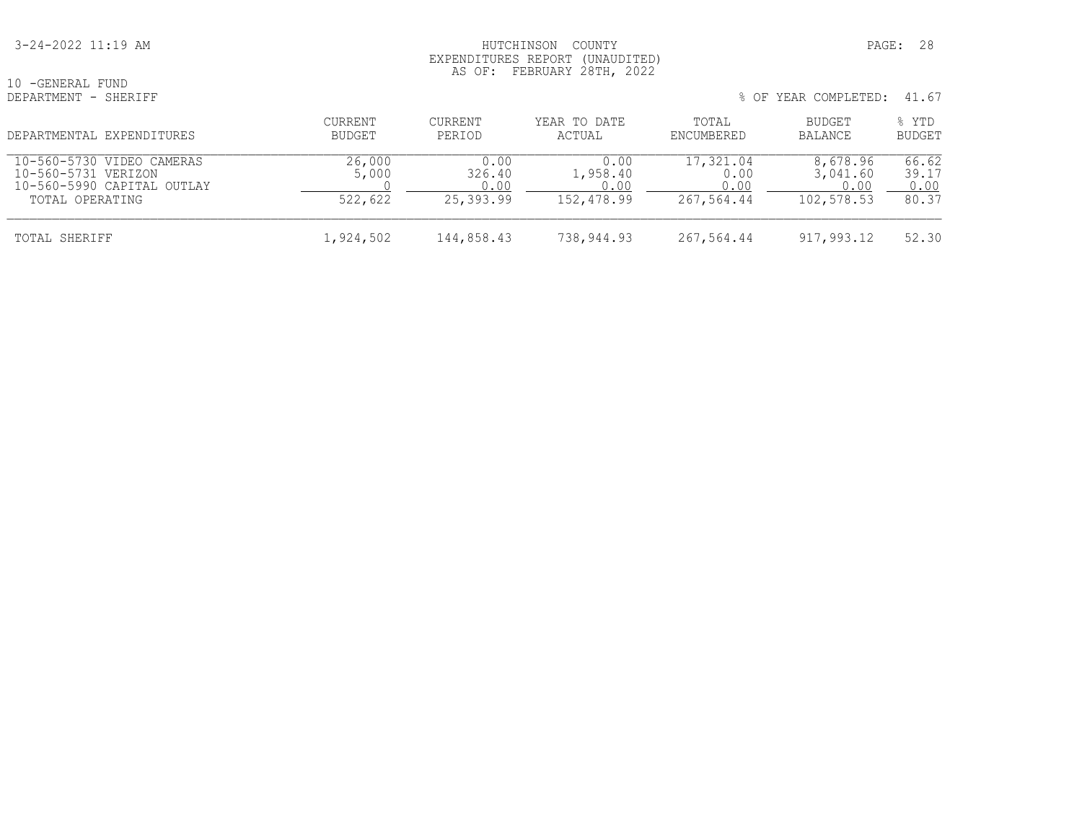#### 3-24-2022 11:19 AM HUTCHINSON COUNTY PAGE: 28 EXPENDITURES REPORT (UNAUDITED) AS OF: FEBRUARY 28TH, 2022

| 10 -GENERAL FUND<br>DEPARTMENT - SHERIFF                                       |                   |                        |                          |                           | % OF YEAR COMPLETED:         | 41.67                  |
|--------------------------------------------------------------------------------|-------------------|------------------------|--------------------------|---------------------------|------------------------------|------------------------|
| DEPARTMENTAL EXPENDITURES                                                      | CURRENT<br>BUDGET | CURRENT<br>PERIOD      | YEAR TO DATE<br>ACTUAL   | TOTAL<br>ENCUMBERED       | BUDGET<br>BALANCE            | % YTD<br><b>BUDGET</b> |
| 10-560-5730 VIDEO CAMERAS<br>10-560-5731 VERIZON<br>10-560-5990 CAPITAL OUTLAY | 26,000<br>5,000   | 0.00<br>326.40<br>0.00 | 0.00<br>1,958.40<br>0.00 | 17,321.04<br>0.00<br>0.00 | 8,678.96<br>3,041.60<br>0.00 | 66.62<br>39.17<br>0.00 |
| TOTAL OPERATING                                                                | 522,622           | 25,393.99              | 152,478.99               | 267,564.44                | 102,578.53                   | 80.37                  |
| TOTAL SHERIFF                                                                  | 1,924,502         | 144,858.43             | 738,944.93               | 267,564.44                | 917,993.12                   | 52.30                  |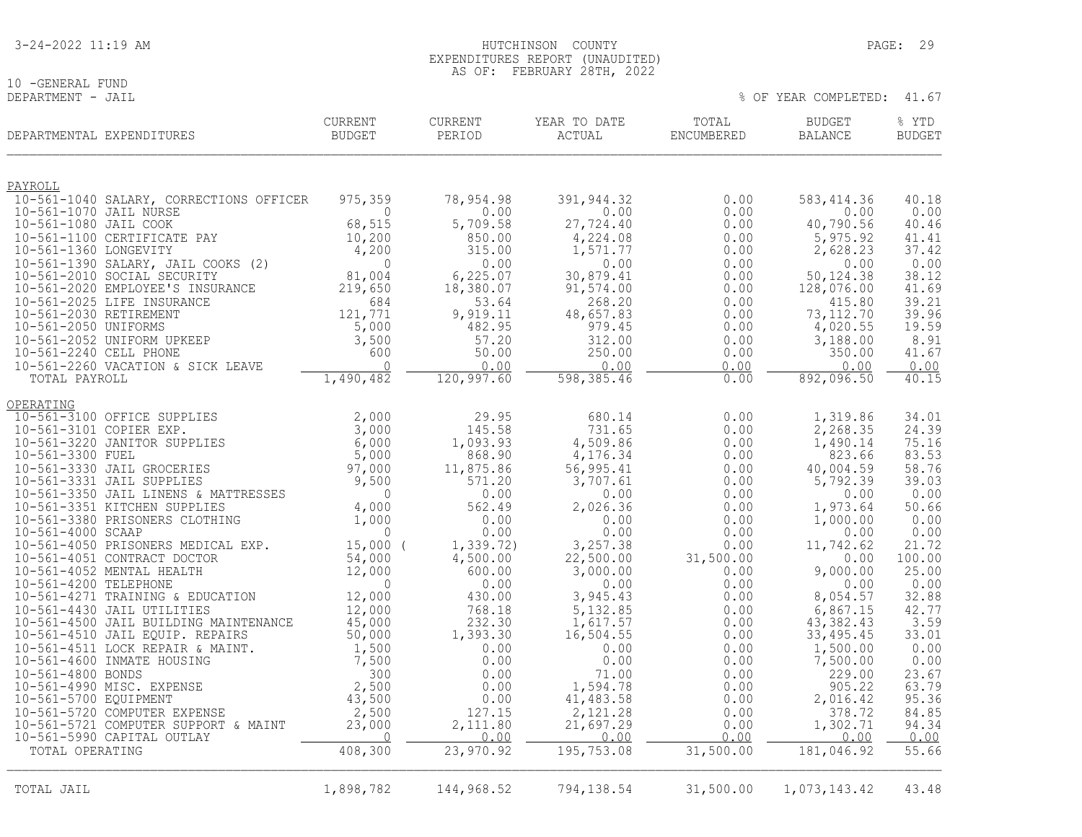10 -GENERAL FUND<br>DEPARTMENT - JAIL

|                         | DEPARTMENTAL EXPENDITURES                                          | <b>CURRENT</b><br><b>BUDGET</b> | <b>CURRENT</b><br>PERIOD | YEAR TO DATE<br>ACTUAL | TOTAL<br>ENCUMBERED | <b>BUDGET</b><br><b>BALANCE</b> | % YTD<br><b>BUDGET</b> |
|-------------------------|--------------------------------------------------------------------|---------------------------------|--------------------------|------------------------|---------------------|---------------------------------|------------------------|
| PAYROLL                 |                                                                    |                                 |                          |                        |                     |                                 |                        |
|                         | 10-561-1040 SALARY, CORRECTIONS OFFICER                            | 975,359                         | 78,954.98                | 391,944.32             | 0.00                | 583, 414.36                     | 40.18                  |
| 10-561-1070 JAIL NURSE  |                                                                    | $\bigcap$                       | 0.00                     | 0.00                   | 0.00                | 0.00                            | 0.00                   |
| 10-561-1080 JAIL COOK   | 10-561-1100 CERTIFICATE PAY                                        | 68,515<br>10,200                | 5,709.58<br>850.00       | 27,724.40<br>4,224.08  | 0.00<br>0.00        | 40,790.56<br>5,975.92           | 40.46<br>41.41         |
| 10-561-1360 LONGEVITY   |                                                                    | 4,200                           | 315.00                   | 1,571.77               | 0.00                | 2,628.23                        | 37.42                  |
|                         | 10-561-1390 SALARY, JAIL COOKS (2)                                 | $\mathbf{0}$                    | 0.00                     | 0.00                   | 0.00                | 0.00                            | 0.00                   |
|                         | 10-561-2010 SOCIAL SECURITY                                        | 81,004                          | 6,225.07                 | 30,879.41              | 0.00                | 50, 124.38                      | 38.12                  |
|                         | 10-561-2020 EMPLOYEE'S INSURANCE                                   | 219,650                         | 18,380.07                | 91,574.00              | 0.00                | 128,076.00                      | 41.69                  |
| 10-561-2030 RETIREMENT  | 10-561-2025 LIFE INSURANCE                                         | 684<br>121,771                  | 53.64<br>9,919.11        | 268.20<br>48,657.83    | 0.00<br>0.00        | 415.80<br>73, 112. 70           | 39.21<br>39.96         |
| 10-561-2050 UNIFORMS    |                                                                    | 5,000                           | 482.95                   | 979.45                 | 0.00                | 4,020.55                        | 19.59                  |
|                         | 10-561-2052 UNIFORM UPKEEP                                         | 3,500                           | 57.20                    | 312.00                 | 0.00                | 3,188.00                        | 8.91                   |
| 10-561-2240 CELL PHONE  |                                                                    | 600                             | 50.00                    | 250.00                 | 0.00                | 350.00                          | 41.67                  |
|                         | 10-561-2260 VACATION & SICK LEAVE                                  | $\cap$                          | 0.00                     | 0.00                   | 0.00                | 0.00                            | 0.00                   |
| TOTAL PAYROLL           |                                                                    | 1,490,482                       | 120,997.60               | 598,385.46             | 0.00                | 892,096.50                      | 40.15                  |
| OPERATING               |                                                                    |                                 |                          |                        |                     |                                 |                        |
|                         | 10-561-3100 OFFICE SUPPLIES                                        | 2,000                           | 29.95                    | 680.14                 | 0.00                | 1,319.86                        | 34.01                  |
| 10-561-3101 COPIER EXP. |                                                                    | 3,000                           | 145.58                   | 731.65                 | 0.00                | 2,268.35                        | 24.39                  |
| 10-561-3300 FUEL        | 10-561-3220 JANITOR SUPPLIES                                       | 6,000<br>5,000                  | 1,093.93<br>868.90       | 4,509.86<br>4,176.34   | 0.00<br>0.00        | 1,490.14<br>823.66              | 75.16<br>83.53         |
|                         | 10-561-3330 JAIL GROCERIES                                         | 97,000                          | 11,875.86                | 56,995.41              | 0.00                | 40,004.59                       | 58.76                  |
|                         | 10-561-3331 JAIL SUPPLIES                                          | 9,500                           | 571.20                   | 3,707.61               | 0.00                | 5,792.39                        | 39.03                  |
|                         | 10-561-3350 JAIL LINENS & MATTRESSES                               | 0                               | 0.00                     | 0.00                   | 0.00                | 0.00                            | 0.00                   |
|                         | 10-561-3351 KITCHEN SUPPLIES<br>10-561-3380 PRISONERS CLOTHING     | 4,000<br>1,000                  | 562.49<br>0.00           | 2,026.36<br>0.00       | 0.00                | 1,973.64<br>1,000.00            | 50.66<br>0.00          |
| 10-561-4000 SCAAP       |                                                                    | $\mathbf{0}$                    | 0.00                     | 0.00                   | 0.00<br>0.00        | 0.00                            | 0.00                   |
|                         | 10-561-4050 PRISONERS MEDICAL EXP.                                 | $15,000$ (                      | 1, 339.72)               | 3,257.38               | 0.00                | 11,742.62                       | 21.72                  |
|                         | 10-561-4051 CONTRACT DOCTOR                                        | 54,000                          | 4,500.00                 | 22,500.00              | 31,500.00           | 0.00                            | 100.00                 |
|                         | 10-561-4052 MENTAL HEALTH                                          | 12,000                          | 600.00                   | 3,000.00               | 0.00                | 9,000.00                        | 25.00                  |
| 10-561-4200 TELEPHONE   | 10-561-4271 TRAINING & EDUCATION                                   | $\Omega$<br>12,000              | 0.00<br>430.00           | 0.00<br>3,945.43       | 0.00<br>0.00        | 0.00<br>8,054.57                | 0.00<br>32.88          |
|                         | 10-561-4430 JAIL UTILITIES                                         | 12,000                          | 768.18                   | 5,132.85               | 0.00                | 6,867.15                        | 42.77                  |
|                         | 10-561-4500 JAIL BUILDING MAINTENANCE                              | 45,000                          | 232.30                   | 1,617.57               | 0.00                | 43,382.43                       | 3.59                   |
|                         | 10-561-4510 JAIL EQUIP. REPAIRS                                    | 50,000                          | 1,393.30                 | 16,504.55              | 0.00                | 33, 495.45                      | 33.01                  |
|                         | 10-561-4511 LOCK REPAIR & MAINT.                                   | 1,500                           | 0.00                     | 0.00                   | 0.00                | 1,500.00                        | 0.00                   |
| 10-561-4800 BONDS       | 10-561-4600 INMATE HOUSING                                         | 7,500<br>300                    | 0.00<br>0.00             | 0.00<br>71.00          | 0.00<br>0.00        | 7,500.00<br>229.00              | 0.00<br>23.67          |
|                         | 10-561-4990 MISC. EXPENSE                                          | 2,500                           | 0.00                     | 1,594.78               | 0.00                | 905.22                          | 63.79                  |
| 10-561-5700 EQUIPMENT   |                                                                    | 43,500                          | 0.00                     | 41,483.58              | 0.00                | 2,016.42                        | 95.36                  |
|                         | 10-561-5720 COMPUTER EXPENSE                                       | 2,500                           | 127.15                   | 2,121.28               | 0.00                | 378.72                          | 84.85                  |
|                         | 10-561-5721 COMPUTER SUPPORT & MAINT<br>10-561-5990 CAPITAL OUTLAY | 23,000<br>$\overline{0}$        | 2,111.80<br>0.00         | 21,697.29<br>0.00      | 0.00<br>0.00        | 1,302.71                        | 94.34<br>0.00          |
| TOTAL OPERATING         |                                                                    | 408,300                         | 23,970.92                | 195,753.08             | 31,500.00           | 0.00<br>181,046.92              | 55.66                  |
|                         |                                                                    |                                 |                          |                        |                     |                                 |                        |
| TOTAL JAIL              |                                                                    | 1,898,782                       | 144,968.52               | 794,138.54             | 31,500.00           | 1,073,143.42                    | 43.48                  |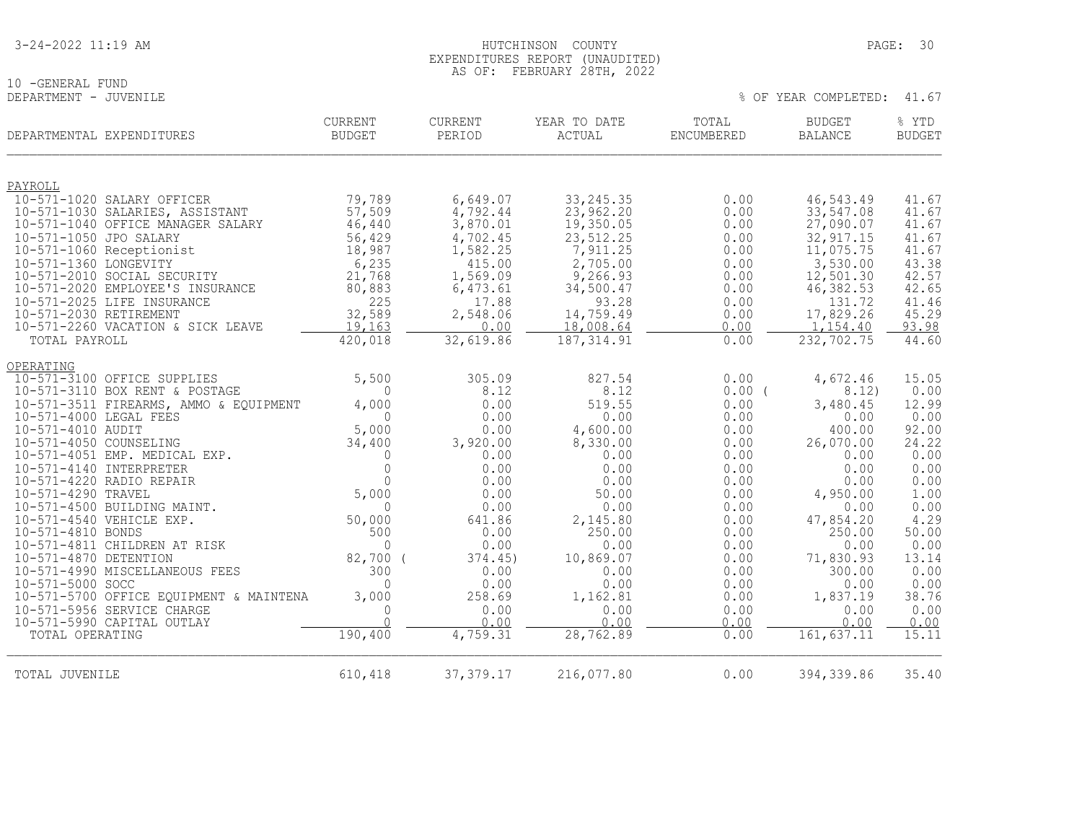# 10 -GENERAL FUND<br>DEPARTMENT - JUVENILE

| DEPARTMENTAL EXPENDITURES                           | <b>CURRENT</b><br><b>BUDGET</b> | CURRENT<br>PERIOD | YEAR TO DATE<br>ACTUAL | TOTAL<br>ENCUMBERED | <b>BUDGET</b><br><b>BALANCE</b> | % YTD<br><b>BUDGET</b> |
|-----------------------------------------------------|---------------------------------|-------------------|------------------------|---------------------|---------------------------------|------------------------|
| PAYROLL                                             |                                 |                   |                        |                     |                                 |                        |
| 10-571-1020 SALARY OFFICER                          | 79,789                          | 6,649.07          | 33, 245.35             | 0.00                | 46,543.49                       | 41.67                  |
| 10-571-1030 SALARIES, ASSISTANT                     | 57,509                          | 4,792.44          | 23,962.20              | 0.00                | 33,547.08                       | 41.67                  |
| 10-571-1040 OFFICE MANAGER SALARY                   | 46,440                          | 3,870.01          | 19,350.05              | 0.00                | 27,090.07                       | 41.67                  |
| 10-571-1050 JPO SALARY                              | 56,429                          | 4,702.45          | 23, 512.25             | 0.00                | 32, 917.15                      | 41.67                  |
| 10-571-1060 Receptionist                            | 18,987                          | 1,582.25          | 7,911.25               | 0.00                | 11,075.75                       | 41.67                  |
| 10-571-1360 LONGEVITY                               | 6,235                           | 415.00            | 2,705.00               | 0.00                | 3,530.00                        | 43.38                  |
| 10-571-2010 SOCIAL SECURITY                         | 21,768                          | 1,569.09          | 9,266.93               | 0.00                | 12,501.30                       | 42.57                  |
| 10-571-2020 EMPLOYEE'S INSURANCE                    | 80,883                          | 6,473.61          | 34,500.47              | 0.00                | 46, 382.53                      | 42.65                  |
| 10-571-2025 LIFE INSURANCE                          | 225                             | 17.88             | 93.28                  | 0.00                | 131.72                          | 41.46                  |
| 10-571-2030 RETIREMENT                              | 32,589                          | 2,548.06          | 14,759.49              | 0.00                | 17,829.26                       | 45.29                  |
| 10-571-2260 VACATION & SICK LEAVE                   | 19,163                          | 0.00              | 18,008.64              | 0.00                | 1,154.40                        | 93.98                  |
| TOTAL PAYROLL                                       | 420,018                         | 32,619.86         | 187, 314.91            | 0.00                | 232,702.75                      | 44.60                  |
| OPERATING                                           |                                 |                   |                        |                     |                                 |                        |
| 10-571-3100 OFFICE SUPPLIES                         | 5,500                           | 305.09            | 827.54                 | 0.00                | 4,672.46                        | 15.05                  |
| 10-571-3110 BOX RENT & POSTAGE                      | $\Omega$                        | 8.12              | 8.12                   | $0.00$ (            | 8.12)                           | 0.00                   |
| 10-571-3511 FIREARMS, AMMO & EQUIPMENT              | 4,000                           | 0.00              | 519.55                 | 0.00                | 3,480.45                        | 12.99                  |
| 10-571-4000 LEGAL FEES                              | $\mathbf{0}$                    | 0.00              | 0.00                   | 0.00                | 0.00                            | 0.00                   |
| 10-571-4010 AUDIT                                   | 5,000                           | 0.00              | 4,600.00               | 0.00                | 400.00                          | 92.00                  |
| 10-571-4050 COUNSELING                              | 34,400                          | 3,920.00          | 8,330.00               | 0.00                | 26,070.00                       | 24.22                  |
| 10-571-4051 EMP. MEDICAL EXP.                       | 0                               | 0.00              | 0.00                   | 0.00                | 0.00                            | 0.00                   |
| 10-571-4140 INTERPRETER<br>10-571-4220 RADIO REPAIR | $\Omega$<br>$\Omega$            | 0.00              | 0.00                   | 0.00                | 0.00                            | 0.00<br>0.00           |
| 10-571-4290 TRAVEL                                  | 5,000                           | 0.00<br>0.00      | 0.00<br>50.00          | 0.00<br>0.00        | 0.00<br>4,950.00                | 1.00                   |
| 10-571-4500 BUILDING MAINT.                         | $\Omega$                        | 0.00              | 0.00                   | 0.00                | 0.00                            | 0.00                   |
| 10-571-4540 VEHICLE EXP.                            | 50,000                          | 641.86            | 2,145.80               | 0.00                | 47,854.20                       | 4.29                   |
| 10-571-4810 BONDS                                   | 500                             | 0.00              | 250.00                 | 0.00                | 250.00                          | 50.00                  |
| 10-571-4811 CHILDREN AT RISK                        | $\Omega$                        | 0.00              | 0.00                   | 0.00                | 0.00                            | 0.00                   |
| 10-571-4870 DETENTION                               | 82,700 (                        | 374.45)           | 10,869.07              | 0.00                | 71,830.93                       | 13.14                  |
| 10-571-4990 MISCELLANEOUS FEES                      | 300                             | 0.00              | 0.00                   | 0.00                | 300.00                          | 0.00                   |
| 10-571-5000 SOCC                                    | $\Omega$                        | 0.00              | 0.00                   | 0.00                | 0.00                            | 0.00                   |
| 10-571-5700 OFFICE EQUIPMENT & MAINTENA             | 3,000                           | 258.69            | 1,162.81               | 0.00                | 1,837.19                        | 38.76                  |
| 10-571-5956 SERVICE CHARGE                          | $\Omega$                        | 0.00              | 0.00                   | 0.00                | 0.00                            | 0.00                   |
| 10-571-5990 CAPITAL OUTLAY                          | $\cap$                          | 0.00              | 0.00                   | 0.00                | 0.00                            | 0.00                   |
| TOTAL OPERATING                                     | 190,400                         | 4,759.31          | 28,762.89              | 0.00                | 161, 637.11                     | 15.11                  |
|                                                     |                                 |                   |                        |                     |                                 |                        |
| TOTAL JUVENILE                                      | 610,418                         | 37, 379.17        | 216,077.80             | 0.00                | 394, 339.86                     | 35.40                  |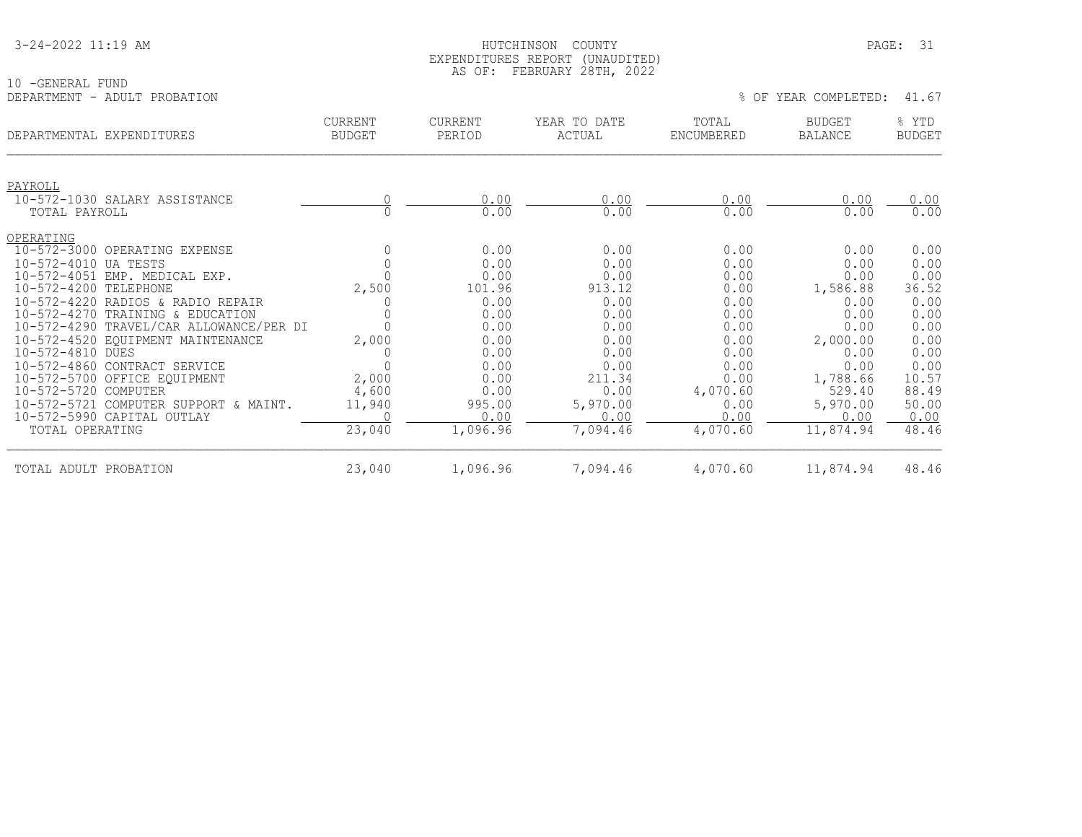| 3-24-2022 11:19 AM |
|--------------------|
|--------------------|

#### HUTCHINSON COUNTY PAGE: 31 EXPENDITURES REPORT (UNAUDITED) AS OF: FEBRUARY 28TH, 2022

| -GENERAL FUND                |               |         |              |            |                      |               |
|------------------------------|---------------|---------|--------------|------------|----------------------|---------------|
| DEPARTMENT - ADULT PROBATION |               |         |              |            | % OF YEAR COMPLETED: | 41.67         |
|                              | CURRENT       | CURRENT | YEAR TO DATE | TOTAL      | <b>BUDGET</b>        | YTD           |
| DEPARTMENTAL EXPENDITURES    | <b>BUDGET</b> | PERIOD  | ACTUAL       | ENCUMBERED | BALANCE              | <b>BUDGET</b> |

|  |  |  |  | OF YEAR COMPLETED: |  |  |
|--|--|--|--|--------------------|--|--|
|--|--|--|--|--------------------|--|--|

| DEPARTMENTAL EXPENDITURES               | <b>CURRENT</b><br><b>BUDGET</b> | <b>CURRENT</b><br>PERIOD | YEAR TO DATE<br>ACTUAL | TOTAL<br>ENCUMBERED | <b>BUDGET</b><br><b>BALANCE</b> | % YTD<br><b>BUDGET</b> |
|-----------------------------------------|---------------------------------|--------------------------|------------------------|---------------------|---------------------------------|------------------------|
| PAYROLL                                 |                                 |                          |                        |                     |                                 |                        |
| 10-572-1030 SALARY ASSISTANCE           |                                 | 0.00                     | 0.00                   | 0.00                | 0.00                            | 0.00                   |
| TOTAL PAYROLL                           |                                 | 0.00                     | 0.00                   | 0.00                | 0.00                            | 0.00                   |
| OPERATING                               |                                 |                          |                        |                     |                                 |                        |
| 10-572-3000 OPERATING EXPENSE           |                                 | 0.00                     | 0.00                   | 0.00                | 0.00                            | 0.00                   |
| 10-572-4010 UA TESTS                    |                                 | 0.00                     | 0.00                   | 0.00                | 0.00                            | 0.00                   |
| 10-572-4051 EMP. MEDICAL EXP.           |                                 | 0.00                     | 0.00                   | 0.00                | 0.00                            | 0.00                   |
| 10-572-4200 TELEPHONE                   | 2,500                           | 101.96                   | 913.12                 | 0.00                | 1,586.88                        | 36.52                  |
| 10-572-4220 RADIOS & RADIO REPAIR       |                                 | 0.00                     | 0.00                   | 0.00                | 0.00                            | 0.00                   |
| 10-572-4270 TRAINING & EDUCATION        |                                 | 0.00                     | 0.00                   | 0.00                | 0.00                            | 0.00                   |
| 10-572-4290 TRAVEL/CAR ALLOWANCE/PER DI |                                 | 0.00                     | 0.00                   | 0.00                | 0.00                            | 0.00                   |
| 10-572-4520 EQUIPMENT MAINTENANCE       | 2,000                           | 0.00                     | 0.00                   | 0.00                | 2,000.00                        | 0.00                   |
| 10-572-4810 DUES                        | O                               | 0.00                     | 0.00                   | 0.00                | 0.00                            | 0.00                   |
| 10-572-4860 CONTRACT SERVICE            |                                 | 0.00                     | 0.00                   | 0.00                | 0.00                            | 0.00                   |
| 10-572-5700 OFFICE EQUIPMENT            | 2,000                           | 0.00                     | 211.34                 | 0.00                | 1,788.66                        | 10.57                  |
| 10-572-5720 COMPUTER                    | 4,600                           | 0.00                     | 0.00                   | 4,070.60            | 529.40                          | 88.49                  |
| 10-572-5721 COMPUTER SUPPORT & MAINT.   | 11,940                          | 995.00                   | 5,970.00               | 0.00                | 5,970.00                        | 50.00                  |
| 10-572-5990 CAPITAL OUTLAY              |                                 | 0.00                     | 0.00                   | 0.00                | 0.00                            | 0.00                   |
| TOTAL OPERATING                         | 23,040                          | 1,096.96                 | 7,094.46               | 4,070.60            | 11,874.94                       | 48.46                  |
| TOTAL ADULT PROBATION                   | 23,040                          | 1,096.96                 | 7,094.46               | 4,070.60            | 11,874.94                       | 48.46                  |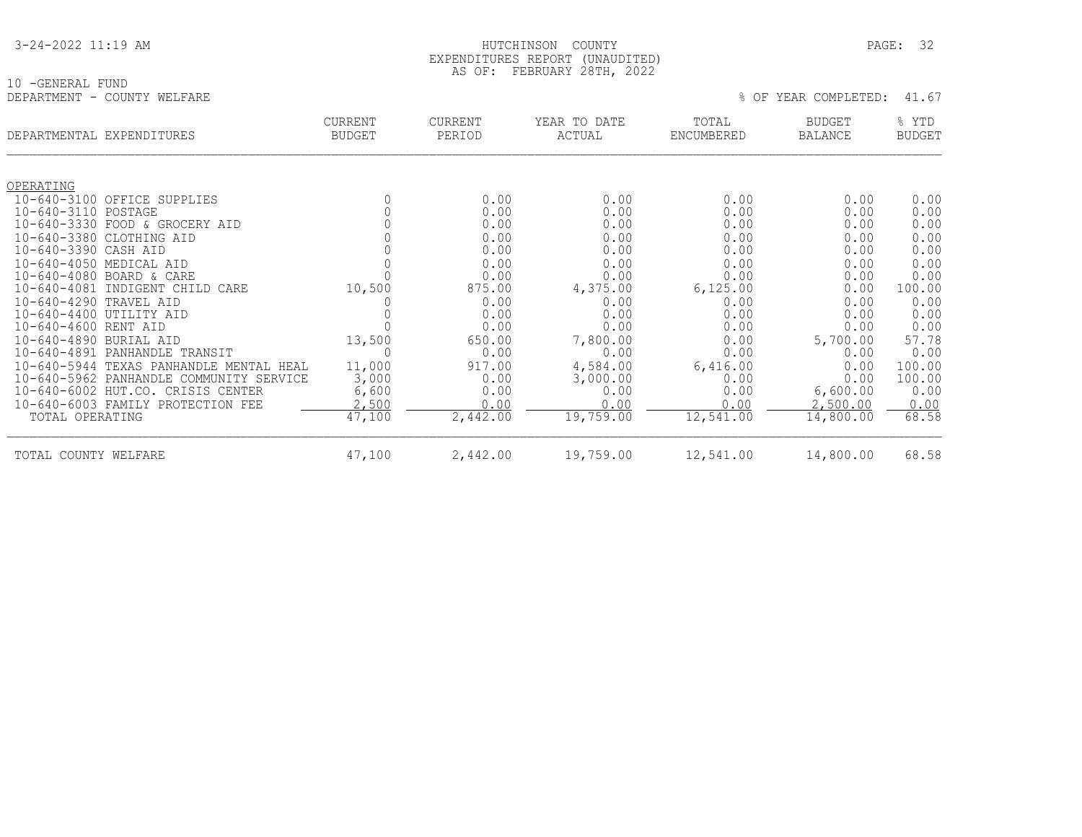| 3-24-2022 11:19 AM |
|--------------------|
|--------------------|

### EXPENDITURES REPORT (UNAUDITED) AS OF: FEBRUARY 28TH, 2022

HUTCHINSON COUNTY PAGE: 32

|                             | PARUARI ZOTH, ZUZZ |  |                            |  |
|-----------------------------|--------------------|--|----------------------------|--|
| 10 -GENERAL FUND            |                    |  |                            |  |
| DEPARTMENT - COUNTY WELFARE |                    |  | % OF YEAR COMPLETED: 41.67 |  |

| DEPARTMENTAL EXPENDITURES              |                                                        | <b>CURRENT</b><br><b>BUDGET</b> | <b>CURRENT</b><br>PERIOD | YEAR TO DATE<br>ACTUAL | TOTAL<br>ENCUMBERED | <b>BUDGET</b><br><b>BALANCE</b> | % YTD<br><b>BUDGET</b> |
|----------------------------------------|--------------------------------------------------------|---------------------------------|--------------------------|------------------------|---------------------|---------------------------------|------------------------|
| OPERATING                              |                                                        |                                 |                          |                        |                     |                                 |                        |
| $10 - 640 - 3100$                      | OFFICE SUPPLIES                                        |                                 | 0.00                     | 0.00                   | 0.00                | 0.00                            | 0.00                   |
| 10-640-3110 POSTAGE                    |                                                        | $\mathbf 0$                     | 0.00                     | 0.00                   | 0.00                | 0.00                            | 0.00                   |
|                                        | 10-640-3330 FOOD & GROCERY AID                         |                                 | 0.00                     | 0.00                   | 0.00                | 0.00                            | 0.00                   |
| $10 - 640 - 3380$                      | CLOTHING AID                                           |                                 | 0.00                     | 0.00                   | 0.00                | 0.00                            | 0.00                   |
| $10 - 640 - 3390$                      | CASH AID                                               |                                 | 0.00                     | 0.00                   | 0.00                | 0.00                            | 0.00                   |
| $10 - 640 - 4050$                      | MEDICAL AID                                            |                                 | 0.00                     | 0.00                   | 0.00                | 0.00                            | 0.00                   |
|                                        | 10-640-4080 BOARD & CARE                               |                                 | 0.00                     | 0.00                   | 0.00                | 0.00                            | 0.00                   |
| $10 - 640 - 4081$                      | INDIGENT CHILD<br>CARE                                 | 10,500                          | 875.00                   | 4,375.00               | 6,125.00            | 0.00                            | 100.00                 |
| $10 - 640 - 4290$                      | TRAVEL AID                                             |                                 | 0.00                     | 0.00                   | 0.00                | 0.00                            | 0.00                   |
| $10 - 640 - 4400$                      | UTILITY AID                                            |                                 | 0.00                     | 0.00                   | 0.00                | 0.00                            | 0.00                   |
| $10 - 640 - 4600$                      | RENT AID                                               |                                 | 0.00                     | 0.00                   | 0.00                | 0.00                            | 0.00                   |
| $10 - 640 - 4890$                      | BURIAL AID                                             | 13,500                          | 650.00                   | 7,800.00               | 0.00                | 5,700.00                        | 57.78                  |
| $10 - 640 - 4891$                      | PANHANDLE TRANSIT                                      |                                 | 0.00                     | 0.00                   | 0.00                | 0.00                            | 0.00                   |
| $10 - 640 - 5944$<br>$10 - 640 - 5962$ | TEXAS PANHANDLE MENTAL HEAL<br>PANHANDLE               | 11,000                          | 917.00                   | 4,584.00               | 6,416.00            | 0.00<br>0.00                    | 100.00                 |
|                                        | COMMUNITY SERVICE<br>10-640-6002 HUT.CO. CRISIS CENTER | 3,000<br>6,600                  | 0.00<br>0.00             | 3,000.00<br>0.00       | 0.00<br>0.00        | 6,600.00                        | 100.00<br>0.00         |
|                                        | 10-640-6003 FAMILY PROTECTION FEE                      | 2,500                           | 0.00                     | 0.00                   | 0.00                | 2,500.00                        | 0.00                   |
| TOTAL OPERATING                        |                                                        | 47,100                          | 2,442.00                 | 19,759.00              | 12,541.00           | 14,800.00                       | 68.58                  |
| TOTAL COUNTY WELFARE                   |                                                        | 47,100                          | 2,442.00                 | 19,759.00              | 12,541.00           | 14,800.00                       | 68.58                  |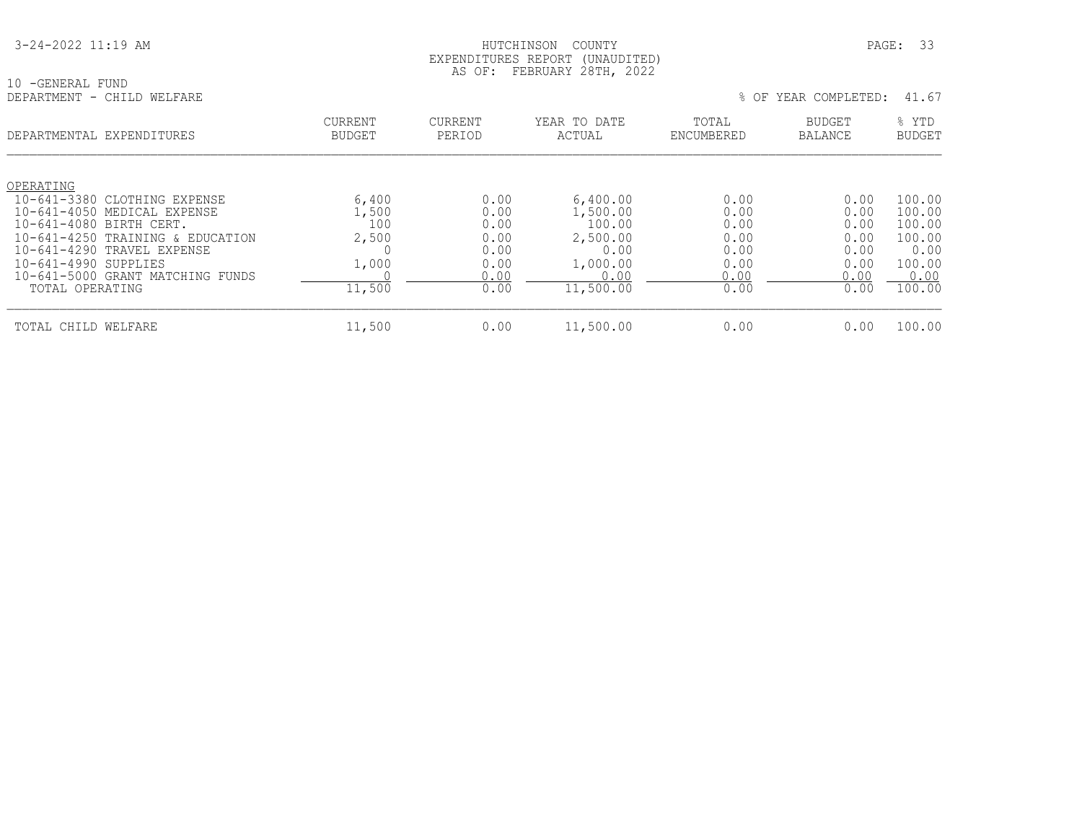HUTCHINSON COUNTY PAGE: 33 EXPENDITURES REPORT (UNAUDITED) AS OF: FEBRUARY 28TH, 2022

| 10 -GENERAL FUND<br>DEPARTMENT | - CHILD WELFARE                  |                                 |                          |                        | % OF                | YEAR COMPLETED:                 | 41.67                  |
|--------------------------------|----------------------------------|---------------------------------|--------------------------|------------------------|---------------------|---------------------------------|------------------------|
| DEPARTMENTAL EXPENDITURES      |                                  | <b>CURRENT</b><br><b>BUDGET</b> | <b>CURRENT</b><br>PERIOD | YEAR TO DATE<br>ACTUAL | TOTAL<br>ENCUMBERED | <b>BUDGET</b><br><b>BALANCE</b> | % YTD<br><b>BUDGET</b> |
| OPERATING                      |                                  |                                 |                          |                        |                     |                                 |                        |
|                                | 10-641-3380 CLOTHING EXPENSE     | 6,400                           | 0.00                     | 6,400.00               | 0.00                | 0.00                            | 100.00                 |
| 10-641-4080 BIRTH CERT.        | 10-641-4050 MEDICAL EXPENSE      | 1,500<br>100                    | 0.00<br>0.00             | 1,500.00<br>100.00     | 0.00<br>0.00        | 0.00<br>0.00                    | 100.00<br>100.00       |
|                                | 10-641-4250 TRAINING & EDUCATION | 2,500                           | 0.00                     | 2,500.00               | 0.00                | 0.00                            | 100.00                 |
|                                | 10-641-4290 TRAVEL EXPENSE       |                                 | 0.00                     | 0.00                   | 0.00                | 0.00                            | 0.00                   |
| 10-641-4990 SUPPLIES           |                                  | 1,000                           | 0.00                     | 1,000.00               | 0.00                | 0.00                            | 100.00                 |
|                                | 10-641-5000 GRANT MATCHING FUNDS |                                 | 0.00                     | 0.00                   | 0.00                | 0.00                            | 0.00                   |
| TOTAL OPERATING                |                                  | 11,500                          | 0.00                     | 11,500.00              | 0.00                | 0.00                            | 100.00                 |
| TOTAL CHILD WELFARE            |                                  | 11,500                          | 0.00                     | 11,500.00              | 0.00                | 0.00                            | 100.00                 |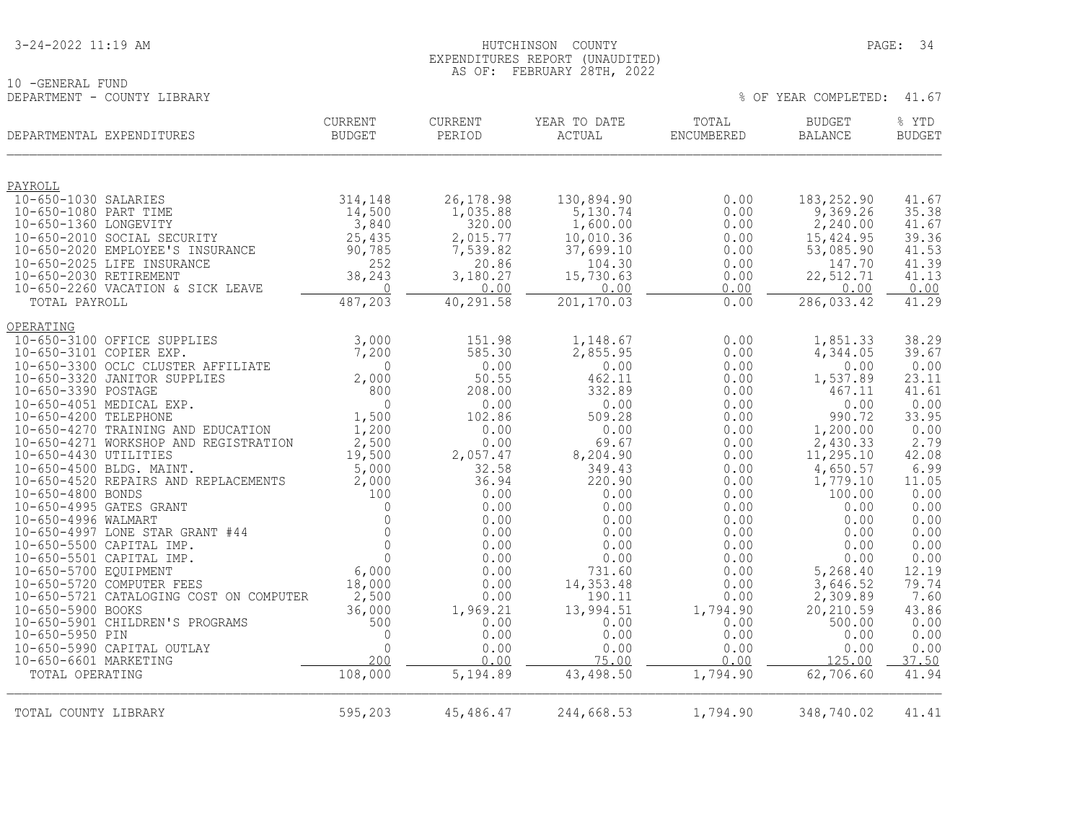| 3-24-2022 11:19 AM |
|--------------------|
|--------------------|

10 -GENERAL FUND<br>DEPARTMENT - COUNTY LIBRARY

### HUTCHINSON COUNTY PAGE: 34 EXPENDITURES REPORT (UNAUDITED) AS OF: FEBRUARY 28TH, 2022

| DEPARTMENTAL EXPENDITURES                                          | <b>CURRENT</b><br><b>BUDGET</b> | <b>CURRENT</b><br>PERIOD | YEAR TO DATE<br>ACTUAL | TOTAL<br>ENCUMBERED | <b>BUDGET</b><br><b>BALANCE</b> | % YTD<br><b>BUDGET</b> |
|--------------------------------------------------------------------|---------------------------------|--------------------------|------------------------|---------------------|---------------------------------|------------------------|
| PAYROLL                                                            |                                 |                          |                        |                     |                                 |                        |
| 10-650-1030 SALARIES                                               | 314,148                         | 26, 178.98               | 130,894.90             | 0.00                | 183,252.90                      | 41.67                  |
| 10-650-1080 PART TIME<br>10-650-1360 LONGEVITY                     | 14,500<br>3,840                 | 1,035.88<br>320.00       | 5,130.74<br>1,600.00   | 0.00<br>0.00        | 9,369.26<br>2,240.00            | 35.38<br>41.67         |
| 10-650-2010 SOCIAL SECURITY                                        | 25,435                          | 2,015.77                 | 10,010.36              | 0.00                | 15,424.95                       | 39.36                  |
| 10-650-2020 EMPLOYEE'S INSURANCE                                   | 90,785                          | 7,539.82                 | 37,699.10              | 0.00                | 53,085.90                       | 41.53                  |
| 10-650-2025 LIFE INSURANCE                                         | 252                             | 20.86                    | 104.30                 | 0.00                | 147.70                          | 41.39                  |
| 10-650-2030 RETIREMENT                                             | 38,243                          | 3,180.27                 | 15,730.63              | 0.00                | 22,512.71                       | 41.13                  |
| 10-650-2260 VACATION & SICK LEAVE<br>TOTAL PAYROLL                 | $\mathbf 0$<br>487,203          | 0.00<br>40,291.58        | 0.00<br>201,170.03     | 0.00<br>0.00        | 0.00<br>286,033.42              | 0.00<br>41.29          |
| OPERATING                                                          |                                 |                          |                        |                     |                                 |                        |
| 10-650-3100 OFFICE SUPPLIES                                        | 3,000                           | 151.98                   | 1,148.67               | 0.00                | 1,851.33                        | 38.29                  |
| 10-650-3101 COPIER EXP.                                            | 7,200                           | 585.30                   | 2,855.95               | 0.00                | 4,344.05                        | 39.67                  |
| 10-650-3300 OCLC CLUSTER AFFILIATE<br>10-650-3320 JANITOR SUPPLIES | $\Omega$<br>2,000               | 0.00<br>50.55            | 0.00<br>462.11         | 0.00<br>0.00        | 0.00<br>1,537.89                | 0.00<br>23.11          |
| 10-650-3390 POSTAGE                                                | 800                             | 208.00                   | 332.89                 | 0.00                | 467.11                          | 41.61                  |
| 10-650-4051 MEDICAL EXP.                                           | $\Omega$                        | 0.00                     | 0.00                   | 0.00                | 0.00                            | 0.00                   |
| 10-650-4200 TELEPHONE<br>10-650-4270 TRAINING AND EDUCATION        | 1,500                           | 102.86                   | 509.28<br>0.00         | 0.00                | 990.72                          | 33.95<br>0.00          |
| 10-650-4271 WORKSHOP AND REGISTRATION                              | 1,200<br>2,500                  | 0.00<br>0.00             | 69.67                  | 0.00<br>0.00        | 1,200.00<br>2,430.33            | 2.79                   |
| 10-650-4430 UTILITIES                                              | 19,500                          | 2,057.47                 | 8,204.90               | 0.00                | 11, 295.10                      | 42.08                  |
| 10-650-4500 BLDG. MAINT.                                           | 5,000                           | 32.58                    | 349.43                 | 0.00                | 4,650.57                        | 6.99                   |
| 10-650-4520 REPAIRS AND REPLACEMENTS<br>10-650-4800 BONDS          | 2,000<br>100                    | 36.94<br>0.00            | 220.90<br>0.00         | 0.00<br>0.00        | 1,779.10<br>100.00              | 11.05<br>0.00          |
| 10-650-4995 GATES GRANT                                            | $\mathbf{0}$                    | 0.00                     | 0.00                   | 0.00                | 0.00                            | 0.00                   |
| 10-650-4996 WALMART                                                | $\Omega$                        | 0.00                     | 0.00                   | 0.00                | 0.00                            | 0.00                   |
| 10-650-4997 LONE STAR GRANT #44                                    | $\circ$                         | 0.00                     | 0.00                   | 0.00                | 0.00                            | 0.00                   |
| 10-650-5500 CAPITAL IMP.<br>10-650-5501 CAPITAL IMP.               | $\mathbf 0$<br>$\mathbf{0}$     | 0.00<br>0.00             | 0.00<br>0.00           | 0.00<br>0.00        | 0.00<br>0.00                    | 0.00<br>0.00           |
| 10-650-5700 EQUIPMENT                                              | 6,000                           | 0.00                     | 731.60                 | 0.00                | 5,268.40                        | 12.19                  |
| 10-650-5720 COMPUTER FEES                                          | 18,000                          | 0.00                     | 14,353.48              | 0.00                | 3,646.52                        | 79.74                  |
| 10-650-5721 CATALOGING COST ON COMPUTER                            | 2,500                           | 0.00                     | 190.11                 | 0.00                | 2,309.89                        | 7.60                   |
| 10-650-5900 BOOKS<br>10-650-5901 CHILDREN'S PROGRAMS               | 36,000<br>500                   | 1,969.21<br>0.00         | 13,994.51<br>0.00      | 1,794.90<br>0.00    | 20,210.59<br>500.00             | 43.86<br>0.00          |
| 10-650-5950 PIN                                                    | 0                               | 0.00                     | 0.00                   | 0.00                | 0.00                            | 0.00                   |
| 10-650-5990 CAPITAL OUTLAY                                         | $\Omega$                        | 0.00                     | 0.00                   | 0.00                | 0.00                            | 0.00                   |
| 10-650-6601 MARKETING                                              | 200                             | 0.00                     | 75.00                  | 0.00                | 125.00                          | 37.50<br>41.94         |
| TOTAL OPERATING                                                    | 108,000                         | 5,194.89                 | 43,498.50              | 1,794.90            | 62,706.60                       |                        |
| TOTAL COUNTY LIBRARY                                               | 595,203                         | 45,486.47                | 244,668.53             | 1,794.90            | 348,740.02                      | 41.41                  |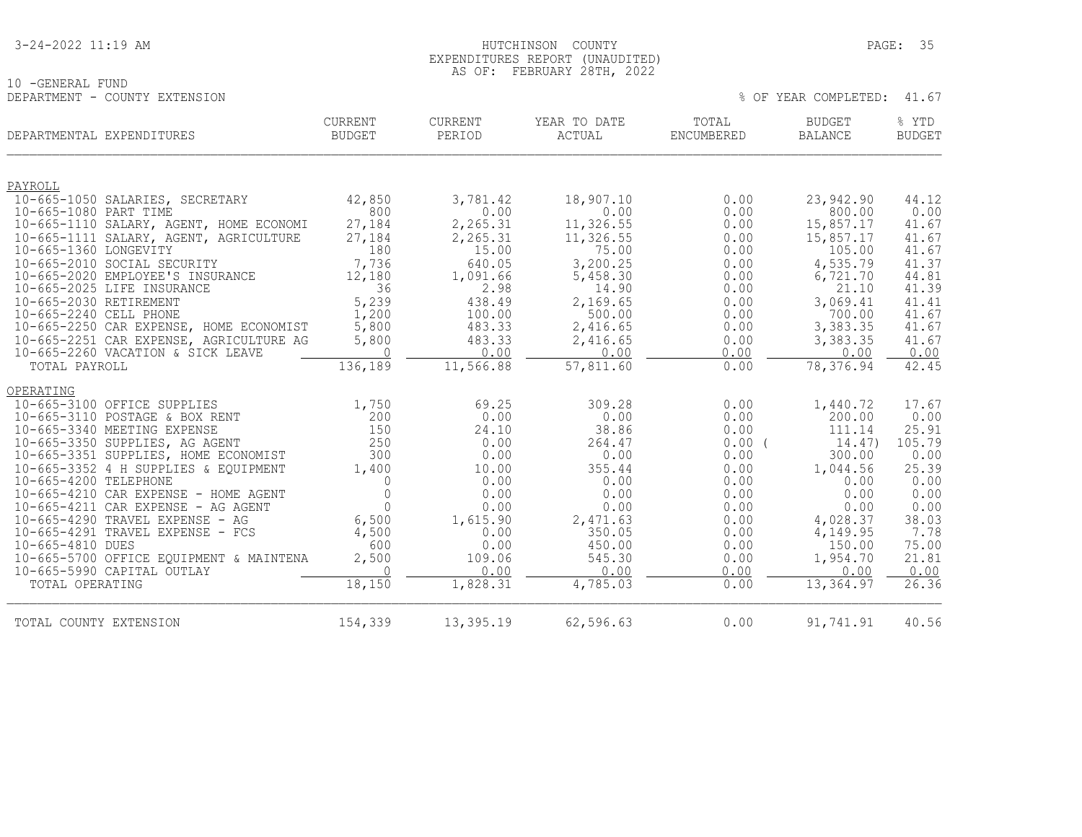| 3-24-2022 11:19 AM |
|--------------------|
|--------------------|

10 -GENERAL FUND

#### HUTCHINSON COUNTY PAGE: 35 EXPENDITURES REPORT (UNAUDITED) AS OF: FEBRUARY 28TH, 2022

| DEPARTMENT - COUNTY EXTENSION                                          |                                 |                   |                        |                     | % OF YEAR COMPLETED:            | 41.67                  |
|------------------------------------------------------------------------|---------------------------------|-------------------|------------------------|---------------------|---------------------------------|------------------------|
| DEPARTMENTAL EXPENDITURES                                              | <b>CURRENT</b><br><b>BUDGET</b> | CURRENT<br>PERIOD | YEAR TO DATE<br>ACTUAL | TOTAL<br>ENCUMBERED | <b>BUDGET</b><br><b>BALANCE</b> | % YTD<br><b>BUDGET</b> |
| PAYROLL                                                                |                                 |                   |                        |                     |                                 |                        |
| 10-665-1050 SALARIES, SECRETARY                                        | 42,850                          | 3,781.42          | 18,907.10              | 0.00                | 23,942.90                       | 44.12                  |
| 10-665-1080 PART TIME                                                  | 800                             | 0.00              | 0.00                   | 0.00                | 800.00                          | 0.00                   |
| 10-665-1110 SALARY, AGENT, HOME ECONOMI                                | 27,184                          | 2,265.31          | 11,326.55              | 0.00                | 15,857.17                       | 41.67                  |
| 10-665-1111 SALARY, AGENT, AGRICULTURE                                 | 27,184                          | 2,265.31          | 11,326.55              | 0.00                | 15,857.17                       | 41.67                  |
| 10-665-1360 LONGEVITY<br>10-665-2010 SOCIAL SECURITY                   | 180<br>7,736                    | 15.00<br>640.05   | 75.00<br>3,200.25      | 0.00<br>0.00        | 105.00<br>4,535.79              | 41.67<br>41.37         |
| 10-665-2020 EMPLOYEE'S INSURANCE                                       | 12,180                          | 1,091.66          | 5,458.30               | 0.00                | 6,721.70                        | 44.81                  |
| 10-665-2025 LIFE INSURANCE                                             | 36                              | 2.98              | 14.90                  | 0.00                | 21.10                           | 41.39                  |
| 10-665-2030 RETIREMENT                                                 | 5,239                           | 438.49            | 2,169.65               | 0.00                | 3,069.41                        | 41.41                  |
| 10-665-2240 CELL PHONE                                                 | 1,200                           | 100.00            | 500.00                 | 0.00                | 700.00                          | 41.67                  |
| 10-665-2250 CAR EXPENSE, HOME ECONOMIST                                | 5,800                           | 483.33            | 2,416.65               | 0.00                | 3,383.35                        | 41.67                  |
| 10-665-2251 CAR EXPENSE, AGRICULTURE AG                                | 5,800                           | 483.33            | 2,416.65               | 0.00                | 3,383.35                        | 41.67                  |
| 10-665-2260 VACATION & SICK LEAVE<br>TOTAL PAYROLL                     | $\overline{0}$<br>136,189       | 0.00<br>11,566.88 | 0.00<br>57,811.60      | 0.00<br>0.00        | 0.00<br>78,376.94               | 0.00<br>42.45          |
|                                                                        |                                 |                   |                        |                     |                                 |                        |
| OPERATING                                                              |                                 |                   |                        |                     |                                 |                        |
| 10-665-3100 OFFICE SUPPLIES                                            | 1,750                           | 69.25             | 309.28                 | 0.00                | 1,440.72                        | 17.67                  |
| 10-665-3110 POSTAGE & BOX RENT                                         | 200                             | 0.00              | 0.00                   | 0.00                | 200.00                          | 0.00                   |
| 10-665-3340 MEETING EXPENSE                                            | 150<br>250                      | 24.10             | 38.86                  | 0.00                | 111.14                          | 25.91                  |
| 10-665-3350 SUPPLIES, AG AGENT<br>10-665-3351 SUPPLIES, HOME ECONOMIST | 300                             | 0.00<br>0.00      | 264.47<br>0.00         | $0.00$ (<br>0.00    | 14.47)<br>300.00                | 105.79<br>0.00         |
| 10-665-3352 4 H SUPPLIES & EQUIPMENT                                   | 1,400                           | 10.00             | 355.44                 | 0.00                | 1,044.56                        | 25.39                  |
| 10-665-4200 TELEPHONE                                                  | $\Omega$                        | 0.00              | 0.00                   | 0.00                | 0.00                            | 0.00                   |
| 10-665-4210 CAR EXPENSE - HOME AGENT                                   | $\mathbf{0}$                    | 0.00              | 0.00                   | 0.00                | 0.00                            | 0.00                   |
| 10-665-4211 CAR EXPENSE - AG AGENT                                     | $\Omega$                        | 0.00              | 0.00                   | 0.00                | 0.00                            | 0.00                   |
| 10-665-4290 TRAVEL EXPENSE - AG                                        | 6,500                           | 1,615.90          | 2,471.63               | 0.00                | 4,028.37                        | 38.03                  |
| $10-665-4291$ TRAVEL EXPENSE - FCS                                     | 4,500                           | 0.00              | 350.05                 | 0.00                | 4,149.95                        | 7.78                   |
| 10-665-4810 DUES                                                       | 600                             | 0.00              | 450.00                 | 0.00                | 150.00                          | 75.00                  |
| 10-665-5700 OFFICE EQUIPMENT & MAINTENA<br>10-665-5990 CAPITAL OUTLAY  | 2,500<br>$\bigcap$              | 109.06<br>0.00    | 545.30<br>0.00         | 0.00<br>0.00        | 1,954.70<br>0.00                | 21.81<br>0.00          |
| TOTAL OPERATING                                                        | 18,150                          | 1,828.31          | 4,785.03               | 0.00                | 13,364.97                       | 26.36                  |
| TOTAL COUNTY EXTENSION                                                 | 154,339                         | 13,395.19         | 62,596.63              | 0.00                | 91,741.91                       | 40.56                  |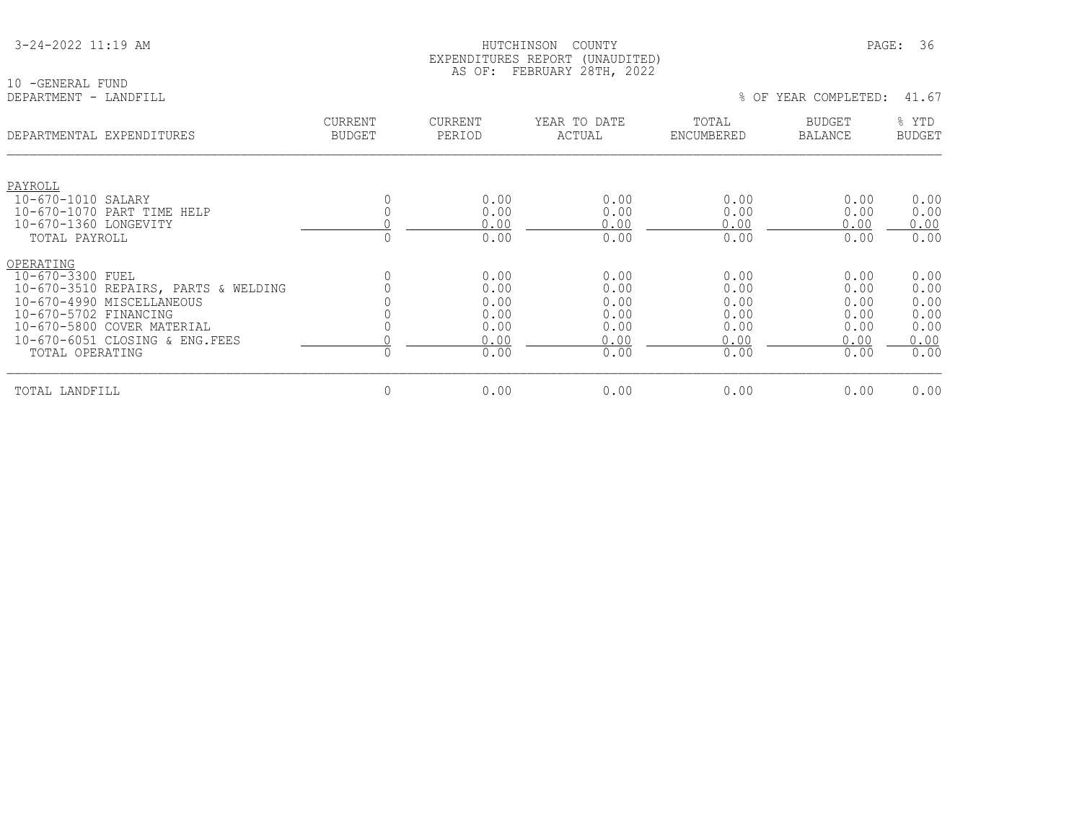|  |  | 3-24-2022 11:19 AM |  |  |  |
|--|--|--------------------|--|--|--|
|--|--|--------------------|--|--|--|

10 -GENERAL FUND<br>DEPARTMENT - LANDFILL

| DEPARTMENTAL EXPENDITURES                                             | <b>CURRENT</b> | CURRENT      | YEAR TO DATE | TOTAL        | <b>BUDGET</b> | % YTD         |
|-----------------------------------------------------------------------|----------------|--------------|--------------|--------------|---------------|---------------|
|                                                                       | <b>BUDGET</b>  | PERIOD       | ACTUAL       | ENCUMBERED   | BALANCE       | <b>BUDGET</b> |
| PAYROLL<br>10-670-1010 SALARY<br>10-670-1070 PART TIME HELP           |                | 0.00<br>0.00 | 0.00<br>0.00 | 0.00<br>0.00 | 0.00<br>0.00  | 0.00<br>0.00  |
| 10-670-1360 LONGEVITY                                                 |                | 0.00         | 0.00         | 0.00         | 0.00          | 0.00          |
| TOTAL PAYROLL                                                         |                | 0.00         | 0.00         | 0.00         | 0.00          | 0.00          |
| OPERATING<br>10-670-3300 FUEL<br>10-670-3510 REPAIRS, PARTS & WELDING |                | 0.00<br>0.00 | 0.00<br>0.00 | 0.00<br>0.00 | 0.00<br>0.00  | 0.00<br>0.00  |
| 10-670-4990 MISCELLANEOUS                                             |                | 0.00         | 0.00         | 0.00         | 0.00          | 0.00          |
| 10-670-5702 FINANCING                                                 |                | 0.00         | 0.00         | 0.00         | 0.00          | 0.00          |
| 10-670-5800 COVER MATERIAL                                            |                | 0.00         | 0.00         | 0.00         | 0.00          | 0.00          |
| 10-670-6051 CLOSING & ENG.FEES                                        |                | 0.00         | 0.00         | 0.00         | 0.00          | 0.00          |
| TOTAL OPERATING                                                       |                | 0.00         | 0.00         | 0.00         | 0.00          | 0.00          |
| TOTAL LANDFILL                                                        | $\mathbf 0$    | 0.00         | 0.00         | 0.00         | 0.00          | 0.00          |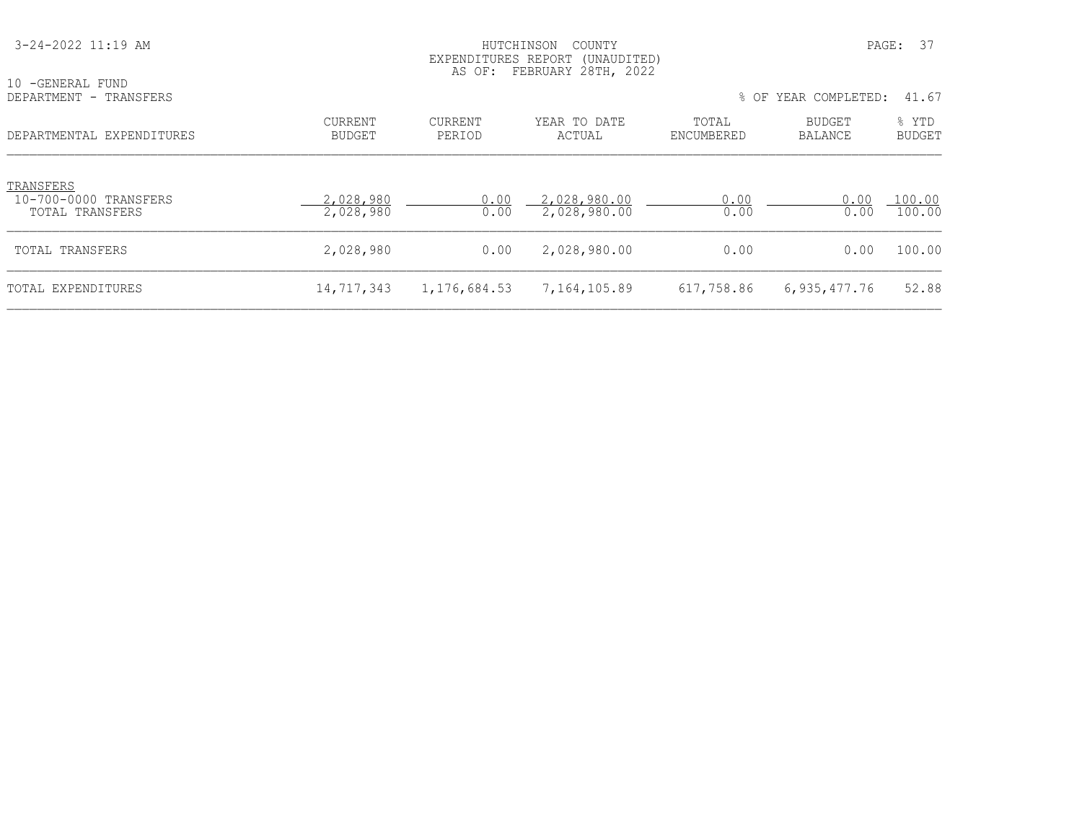| 3-24-2022 11:19 AM                                    |                          | PAGE: 37<br>COUNTY<br>HUTCHINSON<br>EXPENDITURES REPORT<br>(UNAUDITED)<br>AS OF: FEBRUARY 28TH, 2022 |                              |                     |                          |                        |  |
|-------------------------------------------------------|--------------------------|------------------------------------------------------------------------------------------------------|------------------------------|---------------------|--------------------------|------------------------|--|
| 10 -GENERAL FUND<br>DEPARTMENT - TRANSFERS            |                          |                                                                                                      |                              |                     | % OF YEAR COMPLETED:     | 41.67                  |  |
| DEPARTMENTAL EXPENDITURES                             | CURRENT<br><b>BUDGET</b> | <b>CURRENT</b><br>PERIOD                                                                             | YEAR TO DATE<br>ACTUAL       | TOTAL<br>ENCUMBERED | BUDGET<br><b>BALANCE</b> | % YTD<br><b>BUDGET</b> |  |
| TRANSFERS<br>10-700-0000 TRANSFERS<br>TOTAL TRANSFERS | 2,028,980<br>2,028,980   | 0.00<br>0.00                                                                                         | 2,028,980.00<br>2,028,980.00 | 0.00<br>0.00        | 0.00<br>0.00             | 100.00<br>100.00       |  |
| TOTAL TRANSFERS                                       | 2,028,980                | 0.00                                                                                                 | 2,028,980.00                 | 0.00                | 0.00                     | 100.00                 |  |
| TOTAL EXPENDITURES                                    | 14,717,343               | 1, 176, 684.53                                                                                       | 7,164,105.89                 | 617,758.86          | 6,935,477.76             | 52.88                  |  |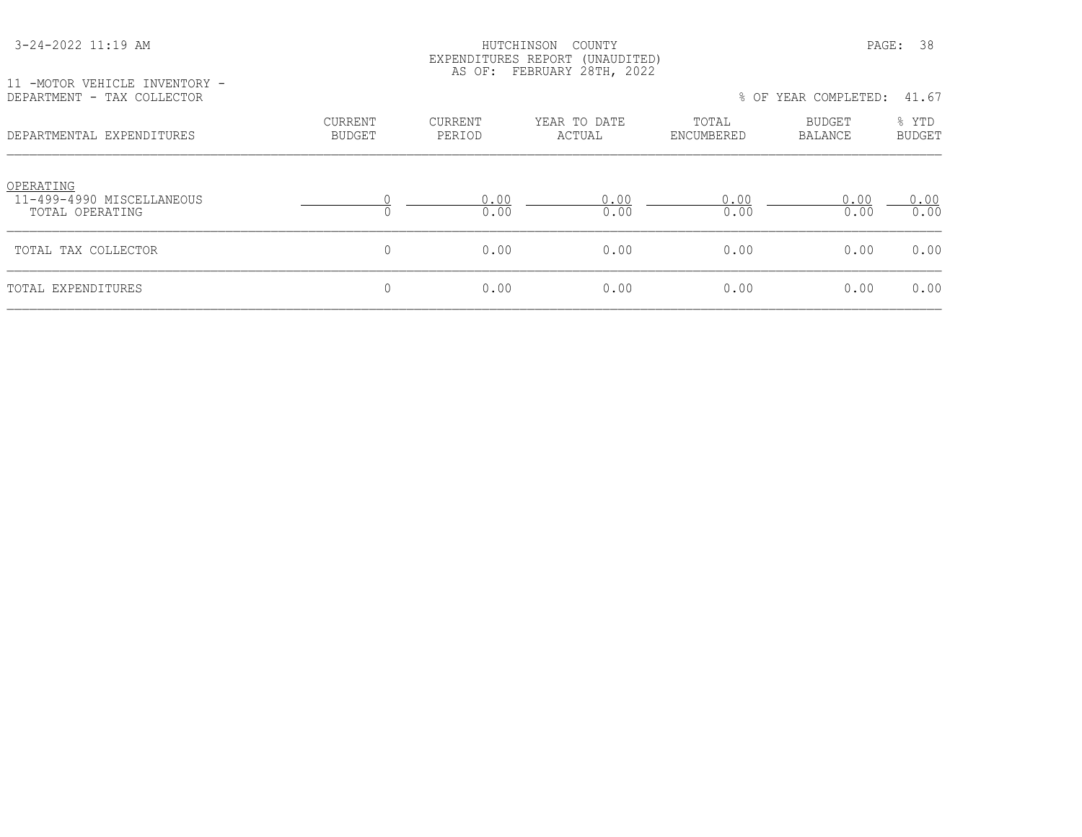| 3-24-2022 11:19 AM |  |  |
|--------------------|--|--|
|--------------------|--|--|

#### HUTCHINSON COUNTY PAGE: 38 EXPENDITURES REPORT (UNAUDITED) AS OF: FEBRUARY 28TH, 2022

11 -MOTOR VEHICLE INVENTORY -

|                                 |                          |                        |                     |                   | 41.67                |
|---------------------------------|--------------------------|------------------------|---------------------|-------------------|----------------------|
| <b>CURRENT</b><br><b>BUDGET</b> | <b>CURRENT</b><br>PERIOD | YEAR TO DATE<br>ACTUAL | TOTAL<br>ENCUMBERED | BUDGET<br>BALANCE | % YTD<br>BUDGET      |
|                                 | 0.00<br>0.00             | 0.00<br>0.00           | 0.00<br>0.00        | 0.00<br>0.00      | 0.00<br>0.00         |
| 0                               | 0.00                     | 0.00                   | 0.00                | 0.00              | 0.00                 |
| 0                               | 0.00                     | 0.00                   | 0.00                | 0.00              | 0.00                 |
|                                 |                          |                        |                     |                   | % OF YEAR COMPLETED: |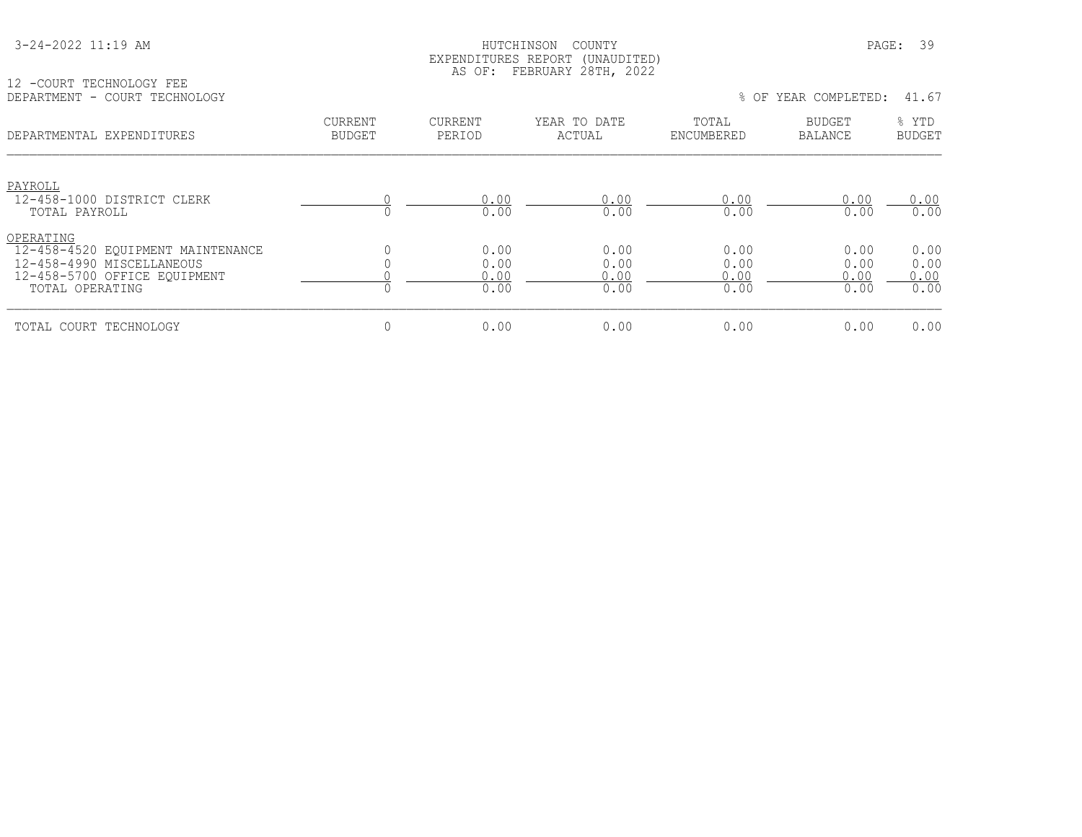#### HUTCHINSON COUNTY PAGE: 39 EXPENDITURES REPORT (UNAUDITED) AS OF: FEBRUARY 28TH, 2022

|                                                      | ---<br>--- |  |  |     |                 |          |
|------------------------------------------------------|------------|--|--|-----|-----------------|----------|
| ' TECHNOLOGY FEE<br>-COURT<br>$-1$                   |            |  |  |     |                 |          |
| $\blacksquare$ DEPARTMENT - COOL<br>COURT TECHNOLOGY |            |  |  | OF. | YEAR COMPLETED: | 67<br>41 |
|                                                      |            |  |  |     |                 |          |

|  |  |  | OF YEAR COMPLETED: |  |  |
|--|--|--|--------------------|--|--|
|--|--|--|--------------------|--|--|

| DEPARTMENTAL EXPENDITURES                                                                                                      | <b>CURRENT</b><br><b>BUDGET</b> | <b>CURRENT</b><br>PERIOD     | YEAR TO DATE<br>ACTUAL       | TOTAL<br>ENCUMBERED          | <b>BUDGET</b><br>BALANCE     | % YTD<br><b>BUDGET</b>       |
|--------------------------------------------------------------------------------------------------------------------------------|---------------------------------|------------------------------|------------------------------|------------------------------|------------------------------|------------------------------|
| PAYROLL                                                                                                                        |                                 |                              |                              |                              |                              |                              |
| 12-458-1000 DISTRICT CLERK<br>TOTAL PAYROLL                                                                                    |                                 | 0.00<br>0.00                 | 0.00<br>0.00                 | 0.00<br>0.00                 | 0.00<br>0.00                 | 0.00<br>0.00                 |
| OPERATING<br>12-458-4520 EQUIPMENT MAINTENANCE<br>12-458-4990 MISCELLANEOUS<br>12-458-5700 OFFICE EOUIPMENT<br>TOTAL OPERATING |                                 | 0.00<br>0.00<br>0.00<br>0.00 | 0.00<br>0.00<br>0.00<br>0.00 | 0.00<br>0.00<br>0.00<br>0.00 | 0.00<br>0.00<br>0.00<br>0.00 | 0.00<br>0.00<br>0.00<br>0.00 |
| TOTAL COURT TECHNOLOGY                                                                                                         | 0                               | 0.00                         | 0.00                         | 0.00                         | 0.00                         | 0.00                         |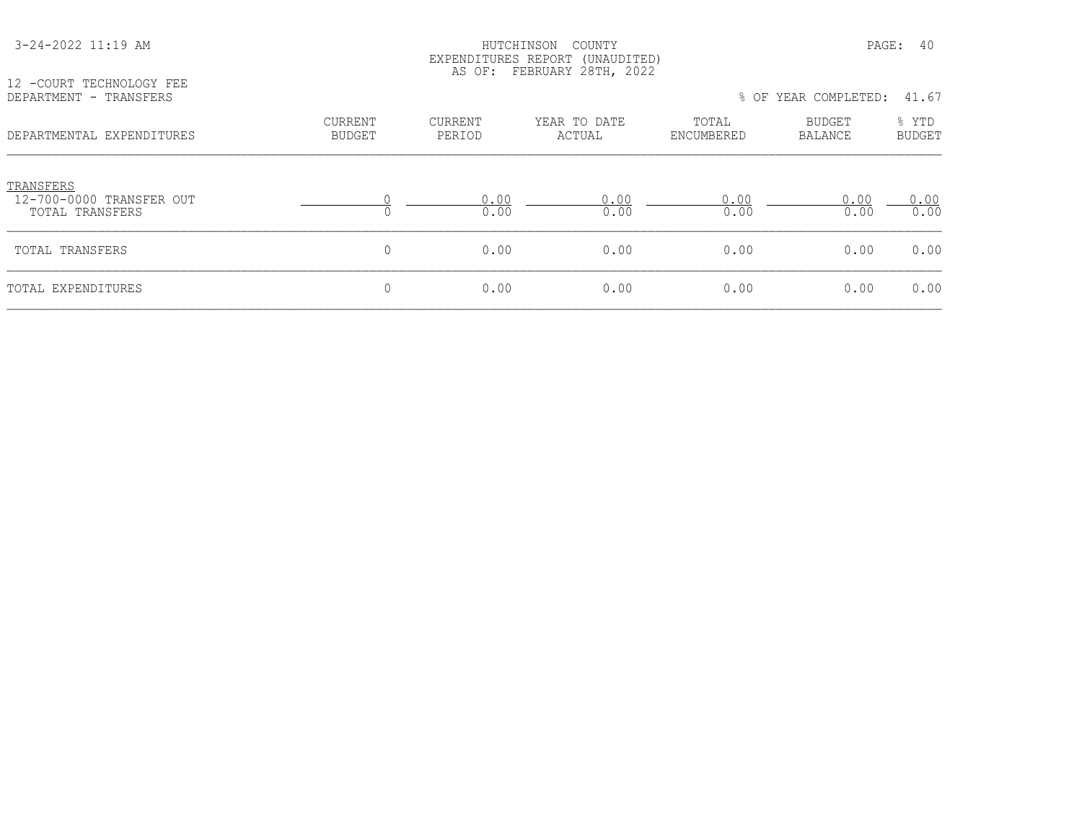| 12 -COURT TECHNOLOGY FEE                                 | EXPENDITURES REPORT (UNAUDITED)<br>AS OF: FEBRUARY 28TH, 2022 |                   |                        |                     |                      |                        |  |  |
|----------------------------------------------------------|---------------------------------------------------------------|-------------------|------------------------|---------------------|----------------------|------------------------|--|--|
| DEPARTMENT - TRANSFERS                                   |                                                               |                   |                        |                     | % OF YEAR COMPLETED: | 41.67                  |  |  |
| DEPARTMENTAL EXPENDITURES                                | CURRENT<br>BUDGET                                             | CURRENT<br>PERIOD | YEAR TO DATE<br>ACTUAL | TOTAL<br>ENCUMBERED | BUDGET<br>BALANCE    | % YTD<br><b>BUDGET</b> |  |  |
| TRANSFERS<br>12-700-0000 TRANSFER OUT<br>TOTAL TRANSFERS |                                                               | 0.00<br>0.00      | 0.00<br>0.00           | 0.00<br>0.00        | 0.00<br>0.00         | 0.00<br>0.00           |  |  |
| TOTAL TRANSFERS                                          | 0                                                             | 0.00              | 0.00                   | 0.00                | 0.00                 | 0.00                   |  |  |
| TOTAL EXPENDITURES                                       | 0                                                             | 0.00              | 0.00                   | 0.00                | 0.00                 | 0.00                   |  |  |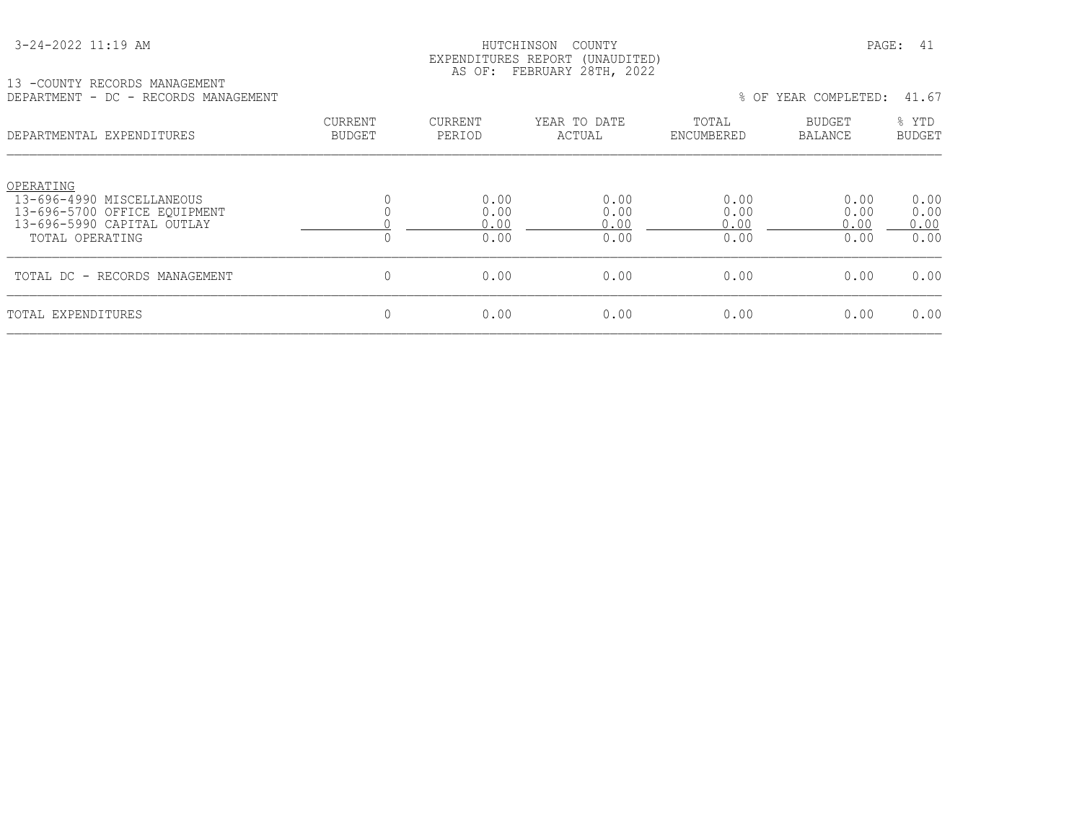#### HUTCHINSON COUNTY PAGE: 41 EXPENDITURES REPORT (UNAUDITED) AS OF: FEBRUARY 28TH, 2022

## 13 -COUNTY RECORDS MANAGEMENT

| IS LOANII KECAMDO MHNHARMENI<br>DEPARTMENT - DC - RECORDS MANAGEMENT                                                    |                                 |                              |                              |                              | % OF YEAR COMPLETED:         | 41.67                        |
|-------------------------------------------------------------------------------------------------------------------------|---------------------------------|------------------------------|------------------------------|------------------------------|------------------------------|------------------------------|
| DEPARTMENTAL EXPENDITURES                                                                                               | <b>CURRENT</b><br><b>BUDGET</b> | <b>CURRENT</b><br>PERIOD     | YEAR TO DATE<br>ACTUAL       | TOTAL<br>ENCUMBERED          | BUDGET<br>BALANCE            | % YTD<br><b>BUDGET</b>       |
| OPERATING<br>13-696-4990 MISCELLANEOUS<br>13-696-5700 OFFICE EQUIPMENT<br>13-696-5990 CAPITAL OUTLAY<br>TOTAL OPERATING | $\Omega$                        | 0.00<br>0.00<br>0.00<br>0.00 | 0.00<br>0.00<br>0.00<br>0.00 | 0.00<br>0.00<br>0.00<br>0.00 | 0.00<br>0.00<br>0.00<br>0.00 | 0.00<br>0.00<br>0.00<br>0.00 |
| TOTAL DC - RECORDS MANAGEMENT                                                                                           | $\mathbf{0}$                    | 0.00                         | 0.00                         | 0.00                         | 0.00                         | 0.00                         |
| TOTAL EXPENDITURES                                                                                                      | 0                               | 0.00                         | 0.00                         | 0.00                         | 0.00                         | 0.00                         |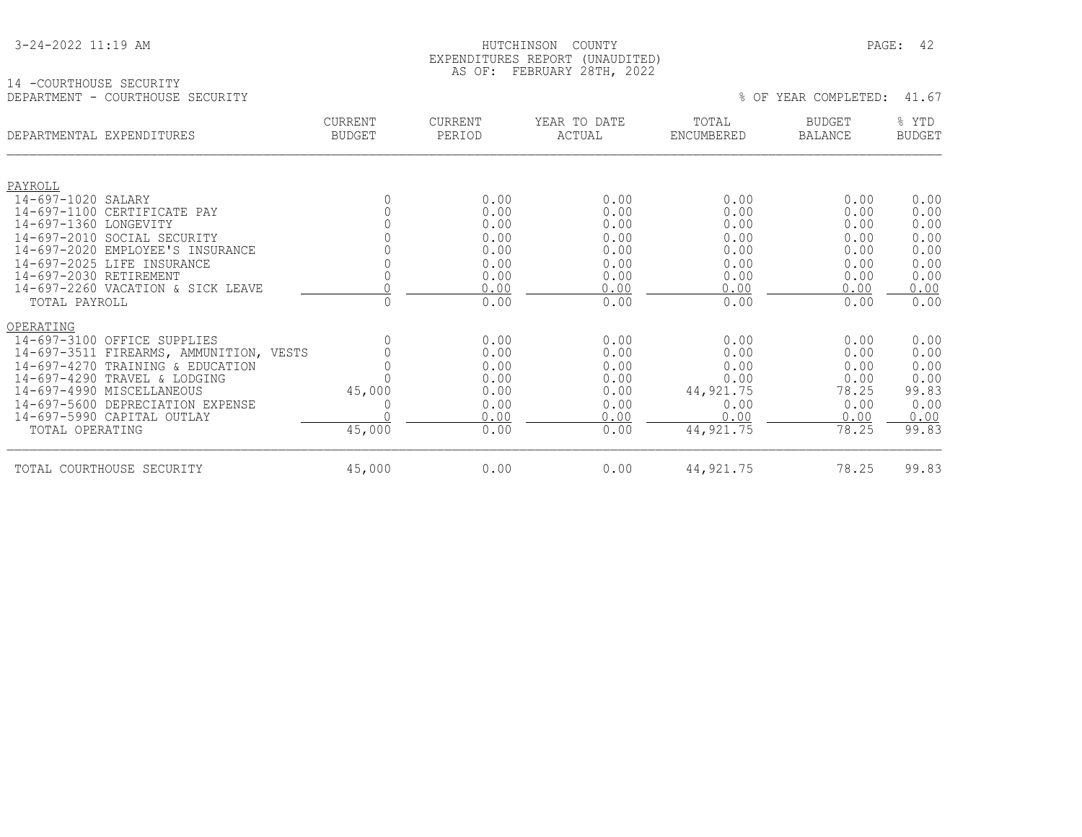| 3-24-2022 11:19 AM |
|--------------------|
|--------------------|

#### $\texttt{HUTCHINSON}$  COUNTY PAGE: 42 EXPENDITURES REPORT (UNAUDITED) AS OF: FEBRUARY 28TH, 2022

#### 14 -COURTHOUSE SECURITY DEPARTMENT - COURTHOUSE SECURITY  $\,$  0.67  $\,$  0.67  $\,$  0.67  $\,$  0.67  $\,$  0.67  $\,$  0.67  $\,$  0.67  $\,$  0.67  $\,$  0.67  $\,$  0.67  $\,$  0.67  $\,$  0.67  $\,$  0.67  $\,$  0.67  $\,$  0.67  $\,$  0.67  $\,$  0.67  $\,$  0.67  $\,$  0.67

| DEPARTMENTAL EXPENDITURES |                                         | <b>CURRENT</b><br><b>BUDGET</b> | <b>CURRENT</b><br>PERIOD | YEAR TO DATE<br>ACTUAL | TOTAL<br>ENCUMBERED | <b>BUDGET</b><br>BALANCE | % YTD<br><b>BUDGET</b> |
|---------------------------|-----------------------------------------|---------------------------------|--------------------------|------------------------|---------------------|--------------------------|------------------------|
|                           |                                         |                                 |                          |                        |                     |                          |                        |
| PAYROLL                   |                                         |                                 |                          |                        |                     |                          |                        |
| 14-697-1020 SALARY        |                                         | 0                               | 0.00                     | 0.00                   | 0.00                | 0.00                     | 0.00                   |
|                           | 14-697-1100 CERTIFICATE PAY             |                                 | 0.00                     | 0.00                   | 0.00                | 0.00                     | 0.00                   |
| 14-697-1360 LONGEVITY     |                                         |                                 | 0.00                     | 0.00                   | 0.00                | 0.00                     | 0.00                   |
|                           | 14-697-2010 SOCIAL SECURITY             |                                 | 0.00                     | 0.00                   | 0.00                | 0.00                     | 0.00                   |
|                           | 14-697-2020 EMPLOYEE'S INSURANCE        |                                 | 0.00                     | 0.00                   | 0.00                | 0.00                     | 0.00                   |
|                           | 14-697-2025 LIFE INSURANCE              |                                 | 0.00                     | 0.00                   | 0.00                | 0.00                     | 0.00                   |
| 14-697-2030 RETIREMENT    |                                         |                                 | 0.00                     | 0.00                   | 0.00                | 0.00                     | 0.00                   |
|                           | 14-697-2260 VACATION & SICK LEAVE       |                                 | 0.00                     | 0.00                   | 0.00                | 0.00                     | 0.00                   |
| TOTAL PAYROLL             |                                         |                                 | 0.00                     | 0.00                   | 0.00                | 0.00                     | 0.00                   |
| OPERATING                 |                                         |                                 |                          |                        |                     |                          |                        |
|                           | 14-697-3100 OFFICE SUPPLIES             |                                 | 0.00                     | 0.00                   | 0.00                | 0.00                     | 0.00                   |
|                           | 14-697-3511 FIREARMS, AMMUNITION, VESTS |                                 | 0.00                     | 0.00                   | 0.00                | 0.00                     | 0.00                   |
|                           | 14-697-4270 TRAINING & EDUCATION        |                                 | 0.00                     | 0.00                   | 0.00                | 0.00                     | 0.00                   |
|                           | 14-697-4290 TRAVEL & LODGING            |                                 | 0.00                     | 0.00                   | 0.00                | 0.00                     | 0.00                   |
|                           | 14-697-4990 MISCELLANEOUS               | 45,000                          | 0.00                     | 0.00                   | 44, 921. 75         | 78.25                    | 99.83                  |
|                           | 14-697-5600 DEPRECIATION EXPENSE        |                                 | 0.00                     | 0.00                   | 0.00                | 0.00                     | 0.00                   |
|                           | 14-697-5990 CAPITAL OUTLAY              |                                 | 0.00                     | 0.00                   | 0.00                | 0.00                     | 0.00                   |
| TOTAL OPERATING           |                                         | 45,000                          | 0.00                     | 0.00                   | 44, 921.75          | 78.25                    | 99.83                  |
|                           | TOTAL COURTHOUSE SECURITY               | 45,000                          | 0.00                     | 0.00                   | 44, 921.75          | 78.25                    | 99.83                  |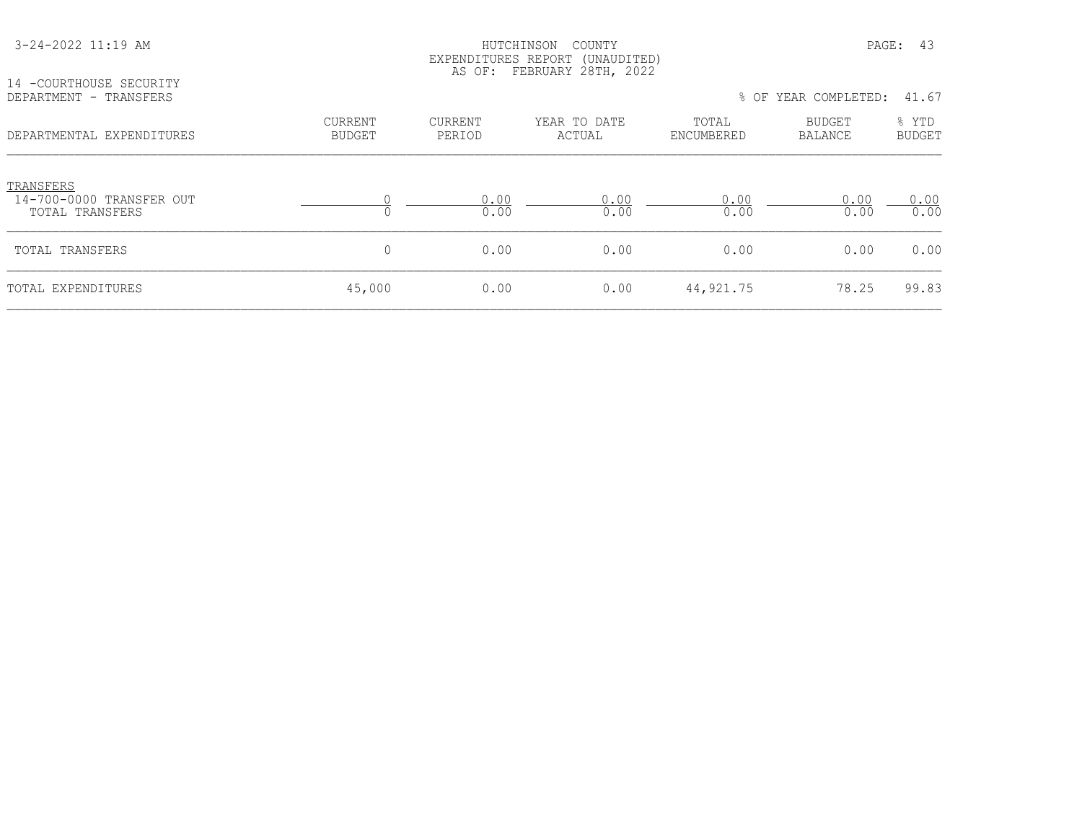| 14 - COURTHOUSE SECURITY<br>DEPARTMENT - TRANSFERS       |                          |                          | EXPENDITURES REPORT (UNAUDITED)<br>AS OF: FEBRUARY 28TH, 2022 |                     | % OF YEAR COMPLETED:            | 41.67                  |
|----------------------------------------------------------|--------------------------|--------------------------|---------------------------------------------------------------|---------------------|---------------------------------|------------------------|
| DEPARTMENTAL EXPENDITURES                                | CURRENT<br><b>BUDGET</b> | <b>CURRENT</b><br>PERIOD | YEAR TO DATE<br>ACTUAL                                        | TOTAL<br>ENCUMBERED | <b>BUDGET</b><br><b>BALANCE</b> | % YTD<br><b>BUDGET</b> |
| TRANSFERS<br>14-700-0000 TRANSFER OUT<br>TOTAL TRANSFERS |                          | 0.00<br>0.00             | 0.00<br>0.00                                                  | 0.00<br>0.00        | 0.00<br>0.00                    | 0.00<br>0.00           |
| TOTAL TRANSFERS                                          | 0                        | 0.00                     | 0.00                                                          | 0.00                | 0.00                            | 0.00                   |
| TOTAL EXPENDITURES                                       | 45,000                   | 0.00                     | 0.00                                                          | 44,921.75           | 78.25                           | 99.83                  |

3-24-2022 11:19 AM HUTCHINSON COUNTY PAGE: 43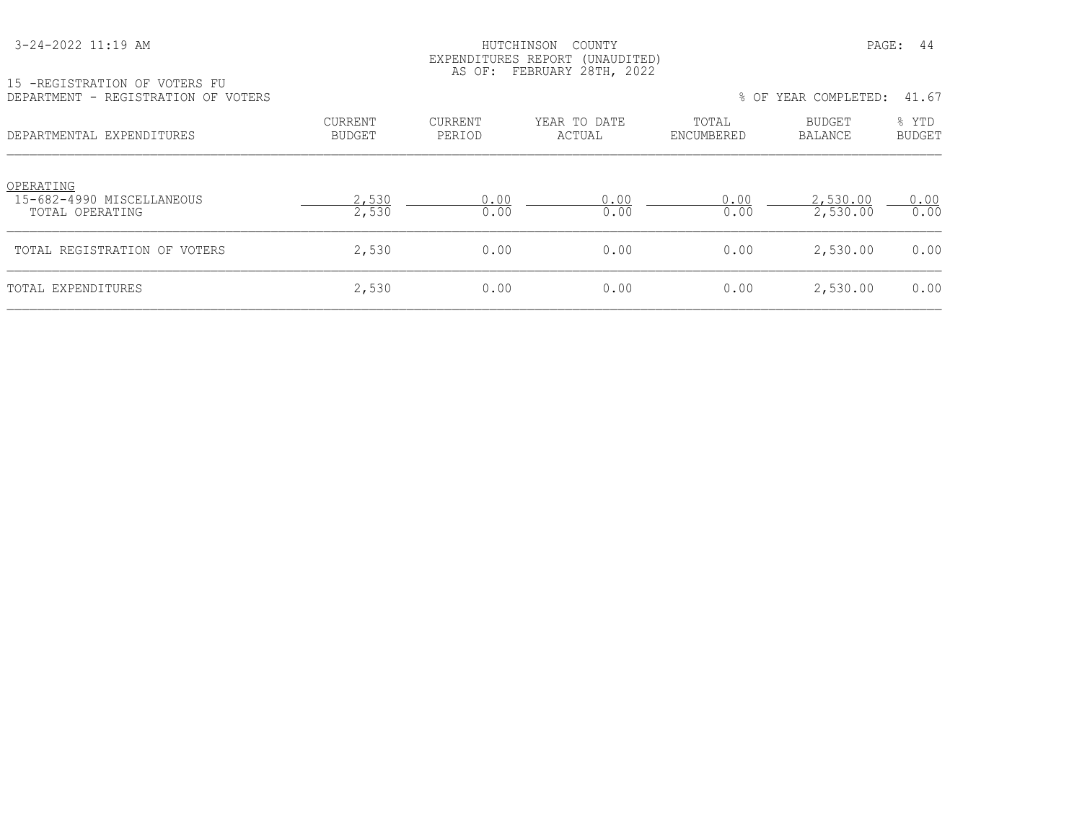#### HUTCHINSON COUNTY PAGE: 44 EXPENDITURES REPORT (UNAUDITED) AS OF: FEBRUARY 28TH, 2022

| 15 -REGISTRATION OF VOTERS FU       |  |
|-------------------------------------|--|
| DEPARTMENT - REGISTRATION OF VOTERS |  |

| DEPARTMENT - REGISTRATION OF VOTERS                       |                          |                   |                        |                     | % OF YEAR COMPLETED: | 41.67                  |
|-----------------------------------------------------------|--------------------------|-------------------|------------------------|---------------------|----------------------|------------------------|
| DEPARTMENTAL EXPENDITURES                                 | CURRENT<br><b>BUDGET</b> | CURRENT<br>PERIOD | YEAR TO DATE<br>ACTUAL | TOTAL<br>ENCUMBERED | BUDGET<br>BALANCE    | % YTD<br><b>BUDGET</b> |
| OPERATING<br>15-682-4990 MISCELLANEOUS<br>TOTAL OPERATING | 2,530<br>2,530           | 0.00<br>0.00      | 0.00<br>0.00           | 0.00<br>0.00        | 2,530.00<br>2,530.00 | 0.00<br>0.00           |
| TOTAL REGISTRATION OF VOTERS                              | 2,530                    | 0.00              | 0.00                   | 0.00                | 2,530.00             | 0.00                   |
| TOTAL EXPENDITURES                                        | 2,530                    | 0.00              | 0.00                   | 0.00                | 2,530.00             | 0.00                   |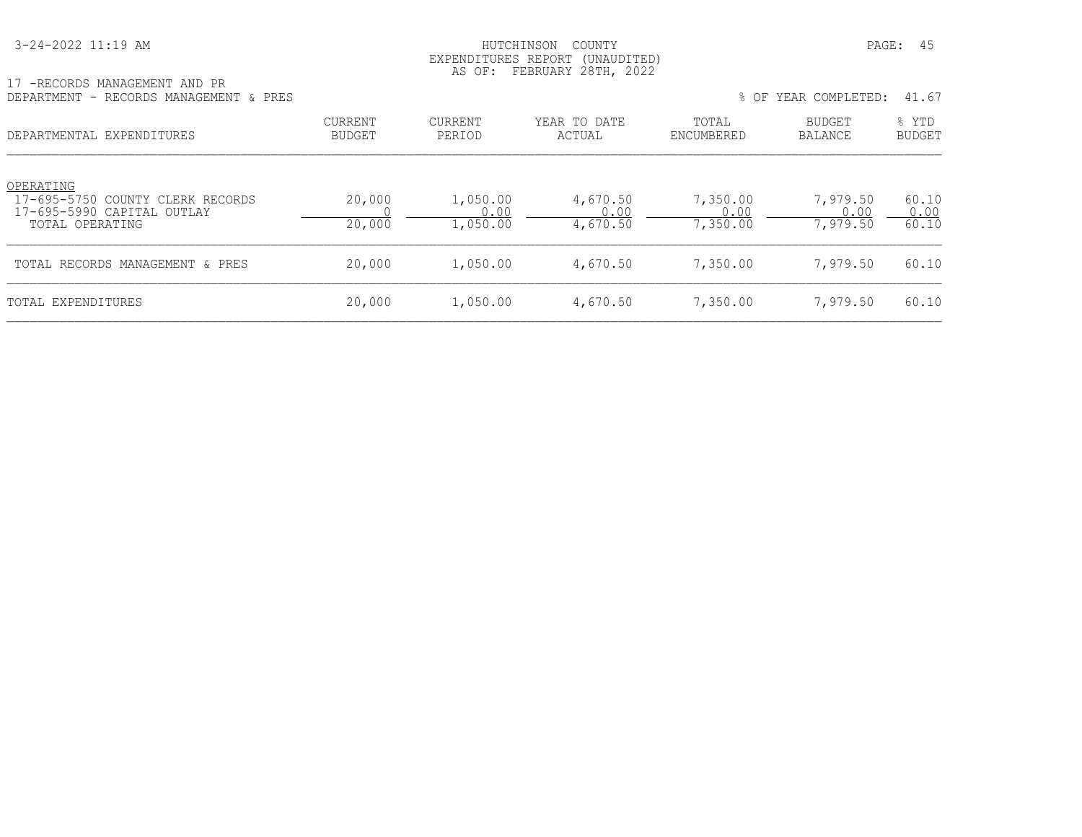| 3-24-2022 11:19 AM |  |  |
|--------------------|--|--|
|--------------------|--|--|

#### HUTCHINSON COUNTY PAGE: 45 EXPENDITURES REPORT (UNAUDITED) AS OF: FEBRUARY 28TH, 2022

| 17 -RECORDS MANAGEMENT AND PR          |  |  |  |  |
|----------------------------------------|--|--|--|--|
| DEPARTMENT - RECORDS MANAGEMENT & PRES |  |  |  |  |

| - RECORDS MANAGEMENT & PRES<br>DEPARTMENT                                                      |                   |                              |                              |                              | % OF YEAR COMPLETED:         | 41.67                  |
|------------------------------------------------------------------------------------------------|-------------------|------------------------------|------------------------------|------------------------------|------------------------------|------------------------|
| DEPARTMENTAL EXPENDITURES                                                                      | CURRENT<br>BUDGET | CURRENT<br>PERIOD            | YEAR TO DATE<br>ACTUAL       | TOTAL<br>ENCUMBERED          | <b>BUDGET</b><br>BALANCE     | % YTD<br><b>BUDGET</b> |
| OPERATING<br>17-695-5750 COUNTY CLERK RECORDS<br>17-695-5990 CAPITAL OUTLAY<br>TOTAL OPERATING | 20,000<br>20,000  | 1,050.00<br>0.00<br>1,050.00 | 4,670.50<br>0.00<br>4,670.50 | 7,350.00<br>0.00<br>7,350.00 | 7,979.50<br>0.00<br>7,979.50 | 60.10<br>0.00<br>60.10 |
| TOTAL RECORDS MANAGEMENT & PRES                                                                | 20,000            | 1,050.00                     | 4,670.50                     | 7,350.00                     | 7,979.50                     | 60.10                  |
| TOTAL EXPENDITURES                                                                             | 20,000            | 1,050.00                     | 4,670.50                     | 7,350.00                     | 7,979.50                     | 60.10                  |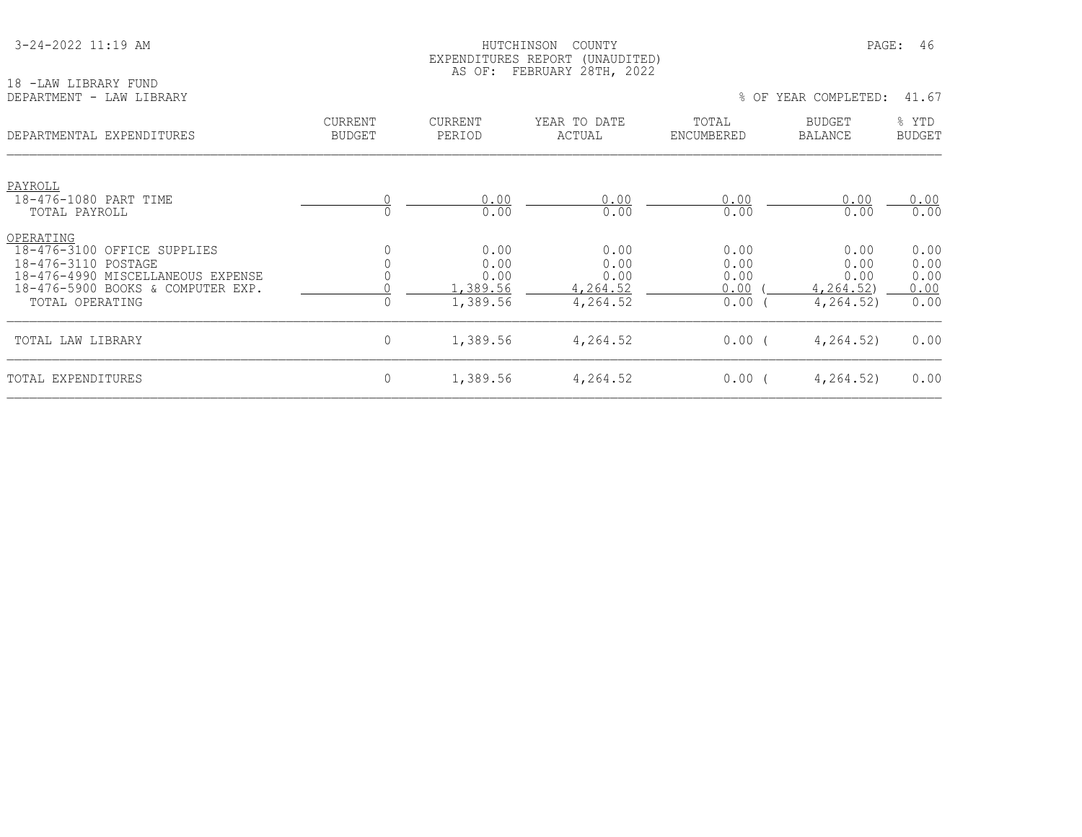| 3-24-2022 11:19 AM |
|--------------------|
|--------------------|

#### HUTCHINSON COUNTY PAGE: 46 EXPENDITURES REPORT (UNAUDITED) AS OF: FEBRUARY 28TH, 2022

| 18 -LAW LIBRARY FUND<br>DEPARTMENT - LAW LIBRARY                                                                                                             |                                 |                                              |                                              |                                      | % OF YEAR COMPLETED:                                   | 41.67                                |
|--------------------------------------------------------------------------------------------------------------------------------------------------------------|---------------------------------|----------------------------------------------|----------------------------------------------|--------------------------------------|--------------------------------------------------------|--------------------------------------|
| DEPARTMENTAL EXPENDITURES                                                                                                                                    | <b>CURRENT</b><br><b>BUDGET</b> | CURRENT<br>PERIOD                            | YEAR TO DATE<br>ACTUAL                       | TOTAL<br>ENCUMBERED                  | BUDGET<br><b>BALANCE</b>                               | % YTD<br><b>BUDGET</b>               |
| PAYROLL<br>18-476-1080 PART TIME<br>TOTAL PAYROLL                                                                                                            |                                 | 0.00<br>0.00                                 | 0.00<br>0.00                                 | 0.00<br>0.00                         | 0.00<br>0.00                                           | 0.00<br>0.00                         |
| OPERATING<br>18-476-3100 OFFICE SUPPLIES<br>18-476-3110 POSTAGE<br>18-476-4990 MISCELLANEOUS EXPENSE<br>18-476-5900 BOOKS & COMPUTER EXP.<br>TOTAL OPERATING |                                 | 0.00<br>0.00<br>0.00<br>1,389.56<br>1,389.56 | 0.00<br>0.00<br>0.00<br>4,264.52<br>4,264.52 | 0.00<br>0.00<br>0.00<br>0.00<br>0.00 | 0.00<br>0.00<br>0.00<br><u>4,264.52</u> )<br>4,264.52) | 0.00<br>0.00<br>0.00<br>0.00<br>0.00 |
| TOTAL LAW LIBRARY                                                                                                                                            | $\mathbf 0$                     | 1,389.56                                     | 4,264.52                                     | $0.00$ (                             | 4,264.52)                                              | 0.00                                 |
| TOTAL EXPENDITURES                                                                                                                                           | $\mathbf 0$                     | 1,389.56                                     | 4,264.52                                     | 0.00(                                | 4, 264, 52)                                            | 0.00                                 |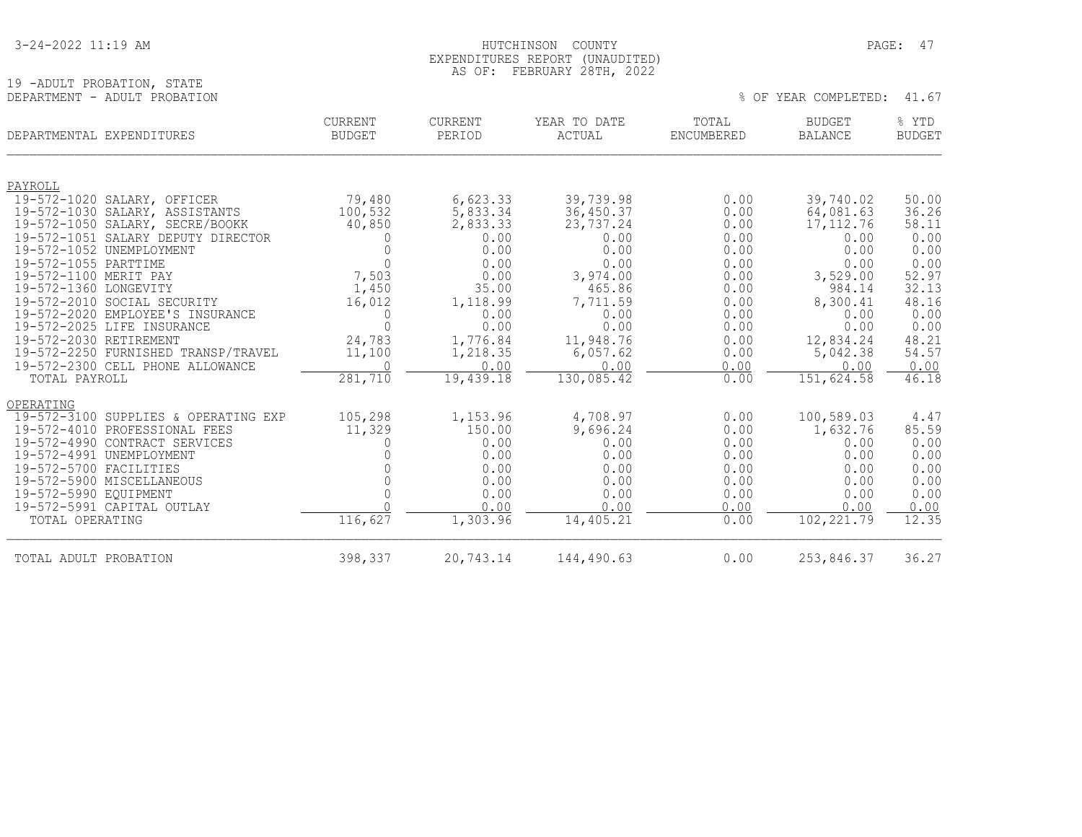|  |  |  | 3-24-2022 11:19 AM |  |
|--|--|--|--------------------|--|
|--|--|--|--------------------|--|

19 -ADULT PROBATION, STATE<br>DEPARTMENT - ADULT PROBATION

#### HUTCHINSON COUNTY PAGE: 47 EXPENDITURES REPORT (UNAUDITED) AS OF: FEBRUARY 28TH, 2022

% OF YEAR COMPLETED: 41.67

| DEPARTMENTAL EXPENDITURES                          | <b>CURRENT</b><br>BUDGET | <b>CURRENT</b><br>PERIOD | YEAR TO DATE<br>ACTUAL | TOTAL<br>ENCUMBERED | <b>BUDGET</b><br><b>BALANCE</b> | % YTD<br><b>BUDGET</b> |
|----------------------------------------------------|--------------------------|--------------------------|------------------------|---------------------|---------------------------------|------------------------|
|                                                    |                          |                          |                        |                     |                                 |                        |
| PAYROLL<br>19-572-1020 SALARY, OFFICER             | 79,480                   |                          | 39,739.98              | 0.00                | 39,740.02                       | 50.00                  |
| 19-572-1030 SALARY, ASSISTANTS                     | 100,532                  | 6,623.33<br>5,833.34     | 36,450.37              | 0.00                | 64,081.63                       | 36.26                  |
| 19-572-1050 SALARY, SECRE/BOOKK                    | 40,850                   | 2,833.33                 | 23,737.24              | 0.00                | 17, 112.76                      | 58.11                  |
| 19-572-1051 SALARY DEPUTY DIRECTOR                 | $\Omega$                 | 0.00                     | 0.00                   | 0.00                | 0.00                            | 0.00                   |
| 19-572-1052 UNEMPLOYMENT                           |                          | 0.00                     | 0.00                   | 0.00                | 0.00                            | 0.00                   |
| 19-572-1055 PARTTIME                               | $\Omega$                 | 0.00                     | 0.00                   | 0.00                | 0.00                            | 0.00                   |
| 19-572-1100 MERIT PAY                              | 7,503                    | 0.00                     | 3,974.00               | 0.00                | 3,529.00                        | 52.97                  |
| 19-572-1360 LONGEVITY                              | 1,450                    | 35.00                    | 465.86                 | 0.00                | 984.14                          | 32.13                  |
| 19-572-2010 SOCIAL SECURITY                        | 16,012                   | 1,118.99                 | 7,711.59               | 0.00                | 8,300.41                        | 48.16                  |
| 19-572-2020 EMPLOYEE'S INSURANCE                   | 0                        | 0.00                     | 0.00                   | 0.00                | 0.00                            | 0.00                   |
| 19-572-2025 LIFE INSURANCE                         | $\Omega$                 | 0.00                     | 0.00                   | 0.00                | 0.00                            | 0.00                   |
| 19-572-2030 RETIREMENT                             | 24,783                   | 1,776.84                 | 11,948.76              | 0.00                | 12,834.24                       | 48.21                  |
| 19-572-2250 FURNISHED TRANSP/TRAVEL                | 11,100                   | 1,218.35                 | 6,057.62               | 0.00                | 5,042.38                        | 54.57                  |
| 19-572-2300 CELL PHONE ALLOWANCE                   | $\Omega$                 | 0.00                     | 0.00                   | 0.00                | 0.00                            | 0.00                   |
| TOTAL PAYROLL                                      | 281,710                  | 19,439.18                | 130,085.42             | 0.00                | 151,624.58                      | 46.18                  |
| OPERATING                                          |                          |                          |                        |                     |                                 |                        |
| 19-572-3100 SUPPLIES & OPERATING EXP               | 105,298                  | 1,153.96                 | 4,708.97               | 0.00                | 100,589.03                      | 4.47                   |
| 19-572-4010 PROFESSIONAL FEES                      | 11,329                   | 150.00                   | 9,696.24               | 0.00                | 1,632.76                        | 85.59                  |
| 19-572-4990 CONTRACT SERVICES                      |                          | 0.00                     | 0.00                   | 0.00                | 0.00                            | 0.00                   |
| 19-572-4991 UNEMPLOYMENT                           |                          | 0.00                     | 0.00                   | 0.00                | 0.00                            | 0.00                   |
| 19-572-5700 FACILITIES                             |                          | 0.00                     | 0.00                   | 0.00                | 0.00                            | 0.00                   |
| 19-572-5900 MISCELLANEOUS<br>19-572-5990 EOUIPMENT |                          | 0.00<br>0.00             | 0.00<br>0.00           | 0.00<br>0.00        | 0.00<br>0.00                    | 0.00<br>0.00           |
| 19-572-5991 CAPITAL OUTLAY                         |                          | 0.00                     | 0.00                   | 0.00                | 0.00                            | 0.00                   |
| TOTAL OPERATING                                    | 116,627                  | 1,303.96                 | 14,405.21              | 0.00                | 102, 221.79                     | 12.35                  |
|                                                    |                          |                          |                        |                     |                                 |                        |
| TOTAL ADULT PROBATION                              | 398,337                  | 20,743.14                | 144,490.63             | 0.00                | 253,846.37                      | 36.27                  |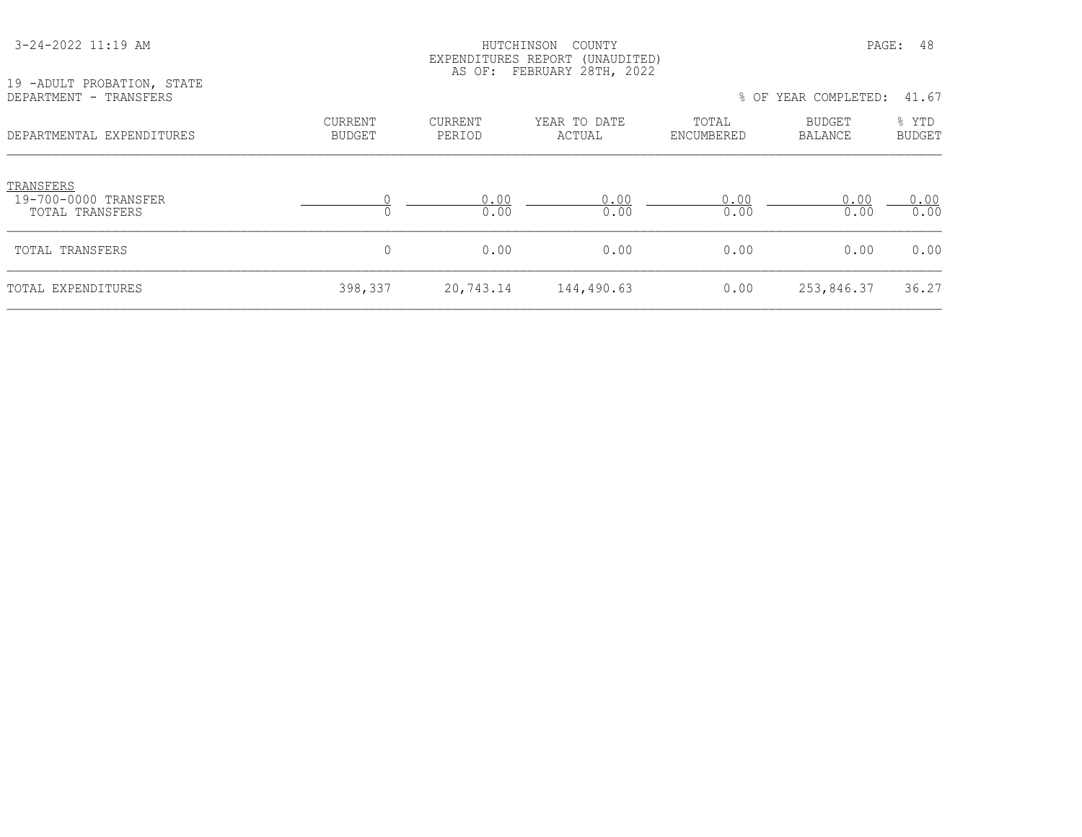| 19 -ADULT PROBATION, STATE<br>DEPARTMENT - TRANSFERS |                          | AS OF:            | EXPENDITURES REPORT (UNAUDITED)<br>FEBRUARY 28TH, 2022 |                     | % OF YEAR COMPLETED:            | 41.67                  |
|------------------------------------------------------|--------------------------|-------------------|--------------------------------------------------------|---------------------|---------------------------------|------------------------|
| DEPARTMENTAL EXPENDITURES                            | CURRENT<br><b>BUDGET</b> | CURRENT<br>PERIOD | YEAR TO DATE<br>ACTUAL                                 | TOTAL<br>ENCUMBERED | <b>BUDGET</b><br><b>BALANCE</b> | % YTD<br><b>BUDGET</b> |
| TRANSFERS<br>19-700-0000 TRANSFER<br>TOTAL TRANSFERS | 0                        | 0.00<br>0.00      | 0.00<br>0.00                                           | 0.00<br>0.00        | 0.00<br>0.00                    | 0.00<br>0.00           |
| TOTAL TRANSFERS                                      | 0                        | 0.00              | 0.00                                                   | 0.00                | 0.00                            | 0.00                   |
| TOTAL EXPENDITURES                                   | 398,337                  | 20,743.14         | 144,490.63                                             | 0.00                | 253,846.37                      | 36.27                  |

3-24-2022 11:19 AM HUTCHINSON COUNTY PAGE: 48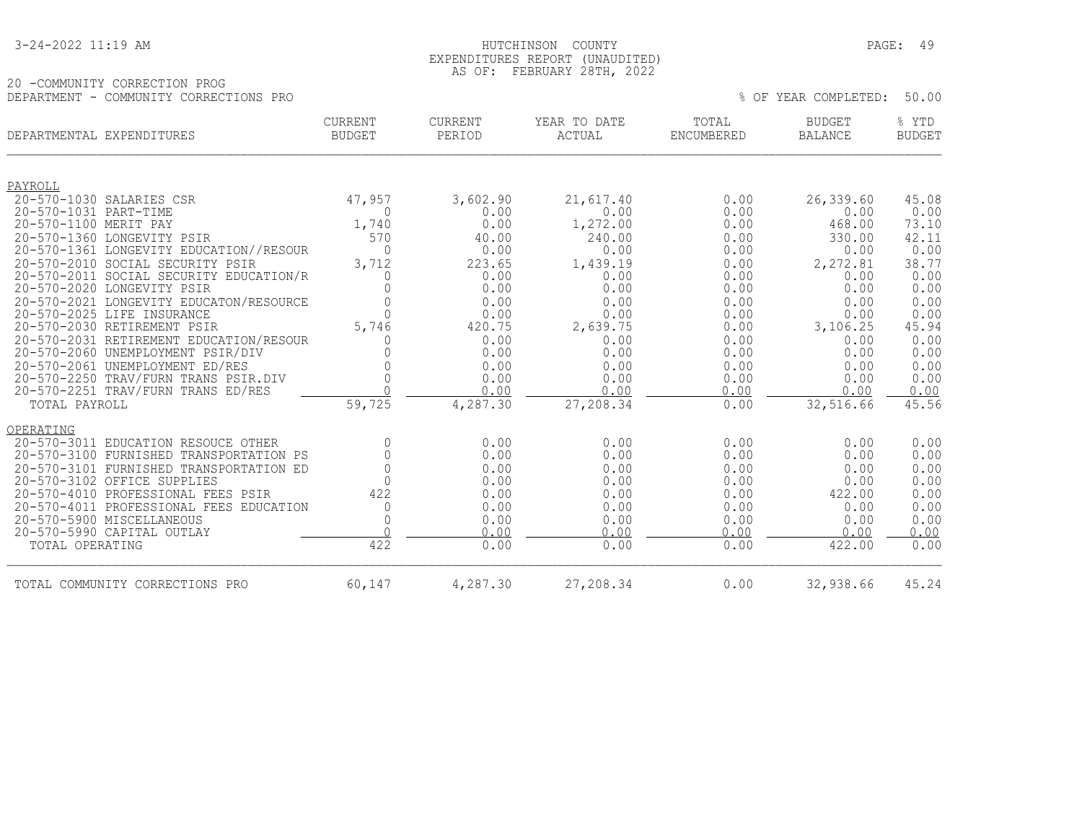#### 3-24-2022 11:19 AM HUTCHINSON COUNTY PAGE: 49 EXPENDITURES REPORT (UNAUDITED) AS OF: FEBRUARY 28TH, 2022

|                                        | AU UI. | TEDINOANI ZOIH, ZOZZ |  |                            |  |
|----------------------------------------|--------|----------------------|--|----------------------------|--|
| 20 -COMMUNITY CORRECTION PROG          |        |                      |  |                            |  |
| DEPARTMENT - COMMUNITY CORRECTIONS PRO |        |                      |  | % OF YEAR COMPLETED: 50.00 |  |

|                       | DEPARTMENTAL EXPENDITURES               | CURRENT<br><b>BUDGET</b> | CURRENT<br>PERIOD | YEAR TO DATE<br>ACTUAL | TOTAL<br>ENCUMBERED | <b>BUDGET</b><br><b>BALANCE</b> | % YTD<br><b>BUDGET</b> |
|-----------------------|-----------------------------------------|--------------------------|-------------------|------------------------|---------------------|---------------------------------|------------------------|
| PAYROLL               |                                         |                          |                   |                        |                     |                                 |                        |
|                       | 20-570-1030 SALARIES CSR                | 47,957                   | 3,602.90          | 21,617.40              | 0.00                | 26,339.60                       | 45.08                  |
| 20-570-1031 PART-TIME |                                         | $\Omega$                 | 0.00              | 0.00                   | 0.00                | 0.00                            | 0.00                   |
| 20-570-1100 MERIT PAY |                                         | 1,740                    | 0.00              | 1,272.00               | 0.00                | 468.00                          | 73.10                  |
|                       | 20-570-1360 LONGEVITY PSIR              | 570                      | 40.00             | 240.00                 | 0.00                | 330.00                          | 42.11                  |
|                       | 20-570-1361 LONGEVITY EDUCATION//RESOUR | $\Omega$                 | 0.00              | 0.00                   | 0.00                | 0.00                            | 0.00                   |
|                       | 20-570-2010 SOCIAL SECURITY PSIR        | 3,712                    | 223.65            | 1,439.19               | 0.00                | 2,272.81                        | 38.77                  |
|                       | 20-570-2011 SOCIAL SECURITY EDUCATION/R | $\Omega$                 | 0.00              | 0.00                   | 0.00                | 0.00                            | 0.00                   |
|                       | 20-570-2020 LONGEVITY PSIR              | $\Omega$                 | 0.00              | 0.00                   | 0.00                | 0.00                            | 0.00                   |
|                       | 20-570-2021 LONGEVITY EDUCATON/RESOURCE | $\bigcap$                | 0.00              | 0.00                   | 0.00                | 0.00                            | 0.00                   |
|                       | 20-570-2025 LIFE INSURANCE              | $\bigcap$                | 0.00              | 0.00                   | 0.00                | 0.00                            | 0.00                   |
|                       | 20-570-2030 RETIREMENT PSIR             | 5,746                    | 420.75            | 2,639.75               | 0.00                | 3,106.25                        | 45.94                  |
|                       | 20-570-2031 RETIREMENT EDUCATION/RESOUR | $\cap$                   | 0.00              | 0.00                   | 0.00                | 0.00                            | 0.00                   |
|                       | 20-570-2060 UNEMPLOYMENT PSIR/DIV       |                          | 0.00              | 0.00                   | 0.00                | 0.00                            | 0.00                   |
|                       | 20-570-2061 UNEMPLOYMENT ED/RES         | $\bigcap$                | 0.00              | 0.00                   | 0.00                | 0.00                            | 0.00                   |
|                       | 20-570-2250 TRAV/FURN TRANS PSIR.DIV    | $\Omega$<br>$\cap$       | 0.00              | 0.00                   | 0.00                | 0.00                            | 0.00                   |
|                       | 20-570-2251 TRAV/FURN TRANS ED/RES      |                          | 0.00              | 0.00                   | 0.00                | 0.00                            | 0.00                   |
| TOTAL PAYROLL         |                                         | 59,725                   | 4,287.30          | 27,208.34              | 0.00                | 32,516.66                       | 45.56                  |
| OPERATING             |                                         |                          |                   |                        |                     |                                 |                        |
|                       | 20-570-3011 EDUCATION RESOUCE OTHER     | $\Omega$                 | 0.00              | 0.00                   | 0.00                | 0.00                            | 0.00                   |
|                       | 20-570-3100 FURNISHED TRANSPORTATION PS | $\Omega$                 | 0.00              | 0.00                   | 0.00                | 0.00                            | 0.00                   |
|                       | 20-570-3101 FURNISHED TRANSPORTATION ED | $\Omega$                 | 0.00              | 0.00                   | 0.00                | 0.00                            | 0.00                   |
|                       | 20-570-3102 OFFICE SUPPLIES             | $\bigcap$                | 0.00              | 0.00                   | 0.00                | 0.00                            | 0.00                   |
|                       | 20-570-4010 PROFESSIONAL FEES PSIR      | 422                      | 0.00              | 0.00                   | 0.00                | 422.00                          | 0.00                   |
|                       | 20-570-4011 PROFESSIONAL FEES EDUCATION | $\mathbf{0}$             | 0.00              | 0.00                   | 0.00                | 0.00                            | 0.00                   |
|                       | 20-570-5900 MISCELLANEOUS               | 0<br>$\cap$              | 0.00              | 0.00                   | 0.00                | 0.00                            | 0.00                   |
|                       | 20-570-5990 CAPITAL OUTLAY              |                          | 0.00              | 0.00                   | 0.00                | 0.00                            | 0.00                   |
| TOTAL OPERATING       |                                         | 422                      | 0.00              | 0.00                   | 0.00                | 422.00                          | 0.00                   |
|                       | TOTAL COMMUNITY CORRECTIONS PRO         | 60,147                   | 4,287.30          | 27,208.34              | 0.00                | 32,938.66                       | 45.24                  |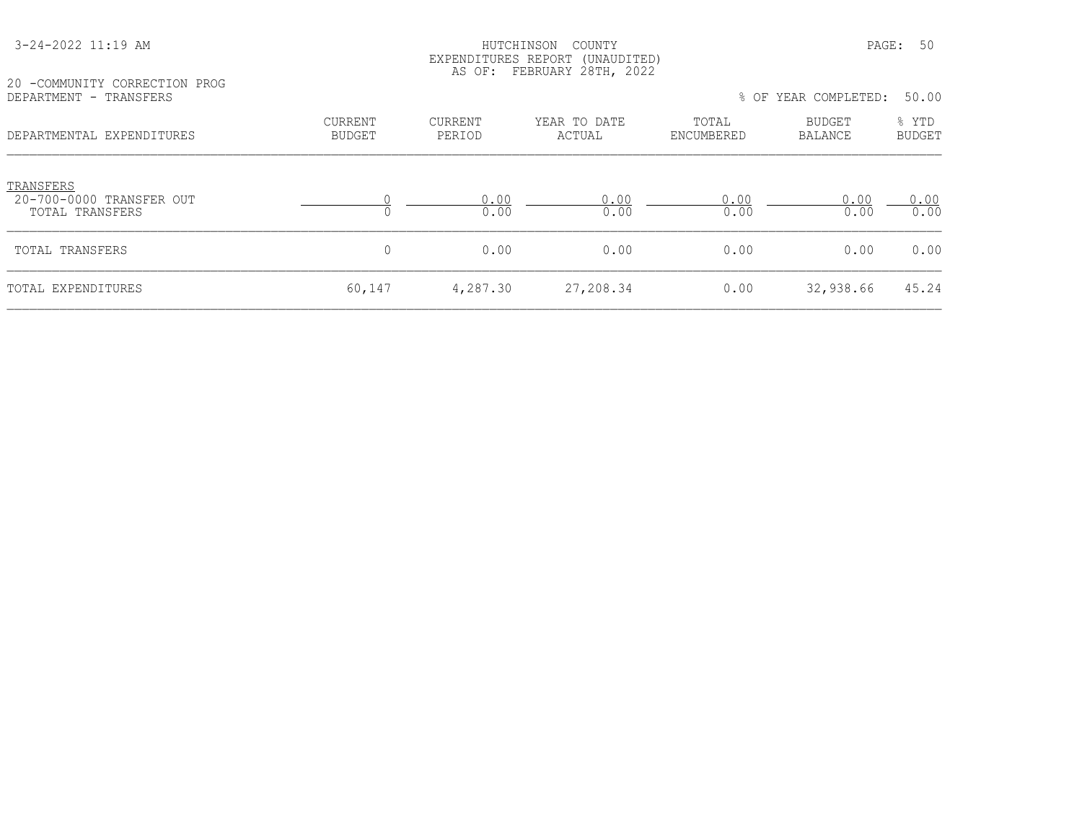| 20 -COMMUNITY CORRECTION PROG         |                          | AS OF:            | EXPENDITURES REPORT (UNAUDITED)<br>FEBRUARY 28TH, 2022 |            |                      |                |
|---------------------------------------|--------------------------|-------------------|--------------------------------------------------------|------------|----------------------|----------------|
| DEPARTMENT - TRANSFERS                |                          |                   |                                                        | TOTAL      | % OF YEAR COMPLETED: | 50.00<br>% YTD |
| DEPARTMENTAL EXPENDITURES             | CURRENT<br><b>BUDGET</b> | CURRENT<br>PERIOD | YEAR TO DATE<br>ACTUAL                                 | ENCUMBERED | BUDGET<br>BALANCE    | <b>BUDGET</b>  |
| TRANSFERS<br>20-700-0000 TRANSFER OUT |                          | 0.00              | 0.00                                                   | 0.00       | 0.00                 | 0.00           |
| TOTAL TRANSFERS                       | 0                        | 0.00              | 0.00                                                   | 0.00       | 0.00                 | 0.00           |
| TOTAL TRANSFERS                       | 0                        | 0.00              | 0.00                                                   | 0.00       | 0.00                 | 0.00           |
| TOTAL EXPENDITURES                    | 60,147                   | 4,287.30          | 27,208.34                                              | 0.00       | 32,938.66            | 45.24          |

3-24-2022 11:19 AM HUTCHINSON COUNTY PAGE: 50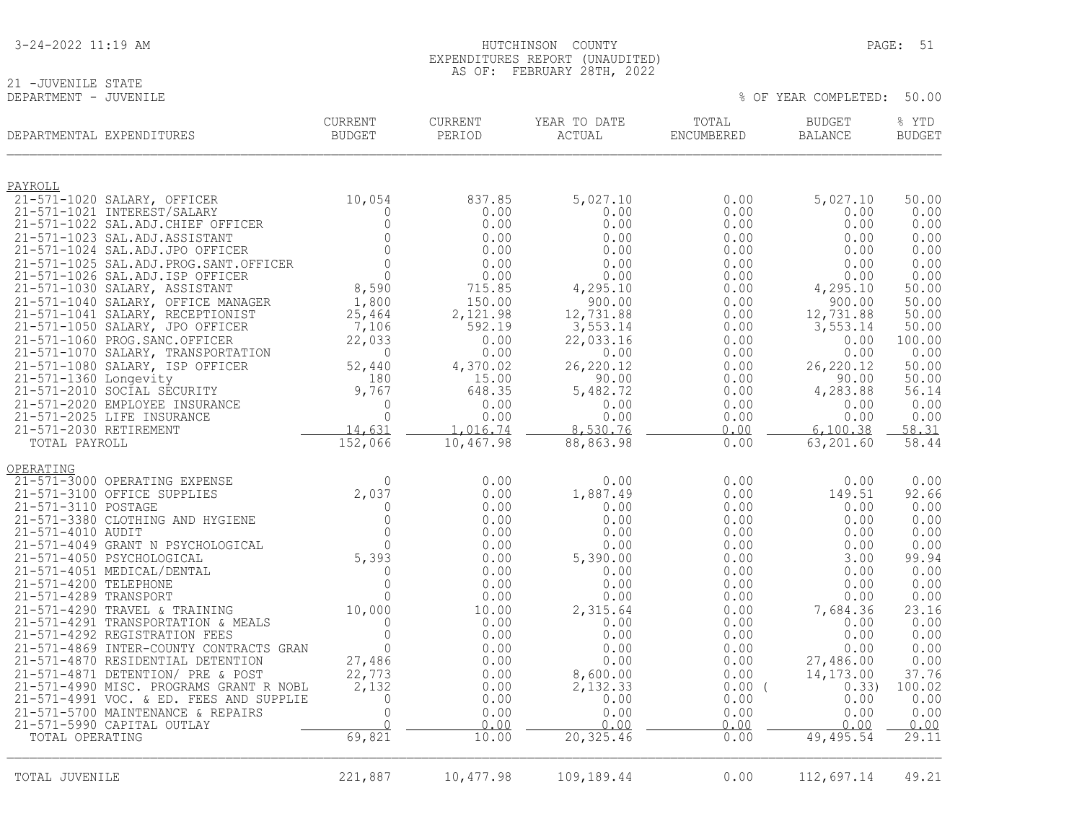| 3-24-2022 11:19 AM |  |  |
|--------------------|--|--|
|--------------------|--|--|

# 21 -JUVENILE STATE<br>DEPARTMENT - JUVENILE

 $8$  OF YEAR COMPLETED: 50.00

| DEPARTMENTAL EXPENDITURES |                                                                              | CURRENT<br><b>BUDGET</b> | CURRENT<br>PERIOD | YEAR TO DATE<br>ACTUAL | TOTAL<br>ENCUMBERED | <b>BUDGET</b><br><b>BALANCE</b> | % YTD<br><b>BUDGET</b> |
|---------------------------|------------------------------------------------------------------------------|--------------------------|-------------------|------------------------|---------------------|---------------------------------|------------------------|
| PAYROLL                   |                                                                              |                          |                   |                        |                     |                                 |                        |
|                           | 21-571-1020 SALARY, OFFICER                                                  | 10,054                   | 837.85            | 5,027.10               | 0.00                | 5,027.10                        | 50.00                  |
|                           | 21-571-1021 INTEREST/SALARY<br>21-571-1022 SAL.ADJ.CHIEF OFFICER             | $\mathbf{0}$<br>0        | 0.00<br>0.00      | 0.00<br>0.00           | 0.00<br>0.00        | 0.00<br>0.00                    | 0.00<br>0.00           |
|                           | 21-571-1023 SAL.ADJ.ASSISTANT                                                | $\mathbf{0}$             | 0.00              | 0.00                   | 0.00                | 0.00                            | 0.00                   |
|                           | 21-571-1024 SAL.ADJ.JPO OFFICER                                              | $\circ$                  | 0.00              | 0.00                   | 0.00                | 0.00                            | 0.00                   |
|                           | 21-571-1025 SAL.ADJ.PROG.SANT.OFFICER                                        | $\circ$                  | 0.00              | 0.00                   | 0.00                | 0.00                            | 0.00                   |
|                           | 21-571-1026 SAL.ADJ.ISP OFFICER                                              | $\overline{O}$           | 0.00              | 0.00                   | 0.00                | 0.00                            | 0.00                   |
|                           | 21-571-1030 SALARY, ASSISTANT<br>21-571-1040 SALARY, OFFICE MANAGER          | 8,590<br>1,800           | 715.85<br>150.00  | 4,295.10<br>900.00     | 0.00<br>0.00        | 4,295.10<br>900.00              | 50.00<br>50.00         |
|                           | 21-571-1041 SALARY, RECEPTIONIST                                             | 25,464                   | 2,121.98          | 12,731.88              | 0.00                | 12,731.88                       | 50.00                  |
|                           | 21-571-1050 SALARY, JPO OFFICER                                              | 7,106                    | 592.19            | 3,553.14               | 0.00                | 3,553.14                        | 50.00                  |
|                           | 21-571-1060 PROG. SANC. OFFICER                                              | 22,033                   | 0.00              | 22,033.16              | 0.00                | 0.00                            | 100.00                 |
|                           | 21-571-1070 SALARY, TRANSPORTATION<br>21-571-1080 SALARY, ISP OFFICER        | 0<br>52,440              | 0.00<br>4,370.02  | 0.00<br>26,220.12      | 0.00<br>0.00        | 0.00<br>26, 220.12              | 0.00<br>50.00          |
| 21-571-1360 Longevity     |                                                                              | 180                      | 15.00             | 90.00                  | 0.00                | 90.00                           | 50.00                  |
|                           | 21-571-2010 SOCIAL SECURITY                                                  | 9,767                    | 648.35            | 5,482.72               | 0.00                | 4,283.88                        | 56.14                  |
|                           | 21-571-2020 EMPLOYEE INSURANCE                                               | $\Omega$                 | 0.00              | 0.00                   | 0.00                | 0.00                            | 0.00                   |
| 21-571-2030 RETIREMENT    | 21-571-2025 LIFE INSURANCE                                                   | $\Omega$<br>14,631       | 0.00<br>1,016.74  | 0.00<br>8,530.76       | 0.00<br>0.00        | 0.00<br>6,100.38                | 0.00<br>58.31          |
| TOTAL PAYROLL             |                                                                              | 152,066                  | 10,467.98         | 88,863.98              | 0.00                | 63,201.60                       | 58.44                  |
|                           |                                                                              |                          |                   |                        |                     |                                 |                        |
| OPERATING                 | 21-571-3000 OPERATING EXPENSE                                                | $\Omega$                 | 0.00              | 0.00                   | 0.00                | 0.00                            | 0.00                   |
|                           | 21-571-3100 OFFICE SUPPLIES                                                  | 2,037                    | 0.00              | 1,887.49               | 0.00                | 149.51                          | 92.66                  |
| 21-571-3110 POSTAGE       |                                                                              | $\mathbf 0$              | 0.00              | 0.00                   | 0.00                | 0.00                            | 0.00                   |
|                           | 21-571-3380 CLOTHING AND HYGIENE                                             | $\mathbf{0}$             | 0.00              | 0.00                   | 0.00                | 0.00                            | 0.00                   |
| 21-571-4010 AUDIT         | 21-571-4049 GRANT N PSYCHOLOGICAL                                            | $\mathbf{0}$<br>$\Omega$ | 0.00              | 0.00                   | 0.00                | 0.00                            | 0.00<br>0.00           |
|                           | 21-571-4050 PSYCHOLOGICAL                                                    | 5,393                    | 0.00<br>0.00      | 0.00<br>5,390.00       | 0.00<br>0.00        | 0.00<br>3.00                    | 99.94                  |
|                           | 21-571-4051 MEDICAL/DENTAL                                                   | $\mathbf 0$              | 0.00              | 0.00                   | 0.00                | 0.00                            | 0.00                   |
| 21-571-4200 TELEPHONE     |                                                                              | $\Omega$                 | 0.00              | 0.00                   | 0.00                | 0.00                            | 0.00                   |
| 21-571-4289 TRANSPORT     |                                                                              | $\Omega$                 | 0.00              | 0.00                   | 0.00                | 0.00                            | 0.00                   |
|                           | 21-571-4290 TRAVEL & TRAINING<br>21-571-4291 TRANSPORTATION & MEALS          | 10,000<br>$\mathbf 0$    | 10.00<br>0.00     | 2,315.64<br>0.00       | 0.00<br>0.00        | 7,684.36<br>0.00                | 23.16<br>0.00          |
|                           | 21-571-4292 REGISTRATION FEES                                                | $\overline{0}$           | 0.00              | 0.00                   | 0.00                | 0.00                            | 0.00                   |
|                           | 21-571-4869 INTER-COUNTY CONTRACTS GRAN                                      | $\mathbf{0}$             | 0.00              | 0.00                   | 0.00                | 0.00                            | 0.00                   |
|                           | 21-571-4870 RESIDENTIAL DETENTION                                            | 27,486                   | 0.00              | 0.00                   | 0.00                | 27,486.00                       | 0.00                   |
|                           | 21-571-4871 DETENTION/ PRE & POST<br>21-571-4990 MISC. PROGRAMS GRANT R NOBL | 22,773<br>2,132          | 0.00<br>0.00      | 8,600.00<br>2,132.33   | 0.00<br>$0.00$ (    | 14,173.00<br>0.33)              | 37.76<br>100.02        |
|                           | 21-571-4991 VOC. & ED. FEES AND SUPPLIE                                      | $\overline{0}$           | 0.00              | 0.00                   | 0.00                | 0.00                            | 0.00                   |
|                           | 21-571-5700 MAINTENANCE & REPAIRS                                            | $\mathbb O$              | 0.00              | 0.00                   | 0.00                | 0.00                            | 0.00                   |
|                           | 21-571-5990 CAPITAL OUTLAY                                                   | $\cap$                   | 0.00              | 0.00                   | 0.00                | 0.00                            | 0.00                   |
| TOTAL OPERATING           |                                                                              | 69,821                   | 10.00             | 20, 325.46             | 0.00                | 49, 495.54                      | 29.11                  |
| TOTAL JUVENILE            |                                                                              | 221,887                  | 10,477.98         | 109,189.44             | 0.00                | 112,697.14                      | 49.21                  |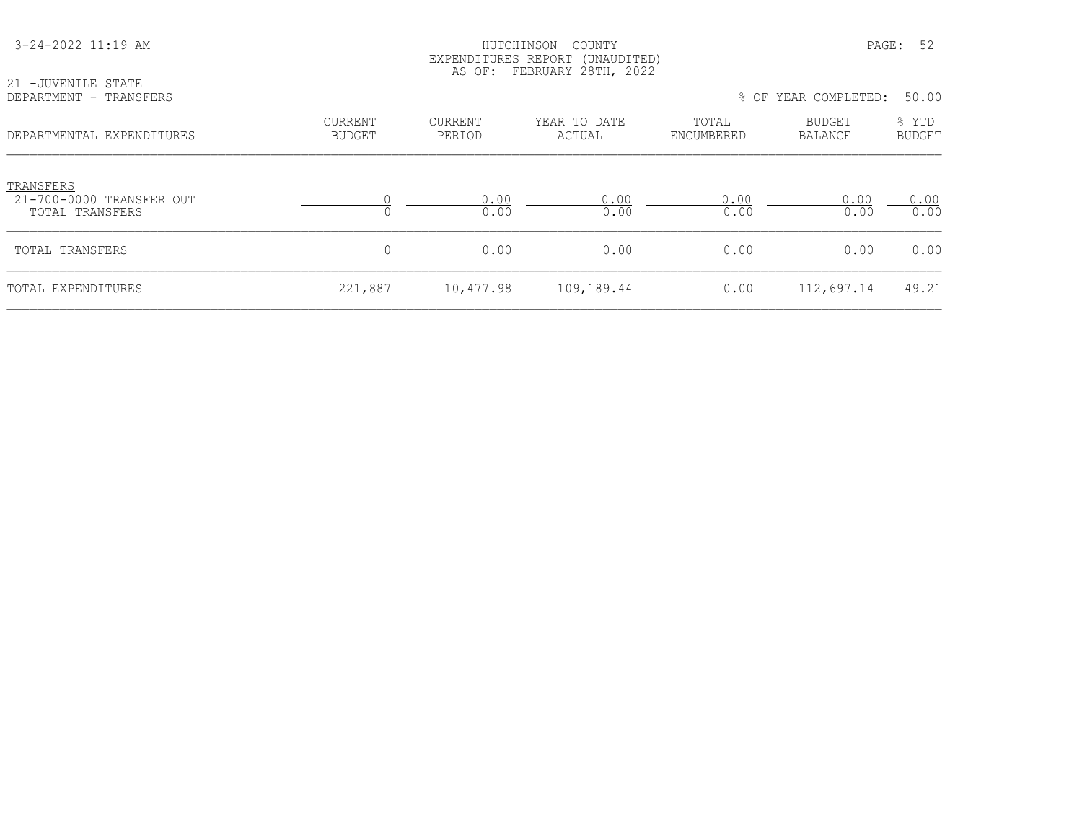| 3-24-2022 11:19 AM                                       |                                 | HUTCHINSON<br>COUNTY<br>EXPENDITURES REPORT (UNAUDITED)<br>AS OF: FEBRUARY 28TH, 2022 |                        |                     |                          | PAGE: 52               |  |  |  |
|----------------------------------------------------------|---------------------------------|---------------------------------------------------------------------------------------|------------------------|---------------------|--------------------------|------------------------|--|--|--|
| 21 -JUVENILE STATE<br>DEPARTMENT - TRANSFERS             |                                 |                                                                                       |                        |                     | % OF YEAR COMPLETED:     | 50.00                  |  |  |  |
| DEPARTMENTAL EXPENDITURES                                | <b>CURRENT</b><br><b>BUDGET</b> | CURRENT<br>PERIOD                                                                     | YEAR TO DATE<br>ACTUAL | TOTAL<br>ENCUMBERED | BUDGET<br><b>BALANCE</b> | % YTD<br><b>BUDGET</b> |  |  |  |
| TRANSFERS<br>21-700-0000 TRANSFER OUT<br>TOTAL TRANSFERS |                                 | 0.00<br>0.00                                                                          | 0.00<br>0.00           | 0.00<br>0.00        | 0.00<br>0.00             | 0.00<br>0.00           |  |  |  |
| TOTAL TRANSFERS                                          | 0                               | 0.00                                                                                  | 0.00                   | 0.00                | 0.00                     | 0.00                   |  |  |  |
| TOTAL EXPENDITURES                                       | 221,887                         | 10,477.98                                                                             | 109,189.44             | 0.00                | 112,697.14               | 49.21                  |  |  |  |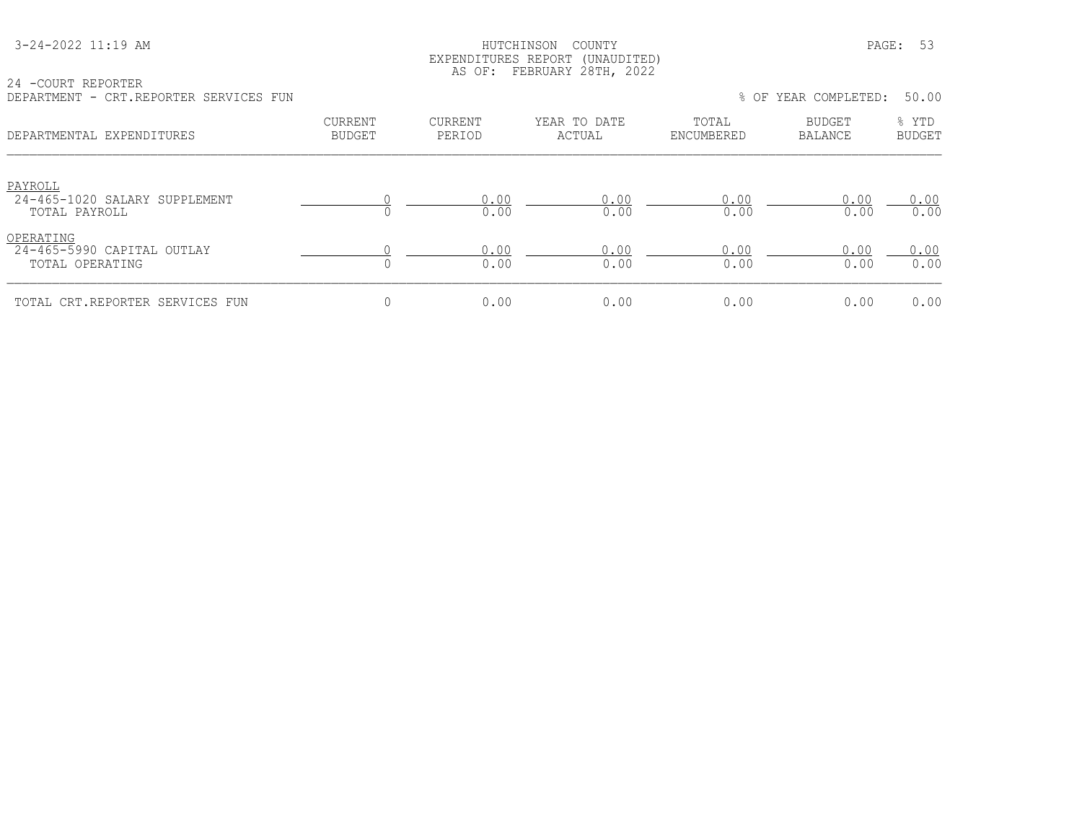#### HUTCHINSON COUNTY PAGE: 53 EXPENDITURES REPORT (UNAUDITED) AS OF: FEBRUARY 28TH, 2022

24 -COURT REPORTER DEPARTMENT - CRT.REPORTER SERVICES FUN % OF YEAR COMPLETED: 50.00

| णामारारामाना<br>CILI .ILLI OILLUIL DUILVILOUD I UIL        |                                 |                          |                        |                     | $\sigma$ or think corning the. | <u>JU.JU</u>           |
|------------------------------------------------------------|---------------------------------|--------------------------|------------------------|---------------------|--------------------------------|------------------------|
| DEPARTMENTAL EXPENDITURES                                  | <b>CURRENT</b><br><b>BUDGET</b> | <b>CURRENT</b><br>PERIOD | YEAR TO DATE<br>ACTUAL | TOTAL<br>ENCUMBERED | <b>BUDGET</b><br>BALANCE       | % YTD<br><b>BUDGET</b> |
| PAYROLL<br>24-465-1020 SALARY SUPPLEMENT<br>TOTAL PAYROLL  |                                 | 0.00<br>0.00             | 0.00<br>0.00           | 0.00<br>0.00        | 0.00<br>0.00                   | 0.00<br>0.00           |
| OPERATING<br>24-465-5990 CAPITAL OUTLAY<br>TOTAL OPERATING |                                 | 0.00<br>0.00             | 0.00<br>0.00           | 0.00<br>0.00        | 0.00<br>0.00                   | 0.00<br>0.00           |
| TOTAL CRT.REPORTER SERVICES FUN                            | 0                               | 0.00                     | 0.00                   | 0.00                | 0.00                           | 0.00                   |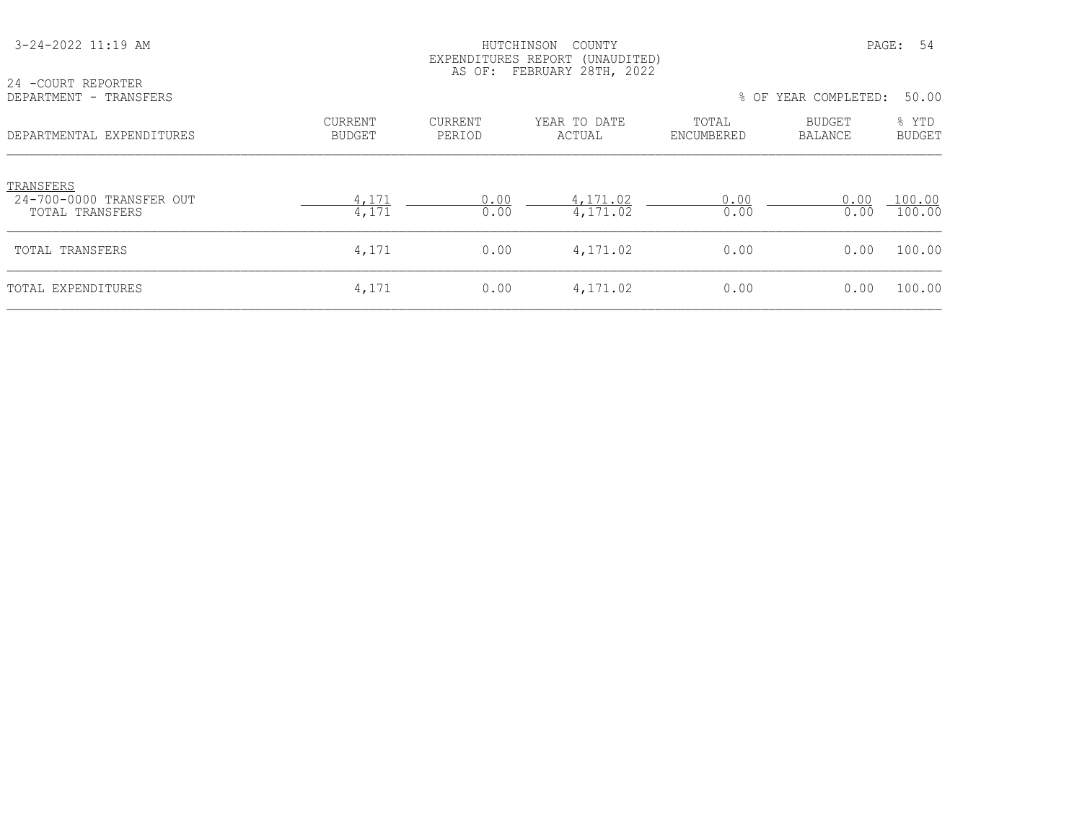| 3-24-2022 11:19 AM                                       |                   | HUTCHINSON<br>COUNTY<br>EXPENDITURES REPORT (UNAUDITED)<br>AS OF: FEBRUARY 28TH, 2022 |                        |                     |                      | PAGE: 54               |
|----------------------------------------------------------|-------------------|---------------------------------------------------------------------------------------|------------------------|---------------------|----------------------|------------------------|
| 24 -COURT REPORTER<br>DEPARTMENT - TRANSFERS             |                   |                                                                                       |                        |                     | % OF YEAR COMPLETED: | 50.00                  |
| DEPARTMENTAL EXPENDITURES                                | CURRENT<br>BUDGET | <b>CURRENT</b><br>PERIOD                                                              | YEAR TO DATE<br>ACTUAL | TOTAL<br>ENCUMBERED | BUDGET<br>BALANCE    | % YTD<br><b>BUDGET</b> |
| TRANSFERS<br>24-700-0000 TRANSFER OUT<br>TOTAL TRANSFERS | 4,171<br>4,171    | 0.00<br>0.00                                                                          | 4,171.02<br>4,171.02   | 0.00<br>0.00        | 0.00<br>0.00         | 100.00<br>100.00       |
| TOTAL TRANSFERS                                          | 4,171             | 0.00                                                                                  | 4,171.02               | 0.00                | 0.00                 | 100.00                 |
| TOTAL EXPENDITURES                                       | 4,171             | 0.00                                                                                  | 4,171.02               | 0.00                | 0.00                 | 100.00                 |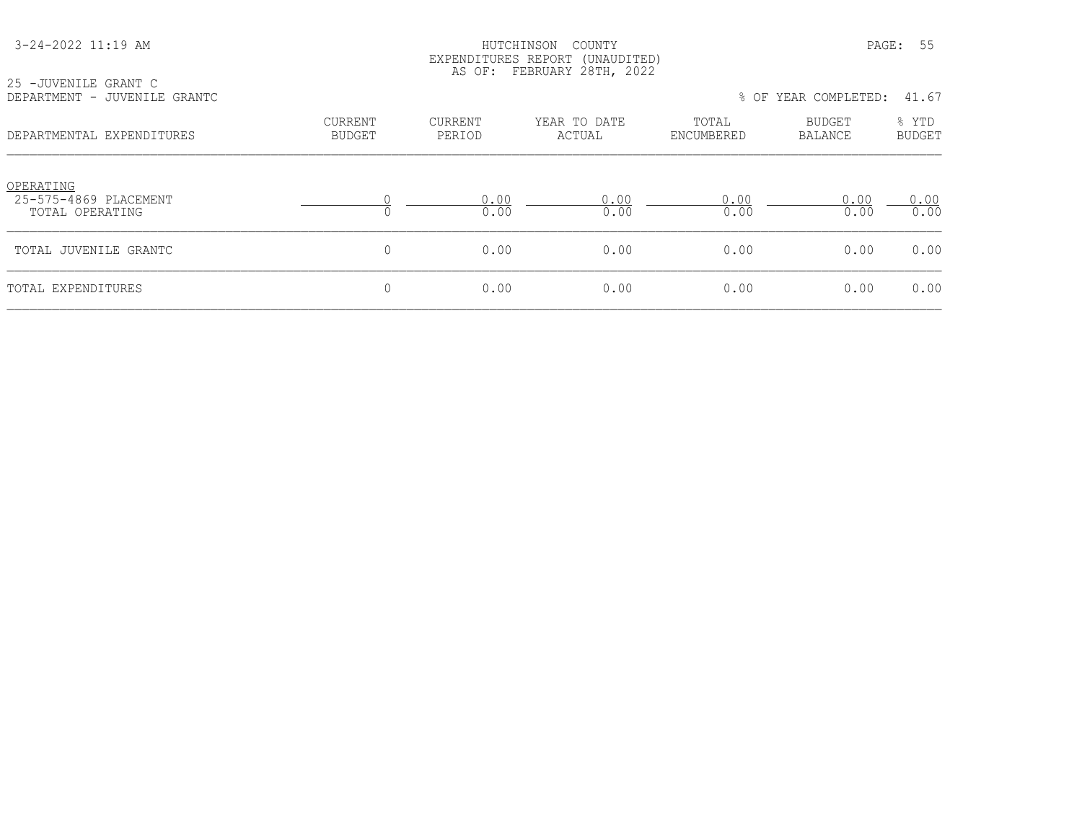|  | 3-24-2022 11:19 AM |  |
|--|--------------------|--|
|  |                    |  |

#### HUTCHINSON COUNTY PAGE: 55 EXPENDITURES REPORT (UNAUDITED) AS OF: FEBRUARY 28TH, 2022

| 25 -JUVENILE GRANT C<br>DEPARTMENT - JUVENILE GRANTC  |                          |                   |                        | 41.67<br>% OF YEAR COMPLETED: |                          |                        |  |  |
|-------------------------------------------------------|--------------------------|-------------------|------------------------|-------------------------------|--------------------------|------------------------|--|--|
| DEPARTMENTAL EXPENDITURES                             | <b>CURRENT</b><br>BUDGET | CURRENT<br>PERIOD | YEAR TO DATE<br>ACTUAL | TOTAL<br>ENCUMBERED           | BUDGET<br><b>BALANCE</b> | % YTD<br><b>BUDGET</b> |  |  |
| OPERATING<br>25-575-4869 PLACEMENT<br>TOTAL OPERATING |                          | 0.00<br>0.00      | 0.00<br>0.00           | 0.00<br>0.00                  | 0.00<br>0.00             | 0.00<br>0.00           |  |  |
| TOTAL JUVENILE GRANTC                                 |                          | 0.00              | 0.00                   | 0.00                          | 0.00                     | 0.00                   |  |  |

TOTAL EXPENDITURES 0 0.00 0.00 0.00 0.00 0.00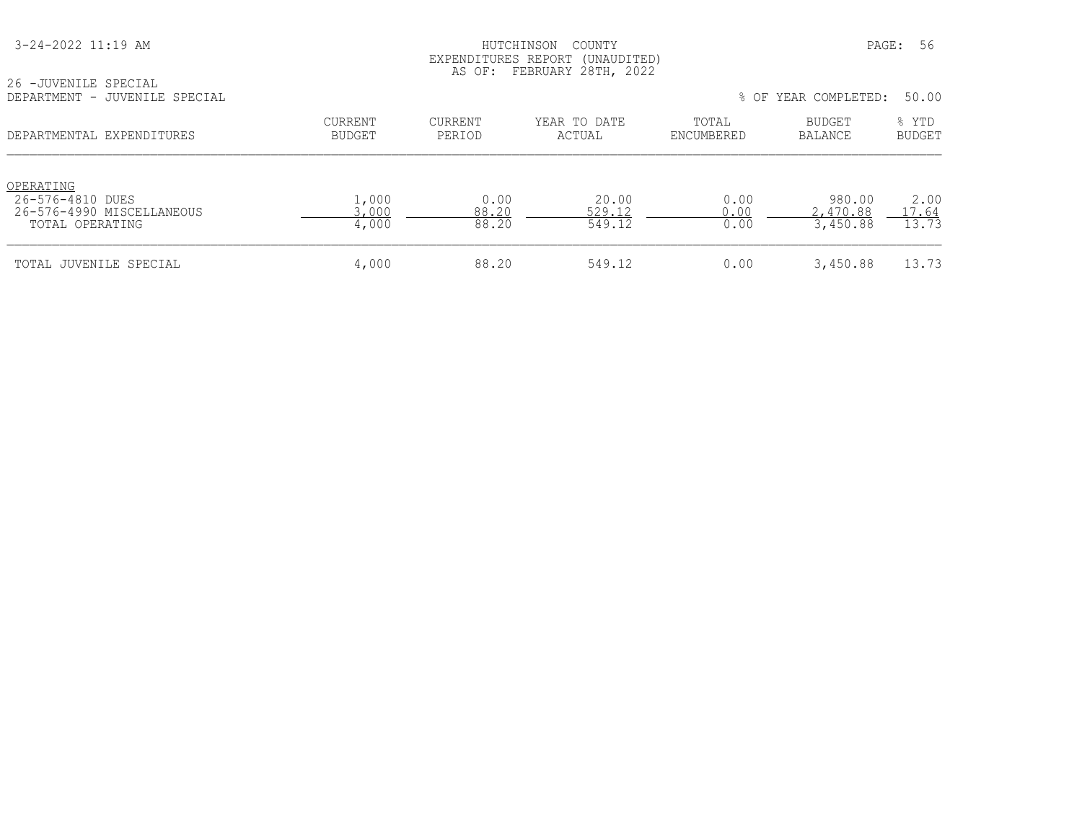HUTCHINSON COUNTY PAGE: 56 EXPENDITURES REPORT (UNAUDITED) AS OF: FEBRUARY 28TH, 2022

26 -JUVENILE SPECIAL

| DEPARTMENT - JUVENILE SPECIAL                                                 |                         |                        |                           |                      | % OF YEAR COMPLETED:           | 50.00                  |
|-------------------------------------------------------------------------------|-------------------------|------------------------|---------------------------|----------------------|--------------------------------|------------------------|
| DEPARTMENTAL EXPENDITURES                                                     | CURRENT<br>BUDGET       | CURRENT<br>PERIOD      | YEAR TO DATE<br>ACTUAL    | TOTAL<br>ENCUMBERED  | BUDGET<br>BALANCE              | % YTD<br><b>BUDGET</b> |
| OPERATING<br>26-576-4810 DUES<br>26-576-4990 MISCELLANEOUS<br>TOTAL OPERATING | 1,000<br>3,000<br>4,000 | 0.00<br>88.20<br>88.20 | 20.00<br>529.12<br>549.12 | 0.00<br>0.00<br>0.00 | 980.00<br>2,470.88<br>3,450.88 | 2.00<br>17.64<br>13.73 |
| TOTAL JUVENILE SPECIAL                                                        | 4,000                   | 88.20                  | 549.12                    | 0.00                 | 3,450.88                       | 13.73                  |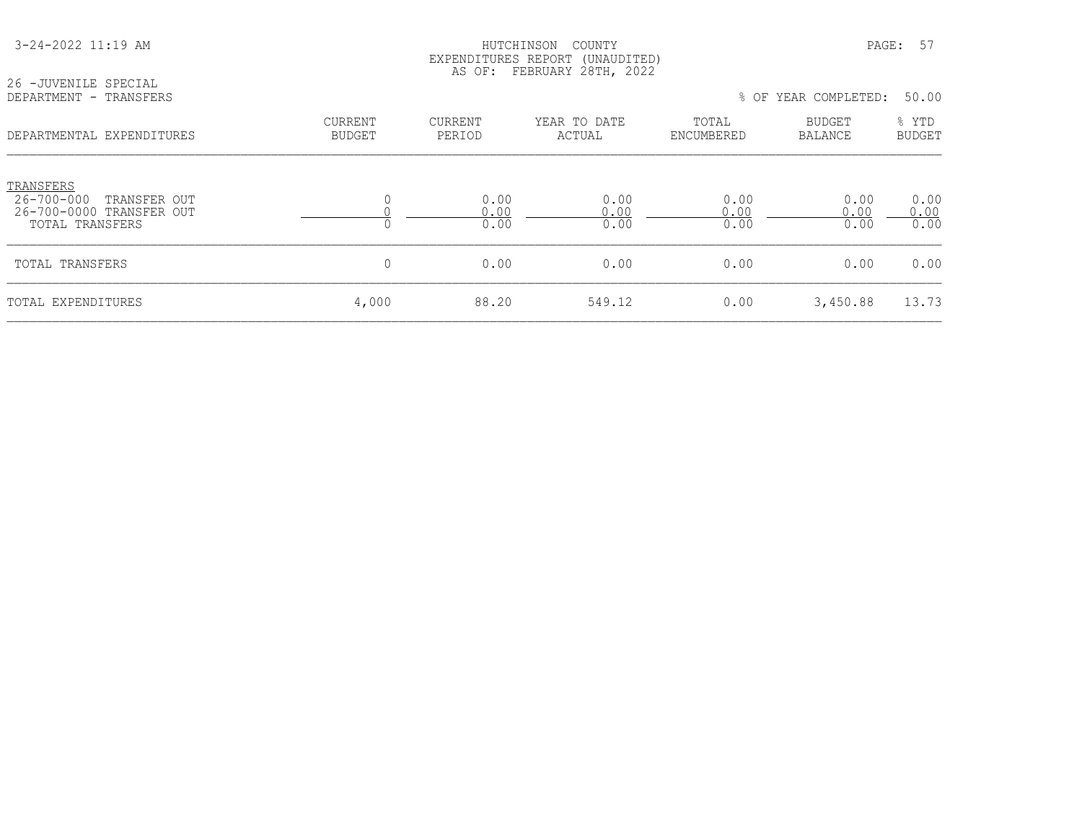| 26 - JUVENILE SPECIAL                                                                  |                                 | EXPENDITURES REPORT<br>AS OF: | (UNAUDITED)<br>FEBRUARY 28TH, 2022 |                      |                      |                        |
|----------------------------------------------------------------------------------------|---------------------------------|-------------------------------|------------------------------------|----------------------|----------------------|------------------------|
| DEPARTMENT - TRANSFERS                                                                 |                                 |                               |                                    |                      | % OF YEAR COMPLETED: | 50.00                  |
| DEPARTMENTAL EXPENDITURES                                                              | <b>CURRENT</b><br><b>BUDGET</b> | CURRENT<br>PERIOD             | YEAR TO DATE<br>ACTUAL             | TOTAL<br>ENCUMBERED  | BUDGET<br>BALANCE    | % YTD<br><b>BUDGET</b> |
| TRANSFERS<br>26-700-000<br>TRANSFER OUT<br>26-700-0000 TRANSFER OUT<br>TOTAL TRANSFERS | $\Omega$                        | 0.00<br>0.00<br>0.00          | 0.00<br>0.00<br>0.00               | 0.00<br>0.00<br>0.00 | 0.00<br>0.00<br>0.00 | 0.00<br>0.00<br>0.00   |
| TOTAL TRANSFERS                                                                        | 0                               | 0.00                          | 0.00                               | 0.00                 | 0.00                 | 0.00                   |
| TOTAL EXPENDITURES                                                                     | 4,000                           | 88.20                         | 549.12                             | 0.00                 | 3,450.88             | 13.73                  |

3-24-2022 11:19 AM PAGE: 57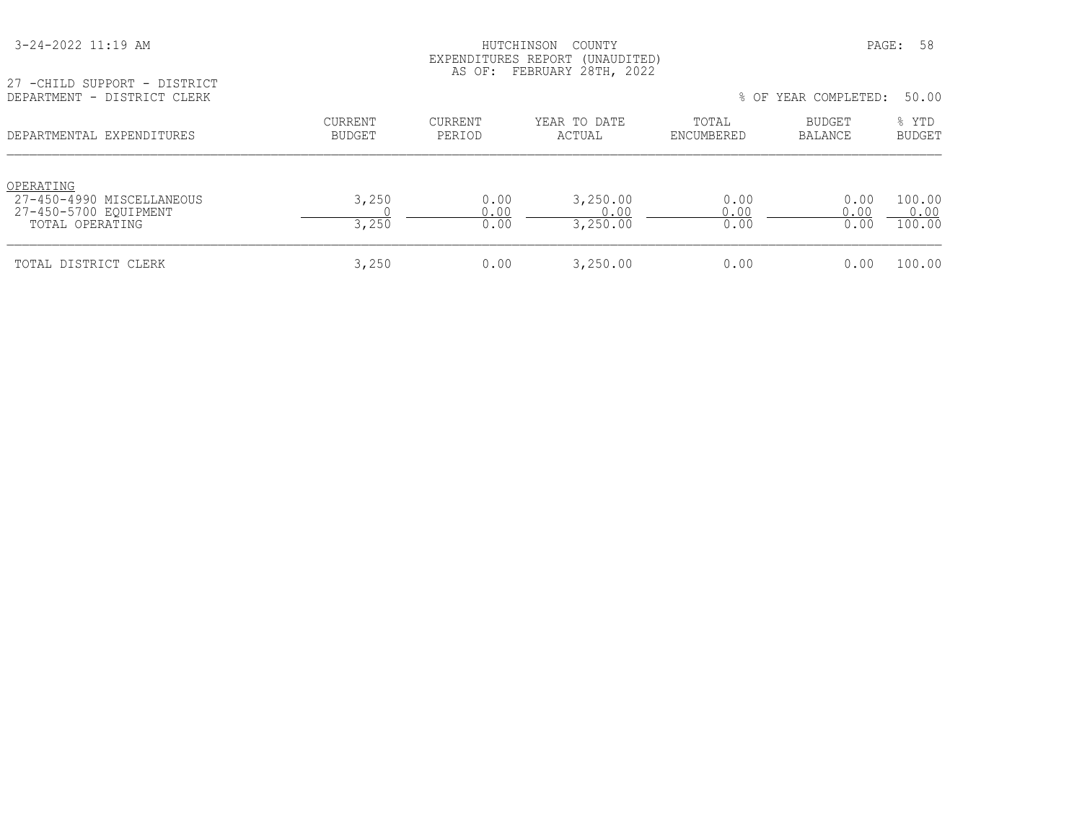| 3-24-2022 11:19 AM |  |  |  |
|--------------------|--|--|--|
|--------------------|--|--|--|

#### HUTCHINSON COUNTY PAGE: 58 EXPENDITURES REPORT (UNAUDITED) AS OF: FEBRUARY 28TH, 2022

27 -CHILD SUPPORT - DISTRICT<br>DEPARTMENT - DISTRICT CLERK

| DEPARTMENTAL EXPENDITURES                                                          | <b>CURRENT</b><br><b>BUDGET</b> | <b>CURRENT</b><br>PERIOD | YEAR TO DATE<br>ACTUAL       | TOTAL<br>ENCUMBERED  | BUDGET<br><b>BALANCE</b> | % YTD<br><b>BUDGET</b>   |
|------------------------------------------------------------------------------------|---------------------------------|--------------------------|------------------------------|----------------------|--------------------------|--------------------------|
| OPERATING<br>27-450-4990 MISCELLANEOUS<br>27-450-5700 EOUIPMENT<br>TOTAL OPERATING | 3,250<br>3,250                  | 0.00<br>0.00<br>0.00     | 3,250.00<br>0.00<br>3,250.00 | 0.00<br>0.00<br>0.00 | 0.00<br>0.00<br>0.00     | 100.00<br>0.00<br>100.00 |
| TOTAL DISTRICT CLERK                                                               | 3,250                           | 0.00                     | 3,250.00                     | 0.00                 | 0.00                     | 100.00                   |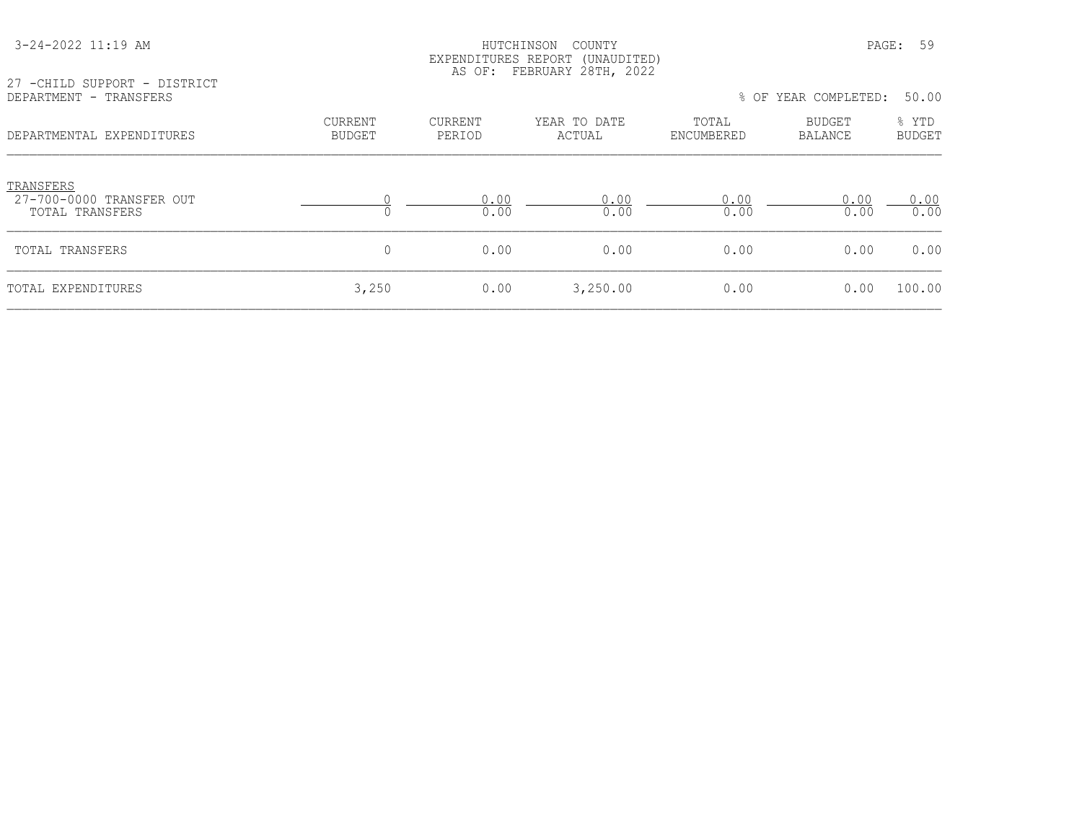| 27 -CHILD SUPPORT - DISTRICT                             |                   |                   | AS OF: FEBRUARY 28TH, 2022 |                     |                      |                        |
|----------------------------------------------------------|-------------------|-------------------|----------------------------|---------------------|----------------------|------------------------|
| DEPARTMENT - TRANSFERS                                   |                   |                   |                            |                     | % OF YEAR COMPLETED: | 50.00                  |
| DEPARTMENTAL EXPENDITURES                                | CURRENT<br>BUDGET | CURRENT<br>PERIOD | YEAR TO DATE<br>ACTUAL     | TOTAL<br>ENCUMBERED | BUDGET<br>BALANCE    | % YTD<br><b>BUDGET</b> |
| TRANSFERS<br>27-700-0000 TRANSFER OUT<br>TOTAL TRANSFERS |                   | 0.00<br>0.00      | 0.00<br>0.00               | 0.00<br>0.00        | 0.00<br>0.00         | 0.00<br>0.00           |
| TOTAL TRANSFERS                                          | 0                 | 0.00              | 0.00                       | 0.00                | 0.00                 | 0.00                   |
| TOTAL EXPENDITURES                                       | 3,250             | 0.00              | 3,250.00                   | 0.00                | 0.00                 | 100.00                 |

### 3-24-2022 11:19 AM HUTCHINSON COUNTY PAGE: 59 EXPENDITURES REPORT (UNAUDITED)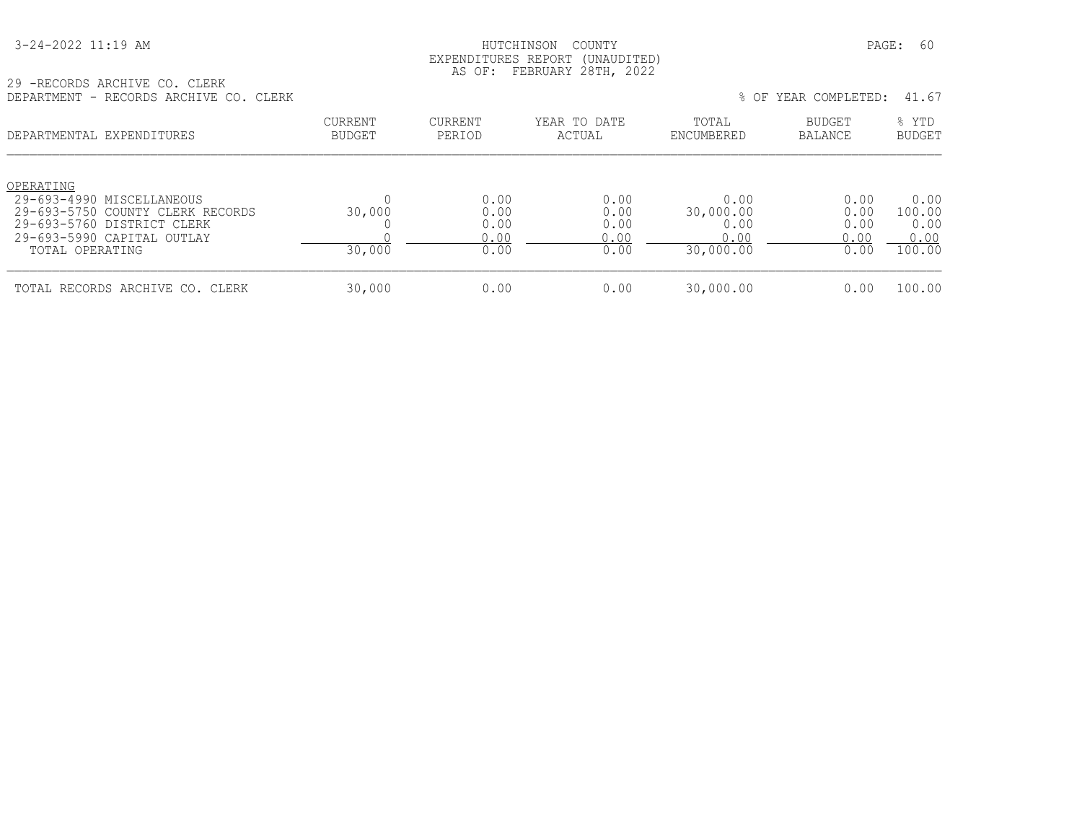| 3-24-2022 11:19 AM |
|--------------------|
|--------------------|

#### HUTCHINSON COUNTY PAGE: 60 EXPENDITURES REPORT (UNAUDITED) AS OF: FEBRUARY 28TH, 2022

29 -RECORDS ARCHIVE CO. CLERK DEPARTMENT - RECORDS ARCHIVE CO. CLERK % OF YEAR COMPLETED: 41.67

| LE LAIVITENT<br>INSCOMBO ARCHIVE CO. CHERR                                                                                                                  |                                 |                                      |                                      |                                                | 0 UF IEAN CONIEEED.                  | 71.VI                                    |
|-------------------------------------------------------------------------------------------------------------------------------------------------------------|---------------------------------|--------------------------------------|--------------------------------------|------------------------------------------------|--------------------------------------|------------------------------------------|
| DEPARTMENTAL EXPENDITURES                                                                                                                                   | <b>CURRENT</b><br><b>BUDGET</b> | CURRENT<br>PERIOD                    | YEAR TO DATE<br>ACTUAL               | TOTAL<br>ENCUMBERED                            | <b>BUDGET</b><br>BALANCE             | % YTD<br><b>BUDGET</b>                   |
| OPERATING<br>29-693-4990 MISCELLANEOUS<br>29-693-5750 COUNTY CLERK RECORDS<br>29-693-5760 DISTRICT CLERK<br>$29-693-5990$ CAPITAL OUTLAY<br>TOTAL OPERATING | 30,000<br>30,000                | 0.00<br>0.00<br>0.00<br>0.00<br>0.00 | 0.00<br>0.00<br>0.00<br>0.00<br>0.00 | 0.00<br>30,000.00<br>0.00<br>0.00<br>30,000.00 | 0.00<br>0.00<br>0.00<br>0.00<br>0.00 | 0.00<br>100.00<br>0.00<br>0.00<br>100.00 |
| TOTAL RECORDS ARCHIVE CO. CLERK                                                                                                                             | 30,000                          | 0.00                                 | 0.00                                 | 30,000.00                                      | 0.00                                 | 100.00                                   |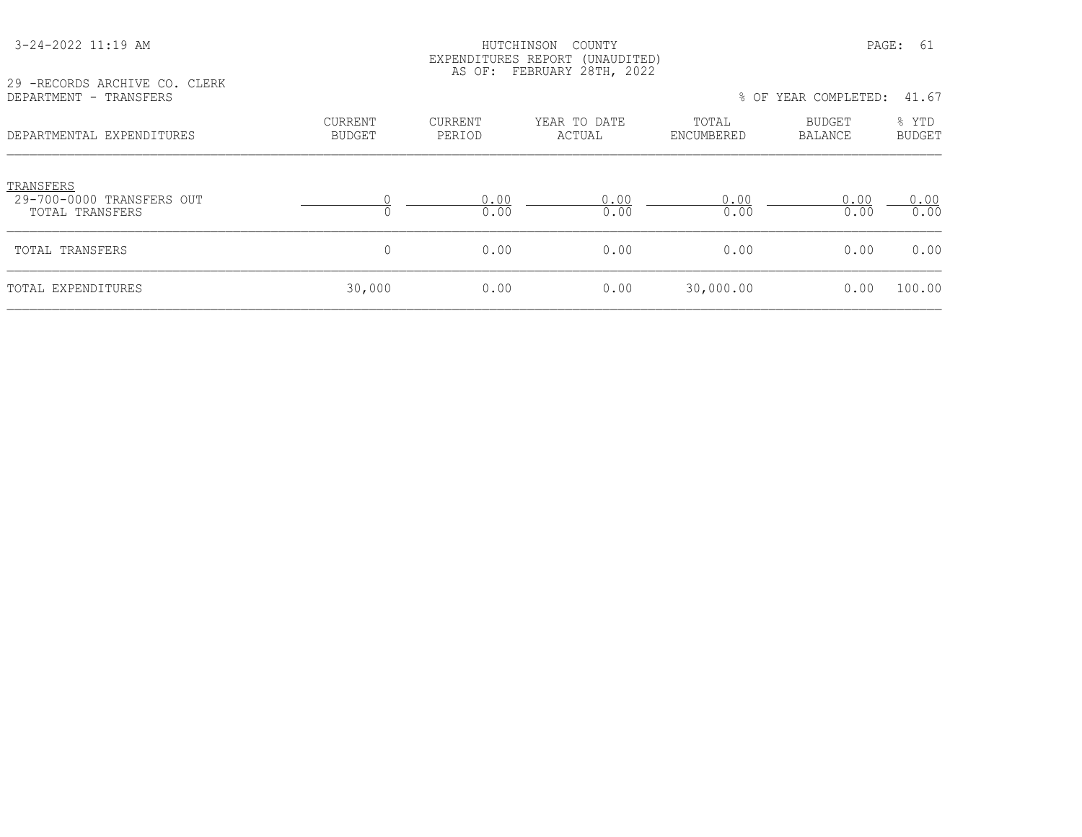| 3-24-2022 11:19 AM |  |  |
|--------------------|--|--|
|                    |  |  |

#### HUTCHINSON COUNTY PAGE: 61 EXPENDITURES REPORT (UNAUDITED) AS OF: FEBRUARY 28TH, 2022

29 -RECORDS ARCHIVE CO. CLERK<br>DEPARTMENT - TRANSFERS

| 29 -RECORDS ARCHIVE CO. CLERK<br>DEPARTMENT - TRANSFERS   |                          |                   |                        |                     | % OF YEAR COMPLETED:     | 41.67                  |
|-----------------------------------------------------------|--------------------------|-------------------|------------------------|---------------------|--------------------------|------------------------|
| DEPARTMENTAL EXPENDITURES                                 | <b>CURRENT</b><br>BUDGET | CURRENT<br>PERIOD | YEAR TO DATE<br>ACTUAL | TOTAL<br>ENCUMBERED | BUDGET<br><b>BALANCE</b> | % YTD<br><b>BUDGET</b> |
| TRANSFERS<br>29-700-0000 TRANSFERS OUT<br>TOTAL TRANSFERS |                          | 0.00<br>0.00      | 0.00<br>0.00           | 0.00<br>0.00        | 0.00<br>0.00             | 0.00<br>0.00           |
| TOTAL TRANSFERS                                           |                          | 0.00              | 0.00                   | 0.00                | 0.00                     | 0.00                   |
| TOTAL EXPENDITURES                                        | 30,000                   | 0.00              | 0.00                   | 30,000.00           | 0.00                     | 100.00                 |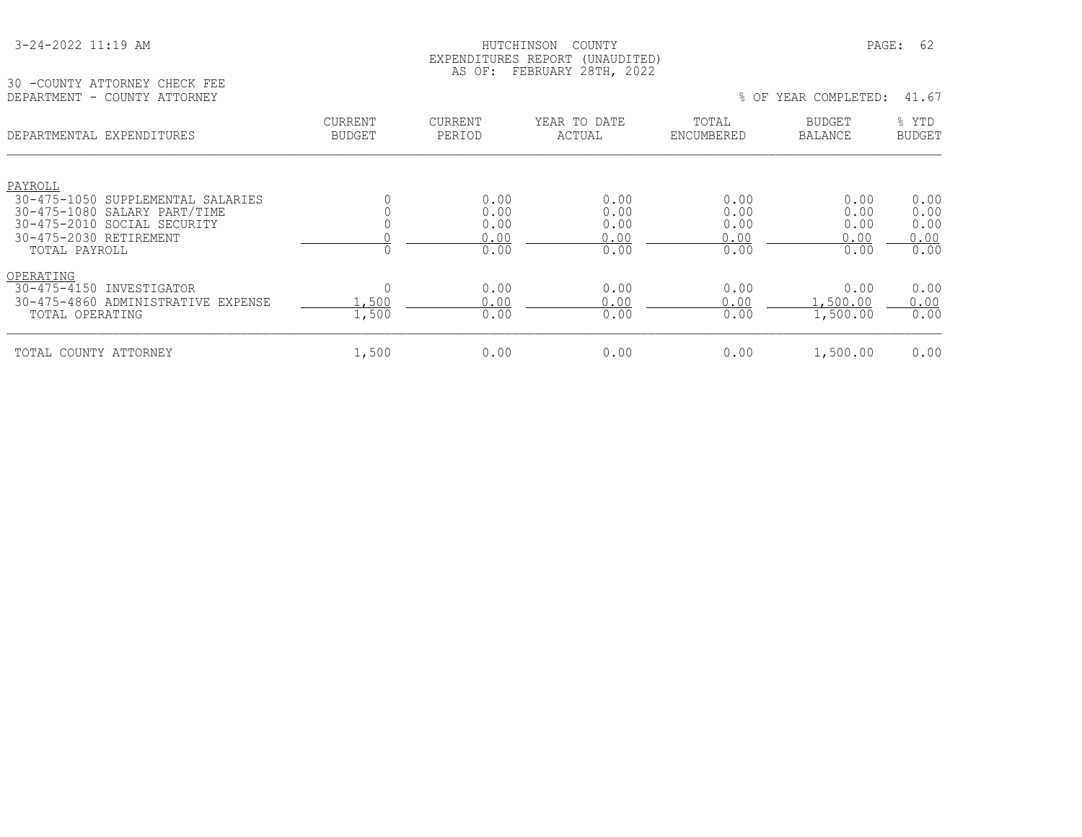#### HUTCHINSON COUNTY PAGE: 62 EXPENDITURES REPORT (UNAUDITED) AS OF: FEBRUARY 28TH, 2022

30 -COUNTY ATTORNEY CHECK FEE<br>DEPARTMENT - COUNTY ATTORNEY

% OF YEAR COMPLETED: 41.67

| DEPARTMENTAL EXPENDITURES                             | <b>CURRENT</b><br><b>BUDGET</b> | <b>CURRENT</b><br>PERIOD | YEAR TO DATE<br>ACTUAL | TOTAL<br>ENCUMBERED | <b>BUDGET</b><br><b>BALANCE</b> | % YTD<br><b>BUDGET</b> |
|-------------------------------------------------------|---------------------------------|--------------------------|------------------------|---------------------|---------------------------------|------------------------|
| PAYROLL                                               |                                 |                          |                        |                     |                                 |                        |
| 30-475-1050 SUPPLEMENTAL SALARIES                     |                                 | 0.00                     | 0.00                   | 0.00                | 0.00                            | 0.00                   |
| 30-475-1080 SALARY PART/TIME                          |                                 | 0.00                     | 0.00                   | 0.00                | 0.00                            | 0.00                   |
| 30-475-2010 SOCIAL SECURITY<br>30-475-2030 RETIREMENT |                                 | 0.00<br>0.00             | 0.00<br>0.00           | 0.00<br>0.00        | 0.00                            | 0.00<br>0.00           |
| TOTAL PAYROLL                                         |                                 | 0.00                     | 0.00                   | 0.00                | 0.00<br>0.00                    | 0.00                   |
| OPERATING                                             |                                 |                          |                        |                     |                                 |                        |
| $30 - 475 - 4150$<br>INVESTIGATOR                     |                                 | 0.00                     | 0.00                   | 0.00                | 0.00                            | 0.00                   |
| 30-475-4860 ADMINISTRATIVE EXPENSE                    | .,500                           | 0.00                     | 0.00                   | 0.00                | , 500.00                        | 0.00                   |
| TOTAL OPERATING                                       | 1,500                           | 0.00                     | 0.00                   | 0.00                | 1,500.00                        | 0.00                   |
| TOTAL COUNTY ATTORNEY                                 | 1,500                           | 0.00                     | 0.00                   | 0.00                | 1,500.00                        | 0.00                   |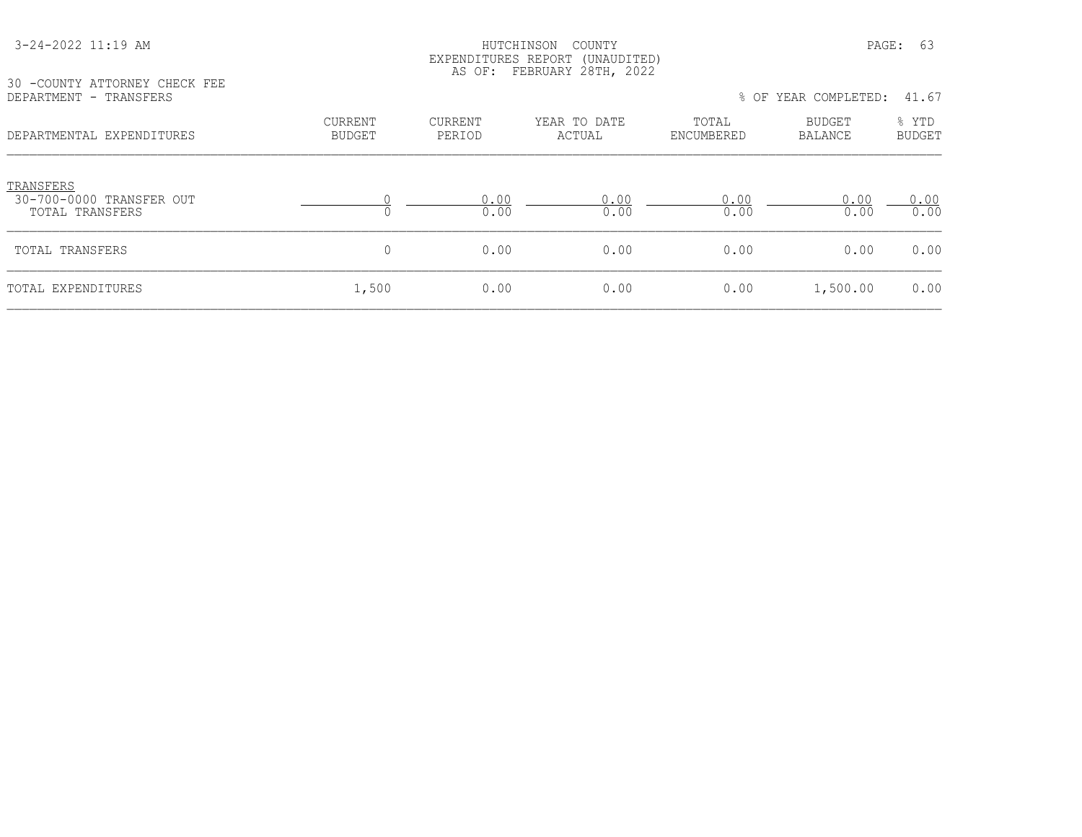#### HUTCHINSON COUNTY PAGE: 63 EXPENDITURES REPORT (UNAUDITED) AS OF: FEBRUARY 28TH, 2022

30 -COUNTY ATTORNEY CHECK FEE<br>DEPARTMENT - TRANSFERS

| DEPARTMENT - TRANSFERS                                   |                                 |                          |                        |                     | % OF YEAR COMPLETED:     | 41.67                  |
|----------------------------------------------------------|---------------------------------|--------------------------|------------------------|---------------------|--------------------------|------------------------|
| DEPARTMENTAL EXPENDITURES                                | <b>CURRENT</b><br><b>BUDGET</b> | <b>CURRENT</b><br>PERIOD | YEAR TO DATE<br>ACTUAL | TOTAL<br>ENCUMBERED | <b>BUDGET</b><br>BALANCE | % YTD<br><b>BUDGET</b> |
| TRANSFERS<br>30-700-0000 TRANSFER OUT<br>TOTAL TRANSFERS |                                 | 0.00<br>0.00             | 0.00<br>0.00           | 0.00<br>0.00        | 0.00<br>0.00             | 0.00<br>0.00           |
| TOTAL TRANSFERS                                          | $\mathbf{0}$                    | 0.00                     | 0.00                   | 0.00                | 0.00                     | 0.00                   |
| TOTAL EXPENDITURES                                       | 1,500                           | 0.00                     | 0.00                   | 0.00                | 1,500.00                 | 0.00                   |
|                                                          |                                 |                          |                        |                     |                          |                        |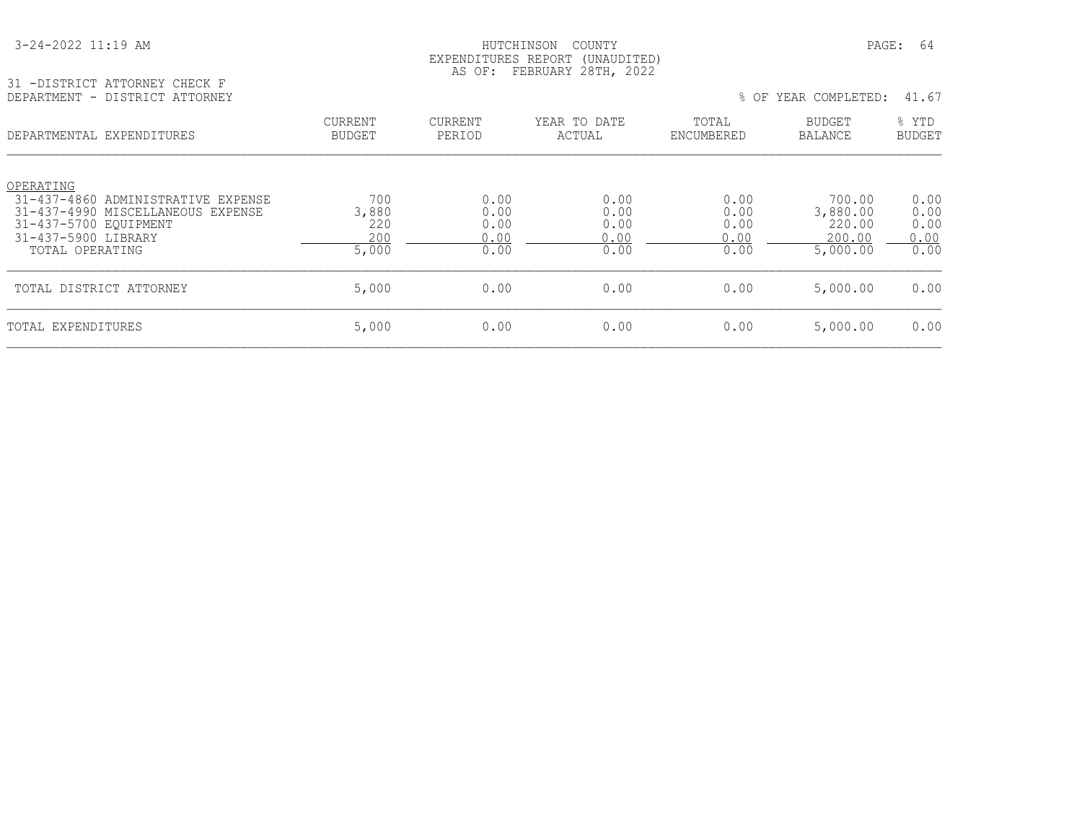| 3-24-2022 11:19 AM |  |  |  |
|--------------------|--|--|--|
|--------------------|--|--|--|

#### HUTCHINSON COUNTY PAGE: 64 EXPENDITURES REPORT (UNAUDITED) AS OF: FEBRUARY 28TH, 2022

| 31 -DISTRICT ATTORNEY CHECK F  |  |
|--------------------------------|--|
| DEPARTMENT - DISTRICT ATTORNEY |  |

|                                 |                       |                        |                      |                                 | 41.67                                                  |
|---------------------------------|-----------------------|------------------------|----------------------|---------------------------------|--------------------------------------------------------|
| <b>CURRENT</b><br><b>BUDGET</b> | CURRENT<br>PERIOD     | YEAR TO DATE<br>ACTUAL | TOTAL<br>ENCUMBERED  | <b>BUDGET</b><br><b>BALANCE</b> | % YTD<br><b>BUDGET</b>                                 |
|                                 |                       |                        |                      |                                 |                                                        |
|                                 |                       |                        |                      |                                 | 0.00<br>0.00                                           |
| 220                             | 0.00                  | 0.00                   | 0.00                 | 220.00                          | 0.00                                                   |
| 200                             | 0.00                  | 0.00                   | 0.00                 | 200.00                          | 0.00                                                   |
|                                 |                       |                        |                      |                                 | 0.00                                                   |
| 5,000                           | 0.00                  | 0.00                   | 0.00                 | 5,000.00                        | 0.00                                                   |
| 5,000                           | 0.00                  | 0.00                   | 0.00                 | 5,000.00                        | 0.00                                                   |
|                                 | 700<br>3,880<br>5,000 | 0.00<br>0.00<br>0.00   | 0.00<br>0.00<br>0.00 | 0.00<br>0.00<br>0.00            | % OF YEAR COMPLETED:<br>700.00<br>3,880.00<br>5,000.00 |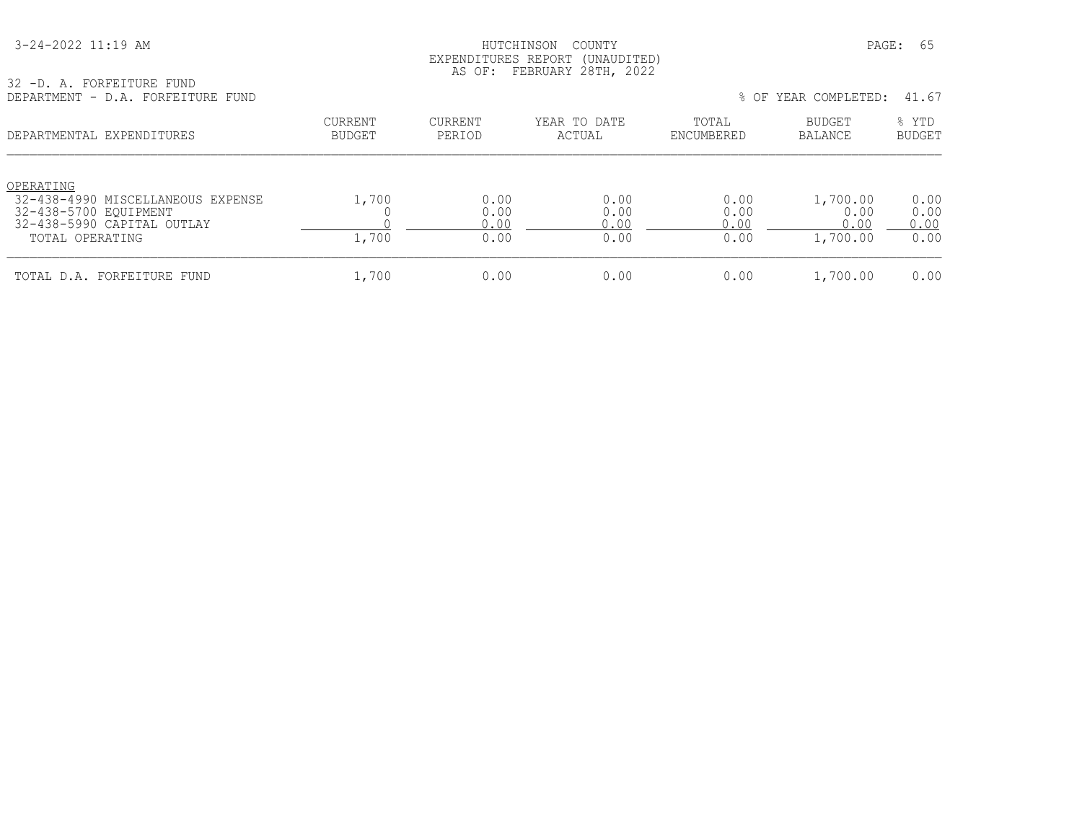| 3-24-2022 11:19 AM |
|--------------------|
|--------------------|

#### HUTCHINSON COUNTY PAGE: 65 EXPENDITURES REPORT (UNAUDITED) AS OF: FEBRUARY 28TH, 2022

| 32 -D. A. FORFEITURE FUND |  |  |                                   |  |
|---------------------------|--|--|-----------------------------------|--|
|                           |  |  | DEPARTMENT - D.A. FORFEITURE FUND |  |

| DEPARTMENT - D.A. FORFEITURE FUND                                                                                        |                                 |                              |                              |                              | % OF YEAR COMPLETED:                 | 41.67                        |
|--------------------------------------------------------------------------------------------------------------------------|---------------------------------|------------------------------|------------------------------|------------------------------|--------------------------------------|------------------------------|
| DEPARTMENTAL EXPENDITURES                                                                                                | <b>CURRENT</b><br><b>BUDGET</b> | CURRENT<br>PERIOD            | YEAR TO DATE<br>ACTUAL       | TOTAL<br>ENCUMBERED          | BUDGET<br><b>BALANCE</b>             | % YTD<br><b>BUDGET</b>       |
| OPERATING<br>32-438-4990 MISCELLANEOUS EXPENSE<br>32-438-5700 EQUIPMENT<br>32-438-5990 CAPITAL OUTLAY<br>TOTAL OPERATING | 1,700<br>1,700                  | 0.00<br>0.00<br>0.00<br>0.00 | 0.00<br>0.00<br>0.00<br>0.00 | 0.00<br>0.00<br>0.00<br>0.00 | 1,700.00<br>0.00<br>0.00<br>1,700.00 | 0.00<br>0.00<br>0.00<br>0.00 |
| TOTAL D.A. FORFEITURE FUND                                                                                               | 1,700                           | 0.00                         | 0.00                         | 0.00                         | 1,700.00                             | 0.00                         |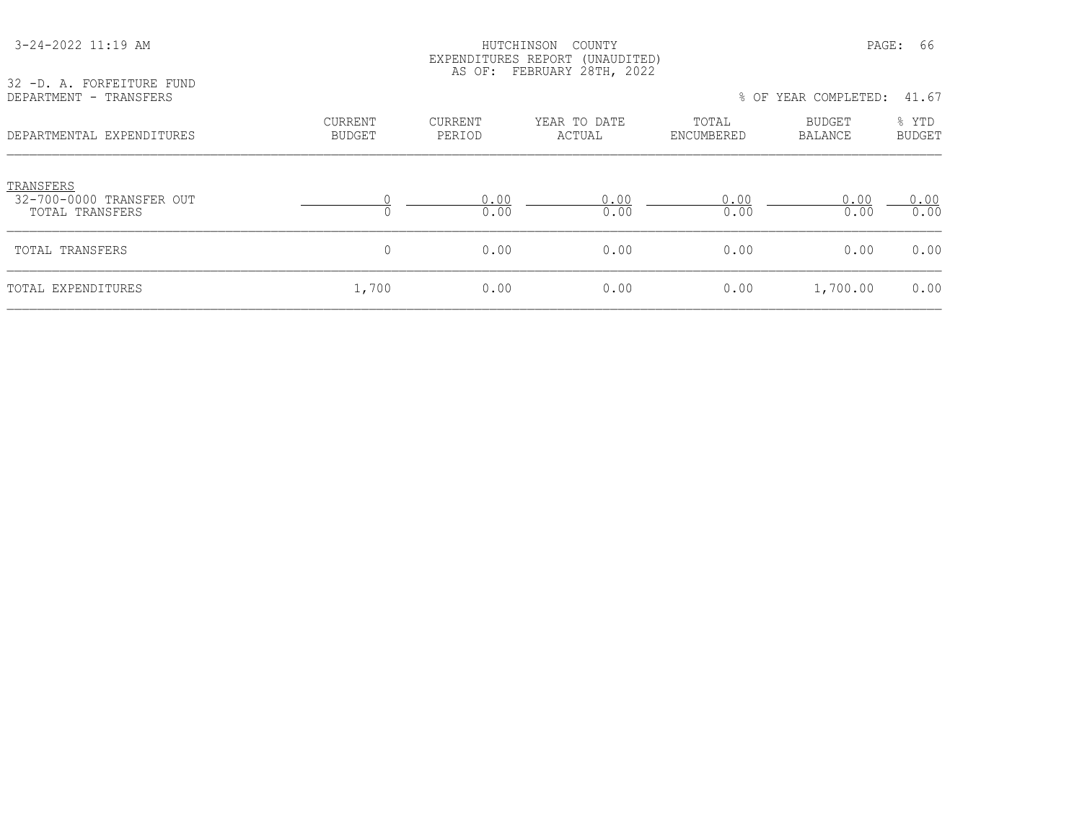| 32 -D. A. FORFEITURE FUND                                |                          |                          | EAPENDIIURES REPURI (UNAUDIIED)<br>AS OF: FEBRUARY 28TH, 2022 |                     |                      |                 |
|----------------------------------------------------------|--------------------------|--------------------------|---------------------------------------------------------------|---------------------|----------------------|-----------------|
| DEPARTMENT - TRANSFERS                                   |                          |                          |                                                               |                     | % OF YEAR COMPLETED: | 41.67           |
| DEPARTMENTAL EXPENDITURES                                | CURRENT<br><b>BUDGET</b> | <b>CURRENT</b><br>PERIOD | YEAR TO DATE<br>ACTUAL                                        | TOTAL<br>ENCUMBERED | BUDGET<br>BALANCE    | % YTD<br>BUDGET |
| TRANSFERS<br>32-700-0000 TRANSFER OUT<br>TOTAL TRANSFERS |                          | 0.00<br>0.00             | 0.00<br>0.00                                                  | 0.00<br>0.00        | 0.00<br>0.00         | 0.00<br>0.00    |
| TOTAL TRANSFERS                                          | $\mathbf{0}$             | 0.00                     | 0.00                                                          | 0.00                | 0.00                 | 0.00            |
| TOTAL EXPENDITURES                                       | 1,700                    | 0.00                     | 0.00                                                          | 0.00                | 1,700.00             | 0.00            |

 3-24-2022 11:19 AM HUTCHINSON COUNTY PAGE: 66 EXPENDITURES REPORT (UNAUDITED)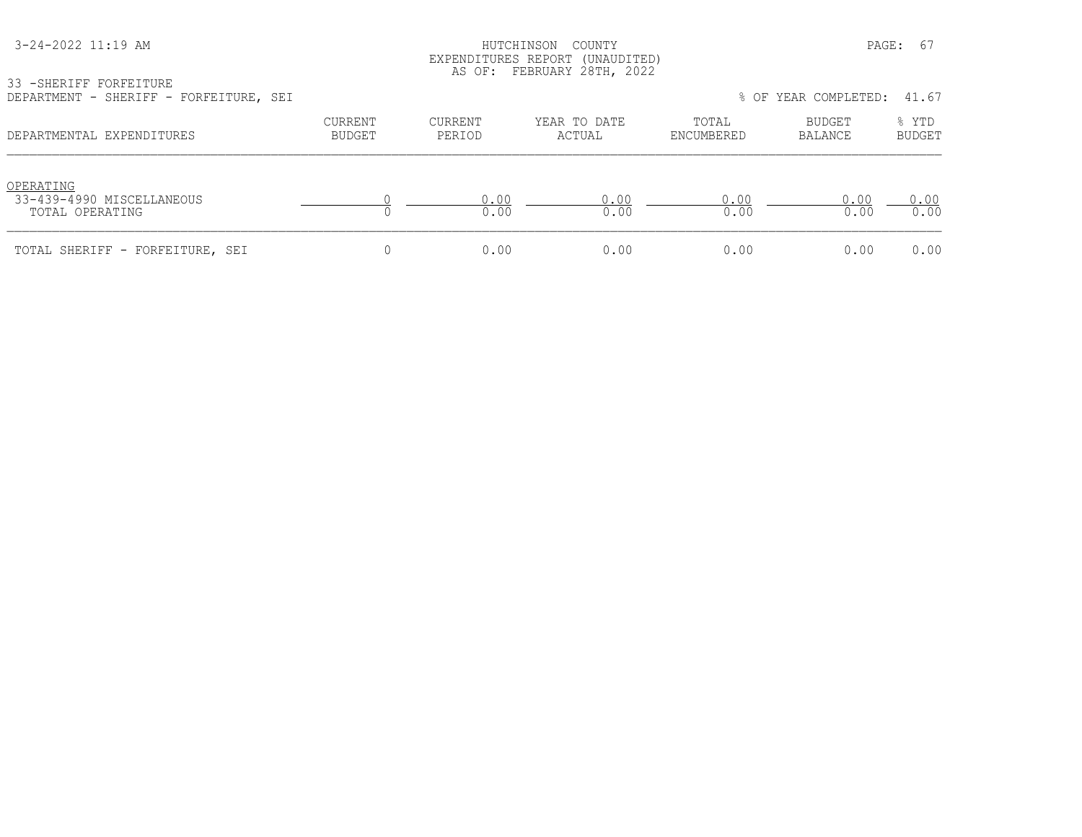#### HUTCHINSON COUNTY PAGE: 67 EXPENDITURES REPORT (UNAUDITED) AS OF: FEBRUARY 28TH, 2022

33 -SHERIFF FORFEITURE

| DEPARTMENT - SHERIFF - FORFEITURE, SEI                    |                          |                   |                        |                     | % OF YEAR COMPLETED: | 41.67                  |
|-----------------------------------------------------------|--------------------------|-------------------|------------------------|---------------------|----------------------|------------------------|
| DEPARTMENTAL EXPENDITURES                                 | CURRENT<br><b>BUDGET</b> | CURRENT<br>PERIOD | YEAR TO DATE<br>ACTUAL | TOTAL<br>ENCUMBERED | BUDGET<br>BALANCE    | % YTD<br><b>BUDGET</b> |
| OPERATING<br>33-439-4990 MISCELLANEOUS<br>TOTAL OPERATING |                          | 0.00<br>0.00      | 0.00<br>0.00           | 0.00<br>0.00        | 0.00<br>0.00         | 0.00<br>0.00           |
| TOTAL SHERIFF - FORFEITURE, SEI                           |                          | 0.00              | 0.00                   | 0.00                | 0.00                 | 0.00                   |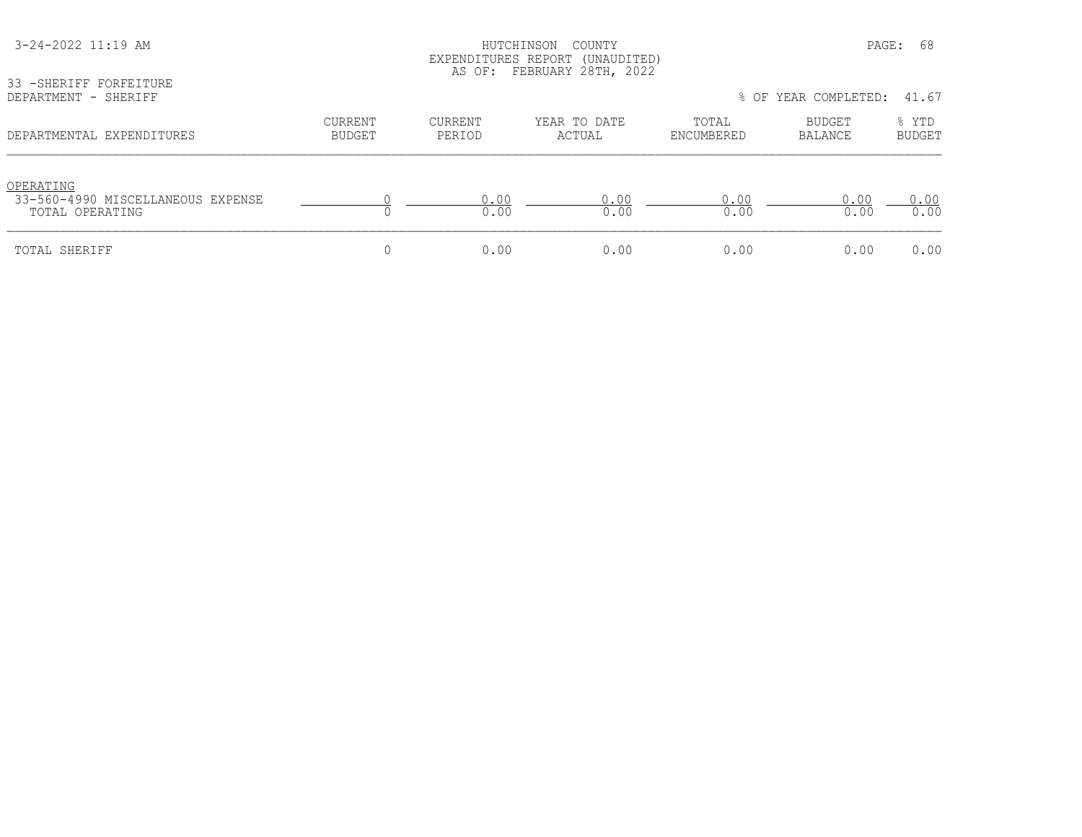| 3-24-2022 11:19 AM<br>33 - SHERIFF FORFEITURE                     |                                 |                   | HUTCHINSON<br>COUNTY<br>EXPENDITURES REPORT (UNAUDITED)<br>AS OF: FEBRUARY 28TH, 2022 |                     | PAGE:                | -68                    |
|-------------------------------------------------------------------|---------------------------------|-------------------|---------------------------------------------------------------------------------------|---------------------|----------------------|------------------------|
| DEPARTMENT - SHERIFF                                              |                                 |                   |                                                                                       |                     | % OF YEAR COMPLETED: | 41.67                  |
| DEPARTMENTAL EXPENDITURES                                         | <b>CURRENT</b><br><b>BUDGET</b> | CURRENT<br>PERIOD | YEAR TO DATE<br>ACTUAL                                                                | TOTAL<br>ENCUMBERED | BUDGET<br>BALANCE    | % YTD<br><b>BUDGET</b> |
| OPERATING<br>33-560-4990 MISCELLANEOUS EXPENSE<br>TOTAL OPERATING |                                 | 0.00<br>0.00      | 0.00<br>0.00                                                                          | 0.00<br>0.00        | 0.00<br>0.00         | 0.00<br>0.00           |
| TOTAL SHERIFF                                                     | U                               | 0.00              | 0.00                                                                                  | 0.00                | 0.00                 | 0.00                   |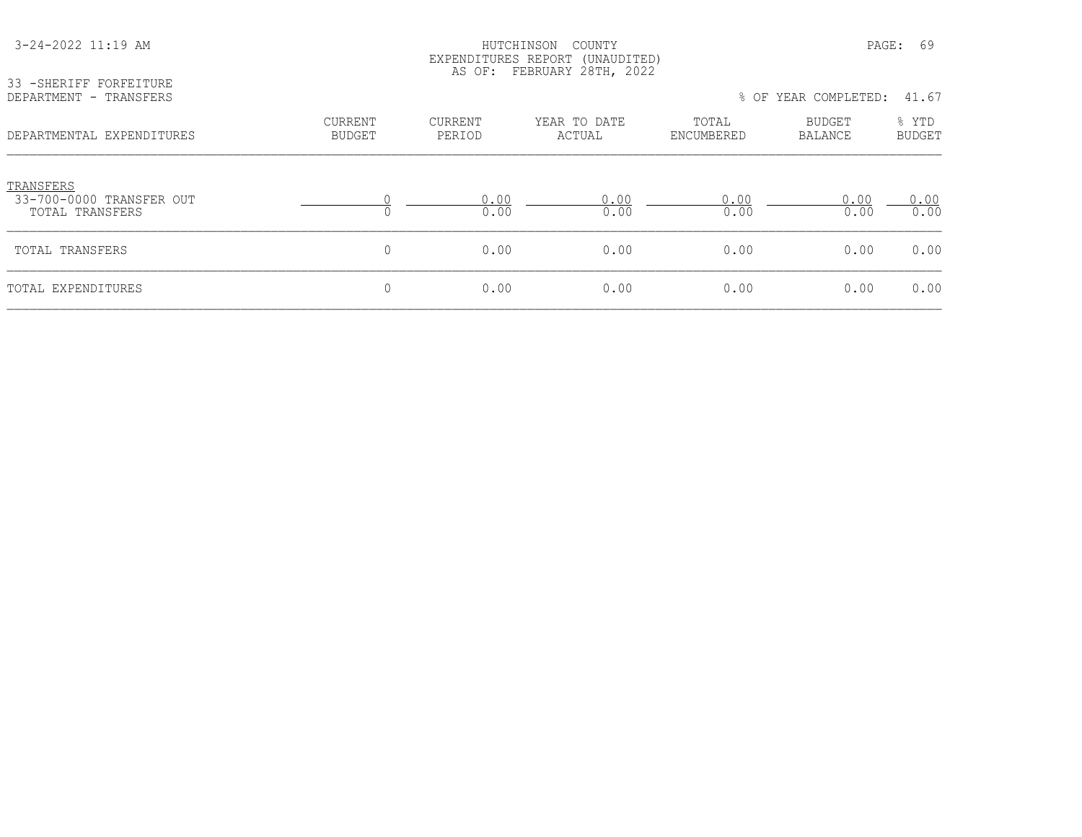| 33 - SHERIFF FORFEITURE<br>DEPARTMENT - TRANSFERS        |                          |                          | EXPENDITURES REPORT (UNAUDITED)<br>AS OF: FEBRUARY 28TH, 2022 |                     | % OF YEAR COMPLETED:     | 41.67                  |
|----------------------------------------------------------|--------------------------|--------------------------|---------------------------------------------------------------|---------------------|--------------------------|------------------------|
| DEPARTMENTAL EXPENDITURES                                | CURRENT<br><b>BUDGET</b> | <b>CURRENT</b><br>PERIOD | YEAR TO DATE<br>ACTUAL                                        | TOTAL<br>ENCUMBERED | BUDGET<br><b>BALANCE</b> | % YTD<br><b>BUDGET</b> |
| TRANSFERS<br>33-700-0000 TRANSFER OUT<br>TOTAL TRANSFERS |                          | 0.00<br>0.00             | 0.00<br>0.00                                                  | 0.00<br>0.00        | 0.00<br>0.00             | 0.00<br>0.00           |
| TOTAL TRANSFERS                                          | 0                        | 0.00                     | 0.00                                                          | 0.00                | 0.00                     | 0.00                   |
| TOTAL EXPENDITURES                                       | 0                        | 0.00                     | 0.00                                                          | 0.00                | 0.00                     | 0.00                   |

3-24-2022 11:19 AM HUTCHINSON COUNTY PAGE: 69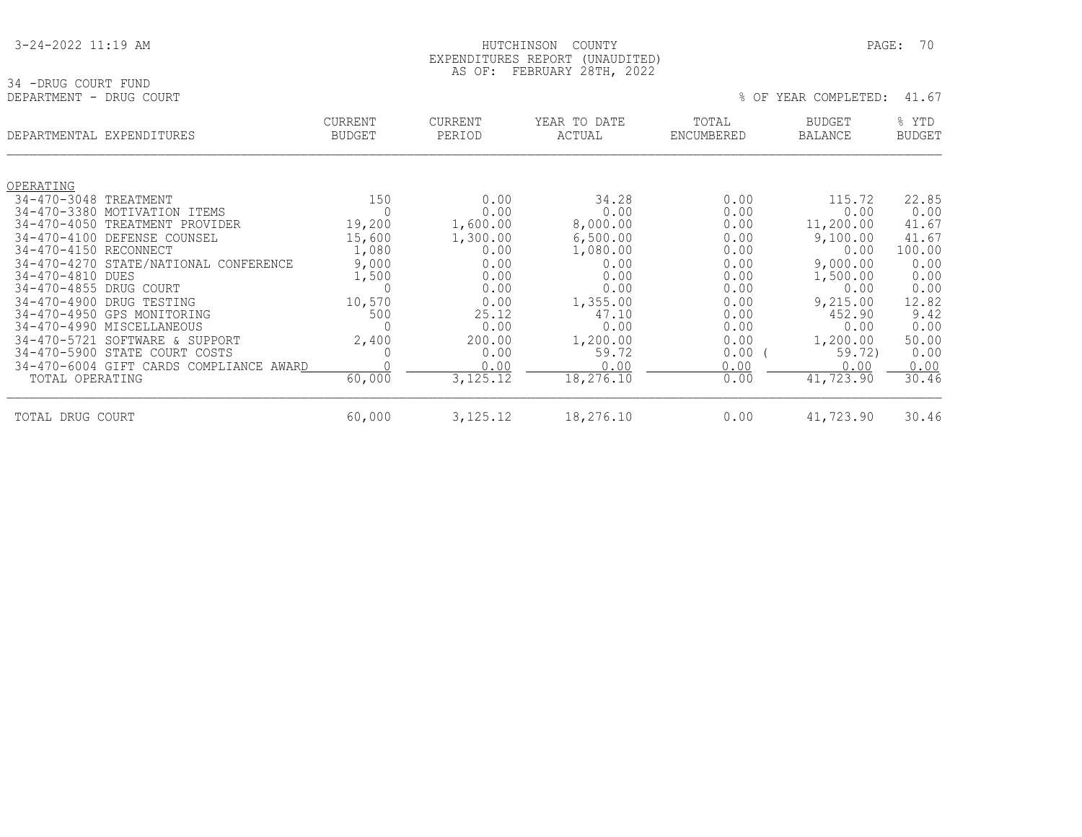| 3-24-2022 11:19 AM |
|--------------------|
|--------------------|

34 -DRUG COURT FUND<br>DEPARTMENT - DRUG COURT

#### HUTCHINSON COUNTY PAGE: 70 EXPENDITURES REPORT (UNAUDITED) AS OF: FEBRUARY 28TH, 2022

% OF YEAR COMPLETED: 41.67

|                                        | DEPARTMENTAL EXPENDITURES             | <b>CURRENT</b><br><b>BUDGET</b> | <b>CURRENT</b><br>PERIOD | YEAR TO DATE<br>ACTUAL | TOTAL<br>ENCUMBERED | <b>BUDGET</b><br><b>BALANCE</b> | % YTD<br><b>BUDGET</b> |
|----------------------------------------|---------------------------------------|---------------------------------|--------------------------|------------------------|---------------------|---------------------------------|------------------------|
| OPERATING                              |                                       |                                 |                          |                        |                     |                                 |                        |
| $34 - 470 - 3048$                      | TREATMENT                             | 150                             | 0.00                     | 34.28                  | 0.00                | 115.72                          | 22.85                  |
| $34 - 470 - 3380$                      | MOTIVATION<br>ITEMS                   | $\Omega$                        | 0.00                     | 0.00                   | 0.00                | 0.00                            | 0.00                   |
| $34 - 470 - 4050$                      | TREATMENT PROVIDER                    | 19,200                          | 1,600.00                 | 8,000.00               | 0.00                | 11,200.00                       | 41.67                  |
| $34 - 470 - 4100$                      | DEFENSE COUNSEL                       | 15,600                          | 1,300.00                 | 6,500.00               | 0.00                | 9,100.00                        | 41.67                  |
| 34-470-4150 RECONNECT                  |                                       | 1,080                           | 0.00                     | 1,080.00               | 0.00                | 0.00                            | 100.00                 |
|                                        | 34-470-4270 STATE/NATIONAL CONFERENCE | 9,000                           | 0.00                     | 0.00                   | 0.00                | 9,000.00                        | 0.00                   |
| $34 - 470 - 4810$<br>$34 - 470 - 4855$ | DUES<br>DRUG COURT                    | 1,500<br>$\Omega$               | 0.00<br>0.00             | 0.00<br>0.00           | 0.00<br>0.00        | 1,500.00<br>0.00                | 0.00<br>0.00           |
| $34 - 470 - 4900$                      | DRUG TESTING                          | 10,570                          | 0.00                     | 1,355.00               | 0.00                | 9,215.00                        | 12.82                  |
| $34 - 470 - 4950$                      | GPS MONITORING                        | 500                             | 25.12                    | 47.10                  | 0.00                | 452.90                          | 9.42                   |
|                                        | 34-470-4990 MISCELLANEOUS             | 0                               | 0.00                     | 0.00                   | 0.00                | 0.00                            | 0.00                   |
| $34 - 470 - 5721$                      | SOFTWARE & SUPPORT                    | 2,400                           | 200.00                   | 1,200.00               | 0.00                | 1,200.00                        | 50.00                  |
| $34 - 470 - 5900$                      | STATE COURT COSTS                     | 0                               | 0.00                     | 59.72                  | 0.00                | 59.72)                          | 0.00                   |
| $34 - 470 - 6004$                      | GIFT CARDS COMPLIANCE AWARD           |                                 | 0.00                     | 0.00                   | 0.00                | 0.00                            | 0.00                   |
| TOTAL OPERATING                        |                                       | 60,000                          | 3, 125. 12               | 18,276.10              | 0.00                | 41,723.90                       | 30.46                  |
| TOTAL DRUG COURT                       |                                       | 60,000                          | 3,125.12                 | 18,276.10              | 0.00                | 41,723.90                       | 30.46                  |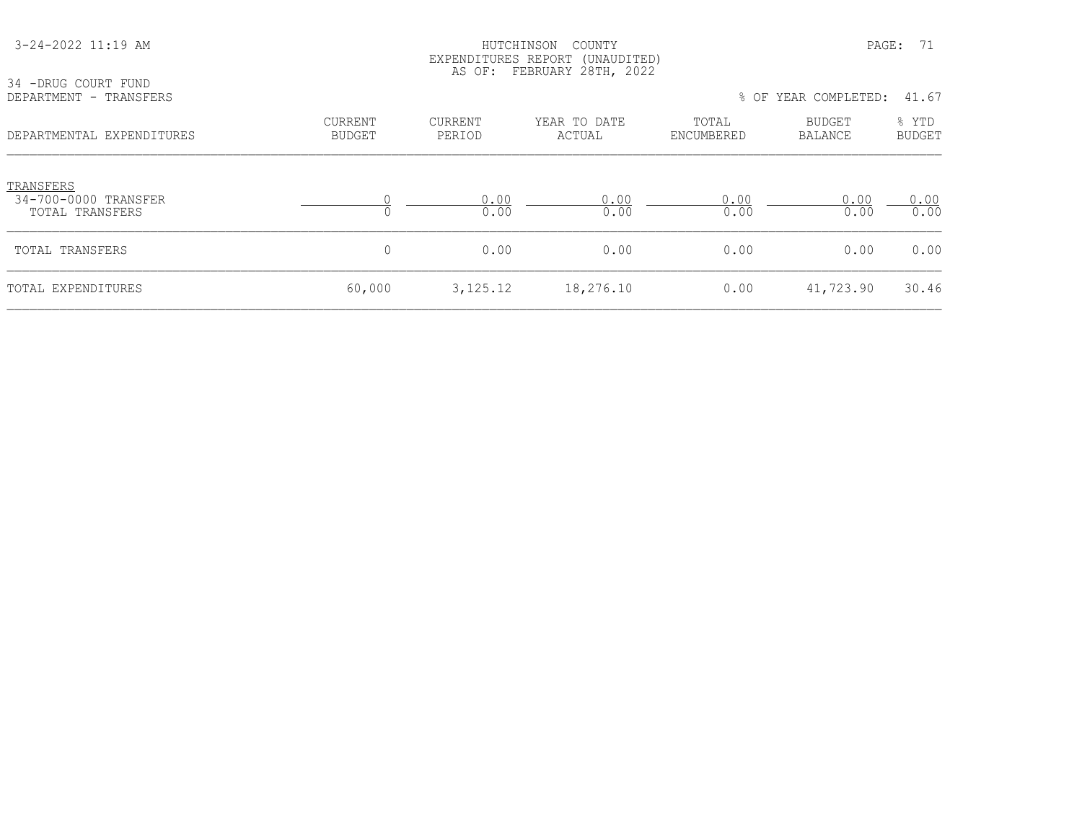| 3-24-2022 11:19 AM                                   | HUTCHINSON<br>COUNTY<br>EXPENDITURES REPORT (UNAUDITED)<br>AS OF: FEBRUARY 28TH, 2022 |                      |                        |                     | PAGE:<br>71              |                        |  |
|------------------------------------------------------|---------------------------------------------------------------------------------------|----------------------|------------------------|---------------------|--------------------------|------------------------|--|
| 34 -DRUG COURT FUND<br>DEPARTMENT - TRANSFERS        |                                                                                       | % OF YEAR COMPLETED: | 41.67                  |                     |                          |                        |  |
| DEPARTMENTAL EXPENDITURES                            | CURRENT<br><b>BUDGET</b>                                                              | CURRENT<br>PERIOD    | YEAR TO DATE<br>ACTUAL | TOTAL<br>ENCUMBERED | BUDGET<br><b>BALANCE</b> | % YTD<br><b>BUDGET</b> |  |
| TRANSFERS<br>34-700-0000 TRANSFER<br>TOTAL TRANSFERS |                                                                                       | 0.00<br>0.00         | 0.00<br>0.00           | 0.00<br>0.00        | 0.00<br>0.00             | 0.00<br>0.00           |  |
| TOTAL TRANSFERS                                      | $\mathbf 0$                                                                           | 0.00                 | 0.00                   | 0.00                | 0.00                     | 0.00                   |  |
| TOTAL EXPENDITURES                                   | 60,000                                                                                | 3, 125. 12           | 18,276.10              | 0.00                | 41,723.90                | 30.46                  |  |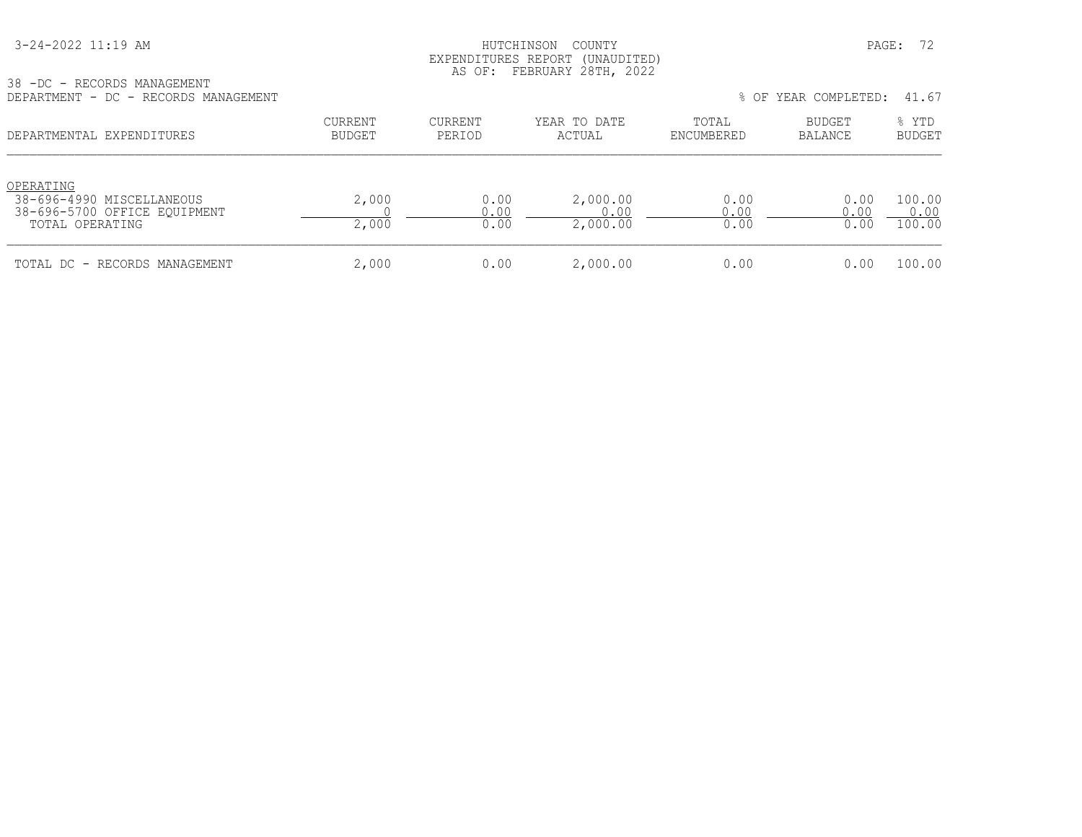#### HUTCHINSON COUNTY PAGE: 72 EXPENDITURES REPORT (UNAUDITED) AS OF: FEBRUARY 28TH, 2022

38 -DC - RECORDS MANAGEMENT<br>DEPARTMENT - DC - RECORDS MA

| DEPARTMENT - DC - RECORDS MANAGEMENT                                                      |                          | 41.67<br>% OF YEAR COMPLETED: |                              |                      |                      |                          |
|-------------------------------------------------------------------------------------------|--------------------------|-------------------------------|------------------------------|----------------------|----------------------|--------------------------|
| DEPARTMENTAL EXPENDITURES                                                                 | CURRENT<br><b>BUDGET</b> | CURRENT<br>PERIOD             | YEAR TO DATE<br>ACTUAL       | TOTAL<br>ENCUMBERED  | BUDGET<br>BALANCE    | % YTD<br><b>BUDGET</b>   |
| OPERATING<br>38-696-4990 MISCELLANEOUS<br>38-696-5700 OFFICE EOUIPMENT<br>TOTAL OPERATING | 2,000<br>2,000           | 0.00<br>0.00<br>0.00          | 2,000.00<br>0.00<br>2,000.00 | 0.00<br>0.00<br>0.00 | 0.00<br>0.00<br>0.00 | 100.00<br>0.00<br>100.00 |
| TOTAL DC - RECORDS MANAGEMENT                                                             | 2,000                    | 0.00                          | 2,000.00                     | 0.00                 | 0.00                 | 100.00                   |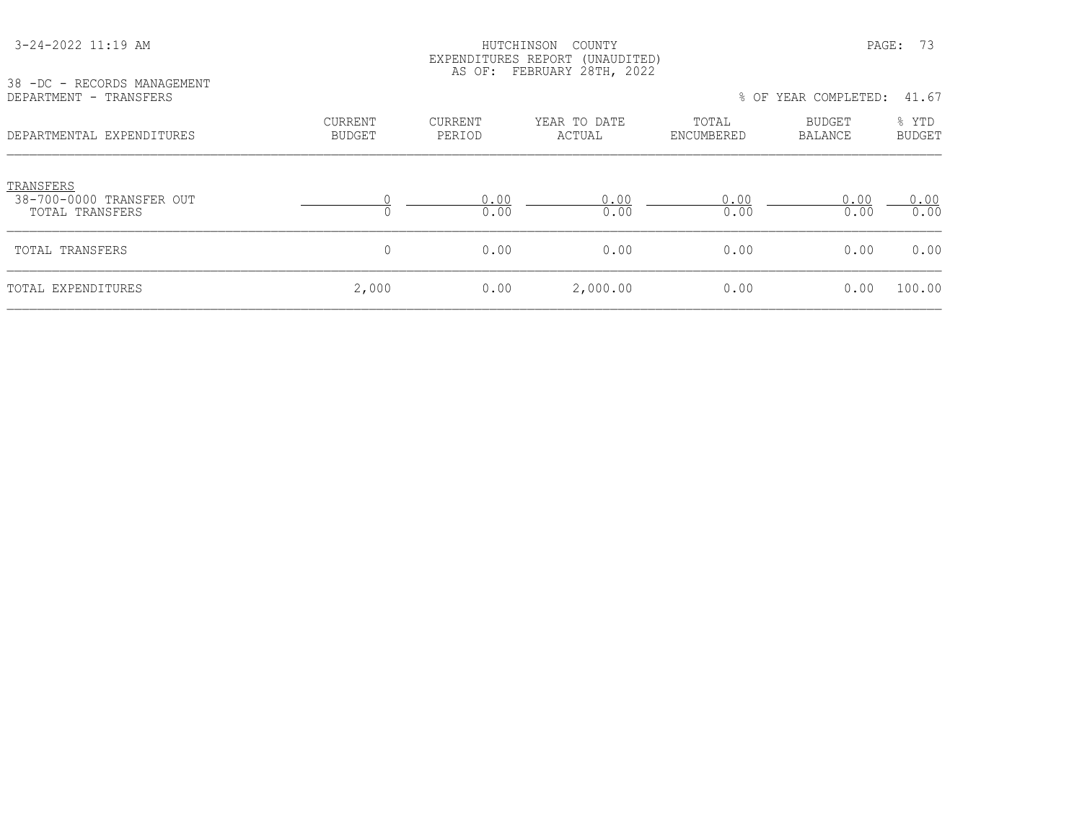| 38 -DC - RECORDS MANAGEMENT<br>DEPARTMENT - TRANSFERS    |                                 | LAND THUR NOT ONE (UNNOPITOP)<br>AS OF: FEBRUARY 28TH, 2022 |                        | % OF YEAR COMPLETED:<br>41.67 |                   |                        |
|----------------------------------------------------------|---------------------------------|-------------------------------------------------------------|------------------------|-------------------------------|-------------------|------------------------|
| DEPARTMENTAL EXPENDITURES                                | <b>CURRENT</b><br><b>BUDGET</b> | <b>CURRENT</b><br>PERIOD                                    | YEAR TO DATE<br>ACTUAL | TOTAL<br>ENCUMBERED           | BUDGET<br>BALANCE | % YTD<br><b>BUDGET</b> |
| TRANSFERS<br>38-700-0000 TRANSFER OUT<br>TOTAL TRANSFERS |                                 | 0.00<br>0.00                                                | 0.00<br>0.00           | 0.00<br>0.00                  | 0.00<br>0.00      | 0.00<br>0.00           |
| TOTAL TRANSFERS                                          | $\mathbf 0$                     | 0.00                                                        | 0.00                   | 0.00                          | 0.00              | 0.00                   |
| TOTAL EXPENDITURES                                       | 2,000                           | 0.00                                                        | 2,000.00               | 0.00                          | 0.00              | 100.00                 |

 3-24-2022 11:19 AM HUTCHINSON COUNTY PAGE: 73 EXPENDITURES REPORT (UNAUDITED)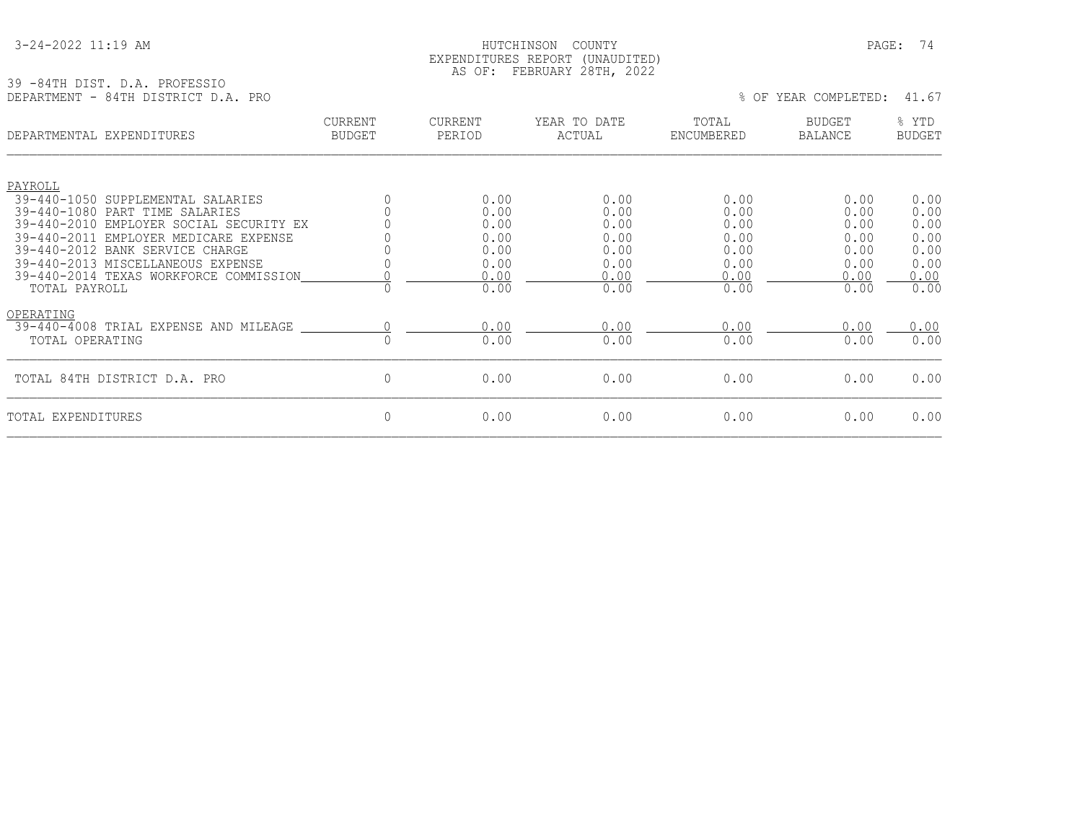#### 3-24-2022 11:19 AM HUTCHINSON COUNTY PAGE: 74 EXPENDITURES REPORT (UNAUDITED) AS OF: FEBRUARY 28TH, 2022

### 39 -84TH DIST. D.A. PROFESSIO

DEPARTMENT - 84TH DISTRICT D.A. PRO % OF YEAR COMPLETED: 41.67 CURRENT CURRENT YEAR TO DATE TOTAL BUDGET % YTD DEPARTMENTAL EXPENDITURES BUDGET PERIOD ACTUAL ENCUMBERED BALANCE BUDGET PAYROLL 39-440-1050 SUPPLEMENTAL SALARIES  $\begin{array}{cccccccc} 0 & 0 & 0.00 & 0.00 & 0.00 & 0.00 & 0.00 & 0.00 & 0.00 & 0.00 & 0.00 & 0.00 & 0.00 & 0.00 & 0.00 & 0.00 & 0.00 & 0.00 & 0.00 & 0.00 & 0.00 & 0.00 & 0.00 & 0.00 & 0.00 & 0.00 & 0.00 & 0.00 & 0.00 & 0.00 & 0.00$ 39-440-1080 PART TIME SALARIES<br>39-440-2010 EMPLOYER SOCIAL SECURITY EX 0 0.00 0.00 0.00 0.00 0.00 39-440-2010 EMPLOYER SOCIAL SECURITY EX  $0.39-440-2011$  EMPLOYER MEDICARE EXPENSE 39-440-2011 EMPLOYER MEDICARE EXPENSE 0 0.00 0.00 0.00 0.00 0.00 39-440-2012 BANK SERVICE CHARGE 0 0.00 0.00 0.00 0.00 0.00 39-440-2013 MISCELLANEOUS EXPENSE 0 0.00 0.00 0.00 0.00 0.00 39-440-2014 TEXAS WORKFORCE COMMISSION  $\begin{array}{cccc} 0 & - & 0.00 & 0.00 \\ 0 & 0 & 0.00 & - & 0.00 \\ 0.00 & 0.00 & 0.00 & 0.00 \end{array}$  TOTAL PAYROLL 0 0.00 0.00 0.00 0.00 0.00 OPERATING  $\frac{39-440-4008 \text{ TRIAL EXPERS}}{0.00 \text{ TRIAL EXPERS}}$  TOTAL EXPENSE AND MILEAGE  $\frac{0.00}{0.00 \text{ N}}$   $\frac{0.00}{0.00}$   $\frac{0.00}{0.00}$   $\frac{0.00}{0.00}$   $\frac{0.00}{0.00}$  0.00 TOTAL OPERATING 0 0.00 0.00 0.00 0.00 0.00 TOTAL 84TH DISTRICT D.A. PRO 0 0.00 0.00 0.00 0.00 0.00 TOTAL EXPENDITURES 0 0.00 0.00 0.00 0.00 0.00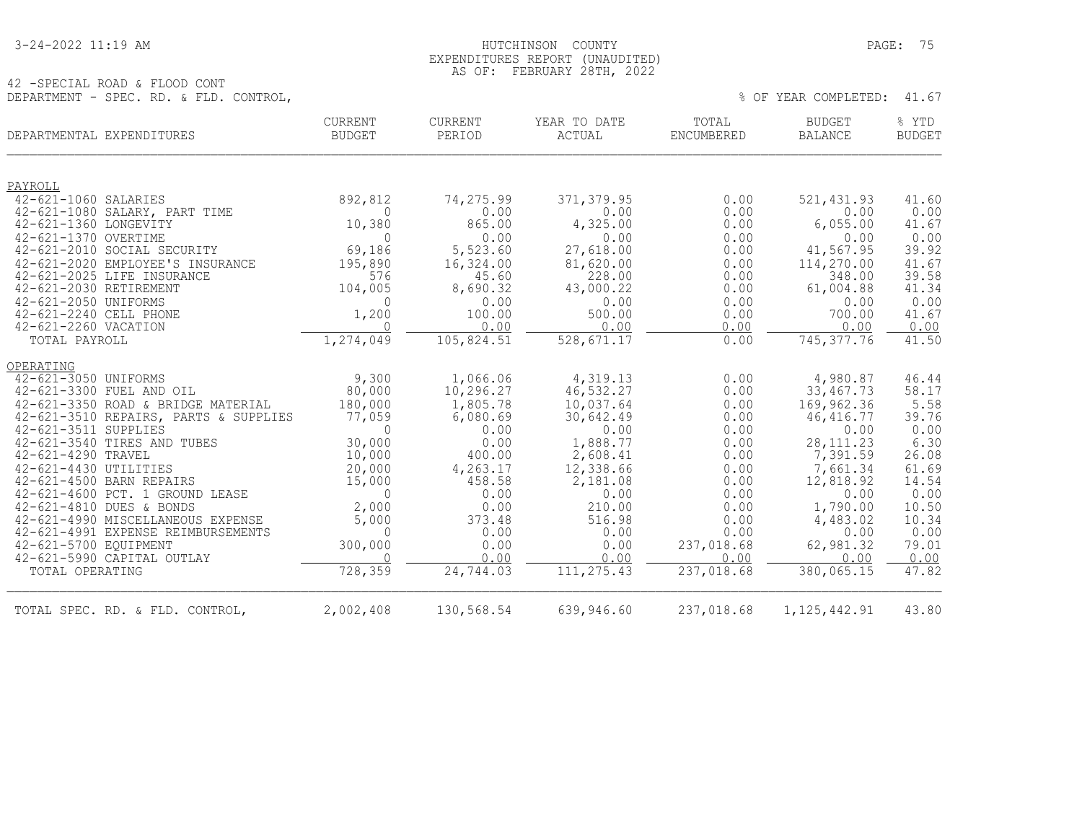42 -SPECIAL ROAD & FLOOD CONT

#### 3-24-2022 11:19 AM HUTCHINSON COUNTY PAGE: 75 EXPENDITURES REPORT (UNAUDITED) AS OF: FEBRUARY 28TH, 2022

DEPARTMENT - SPEC. RD. & FLD. CONTROL,  $41.67$ 

| DEPARTMENTAL EXPENDITURES                                               | CURRENT<br>BUDGET  | CURRENT<br>PERIOD | YEAR TO DATE<br>ACTUAL | TOTAL<br>ENCUMBERED | <b>BUDGET</b><br><b>BALANCE</b> | % YTD<br><b>BUDGET</b> |
|-------------------------------------------------------------------------|--------------------|-------------------|------------------------|---------------------|---------------------------------|------------------------|
| PAYROLL                                                                 |                    |                   |                        |                     |                                 |                        |
| 42-621-1060 SALARIES                                                    | 892,812            | 74,275.99         | 371, 379.95            | 0.00                | 521,431.93                      | 41.60                  |
| 42-621-1080 SALARY, PART TIME                                           | $\Omega$           | 0.00              | 0.00                   | 0.00                | 0.00                            | 0.00                   |
| 42-621-1360 LONGEVITY                                                   | 10,380             | 865.00            | 4,325.00               | 0.00                | 6,055.00                        | 41.67                  |
| 42-621-1370 OVERTIME<br>42-621-2010 SOCIAL SECURITY                     | $\Omega$<br>69,186 | 0.00<br>5,523.60  | 0.00<br>27,618.00      | 0.00<br>0.00        | 0.00<br>41,567.95               | 0.00<br>39.92          |
| 42-621-2020 EMPLOYEE'S INSURANCE                                        | 195,890            | 16,324.00         | 81,620.00              | 0.00                | 114,270.00                      | 41.67                  |
| 42-621-2025 LIFE INSURANCE                                              | 576                | 45.60             | 228.00                 | 0.00                | 348.00                          | 39.58                  |
| 42-621-2030 RETIREMENT                                                  | 104,005            | 8,690.32          | 43,000.22              | 0.00                | 61,004.88                       | 41.34                  |
| 42-621-2050 UNIFORMS                                                    | $\Omega$           | 0.00              | 0.00                   | 0.00                | 0.00                            | 0.00                   |
| 42-621-2240 CELL PHONE                                                  | 1,200              | 100.00            | 500.00                 | 0.00                | 700.00                          | 41.67                  |
| 42-621-2260 VACATION                                                    | $\Omega$           | 0.00              | 0.00                   | 0.00                | 0.00                            | 0.00                   |
| TOTAL PAYROLL                                                           | 1,274,049          | 105,824.51        | 528,671.17             | 0.00                | 745, 377.76                     | 41.50                  |
| OPERATING                                                               |                    |                   |                        |                     |                                 |                        |
| 42-621-3050 UNIFORMS                                                    | 9,300              | 1,066.06          | 4,319.13               | 0.00                | 4,980.87                        | 46.44                  |
| 42-621-3300 FUEL AND OIL                                                | 80,000             | 10,296.27         | 46,532.27              | 0.00                | 33, 467. 73                     | 58.17                  |
| 42-621-3350 ROAD & BRIDGE MATERIAL                                      | 180,000            | 1,805.78          | 10,037.64              | 0.00                | 169,962.36                      | 5.58                   |
| 42-621-3510 REPAIRS, PARTS & SUPPLIES<br>42-621-3511 SUPPLIES           | 77,059<br>$\Omega$ | 6,080.69<br>0.00  | 30,642.49<br>0.00      | 0.00<br>0.00        | 46, 416.77<br>0.00              | 39.76<br>0.00          |
| 42-621-3540 TIRES AND TUBES                                             | 30,000             | 0.00              | 1,888.77               | 0.00                | 28, 111.23                      | 6.30                   |
| 42-621-4290 TRAVEL                                                      | 10,000             | 400.00            | 2,608.41               | 0.00                | 7,391.59                        | 26.08                  |
| 42-621-4430 UTILITIES                                                   | 20,000             | 4,263.17          | 12,338.66              | 0.00                | 7,661.34                        | 61.69                  |
| 42-621-4500 BARN REPAIRS                                                | 15,000             | 458.58            | 2,181.08               | 0.00                | 12,818.92                       | 14.54                  |
| 42-621-4600 PCT. 1 GROUND LEASE                                         | $\mathbf{0}$       | 0.00              | 0.00                   | 0.00                | 0.00                            | 0.00                   |
| 42-621-4810 DUES & BONDS                                                | 2,000              | 0.00              | 210.00                 | 0.00                | 1,790.00                        | 10.50                  |
| 42-621-4990 MISCELLANEOUS EXPENSE<br>42-621-4991 EXPENSE REIMBURSEMENTS | 5,000<br>$\Omega$  | 373.48<br>0.00    | 516.98<br>0.00         | 0.00<br>0.00        | 4,483.02<br>0.00                | 10.34<br>0.00          |
| 42-621-5700 EQUIPMENT                                                   | 300,000            | 0.00              | 0.00                   | 237,018.68          | 62,981.32                       | 79.01                  |
| 42-621-5990 CAPITAL OUTLAY                                              | $\Omega$           | 0.00              | 0.00                   | 0.00                | 0.00                            | 0.00                   |
| TOTAL OPERATING                                                         | 728,359            | 24,744.03         | 111, 275.43            | 237,018.68          | 380,065.15                      | 47.82                  |
| TOTAL SPEC. RD. & FLD. CONTROL,                                         | 2,002,408          | 130,568.54        | 639,946.60             | 237,018.68          | 1, 125, 442.91                  | 43.80                  |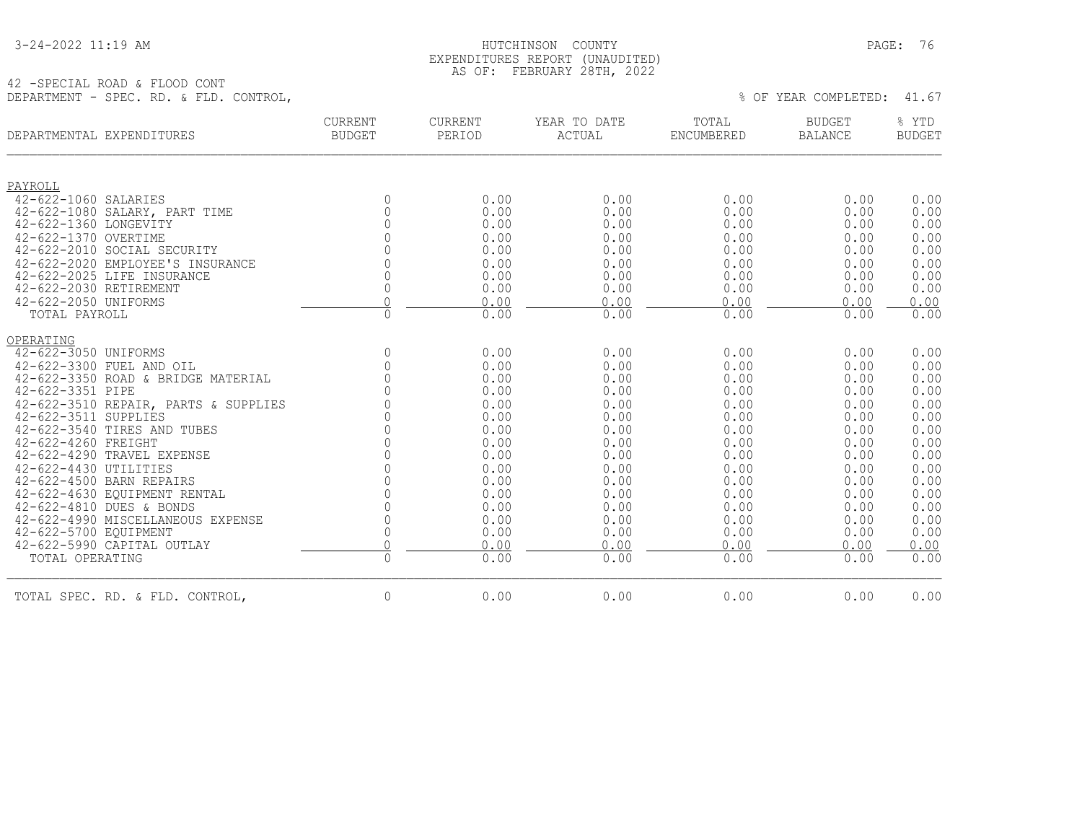|  | 3-24-2022 11:19 AM |  |  |
|--|--------------------|--|--|
|--|--------------------|--|--|

#### HUTCHINSON COUNTY PAGE: 76 EXPENDITURES REPORT (UNAUDITED) AS OF: FEBRUARY 28TH, 2022

42 -SPECIAL ROAD & FLOOD CONT DEPARTMENT - SPEC. RD. & FLD. CONTROL,  $41.67$ 

|                        | DEPARTMENTAL EXPENDITURES            | <b>CURRENT</b><br><b>BUDGET</b> | CURRENT<br>PERIOD | YEAR TO DATE<br>ACTUAL | TOTAL<br>ENCUMBERED | <b>BUDGET</b><br><b>BALANCE</b> | % YTD<br><b>BUDGET</b> |
|------------------------|--------------------------------------|---------------------------------|-------------------|------------------------|---------------------|---------------------------------|------------------------|
| PAYROLL                |                                      |                                 |                   |                        |                     |                                 |                        |
| 42-622-1060 SALARIES   |                                      | $\Omega$                        | 0.00              | 0.00                   | 0.00                | 0.00                            | 0.00                   |
|                        | 42-622-1080 SALARY, PART TIME        | $\Omega$                        | 0.00              | 0.00                   | 0.00                | 0.00                            | 0.00                   |
| 42-622-1360 LONGEVITY  |                                      |                                 | 0.00              | 0.00                   | 0.00                | 0.00                            | 0.00                   |
| 42-622-1370 OVERTIME   |                                      |                                 | 0.00              | 0.00                   | 0.00                | 0.00                            | 0.00                   |
|                        | 42-622-2010 SOCIAL SECURITY          |                                 | 0.00              | 0.00                   | 0.00                | 0.00                            | 0.00                   |
|                        | 42-622-2020 EMPLOYEE'S INSURANCE     |                                 | 0.00              | 0.00                   | 0.00                | 0.00                            | 0.00                   |
|                        | 42-622-2025 LIFE INSURANCE           |                                 | 0.00              | 0.00                   | 0.00                | 0.00                            | 0.00                   |
| 42-622-2030 RETIREMENT |                                      | $\Omega$                        | 0.00              | 0.00                   | 0.00                | 0.00                            | 0.00                   |
| 42-622-2050 UNIFORMS   |                                      | ∩                               | 0.00              | 0.00                   | 0.00                | 0.00                            | 0.00                   |
| TOTAL PAYROLL          |                                      | $\mathbf{0}$                    | 0.00              | 0.00                   | 0.00                | 0.00                            | 0.00                   |
| OPERATING              |                                      |                                 |                   |                        |                     |                                 |                        |
| 42-622-3050 UNIFORMS   |                                      | $\Omega$                        | 0.00              | 0.00                   | 0.00                | 0.00                            | 0.00                   |
|                        | 42-622-3300 FUEL AND OIL             | $\Omega$                        | 0.00              | 0.00                   | 0.00                | 0.00                            | 0.00                   |
|                        | 42-622-3350 ROAD & BRIDGE MATERIAL   | $\Omega$                        | 0.00              | 0.00                   | 0.00                | 0.00                            | 0.00                   |
| 42-622-3351 PIPE       |                                      |                                 | 0.00              | 0.00                   | 0.00                | 0.00                            | 0.00                   |
|                        | 42-622-3510 REPAIR, PARTS & SUPPLIES |                                 | 0.00              | 0.00                   | 0.00                | 0.00                            | 0.00                   |
| 42-622-3511 SUPPLIES   |                                      |                                 | 0.00              | 0.00                   | 0.00                | 0.00                            | 0.00                   |
|                        | 42-622-3540 TIRES AND TUBES          |                                 | 0.00              | 0.00                   | 0.00                | 0.00                            | 0.00                   |
| 42-622-4260 FREIGHT    |                                      |                                 | 0.00              | 0.00                   | 0.00                | 0.00                            | 0.00                   |
|                        | 42-622-4290 TRAVEL EXPENSE           |                                 | 0.00              | 0.00                   | 0.00                | 0.00                            | 0.00                   |
| 42-622-4430 UTILITIES  |                                      |                                 | 0.00              | 0.00                   | 0.00                | 0.00                            | 0.00                   |
|                        | 42-622-4500 BARN REPAIRS             |                                 | 0.00              | 0.00                   | 0.00                | 0.00                            | 0.00                   |
|                        | 42-622-4630 EOUIPMENT RENTAL         |                                 | 0.00              | 0.00                   | 0.00                | 0.00                            | 0.00                   |
|                        | 42-622-4810 DUES & BONDS             |                                 | 0.00              | 0.00                   | 0.00                | 0.00                            | 0.00                   |
|                        | 42-622-4990 MISCELLANEOUS EXPENSE    | $\Omega$                        | 0.00              | 0.00                   | 0.00                | 0.00                            | 0.00                   |
| 42-622-5700 EQUIPMENT  |                                      | $\Omega$                        | 0.00              | 0.00                   | 0.00                | 0.00                            | 0.00                   |
|                        | 42-622-5990 CAPITAL OUTLAY           |                                 | 0.00              | 0.00                   | 0.00                | 0.00                            | 0.00                   |
| TOTAL OPERATING        |                                      | $\Omega$                        | 0.00              | 0.00                   | 0.00                | 0.00                            | 0.00                   |
|                        | TOTAL SPEC. RD. & FLD. CONTROL,      | $\mathbf 0$                     | 0.00              | 0.00                   | 0.00                | 0.00                            | 0.00                   |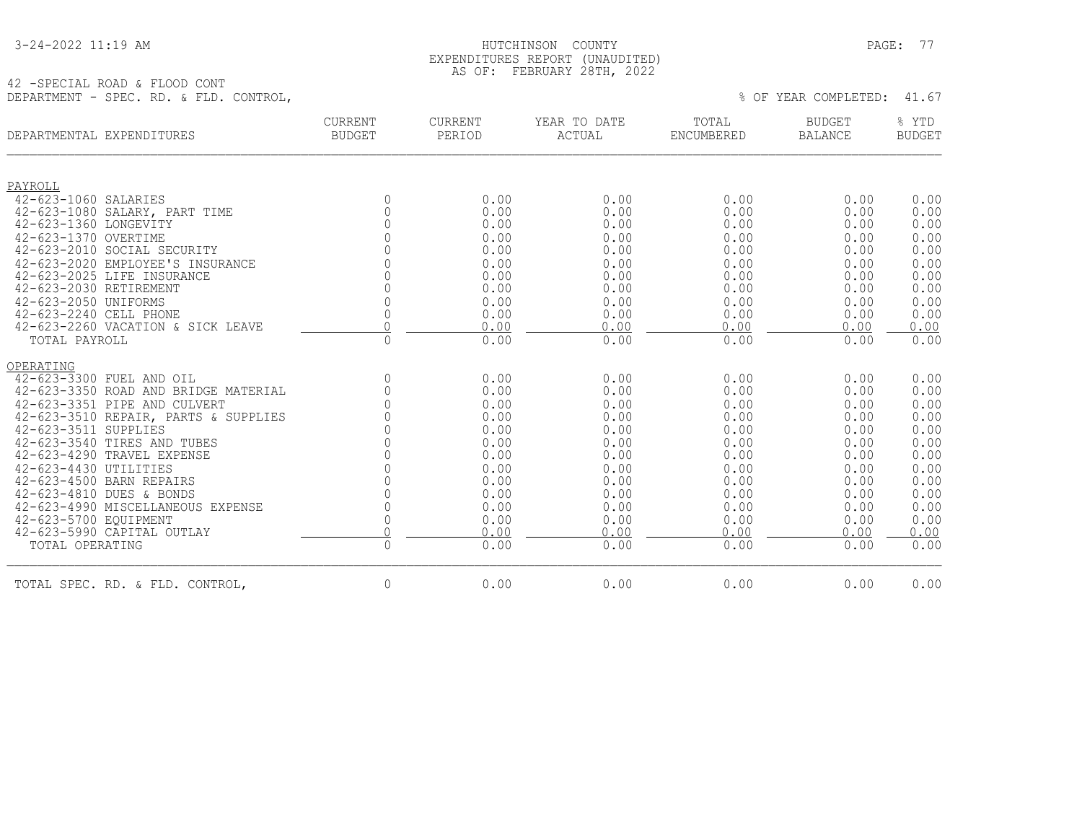|  | 3-24-2022 11:19 AM |  |  |
|--|--------------------|--|--|
|--|--------------------|--|--|

#### HUTCHINSON COUNTY PAGE: 77 EXPENDITURES REPORT (UNAUDITED) AS OF: FEBRUARY 28TH, 2022

42 -SPECIAL ROAD & FLOOD CONT DEPARTMENT - SPEC. RD. & FLD. CONTROL,  $\frac{1}{67}$ 

| DEPARTMENTAL EXPENDITURES |                                      | <b>CURRENT</b><br><b>BUDGET</b> | <b>CURRENT</b><br>PERIOD | YEAR TO DATE<br>ACTUAL | TOTAL<br><b>ENCUMBERED</b> | <b>BUDGET</b><br><b>BALANCE</b> | % YTD<br><b>BUDGET</b> |
|---------------------------|--------------------------------------|---------------------------------|--------------------------|------------------------|----------------------------|---------------------------------|------------------------|
| PAYROLL                   |                                      |                                 |                          |                        |                            |                                 |                        |
| 42-623-1060 SALARIES      |                                      | $\mathbf{0}$                    | 0.00                     | 0.00                   | 0.00                       | 0.00                            | 0.00                   |
|                           | 42-623-1080 SALARY, PART TIME        | $\mathbf{0}$                    | 0.00                     | 0.00                   | 0.00                       | 0.00                            | 0.00                   |
| 42-623-1360 LONGEVITY     |                                      | $\Omega$                        | 0.00                     | 0.00                   | 0.00                       | 0.00                            | 0.00                   |
| 42-623-1370 OVERTIME      |                                      | $\Omega$                        | 0.00                     | 0.00                   | 0.00                       | 0.00                            | 0.00                   |
|                           | 42-623-2010 SOCIAL SECURITY          | $\Omega$                        | 0.00                     | 0.00                   | 0.00                       | 0.00                            | 0.00                   |
|                           | 42-623-2020 EMPLOYEE'S INSURANCE     | $\cap$                          | 0.00                     | 0.00                   | 0.00                       | 0.00                            | 0.00                   |
|                           | 42-623-2025 LIFE INSURANCE           | $\Omega$                        | 0.00                     | 0.00                   | 0.00                       | 0.00                            | 0.00                   |
| 42-623-2030 RETIREMENT    |                                      | 0                               | 0.00                     | 0.00                   | 0.00                       | 0.00                            | 0.00                   |
| 42-623-2050 UNIFORMS      |                                      | 0                               | 0.00                     | 0.00                   | 0.00                       | 0.00                            | 0.00                   |
| 42-623-2240 CELL PHONE    |                                      | 0                               | 0.00                     | 0.00                   | 0.00                       | 0.00                            | 0.00                   |
|                           | 42-623-2260 VACATION & SICK LEAVE    | $\cap$                          | 0.00                     | 0.00                   | 0.00                       | 0.00                            | 0.00                   |
| TOTAL PAYROLL             |                                      | $\mathbb O$                     | 0.00                     | 0.00                   | 0.00                       | 0.00                            | 0.00                   |
| OPERATING                 |                                      |                                 |                          |                        |                            |                                 |                        |
|                           | 42-623-3300 FUEL AND OIL             | $\mathbb O$                     | 0.00                     | 0.00                   | 0.00                       | 0.00                            | 0.00                   |
|                           | 42-623-3350 ROAD AND BRIDGE MATERIAL | 0                               | 0.00                     | 0.00                   | 0.00                       | 0.00                            | 0.00                   |
|                           | 42-623-3351 PIPE AND CULVERT         | 0                               | 0.00                     | 0.00                   | 0.00                       | 0.00                            | 0.00                   |
|                           | 42-623-3510 REPAIR, PARTS & SUPPLIES |                                 | 0.00                     | 0.00                   | 0.00                       | 0.00                            | 0.00                   |
| 42-623-3511 SUPPLIES      |                                      | $\Omega$                        | 0.00                     | 0.00                   | 0.00                       | 0.00                            | 0.00                   |
|                           | 42-623-3540 TIRES AND TUBES          | 0                               | 0.00                     | 0.00                   | 0.00                       | 0.00                            | 0.00                   |
|                           | 42-623-4290 TRAVEL EXPENSE           | $\Omega$                        | 0.00                     | 0.00                   | 0.00                       | 0.00                            | 0.00                   |
| 42-623-4430 UTILITIES     |                                      | 0                               | 0.00                     | 0.00                   | 0.00                       | 0.00                            | 0.00                   |
|                           | 42-623-4500 BARN REPAIRS             | $\Omega$                        | 0.00                     | 0.00                   | 0.00                       | 0.00                            | 0.00                   |
|                           | 42-623-4810 DUES & BONDS             | 0                               | 0.00                     | 0.00                   | 0.00                       | 0.00                            | 0.00                   |
|                           | 42-623-4990 MISCELLANEOUS EXPENSE    | 0                               | 0.00                     | 0.00                   | 0.00                       | 0.00                            | 0.00                   |
| 42-623-5700 EQUIPMENT     |                                      | 0                               | 0.00                     | 0.00                   | 0.00                       | 0.00                            | 0.00                   |
|                           | 42-623-5990 CAPITAL OUTLAY           | $\Omega$                        | 0.00                     | 0.00                   | 0.00                       | 0.00                            | 0.00                   |
| TOTAL OPERATING           |                                      | $\mathbb O$                     | 0.00                     | 0.00                   | 0.00                       | 0.00                            | 0.00                   |
|                           | TOTAL SPEC. RD. & FLD. CONTROL,      | $\mathbf{0}$                    | 0.00                     | 0.00                   | 0.00                       | 0.00                            | 0.00                   |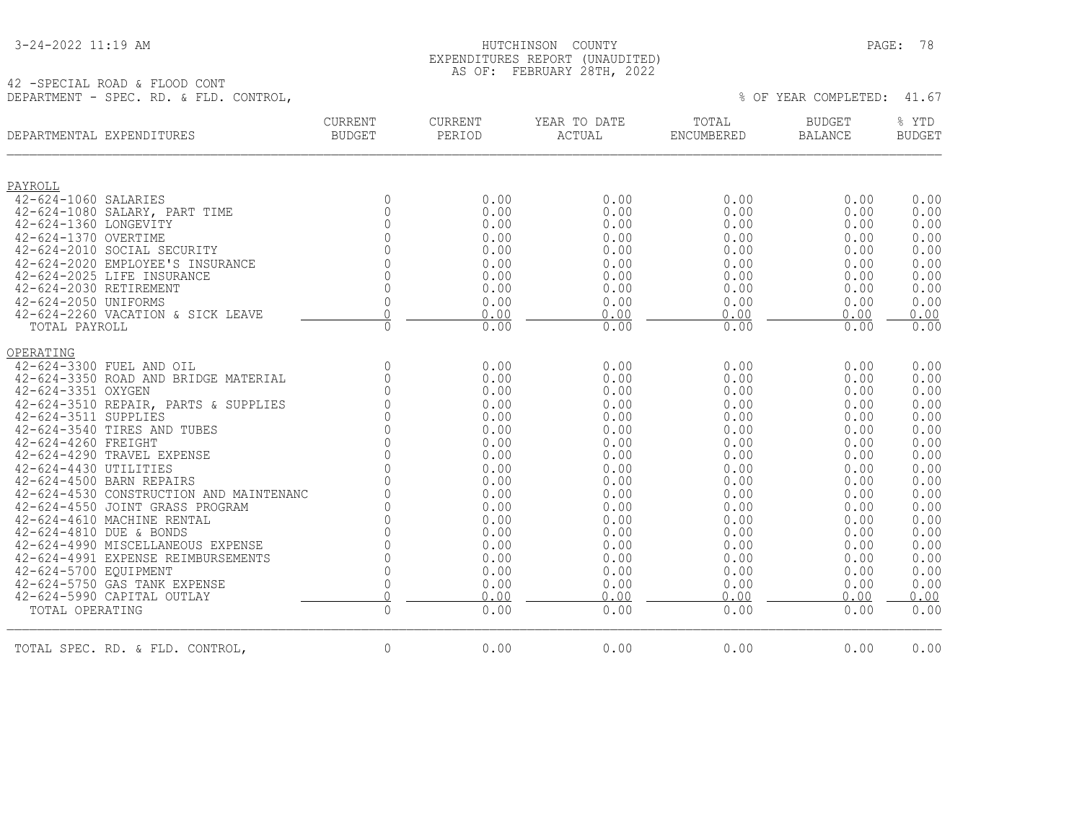42 -SPECIAL ROAD & FLOOD CONT

#### 3-24-2022 11:19 AM HUTCHINSON COUNTY PAGE: 78 EXPENDITURES REPORT (UNAUDITED) AS OF: FEBRUARY 28TH, 2022

DEPARTMENT - SPEC. RD. & FLD. CONTROL,  $41.67$ 

| DEPARTMENTAL EXPENDITURES                         | CURRENT<br><b>BUDGET</b>       | CURRENT<br>PERIOD | YEAR TO DATE<br>ACTUAL | TOTAL<br>ENCUMBERED | <b>BUDGET</b><br>BALANCE | % YTD<br><b>BUDGET</b> |
|---------------------------------------------------|--------------------------------|-------------------|------------------------|---------------------|--------------------------|------------------------|
| PAYROLL                                           |                                |                   |                        |                     |                          |                        |
| 42-624-1060 SALARIES                              | $\Omega$                       | 0.00              | 0.00                   | 0.00                | 0.00                     | 0.00                   |
| 42-624-1080 SALARY, PART TIME                     | $\overline{0}$                 | 0.00              | 0.00                   | 0.00                | 0.00                     | 0.00                   |
| 42-624-1360 LONGEVITY                             | $\Omega$                       | 0.00              | 0.00                   | 0.00                | 0.00                     | 0.00                   |
| 42-624-1370 OVERTIME                              | $\Omega$                       | 0.00              | 0.00                   | 0.00                | 0.00                     | 0.00                   |
| 42-624-2010 SOCIAL SECURITY                       | $\Omega$                       | 0.00              | 0.00                   | 0.00                | 0.00                     | 0.00                   |
| 42-624-2020 EMPLOYEE'S INSURANCE                  | $\Omega$                       | 0.00              | 0.00                   | 0.00                | 0.00                     | 0.00                   |
| 42-624-2025 LIFE INSURANCE                        | $\Omega$                       | 0.00              | 0.00                   | 0.00                | 0.00                     | 0.00                   |
| 42-624-2030 RETIREMENT<br>42-624-2050 UNIFORMS    | $\Omega$<br>$\mathbf{0}$       | 0.00              | 0.00                   | 0.00                | 0.00                     | 0.00                   |
| 42-624-2260 VACATION & SICK LEAVE                 | $\Omega$                       | 0.00<br>0.00      | 0.00<br>0.00           | 0.00<br>0.00        | 0.00<br>0.00             | 0.00<br>0.00           |
| TOTAL PAYROLL                                     | $\Omega$                       | 0.00              | 0.00                   | 0.00                | 0.00                     | 0.00                   |
| OPERATING                                         |                                |                   |                        |                     |                          |                        |
| 42-624-3300 FUEL AND OIL                          | $\Omega$                       | 0.00              | 0.00                   | 0.00                | 0.00                     | 0.00                   |
| 42-624-3350 ROAD AND BRIDGE MATERIAL              | $\mathbf{0}$                   | 0.00              | 0.00                   | 0.00                | 0.00                     | 0.00                   |
| 42-624-3351 OXYGEN                                | $\Omega$                       | 0.00              | 0.00                   | 0.00                | 0.00                     | 0.00                   |
| 42-624-3510 REPAIR, PARTS & SUPPLIES              | $\cap$                         | 0.00              | 0.00                   | 0.00                | 0.00                     | 0.00                   |
| 42-624-3511 SUPPLIES                              | $\Omega$                       | 0.00              | 0.00                   | 0.00                | 0.00                     | 0.00                   |
| 42-624-3540 TIRES AND TUBES                       | $\Omega$                       | 0.00              | 0.00                   | 0.00                | 0.00                     | 0.00                   |
| 42-624-4260 FREIGHT<br>42-624-4290 TRAVEL EXPENSE | $\Omega$<br>$\bigcap$          | 0.00<br>0.00      | 0.00<br>0.00           | 0.00<br>0.00        | 0.00<br>0.00             | 0.00<br>0.00           |
| 42-624-4430 UTILITIES                             | $\Omega$                       | 0.00              | 0.00                   | 0.00                | 0.00                     | 0.00                   |
| 42-624-4500 BARN REPAIRS                          | $\Omega$                       | 0.00              | 0.00                   | 0.00                | 0.00                     | 0.00                   |
| 42-624-4530 CONSTRUCTION AND MAINTENANC           | $\Omega$                       | 0.00              | 0.00                   | 0.00                | 0.00                     | 0.00                   |
| 42-624-4550 JOINT GRASS PROGRAM                   | $\bigcap$                      | 0.00              | 0.00                   | 0.00                | 0.00                     | 0.00                   |
| 42-624-4610 MACHINE RENTAL                        | $\Omega$                       | 0.00              | 0.00                   | 0.00                | 0.00                     | 0.00                   |
| 42-624-4810 DUE & BONDS                           | $\Omega$                       | 0.00              | 0.00                   | 0.00                | 0.00                     | 0.00                   |
| 42-624-4990 MISCELLANEOUS EXPENSE                 | $\Omega$                       | 0.00              | 0.00                   | 0.00                | 0.00                     | 0.00                   |
| 42-624-4991 EXPENSE REIMBURSEMENTS                | $\Omega$                       | 0.00              | 0.00                   | 0.00                | 0.00                     | 0.00                   |
| 42-624-5700 EQUIPMENT                             | $\mathbf{0}$                   | 0.00              | 0.00                   | 0.00                | 0.00                     | 0.00                   |
| 42-624-5750 GAS TANK EXPENSE                      | $\mathbf 0$                    | 0.00              | 0.00                   | 0.00                | 0.00                     | 0.00                   |
| 42-624-5990 CAPITAL OUTLAY                        | $\overline{0}$<br>$\mathbf{0}$ | 0.00              | 0.00                   | 0.00                | 0.00                     | 0.00                   |
| TOTAL OPERATING                                   |                                | 0.00              | 0.00                   | 0.00                | 0.00                     | 0.00                   |
| TOTAL SPEC. RD. & FLD. CONTROL,                   | $\Omega$                       | 0.00              | 0.00                   | 0.00                | 0.00                     | 0.00                   |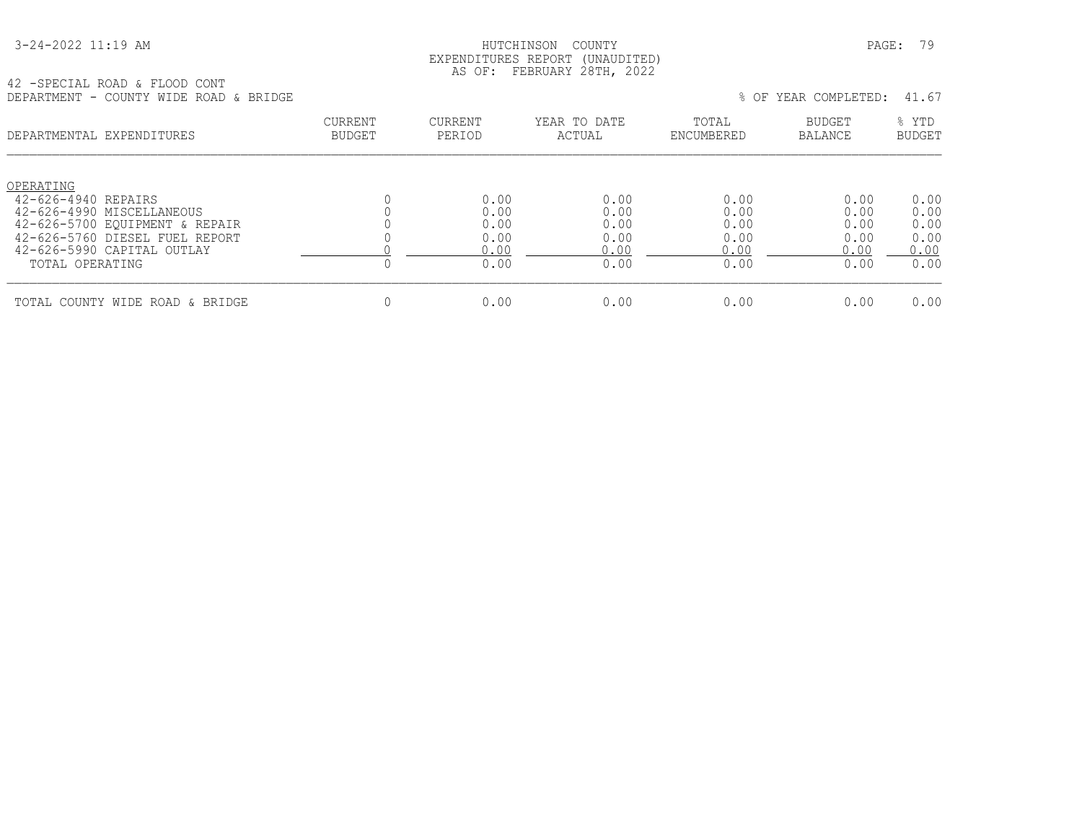| 3-24-2022 11:19 AM |
|--------------------|
|--------------------|

#### HUTCHINSON COUNTY PAGE: 79 EXPENDITURES REPORT (UNAUDITED) AS OF: FEBRUARY 28TH, 2022

42 -SPECIAL ROAD & FLOOD CONT DEPARTMENT - COUNTY WIDE ROAD & BRIDGE \$ \REAR COMPLETED: 41.67

| DEPARTMENTAL EXPENDITURES                                                                                                                                       | <b>CURRENT</b><br>BUDGET | CURRENT<br>PERIOD                    | YEAR TO DATE<br>ACTUAL               | TOTAL<br>ENCUMBERED                  | <b>BUDGET</b><br>BALANCE             | % YTD<br><b>BUDGET</b>               |
|-----------------------------------------------------------------------------------------------------------------------------------------------------------------|--------------------------|--------------------------------------|--------------------------------------|--------------------------------------|--------------------------------------|--------------------------------------|
| OPERATING<br>42-626-4940 REPAIRS<br>42-626-4990 MISCELLANEOUS<br>42-626-5700 EOUIPMENT & REPAIR<br>42-626-5760 DIESEL FUEL REPORT<br>42-626-5990 CAPITAL OUTLAY |                          | 0.00<br>0.00<br>0.00<br>0.00<br>0.00 | 0.00<br>0.00<br>0.00<br>0.00<br>0.00 | 0.00<br>0.00<br>0.00<br>0.00<br>0.00 | 0.00<br>0.00<br>0.00<br>0.00<br>0.00 | 0.00<br>0.00<br>0.00<br>0.00<br>0.00 |
| TOTAL OPERATING                                                                                                                                                 |                          | 0.00                                 | 0.00                                 | 0.00                                 | 0.00                                 | 0.00                                 |
| TOTAL COUNTY WIDE ROAD & BRIDGE                                                                                                                                 |                          | 0.00                                 | 0.00                                 | 0.00                                 | 0.00                                 | 0.00                                 |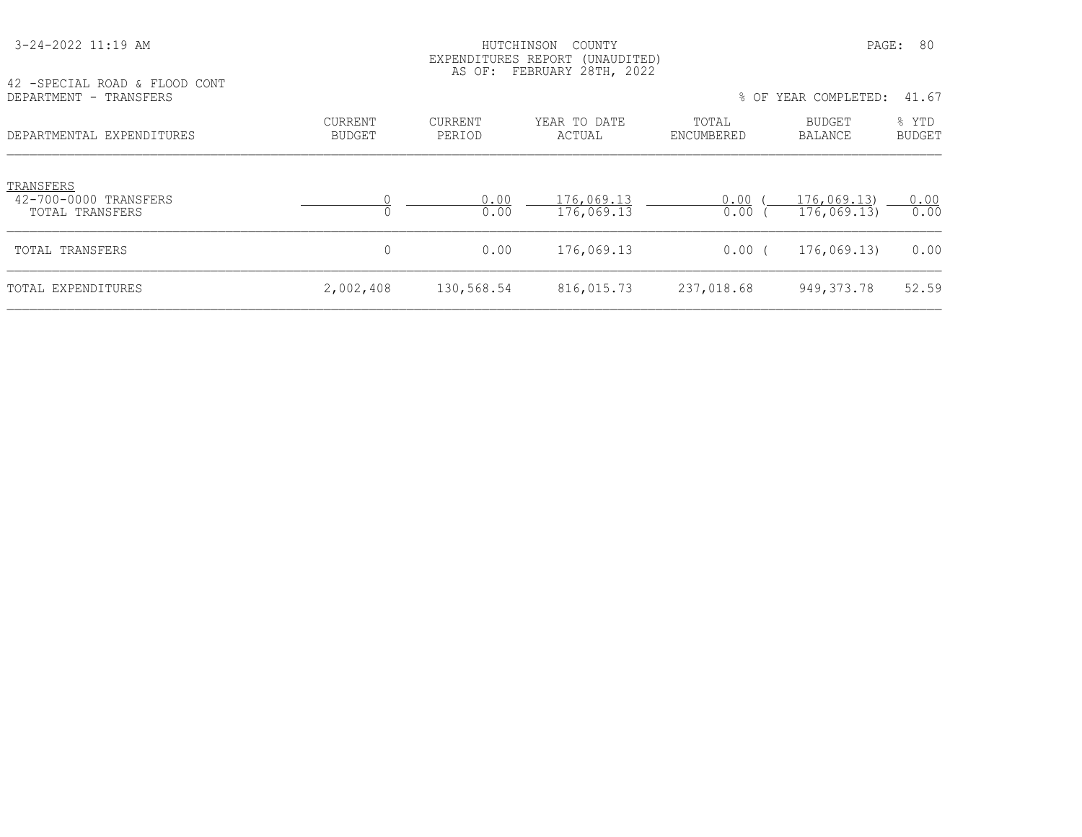| 42 - SPECIAL ROAD & FLOOD CONT                        |                          |                          | AS OF: FEBRUARY 28TH, 2022 |                     |                           |                        |
|-------------------------------------------------------|--------------------------|--------------------------|----------------------------|---------------------|---------------------------|------------------------|
| DEPARTMENT - TRANSFERS                                |                          |                          |                            |                     | % OF YEAR COMPLETED:      | 41.67                  |
| DEPARTMENTAL EXPENDITURES                             | CURRENT<br><b>BUDGET</b> | <b>CURRENT</b><br>PERIOD | YEAR TO DATE<br>ACTUAL     | TOTAL<br>ENCUMBERED | <b>BUDGET</b><br>BALANCE  | % YTD<br><b>BUDGET</b> |
| TRANSFERS<br>42-700-0000 TRANSFERS<br>TOTAL TRANSFERS | 0                        | 0.00<br>0.00             | 176,069.13<br>176,069.13   | 0.00<br>0.00        | 176,069.13<br>176,069.13) | 0.00<br>0.00           |
| TOTAL TRANSFERS                                       | 0                        | 0.00                     | 176,069.13                 | 0.00(               | 176,069.13)               | 0.00                   |
| TOTAL EXPENDITURES                                    | 2,002,408                | 130,568.54               | 816,015.73                 | 237,018.68          | 949, 373. 78              | 52.59                  |

 3-24-2022 11:19 AM HUTCHINSON COUNTY PAGE: 80 EXPENDITURES REPORT (UNAUDITED)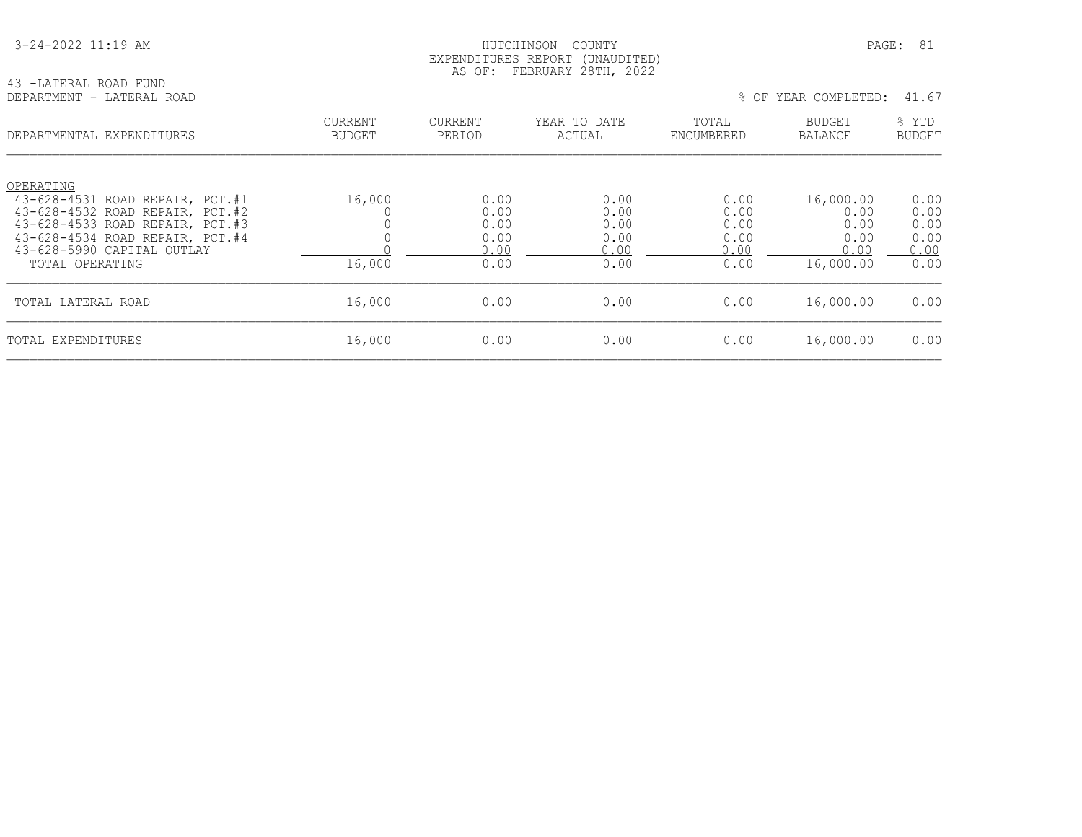#### HUTCHINSON COUNTY PAGE: 81 EXPENDITURES REPORT (UNAUDITED) AS OF: FEBRUARY 28TH, 2022

43 -LATERAL ROAD FUND<br>DEPARTMENT - LATERAL ROAD

| DEPARTMENTAL EXPENDITURES                                                                                                                             | <b>CURRENT</b> | <b>CURRENT</b>               | YEAR TO DATE                 | TOTAL                        | <b>BUDGET</b>                     | % YTD                        |
|-------------------------------------------------------------------------------------------------------------------------------------------------------|----------------|------------------------------|------------------------------|------------------------------|-----------------------------------|------------------------------|
|                                                                                                                                                       | <b>BUDGET</b>  | PERIOD                       | ACTUAL                       | ENCUMBERED                   | <b>BALANCE</b>                    | <b>BUDGET</b>                |
| OPERATING<br>43-628-4531 ROAD REPAIR, PCT.#1<br>43-628-4532 ROAD REPAIR, PCT.#2<br>43-628-4533 ROAD REPAIR, PCT.#3<br>43-628-4534 ROAD REPAIR, PCT.#4 | 16,000         | 0.00<br>0.00<br>0.00<br>0.00 | 0.00<br>0.00<br>0.00<br>0.00 | 0.00<br>0.00<br>0.00<br>0.00 | 16,000.00<br>0.00<br>0.00<br>0.00 | 0.00<br>0.00<br>0.00<br>0.00 |
| 43-628-5990 CAPITAL OUTLAY                                                                                                                            | 16,000         | 0.00                         | 0.00                         | 0.00                         | 0.00                              | 0.00                         |
| TOTAL OPERATING                                                                                                                                       |                | 0.00                         | 0.00                         | 0.00                         | 16,000.00                         | 0.00                         |
| TOTAL LATERAL ROAD                                                                                                                                    | 16,000         | 0.00                         | 0.00                         | 0.00                         | 16,000.00                         | 0.00                         |
| TOTAL EXPENDITURES                                                                                                                                    | 16,000         | 0.00                         | 0.00                         | 0.00                         | 16,000.00                         | 0.00                         |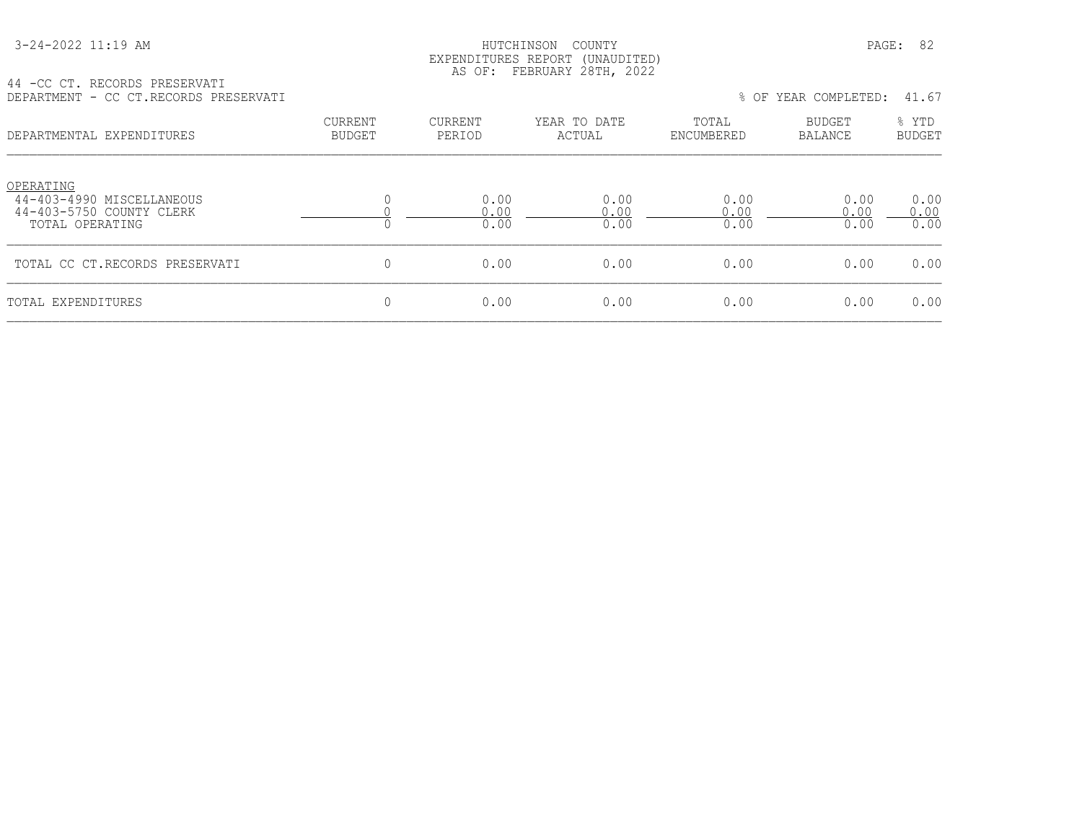| 3-24-2022 11:19 AM |
|--------------------|
|--------------------|

#### HUTCHINSON COUNTY PAGE: 82 EXPENDITURES REPORT (UNAUDITED) AS OF: FEBRUARY 28TH, 2022

44 -CC CT. RECORDS PRESERVATI DEPARTMENT - CC CT.RECORDS PRESERVATI % OF YEAR COMPLETED: 41.67

| DEPARTMENTAL EXPENDITURES                                                             | <b>CURRENT</b><br><b>BUDGET</b> | CURRENT<br>PERIOD    | YEAR TO DATE<br>ACTUAL | TOTAL<br>ENCUMBERED  | BUDGET<br>BALANCE    | % YTD<br><b>BUDGET</b> |
|---------------------------------------------------------------------------------------|---------------------------------|----------------------|------------------------|----------------------|----------------------|------------------------|
| OPERATING<br>44-403-4990 MISCELLANEOUS<br>44-403-5750 COUNTY CLERK<br>TOTAL OPERATING |                                 | 0.00<br>0.00<br>0.00 | 0.00<br>0.00<br>0.00   | 0.00<br>0.00<br>0.00 | 0.00<br>0.00<br>0.00 | 0.00<br>0.00<br>0.00   |
| TOTAL CC CT.RECORDS PRESERVATI                                                        |                                 | 0.00                 | 0.00                   | 0.00                 | 0.00                 | 0.00                   |
| TOTAL EXPENDITURES                                                                    |                                 | 0.00                 | 0.00                   | 0.00                 | 0.00                 | 0.00                   |
|                                                                                       |                                 |                      |                        |                      |                      |                        |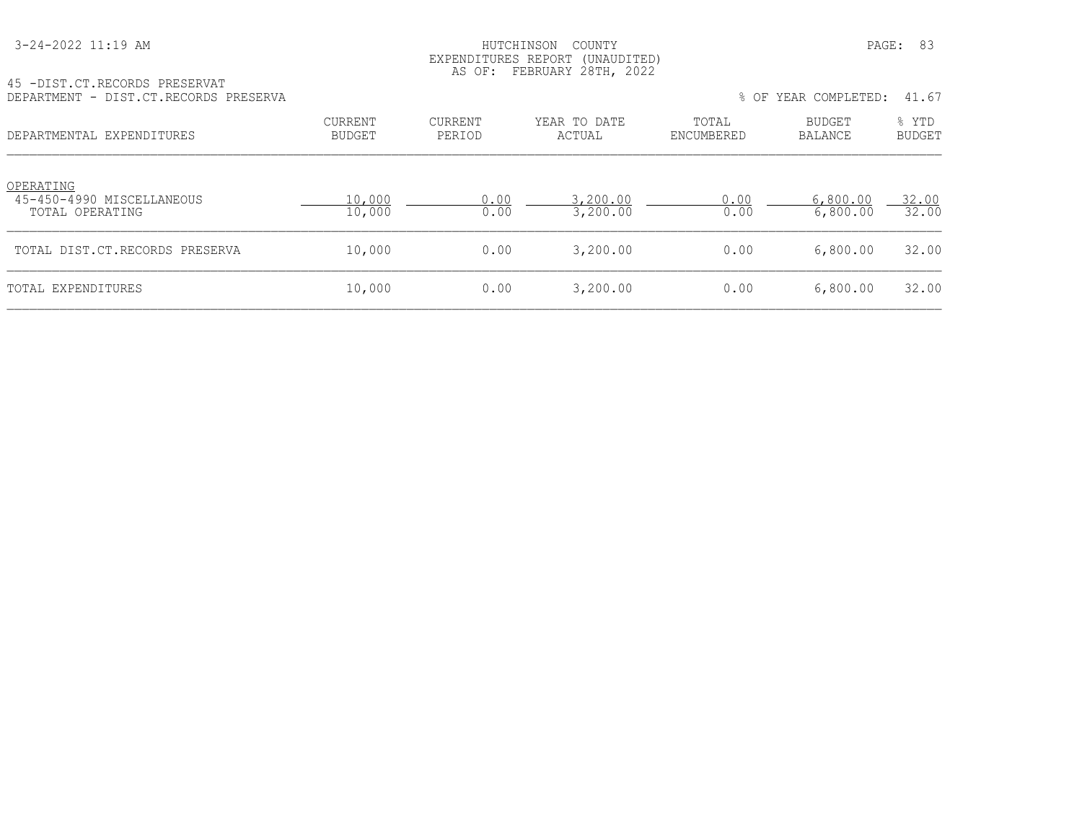| 3-24-2022 11:19 AM |
|--------------------|
|--------------------|

#### HUTCHINSON COUNTY PAGE: 83 EXPENDITURES REPORT (UNAUDITED) AS OF: FEBRUARY 28TH, 2022

| 45 - DIST. CT. RECORDS PRESERVAT<br>DEPARTMENT - DIST.CT.RECORDS PRESERVA |                          |                   |                        |                     | % OF YEAR COMPLETED: | 41.67                  |
|---------------------------------------------------------------------------|--------------------------|-------------------|------------------------|---------------------|----------------------|------------------------|
| DEPARTMENTAL EXPENDITURES                                                 | CURRENT<br><b>BUDGET</b> | CURRENT<br>PERIOD | YEAR TO DATE<br>ACTUAL | TOTAL<br>ENCUMBERED | BUDGET<br>BALANCE    | % YTD<br><b>BUDGET</b> |
| OPERATING<br>45-450-4990 MISCELLANEOUS<br>TOTAL OPERATING                 | 10,000<br>10,000         | 0.00<br>0.00      | 3,200.00<br>3,200.00   | 0.00<br>0.00        | 6,800.00<br>6,800.00 | 32.00<br>32.00         |
| TOTAL DIST.CT.RECORDS PRESERVA                                            | 10,000                   | 0.00              | 3,200.00               | 0.00                | 6,800.00             | 32.00                  |
|                                                                           |                          |                   |                        |                     |                      |                        |

TOTAL EXPENDITURES 10,000 0.00 3,200.00 0.00 6,800.00 32.00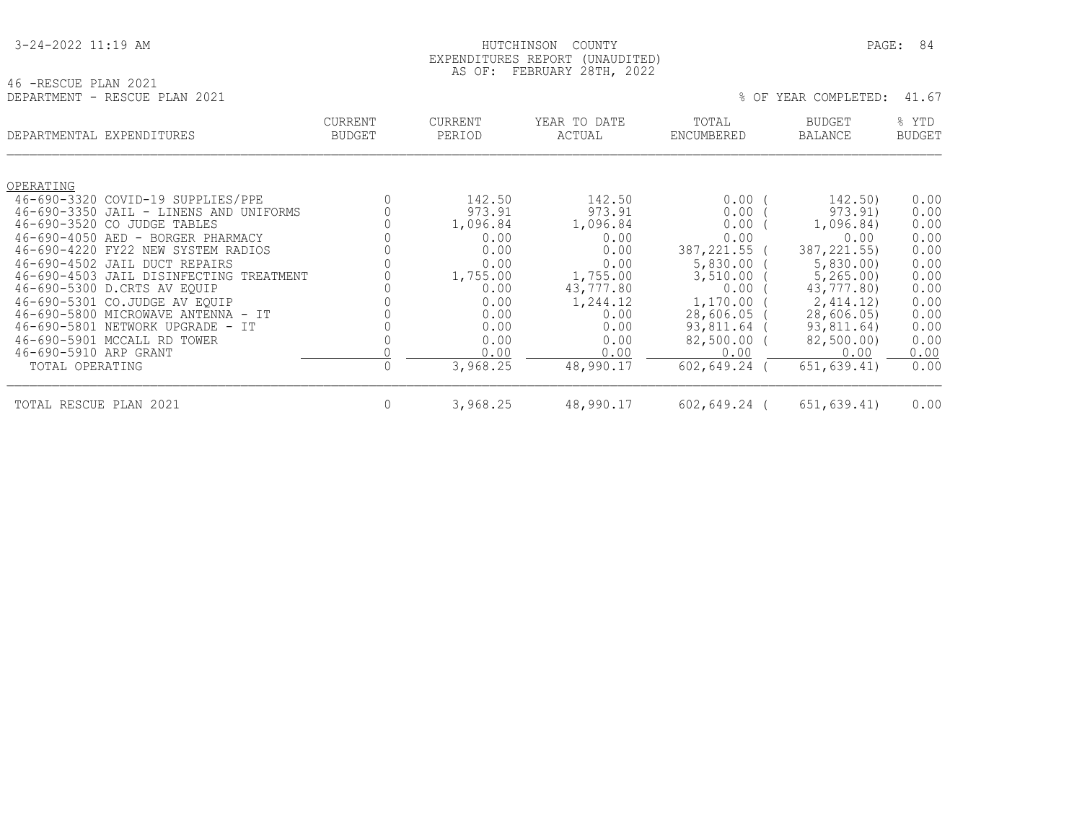|  |  |  | 3-24-2022 11:19 AM |  |
|--|--|--|--------------------|--|
|--|--|--|--------------------|--|

#### HUTCHINSON COUNTY PAGE: 84 EXPENDITURES REPORT (UNAUDITED) AS OF: FEBRUARY 28TH, 2022

|                               | AS OF: FEBRUARY Z8TH, ZUZZ |         |
|-------------------------------|----------------------------|---------|
| 46 -RESCUE PLAN 2021          |                            |         |
| DEPARTMENT - RESCUE PLAN 2021 |                            | : OF YI |

|  | NPT.F.T<br>°۲.<br>г<br>F<br>л. |  |  |
|--|--------------------------------|--|--|
|  |                                |  |  |

|                        | DEPARTMENTAL EXPENDITURES               | <b>CURRENT</b><br><b>BUDGET</b> | <b>CURRENT</b><br>PERIOD | YEAR TO DATE<br>ACTUAL | TOTAL<br>ENCUMBERED | <b>BUDGET</b><br>BALANCE | % YTD<br><b>BUDGET</b> |
|------------------------|-----------------------------------------|---------------------------------|--------------------------|------------------------|---------------------|--------------------------|------------------------|
|                        |                                         |                                 |                          |                        |                     |                          |                        |
| OPERATING              |                                         |                                 |                          |                        |                     |                          |                        |
|                        | 46-690-3320 COVID-19 SUPPLIES/PPE       |                                 | 142.50                   | 142.50                 | 0.00                | 142.50)                  | 0.00                   |
|                        | 46-690-3350 JAIL - LINENS AND UNIFORMS  |                                 | 973.91                   | 973.91                 | 0.00                | 973.91)                  | 0.00                   |
| 46-690-3520 CO         | JUDGE TABLES                            |                                 | 1,096.84                 | 1,096.84               | 0.00                | 1,096.84)                | 0.00                   |
|                        | 46-690-4050 AED - BORGER PHARMACY       |                                 | 0.00                     | 0.00                   | 0.00                | 0.00                     | 0.00                   |
|                        | 46-690-4220 FY22 NEW SYSTEM RADIOS      |                                 | 0.00                     | 0.00                   | 387,221.55 (        | 387, 221, 55)            | 0.00                   |
|                        | 46-690-4502 JAIL DUCT REPAIRS           |                                 | 0.00                     | 0.00                   | 5,830.00            | 5,830.00                 | 0.00                   |
|                        | 46-690-4503 JAIL DISINFECTING TREATMENT |                                 | 1,755.00                 | 1,755.00               | 3,510.00            | 5, 265, 00               | 0.00                   |
|                        | 46-690-5300 D.CRTS AV EQUIP             |                                 | 0.00                     | 43,777.80              | 0.00                | 43,777.80)               | 0.00                   |
|                        | 46-690-5301 CO.JUDGE AV EQUIP           |                                 | 0.00                     | 1,244.12               | 1,170.00            | 2,414.12)                | 0.00                   |
|                        | 46-690-5800 MICROWAVE ANTENNA - IT      |                                 | 0.00                     | 0.00                   | 28,606.05           | 28,606.05                | 0.00                   |
|                        | 46-690-5801 NETWORK UPGRADE - IT        |                                 | 0.00                     | 0.00                   | 93,811.64           | 93,811.64)               | 0.00                   |
|                        | 46-690-5901 MCCALL RD TOWER             |                                 | 0.00                     | 0.00                   | 82,500.00 (         | 82,500.00)               | 0.00                   |
| 46-690-5910 ARP GRANT  |                                         |                                 | 0.00                     | 0.00                   | 0.00                | 0.00                     | 0.00                   |
| TOTAL OPERATING        |                                         |                                 | 3,968.25                 | 48,990.17              | $602, 649.24$ (     | 651, 639.41)             | 0.00                   |
| TOTAL RESCUE PLAN 2021 |                                         | $\mathbf{0}$                    | 3,968.25                 | 48,990.17              | $602, 649.24$ (     | 651,639.41)              | 0.00                   |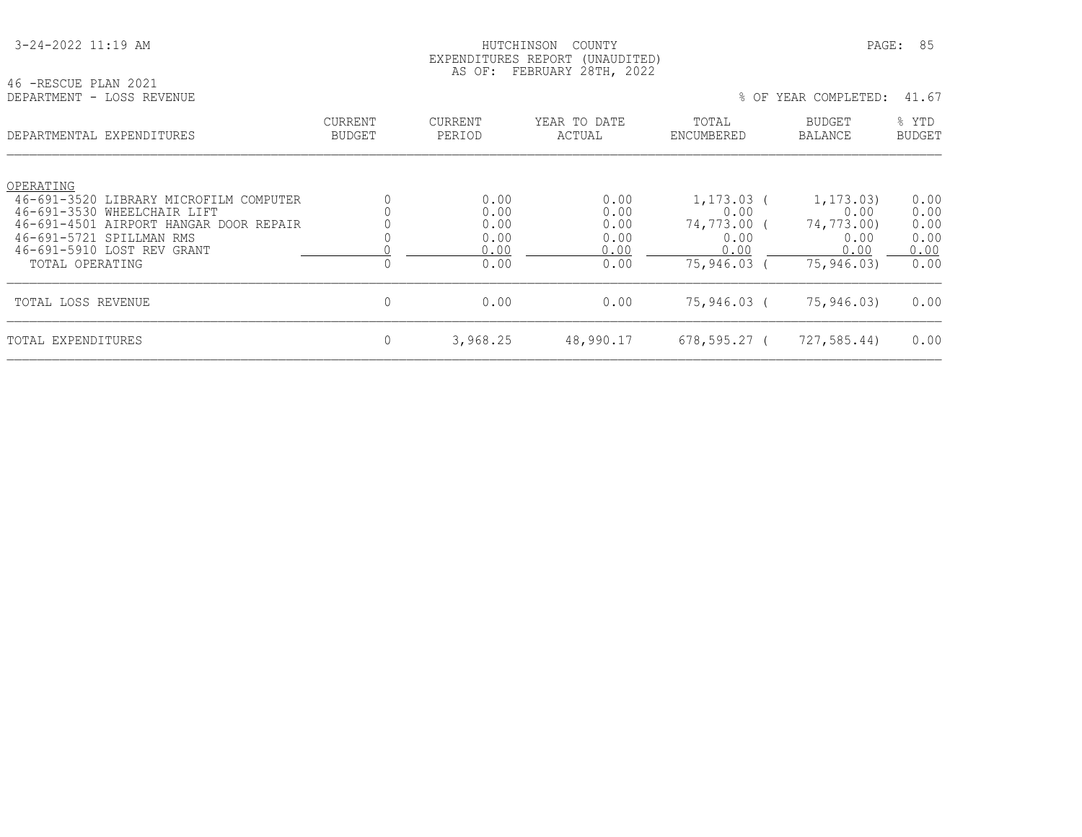| 3-24-2022 11:19 AM |
|--------------------|
|--------------------|

HUTCHINSON COUNTY PAGE: 85 EXPENDITURES REPORT (UNAUDITED) AS OF: FEBRUARY 28TH, 2022

# 46 -RESCUE PLAN 2021

| DEPARTMENTAL EXPENDITURES              | CURRENT<br><b>BUDGET</b> | CURRENT<br>PERIOD | YEAR TO DATE<br>ACTUAL | TOTAL<br>ENCUMBERED | BUDGET<br><b>BALANCE</b> | % YTD<br><b>BUDGET</b> |
|----------------------------------------|--------------------------|-------------------|------------------------|---------------------|--------------------------|------------------------|
| OPERATING                              |                          |                   |                        |                     |                          |                        |
| 46-691-3520 LIBRARY MICROFILM COMPUTER |                          | 0.00              | 0.00                   | 1,173.03            | 1, 173, 03)              | 0.00                   |
| 46-691-3530 WHEELCHAIR LIFT            |                          | 0.00              | 0.00                   | 0.00                | 0.00                     | 0.00                   |
| 46-691-4501 AIRPORT HANGAR DOOR REPAIR |                          | 0.00              | 0.00                   | 74,773.00           | 74,773.00)               | 0.00                   |
| 46-691-5721 SPILLMAN RMS               |                          | 0.00              | 0.00                   | 0.00                | 0.00                     | 0.00                   |
| 46-691-5910 LOST REV GRANT             |                          | 0.00              | 0.00                   | 0.00                | 0.00                     | 0.00                   |
| TOTAL OPERATING                        |                          | 0.00              | 0.00                   | 75,946.03           | 75,946.03)               | 0.00                   |
| TOTAL LOSS REVENUE                     |                          | 0.00              | 0.00                   | 75,946.03 (         | 75,946.03)               | 0.00                   |
| TOTAL EXPENDITURES                     |                          | 3,968.25          | 48,990.17              | $678, 595.27$ (     | 727,585.44)              | 0.00                   |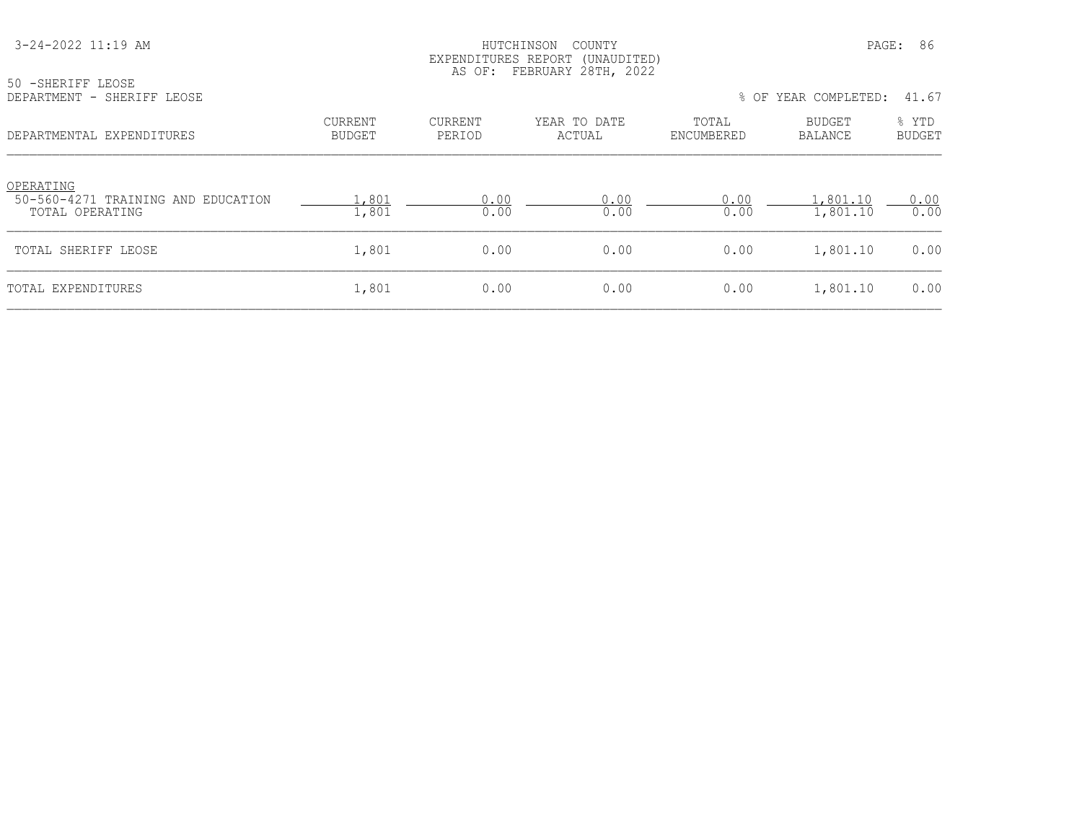50 -SHERIFF LEOSE

#### HUTCHINSON COUNTY PAGE: 86 EXPENDITURES REPORT (UNAUDITED) AS OF: FEBRUARY 28TH, 2022

| DEPARTMENT - SHERIFF LEOSE                                         |                          |                   |                        |                     | % OF YEAR COMPLETED: | 41.67                  |
|--------------------------------------------------------------------|--------------------------|-------------------|------------------------|---------------------|----------------------|------------------------|
| DEPARTMENTAL EXPENDITURES                                          | <b>CURRENT</b><br>BUDGET | CURRENT<br>PERIOD | YEAR TO DATE<br>ACTUAL | TOTAL<br>ENCUMBERED | BUDGET<br>BALANCE    | % YTD<br><b>BUDGET</b> |
| OPERATING<br>50-560-4271 TRAINING AND EDUCATION<br>TOTAL OPERATING | .,801<br>1,801           | 0.00<br>0.00      | 0.00<br>0.00           | 0.00<br>0.00        | ,801.10<br>1,801.10  | 0.00<br>0.00           |
| TOTAL SHERIFF LEOSE                                                | 1,801                    | 0.00              | 0.00                   | 0.00                | 1,801.10             | 0.00                   |
| TOTAL EXPENDITURES                                                 | 1,801                    | 0.00              | 0.00                   | 0.00                | 1,801.10             | 0.00                   |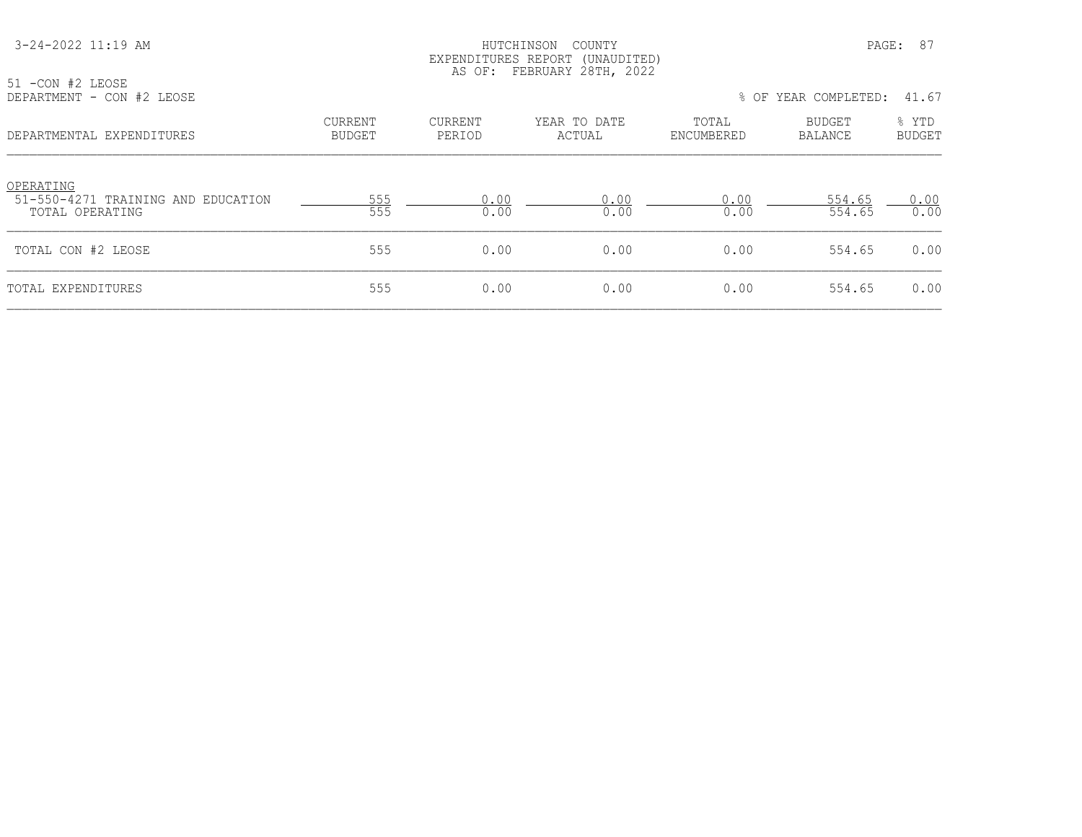#### HUTCHINSON COUNTY PAGE: 87 EXPENDITURES REPORT (UNAUDITED) AS OF: FEBRUARY 28TH, 2022

| 51 -CON #2 LEOSE<br>DEPARTMENT - CON #2 LEOSE                      |                          | $-$ - - - $    -$ | % OF YEAR COMPLETED: 41.67 |                     |                   |                 |
|--------------------------------------------------------------------|--------------------------|-------------------|----------------------------|---------------------|-------------------|-----------------|
| DEPARTMENTAL EXPENDITURES                                          | CURRENT<br><b>BUDGET</b> | CURRENT<br>PERIOD | YEAR TO DATE<br>ACTUAL     | TOTAL<br>ENCUMBERED | BUDGET<br>BALANCE | % YTD<br>BUDGET |
| OPERATING<br>51-550-4271 TRAINING AND EDUCATION<br>TOTAL OPERATING | 555<br>555               | 0.00<br>0.00      | 0.00<br>0.00               | 0.00<br>0.00        | 554.65<br>554.65  | 0.00<br>0.00    |
| TOTAL CON #2 LEOSE                                                 | 555                      | 0.00              | 0.00                       | 0.00                | 554.65            | 0.00            |
| TOTAL EXPENDITURES                                                 | 555                      | 0.00              | 0.00                       | 0.00                | 554.65            | 0.00            |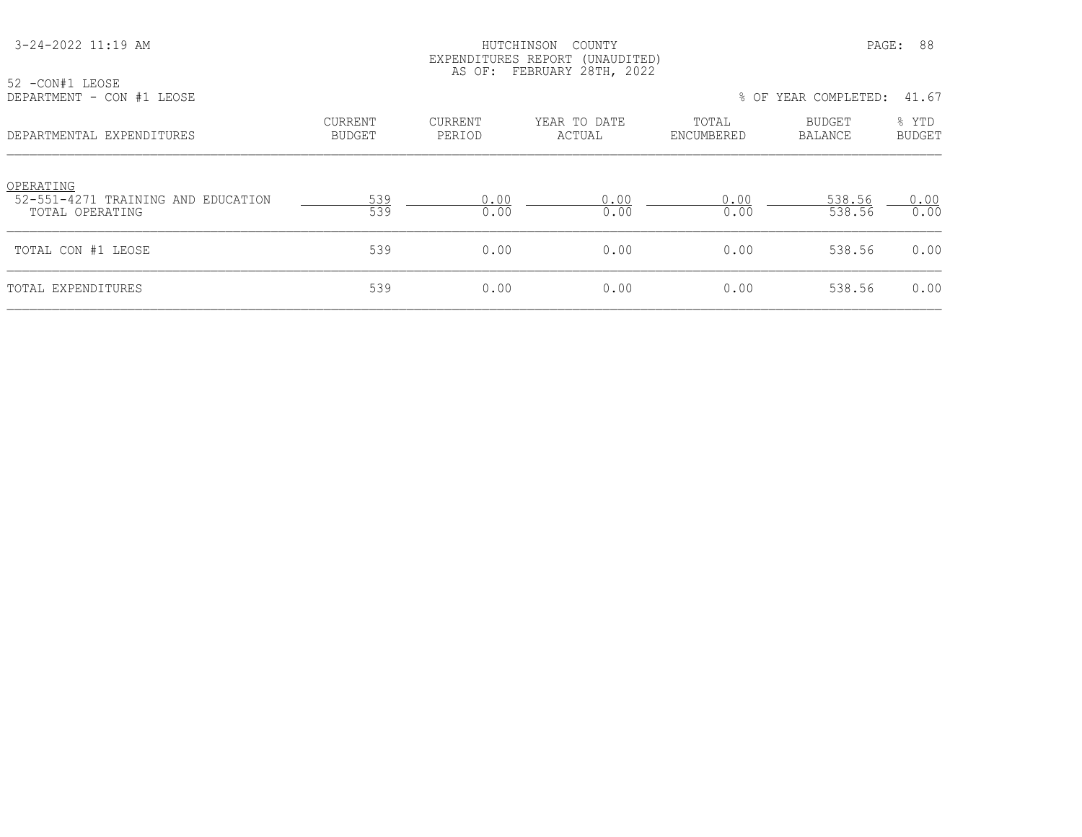52 -CON#1 LEOSE

#### HUTCHINSON COUNTY PAGE: 88 EXPENDITURES REPORT (UNAUDITED) AS OF: FEBRUARY 28TH, 2022

| DEPARTMENT - CON #1 LEOSE                                          |                          |                   |                        |                     | % OF YEAR COMPLETED:     | 41.67                  |
|--------------------------------------------------------------------|--------------------------|-------------------|------------------------|---------------------|--------------------------|------------------------|
| DEPARTMENTAL EXPENDITURES                                          | CURRENT<br><b>BUDGET</b> | CURRENT<br>PERIOD | YEAR TO DATE<br>ACTUAL | TOTAL<br>ENCUMBERED | BUDGET<br><b>BALANCE</b> | % YTD<br><b>BUDGET</b> |
| OPERATING<br>52-551-4271 TRAINING AND EDUCATION<br>TOTAL OPERATING | 539<br>539               | 0.00<br>0.00      | 0.00<br>0.00           | 0.00<br>0.00        | 538.56<br>538.56         | 0.00<br>0.00           |
| TOTAL CON #1 LEOSE                                                 | 539                      | 0.00              | 0.00                   | 0.00                | 538.56                   | 0.00                   |
| TOTAL EXPENDITURES                                                 | 539                      | 0.00              | 0.00                   | 0.00                | 538.56                   | 0.00                   |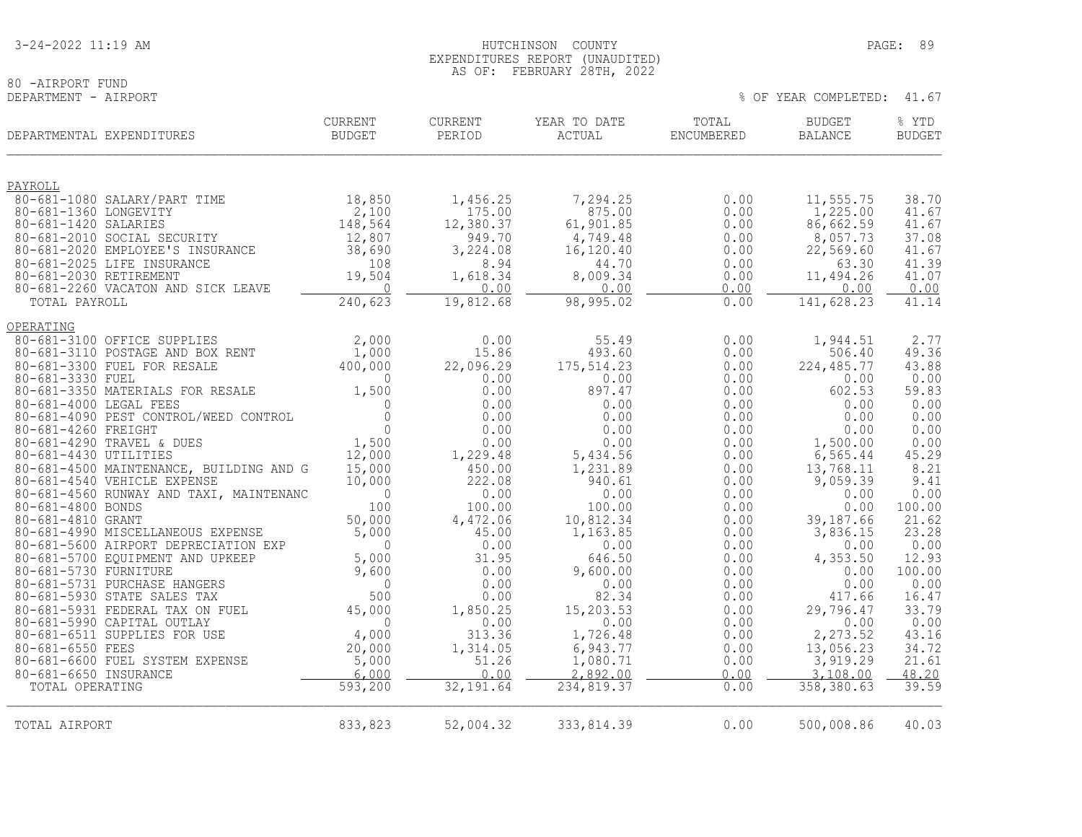# 80 -AIRPORT FUND<br>DEPARTMENT - AIRPORT

|                                               | DEPARTMENTAL EXPENDITURES                                                 | CURRENT<br>BUDGET   | CURRENT<br>PERIOD   | YEAR TO DATE<br>ACTUAL | TOTAL<br>ENCUMBERED | <b>BUDGET</b><br><b>BALANCE</b> | % YTD<br><b>BUDGET</b> |
|-----------------------------------------------|---------------------------------------------------------------------------|---------------------|---------------------|------------------------|---------------------|---------------------------------|------------------------|
| PAYROLL                                       |                                                                           |                     |                     |                        |                     |                                 |                        |
|                                               | 80-681-1080 SALARY/PART TIME                                              | 18,850              | 1,456.25            | 7,294.25               | 0.00                | 11,555.75                       | 38.70                  |
| 80-681-1360 LONGEVITY<br>80-681-1420 SALARIES |                                                                           | 2,100<br>148,564    | 175.00<br>12,380.37 | 875.00<br>61,901.85    | 0.00<br>0.00        | 1,225.00<br>86,662.59           | 41.67<br>41.67         |
|                                               | 80-681-2010 SOCIAL SECURITY                                               | 12,807              | 949.70              | 4,749.48               | 0.00                | 8,057.73                        | 37.08                  |
|                                               | 80-681-2020 EMPLOYEE'S INSURANCE                                          | 38,690              | 3,224.08            | 16,120.40              | 0.00                | 22,569.60                       | 41.67                  |
|                                               | 80-681-2025 LIFE INSURANCE                                                | 108                 | 8.94                | 44.70                  | 0.00                | 63.30                           | 41.39                  |
| 80-681-2030 RETIREMENT                        |                                                                           | 19,504              | 1,618.34            | 8,009.34               | 0.00                | 11,494.26                       | 41.07                  |
|                                               | 80-681-2260 VACATON AND SICK LEAVE                                        | $\sim$ 0            | 0.00                | 0.00                   | 0.00                | 0.00                            | 0.00                   |
| TOTAL PAYROLL                                 |                                                                           | 240,623             | 19,812.68           | 98,995.02              | 0.00                | 141,628.23                      | 41.14                  |
| OPERATING                                     |                                                                           |                     |                     |                        |                     |                                 |                        |
|                                               | 80-681-3100 OFFICE SUPPLIES                                               | 2,000               | 0.00                | 55.49                  | 0.00                | 1,944.51                        | 2.77                   |
|                                               | 80-681-3110 POSTAGE AND BOX RENT                                          | 1,000               | 15.86               | 493.60                 | 0.00                | 506.40                          | 49.36                  |
| 80-681-3330 FUEL                              | 80-681-3300 FUEL FOR RESALE                                               | 400,000<br>$\Omega$ | 22,096.29<br>0.00   | 175, 514.23<br>0.00    | 0.00<br>0.00        | 224, 485.77<br>0.00             | 43.88<br>0.00          |
|                                               | 80-681-3350 MATERIALS FOR RESALE                                          | 1,500               | 0.00                | 897.47                 | 0.00                | 602.53                          | 59.83                  |
| 80-681-4000 LEGAL FEES                        |                                                                           | $\mathbf{0}$        | 0.00                | 0.00                   | 0.00                | 0.00                            | 0.00                   |
|                                               | 80-681-4090 PEST CONTROL/WEED CONTROL                                     | $\Omega$            | 0.00                | 0.00                   | 0.00                | 0.00                            | 0.00                   |
| 80-681-4260 FREIGHT                           |                                                                           | $\Omega$            | 0.00                | 0.00                   | 0.00                | 0.00                            | 0.00                   |
| 80-681-4430 UTILITIES                         | 80-681-4290 TRAVEL & DUES                                                 | 1,500               | 0.00                | 0.00                   | 0.00                | 1,500.00                        | 0.00<br>45.29          |
|                                               | 80-681-4500 MAINTENANCE, BUILDING AND G                                   | 12,000<br>15,000    | 1,229.48<br>450.00  | 5,434.56<br>1,231.89   | 0.00<br>0.00        | 6, 565.44<br>13,768.11          | 8.21                   |
|                                               | 80-681-4540 VEHICLE EXPENSE                                               | 10,000              | 222.08              | 940.61                 | 0.00                | 9,059.39                        | 9.41                   |
|                                               | 80-681-4560 RUNWAY AND TAXI, MAINTENANC                                   | $\overline{0}$      | 0.00                | 0.00                   | 0.00                | 0.00                            | 0.00                   |
| 80-681-4800 BONDS                             |                                                                           | 100                 | 100.00              | 100.00                 | 0.00                | 0.00                            | 100.00                 |
| 80-681-4810 GRANT                             |                                                                           | 50,000              | 4,472.06            | 10,812.34              | 0.00                | 39,187.66                       | 21.62<br>23.28         |
|                                               | 80-681-4990 MISCELLANEOUS EXPENSE<br>80-681-5600 AIRPORT DEPRECIATION EXP | 5,000<br>$\Omega$   | 45.00<br>0.00       | 1,163.85<br>0.00       | 0.00<br>0.00        | 3,836.15<br>0.00                | 0.00                   |
|                                               | 80-681-5700 EQUIPMENT AND UPKEEP                                          | 5,000               | 31.95               | 646.50                 | 0.00                | 4,353.50                        | 12.93                  |
| 80-681-5730 FURNITURE                         |                                                                           | 9,600               | 0.00                | 9,600.00               | 0.00                | 0.00                            | 100.00                 |
|                                               | 80-681-5731 PURCHASE HANGERS                                              | $\mathbf{0}$        | 0.00                | 0.00                   | 0.00                | 0.00                            | 0.00                   |
|                                               | 80-681-5930 STATE SALES TAX                                               | 500                 | 0.00                | 82.34                  | 0.00                | 417.66                          | 16.47                  |
|                                               | 80-681-5931 FEDERAL TAX ON FUEL<br>80-681-5990 CAPITAL OUTLAY             | 45,000<br>$\Omega$  | 1,850.25<br>0.00    | 15,203.53<br>0.00      | 0.00<br>0.00        | 29,796.47<br>0.00               | 33.79<br>0.00          |
|                                               | 80-681-6511 SUPPLIES FOR USE                                              | 4,000               | 313.36              | 1,726.48               | 0.00                | 2,273.52                        | 43.16                  |
| 80-681-6550 FEES                              |                                                                           | 20,000              | 1,314.05            | 6,943.77               | 0.00                | 13,056.23                       | 34.72                  |
|                                               | 80-681-6600 FUEL SYSTEM EXPENSE                                           | 5,000               | 51.26               | 1,080.71               | 0.00                | 3,919.29                        | 21.61                  |
| 80-681-6650 INSURANCE                         |                                                                           | 6,000               | 0.00                | 2.892.00               | 0.00                | 3,108,00                        | 48.20                  |
| TOTAL OPERATING                               |                                                                           | 593,200             | 32, 191.64          | 234,819.37             | 0.00                | 358, 380.63                     | 39.59                  |
| TOTAL AIRPORT                                 |                                                                           | 833,823             | 52,004.32           | 333, 814.39            | 0.00                | 500,008.86                      | 40.03                  |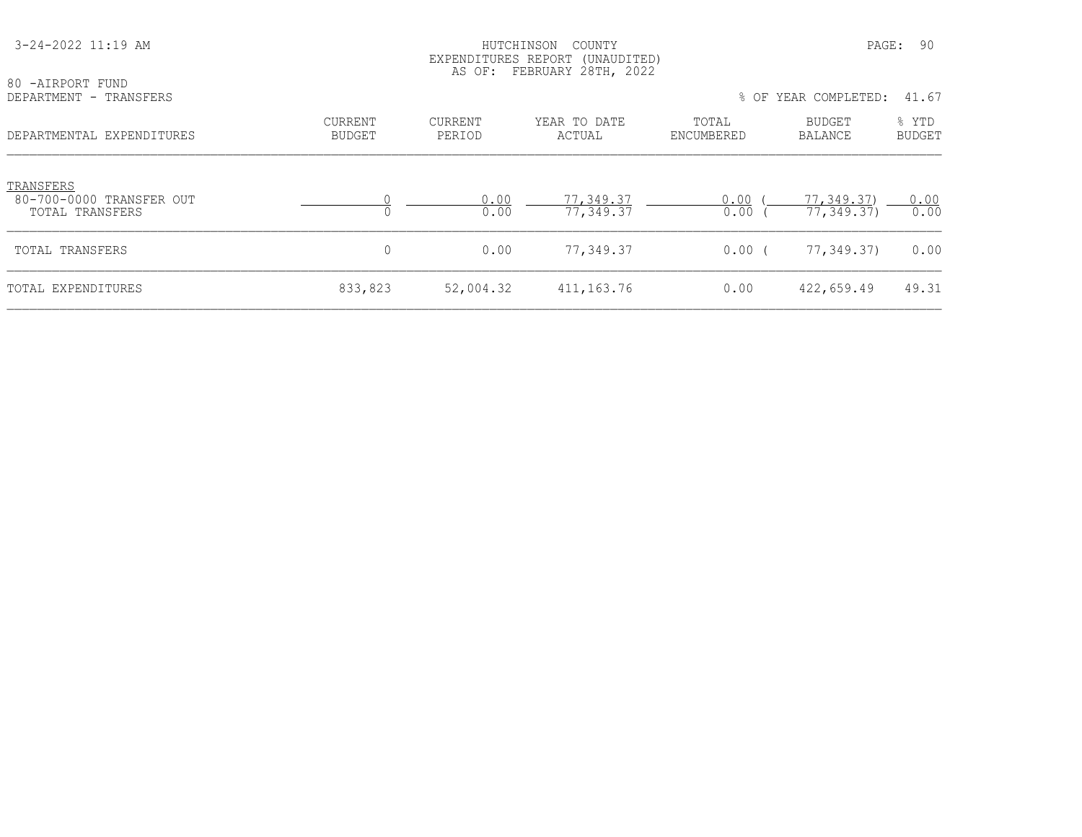| 3-24-2022 11:19 AM                                       |                          | EXPENDITURES REPORT (UNAUDITED)<br>AS OF: FEBRUARY 28TH, 2022 | 90<br>PAGE:            |                     |                          |                        |
|----------------------------------------------------------|--------------------------|---------------------------------------------------------------|------------------------|---------------------|--------------------------|------------------------|
| 80 -AIRPORT FUND<br>DEPARTMENT - TRANSFERS               |                          |                                                               |                        |                     | % OF YEAR COMPLETED:     | 41.67                  |
| DEPARTMENTAL EXPENDITURES                                | CURRENT<br><b>BUDGET</b> | <b>CURRENT</b><br>PERIOD                                      | YEAR TO DATE<br>ACTUAL | TOTAL<br>ENCUMBERED | <b>BUDGET</b><br>BALANCE | % YTD<br><b>BUDGET</b> |
| TRANSFERS<br>80-700-0000 TRANSFER OUT<br>TOTAL TRANSFERS |                          | 0.00<br>0.00                                                  | 77,349.37<br>77,349.37 | 0.00<br>0.00        | 77,349.37)<br>77,349.37) | 0.00<br>0.00           |
| TOTAL TRANSFERS                                          | 0                        | 0.00                                                          | 77,349.37              | $0.00$ (            | 77,349.37)               | 0.00                   |
| TOTAL EXPENDITURES                                       | 833,823                  | 52,004.32                                                     | 411,163.76             | 0.00                | 422,659.49               | 49.31                  |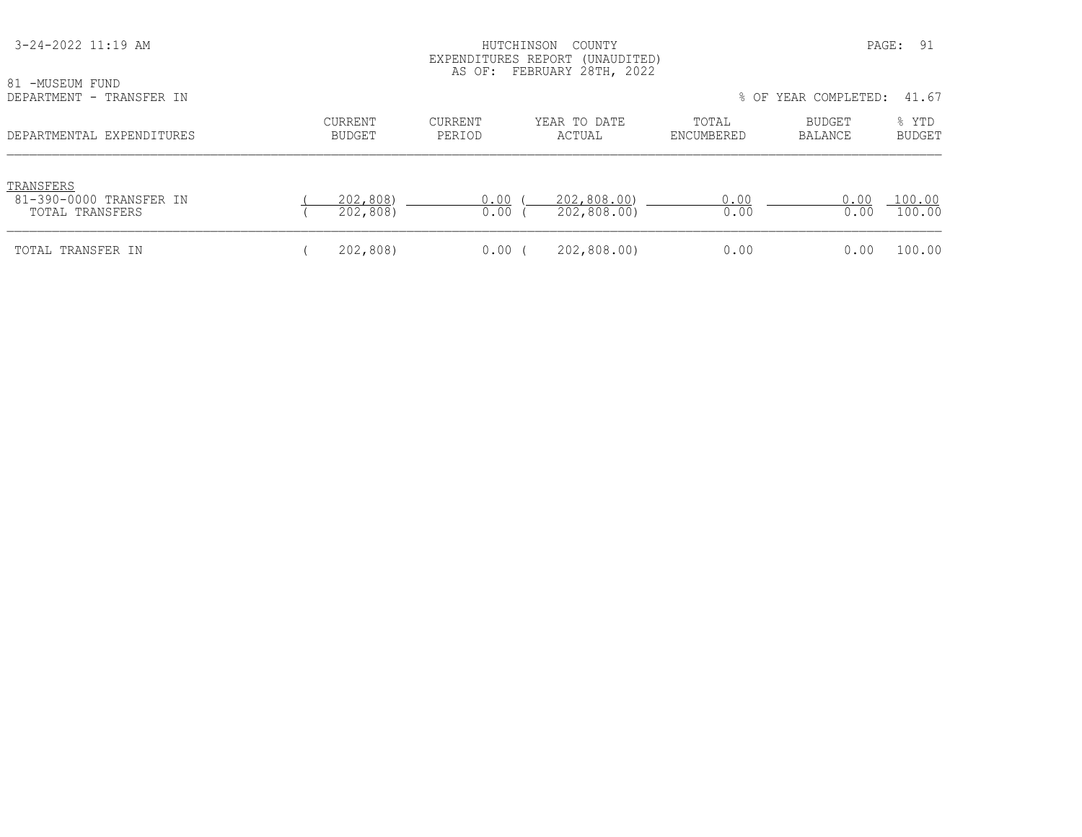| 3-24-2022 11:19 AM<br>81 -MUSEUM FUND<br>DEPARTMENT - TRANSFER IN | PAGE:<br>- 91<br>COUNTY<br>HUTCHINSON<br>EXPENDITURES REPORT (UNAUDITED)<br>AS OF: FEBRUARY 28TH, 2022<br>% OF YEAR COMPLETED:<br>41.67 |                   |                            |                     |                   |                        |
|-------------------------------------------------------------------|-----------------------------------------------------------------------------------------------------------------------------------------|-------------------|----------------------------|---------------------|-------------------|------------------------|
| DEPARTMENTAL EXPENDITURES                                         | CURRENT<br><b>BUDGET</b>                                                                                                                | CURRENT<br>PERIOD | YEAR TO DATE<br>ACTUAL     | TOTAL<br>ENCUMBERED | BUDGET<br>BALANCE | % YTD<br><b>BUDGET</b> |
| TRANSFERS<br>81-390-0000 TRANSFER IN<br>TOTAL TRANSFERS           | 202,808)<br>202,808)                                                                                                                    | 0.00<br>0.00      | 202,808.00)<br>202,808.00) | 0.00<br>0.00        | 0.00<br>0.00      | 100.00<br>100.00       |
| TOTAL TRANSFER IN                                                 | 202,808)                                                                                                                                | $0.00$ (          | 202,808.00)                | 0.00                | 0.00              | 100.00                 |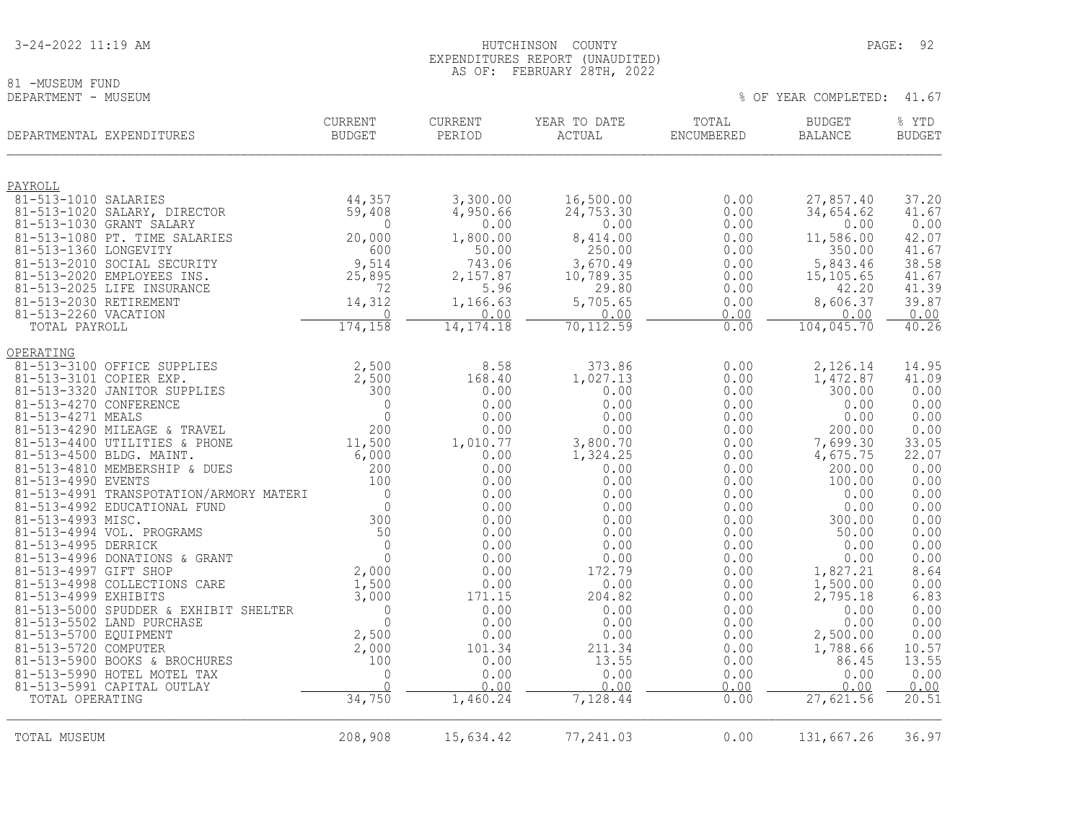81 -MUSEUM FUND<br>DEPARTMENT - MUSEUM

|                                               | DEPARTMENTAL EXPENDITURES                                 | <b>CURRENT</b><br><b>BUDGET</b> | <b>CURRENT</b><br>PERIOD | YEAR TO DATE<br><b>ACTUAL</b> | TOTAL<br>ENCUMBERED | <b>BUDGET</b><br><b>BALANCE</b> | % YTD<br><b>BUDGET</b> |
|-----------------------------------------------|-----------------------------------------------------------|---------------------------------|--------------------------|-------------------------------|---------------------|---------------------------------|------------------------|
| PAYROLL                                       |                                                           |                                 |                          |                               |                     |                                 |                        |
| 81-513-1010 SALARIES                          |                                                           | 44,357                          | 3,300.00                 | 16,500.00                     | 0.00                | 27,857.40                       | 37.20                  |
|                                               | 81-513-1020 SALARY, DIRECTOR                              | 59,408                          | 4,950.66                 | 24,753.30                     | 0.00                | 34,654.62                       | 41.67                  |
|                                               | 81-513-1030 GRANT SALARY<br>81-513-1080 PT. TIME SALARIES | 0<br>20,000                     | 0.00                     | 0.00<br>8,414.00              | 0.00<br>0.00        | 0.00<br>11,586.00               | 0.00<br>42.07          |
| 81-513-1360 LONGEVITY                         |                                                           | 600                             | 1,800.00<br>50.00        | 250.00                        | 0.00                | 350.00                          | 41.67                  |
|                                               | 81-513-2010 SOCIAL SECURITY                               | 9,514                           | 743.06                   | 3,670.49                      | 0.00                | 5,843.46                        | 38.58                  |
|                                               | 81-513-2020 EMPLOYEES INS.                                | 25,895                          | 2,157.87                 | 10,789.35                     | 0.00                | 15, 105.65                      | 41.67                  |
|                                               | 81-513-2025 LIFE INSURANCE                                | 72                              | 5.96                     | 29.80                         | 0.00                | 42.20                           | 41.39                  |
| 81-513-2030 RETIREMENT                        |                                                           | 14,312                          | 1,166.63                 | 5,705.65                      | 0.00                | 8,606.37                        | 39.87                  |
| 81-513-2260 VACATION<br>TOTAL PAYROLL         |                                                           | 0<br>174,158                    | 0.00<br>14, 174. 18      | 0.00<br>70, 112.59            | 0.00<br>0.00        | 0.00<br>104,045.70              | 0.00<br>40.26          |
|                                               |                                                           |                                 |                          |                               |                     |                                 |                        |
| OPERATING                                     |                                                           |                                 |                          |                               |                     |                                 |                        |
|                                               | 81-513-3100 OFFICE SUPPLIES                               | 2,500                           | 8.58                     | 373.86                        | 0.00                | 2,126.14                        | 14.95                  |
| 81-513-3101 COPIER EXP.                       |                                                           | 2,500                           | 168.40                   | 1,027.13                      | 0.00                | 1,472.87                        | 41.09                  |
| 81-513-4270 CONFERENCE                        | 81-513-3320 JANITOR SUPPLIES                              | 300<br>$\mathbf{0}$             | 0.00<br>0.00             | 0.00<br>0.00                  | 0.00<br>0.00        | 300.00<br>0.00                  | 0.00<br>0.00           |
| 81-513-4271 MEALS                             |                                                           | $\Omega$                        | 0.00                     | 0.00                          | 0.00                | 0.00                            | 0.00                   |
|                                               | 81-513-4290 MILEAGE & TRAVEL                              | 200                             | 0.00                     | 0.00                          | 0.00                | 200.00                          | 0.00                   |
|                                               | 81-513-4400 UTILITIES & PHONE                             | 11,500                          | 1,010.77                 | 3,800.70                      | 0.00                | 7,699.30                        | 33.05                  |
|                                               | 81-513-4500 BLDG. MAINT.                                  | 6,000                           | 0.00                     | 1,324.25                      | 0.00                | 4,675.75                        | 22.07                  |
| 81-513-4990 EVENTS                            | 81-513-4810 MEMBERSHIP & DUES                             | 200<br>100                      | 0.00<br>0.00             | 0.00<br>0.00                  | 0.00<br>0.00        | 200.00<br>100.00                | 0.00<br>0.00           |
|                                               | 81-513-4991 TRANSPOTATION/ARMORY MATERI                   | $\Omega$                        | 0.00                     | 0.00                          | 0.00                | 0.00                            | 0.00                   |
|                                               | 81-513-4992 EDUCATIONAL FUND                              | $\overline{0}$                  | 0.00                     | 0.00                          | 0.00                | 0.00                            | 0.00                   |
| 81-513-4993 MISC.                             |                                                           | 300                             | 0.00                     | 0.00                          | 0.00                | 300.00                          | 0.00                   |
|                                               | 81-513-4994 VOL. PROGRAMS                                 | 50                              | 0.00                     | 0.00                          | 0.00                | 50.00                           | 0.00                   |
| 81-513-4995 DERRICK                           | 81-513-4996 DONATIONS & GRANT                             | $\Omega$<br>$\mathbf{0}$        | 0.00<br>0.00             | 0.00<br>0.00                  | 0.00<br>0.00        | 0.00<br>0.00                    | 0.00<br>0.00           |
| 81-513-4997 GIFT SHOP                         |                                                           | 2,000                           | 0.00                     | 172.79                        | 0.00                | 1,827.21                        | 8.64                   |
|                                               | 81-513-4998 COLLECTIONS CARE                              | 1,500                           | 0.00                     | 0.00                          | 0.00                | 1,500.00                        |                        |
| 81-513-4999 EXHIBITS                          |                                                           | 3,000                           | 171.15                   | 204.82                        | 0.00                | 2,795.18                        | $0.00$<br>6.83         |
|                                               | 81-513-5000 SPUDDER & EXHIBIT SHELTER                     | $\overline{0}$                  | 0.00                     | 0.00                          | 0.00                | 0.00                            | 0.00                   |
|                                               | 81-513-5502 LAND PURCHASE                                 | $\Omega$<br>2,500               | 0.00<br>0.00             | 0.00                          | 0.00                | 0.00<br>2,500.00                | 0.00<br>0.00           |
| 81-513-5700 EQUIPMENT<br>81-513-5720 COMPUTER |                                                           | 2,000                           | 101.34                   | 0.00<br>211.34                | 0.00<br>0.00        | 1,788.66                        | 10.57                  |
|                                               | 81-513-5900 BOOKS & BROCHURES                             | 100                             | 0.00                     | 13.55                         | 0.00                | 86.45                           | 13.55                  |
|                                               | 81-513-5990 HOTEL MOTEL TAX                               | $\mathbf 0$                     | 0.00                     | 0.00                          | 0.00                | 0.00                            | 0.00                   |
|                                               | 81-513-5991 CAPITAL OUTLAY                                | $\cap$                          | 0.00                     | 0.00                          | 0.00                | 0.00                            | 0.00                   |
| TOTAL OPERATING                               |                                                           | 34,750                          | 1,460.24                 | 7,128.44                      | 0.00                | 27,621.56                       | 20.51                  |
| TOTAL MUSEUM                                  |                                                           | 208,908                         | 15,634.42                | 77,241.03                     | 0.00                | 131,667.26                      | 36.97                  |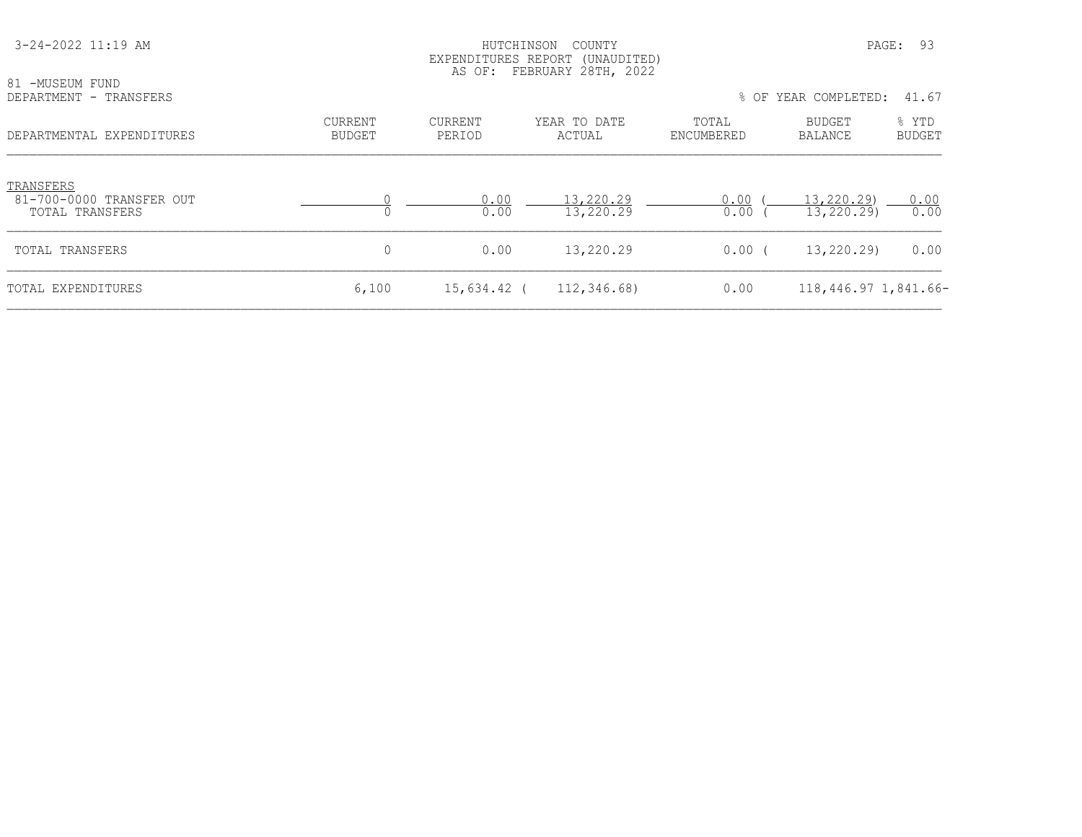| 3-24-2022 11:19 AM                                              |                          | HUTCHINSON               | COUNTY<br>EXPENDITURES REPORT (UNAUDITED)<br>AS OF: FEBRUARY 28TH, 2022 |                     |                          | PAGE: 93               |
|-----------------------------------------------------------------|--------------------------|--------------------------|-------------------------------------------------------------------------|---------------------|--------------------------|------------------------|
| 81 -MUSEUM FUND<br>DEPARTMENT - TRANSFERS                       |                          |                          |                                                                         |                     | % OF YEAR COMPLETED:     | 41.67                  |
| DEPARTMENTAL EXPENDITURES                                       | CURRENT<br><b>BUDGET</b> | <b>CURRENT</b><br>PERIOD | YEAR TO DATE<br>ACTUAL                                                  | TOTAL<br>ENCUMBERED | BUDGET<br>BALANCE        | % YTD<br><b>BUDGET</b> |
| TRANSFERS<br>81-700-0000 TRANSFER OUT<br><b>TOTAL TRANSFERS</b> |                          | 0.00<br>0.00             | 13,220.29<br>13,220.29                                                  | 0.00<br>0.00        | 13,220.29)<br>13,220.29) | 0.00<br>0.00           |
| TOTAL TRANSFERS                                                 | $\mathbf 0$              | 0.00                     | 13,220.29                                                               | $0.00$ (            | 13,220.29)               | 0.00                   |
| TOTAL EXPENDITURES                                              | 6,100                    | 15,634.42 (              | 112,346.68)                                                             | 0.00                | 118,446.97 1,841.66-     |                        |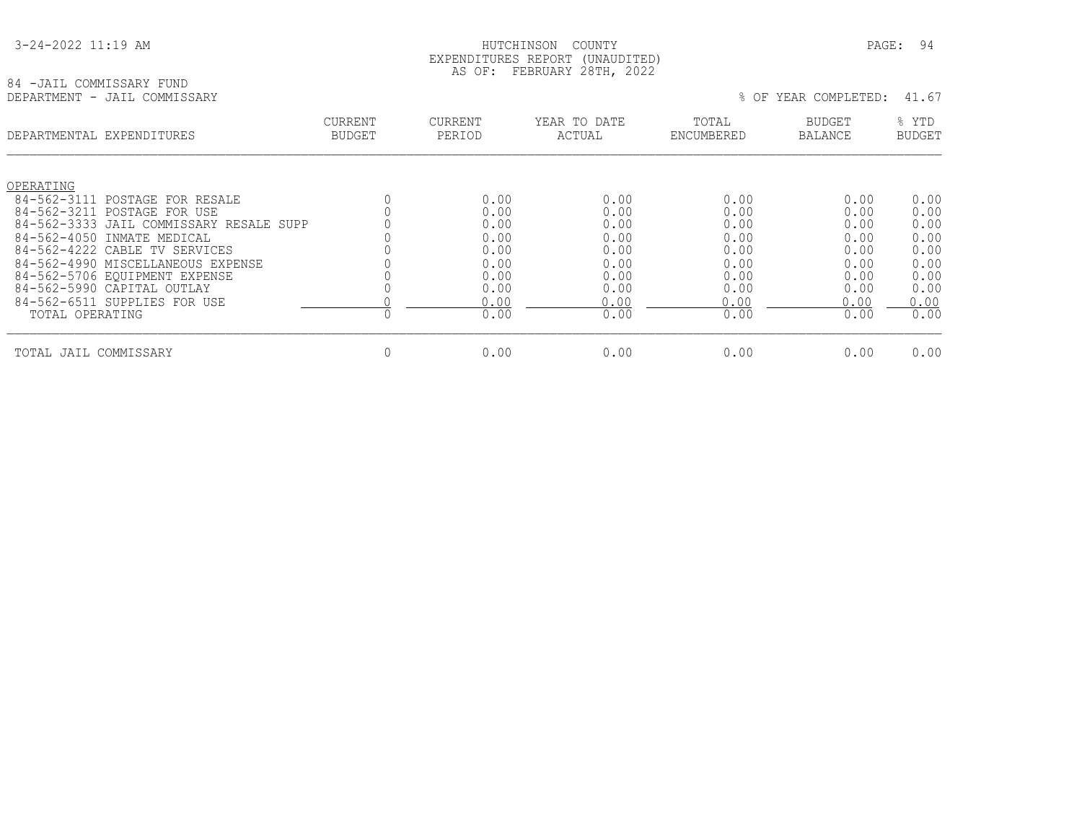#### HUTCHINSON COUNTY PAGE: 94 EXPENDITURES REPORT (UNAUDITED) AS OF: FEBRUARY 28TH, 2022

### 84 -JAIL COMMISSARY FUND<br>DEPARTMENT - JAIL COMMISSARY

|                                  | DEPARTMENTAL EXPENDITURES                                  | <b>CURRENT</b><br><b>BUDGET</b> | <b>CURRENT</b><br>PERIOD | YEAR TO DATE<br>ACTUAL | TOTAL<br>ENCUMBERED | <b>BUDGET</b><br><b>BALANCE</b> | % YTD<br><b>BUDGET</b> |
|----------------------------------|------------------------------------------------------------|---------------------------------|--------------------------|------------------------|---------------------|---------------------------------|------------------------|
| OPERATING                        |                                                            |                                 |                          |                        |                     |                                 |                        |
| $84 - 562 - 3111$<br>84-562-3211 | POSTAGE FOR RESALE                                         |                                 | 0.00<br>0.00             | 0.00<br>0.00           | 0.00<br>0.00        | 0.00                            | 0.00                   |
|                                  | POSTAGE FOR USE<br>84-562-3333 JAIL COMMISSARY RESALE SUPP |                                 | 0.00                     | 0.00                   | 0.00                | 0.00<br>0.00                    | 0.00<br>0.00           |
|                                  | 84-562-4050 INMATE MEDICAL                                 |                                 | 0.00                     | 0.00                   | 0.00                | 0.00                            | 0.00                   |
|                                  | 84-562-4222 CABLE TV SERVICES                              |                                 | 0.00                     | 0.00                   | 0.00                | 0.00                            | 0.00                   |
|                                  | 84-562-4990 MISCELLANEOUS EXPENSE                          |                                 | 0.00                     | 0.00                   | 0.00                | 0.00                            | 0.00                   |
|                                  | 84-562-5706 EQUIPMENT EXPENSE                              |                                 | 0.00                     | 0.00                   | 0.00                | 0.00                            | 0.00                   |
|                                  | 84-562-5990 CAPITAL OUTLAY                                 |                                 | 0.00                     | 0.00                   | 0.00                | 0.00                            | 0.00                   |
|                                  | 84-562-6511 SUPPLIES FOR USE                               |                                 | 0.00                     | 0.00                   | 0.00                | 0.00                            | 0.00                   |
| TOTAL OPERATING                  |                                                            |                                 | 0.00                     | 0.00                   | 0.00                | 0.00                            | 0.00                   |
| TOTAL JAIL COMMISSARY            |                                                            | 0                               | 0.00                     | 0.00                   | 0.00                | 0.00                            | 0.00                   |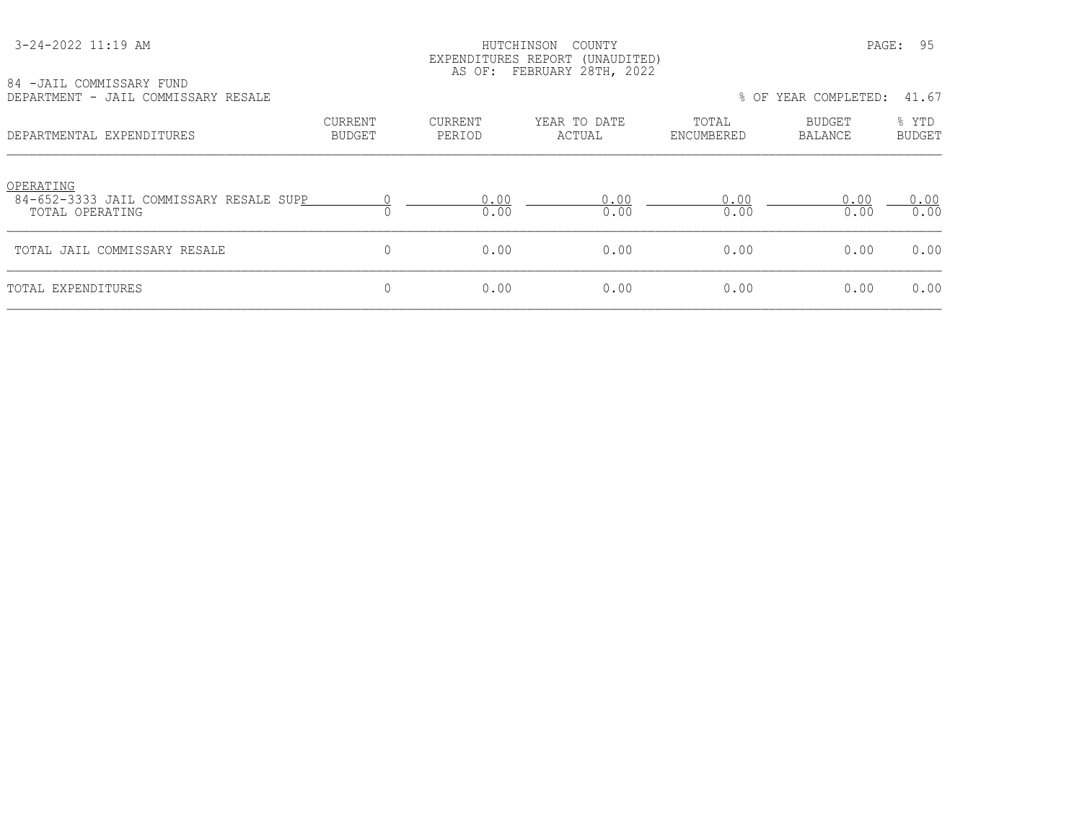#### HUTCHINSON COUNTY PAGE: 95 EXPENDITURES REPORT (UNAUDITED) AS OF: FEBRUARY 28TH, 2022

| 84 -JAIL COMMISSARY FUND            |  |  |
|-------------------------------------|--|--|
| DEPARTMENT - JAIL COMMISSARY RESALE |  |  |

| DEPARTMENT - JAIL COMMISSARY RESALE                                     |                   |                   |                        |                     | % OF YEAR COMPLETED:     | 41.67                  |
|-------------------------------------------------------------------------|-------------------|-------------------|------------------------|---------------------|--------------------------|------------------------|
| DEPARTMENTAL EXPENDITURES                                               | CURRENT<br>BUDGET | CURRENT<br>PERIOD | YEAR TO DATE<br>ACTUAL | TOTAL<br>ENCUMBERED | BUDGET<br><b>BALANCE</b> | % YTD<br><b>BUDGET</b> |
| OPERATING<br>84-652-3333 JAIL COMMISSARY RESALE SUPP<br>TOTAL OPERATING |                   | 0.00<br>0.00      | 0.00<br>0.00           | 0.00<br>0.00        | 0.00<br>0.00             | 0.00<br>0.00           |
| TOTAL JAIL COMMISSARY RESALE                                            | $\Omega$          | 0.00              | 0.00                   | 0.00                | 0.00                     | 0.00                   |
| TOTAL EXPENDITURES                                                      | 0                 | 0.00              | 0.00                   | 0.00                | 0.00                     | 0.00                   |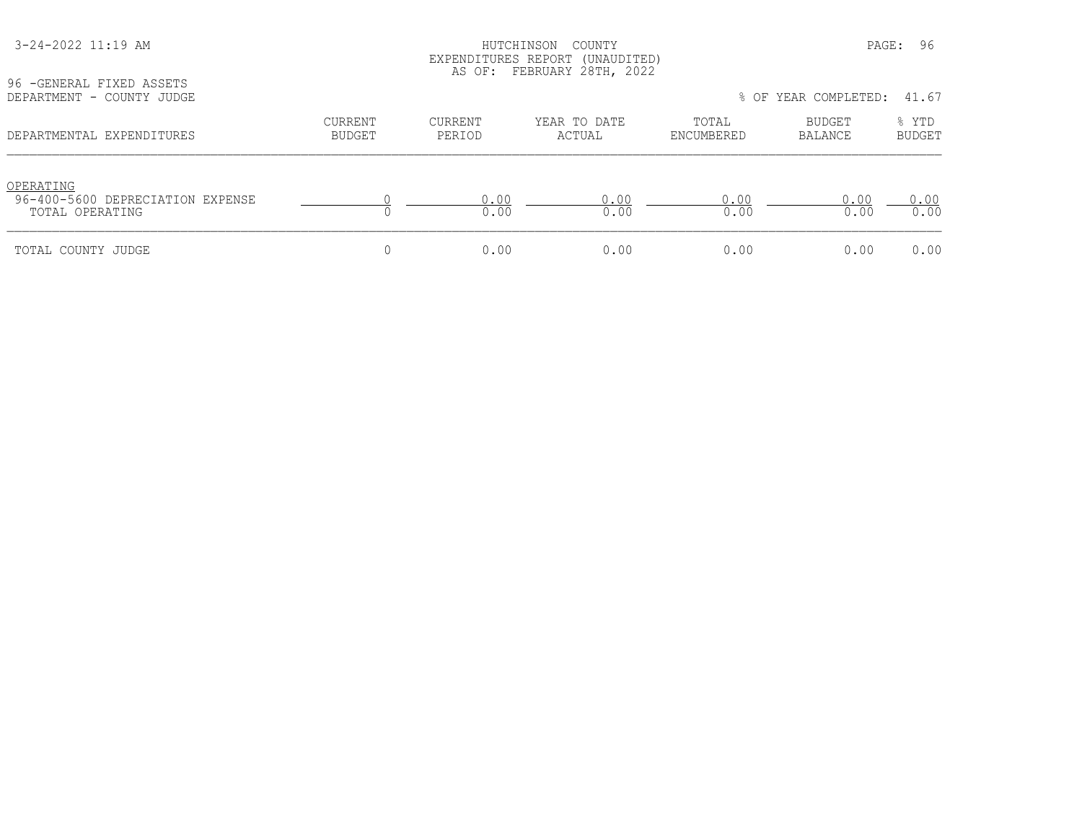| 96 - GENERAL FIXED ASSETS<br>DEPARTMENT - COUNTY JUDGE           |                                 |                   | LAPLNDIIUKLS KLPUKI (UNAUDIILD)<br>AS OF: FEBRUARY 28TH, 2022 |                     | % OF YEAR COMPLETED: 41.67 |                        |
|------------------------------------------------------------------|---------------------------------|-------------------|---------------------------------------------------------------|---------------------|----------------------------|------------------------|
| DEPARTMENTAL EXPENDITURES                                        | <b>CURRENT</b><br><b>BUDGET</b> | CURRENT<br>PERIOD | YEAR TO DATE<br>ACTUAL                                        | TOTAL<br>ENCUMBERED | BUDGET<br>BALANCE          | % YTD<br><b>BUDGET</b> |
| OPERATING<br>96-400-5600 DEPRECIATION EXPENSE<br>TOTAL OPERATING |                                 | 0.00<br>0.00      | 0.00<br>0.00                                                  | 0.00<br>0.00        | 0.00<br>0.00               | 0.00<br>0.00           |
| TOTAL COUNTY JUDGE                                               |                                 | 0.00              | 0.00                                                          | 0.00                | 0.00                       | 0.00                   |

3-24-2022 11:19 AM HUTCHINSON COUNTY PAGE: 96

EXPENDITURES REPORT (UNAUDITED)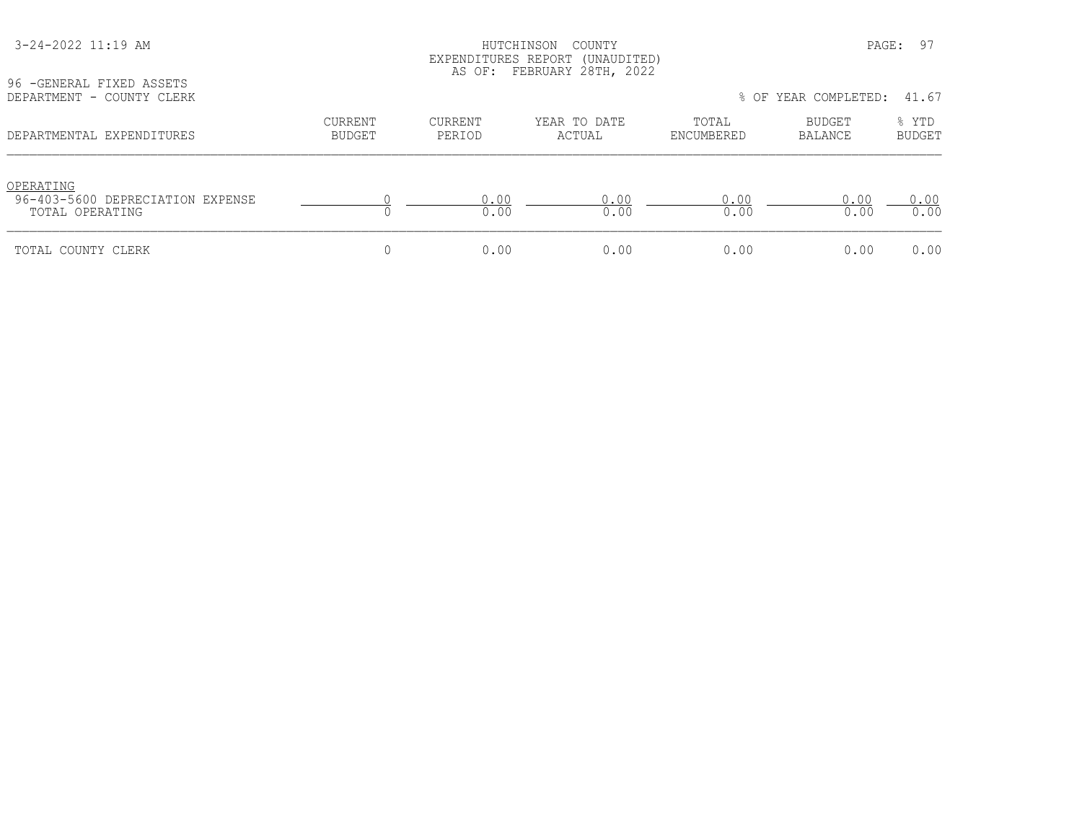| 96 - GENERAL FIXED ASSETS                                        |                          |                          | EXPENDITURES REPORT (UNAUDITED)<br>AS OF: FEBRUARY 28TH, 2022 |                     |                      |                        |
|------------------------------------------------------------------|--------------------------|--------------------------|---------------------------------------------------------------|---------------------|----------------------|------------------------|
| DEPARTMENT - COUNTY CLERK                                        |                          |                          |                                                               |                     | % OF YEAR COMPLETED: | 41.67                  |
| DEPARTMENTAL EXPENDITURES                                        | CURRENT<br><b>BUDGET</b> | <b>CURRENT</b><br>PERIOD | YEAR TO DATE<br>ACTUAL                                        | TOTAL<br>ENCUMBERED | BUDGET<br>BALANCE    | % YTD<br><b>BUDGET</b> |
| OPERATING<br>96-403-5600 DEPRECIATION EXPENSE<br>TOTAL OPERATING |                          | 0.00<br>0.00             | 0.00<br>0.00                                                  | 0.00<br>0.00        | 0.00<br>0.00         | 0.00<br>0.00           |
| TOTAL COUNTY CLERK                                               |                          | 0.00                     | 0.00                                                          | 0.00                | 0.00                 | 0.00                   |

3-24-2022 11:19 AM HUTCHINSON COUNTY PAGE: 97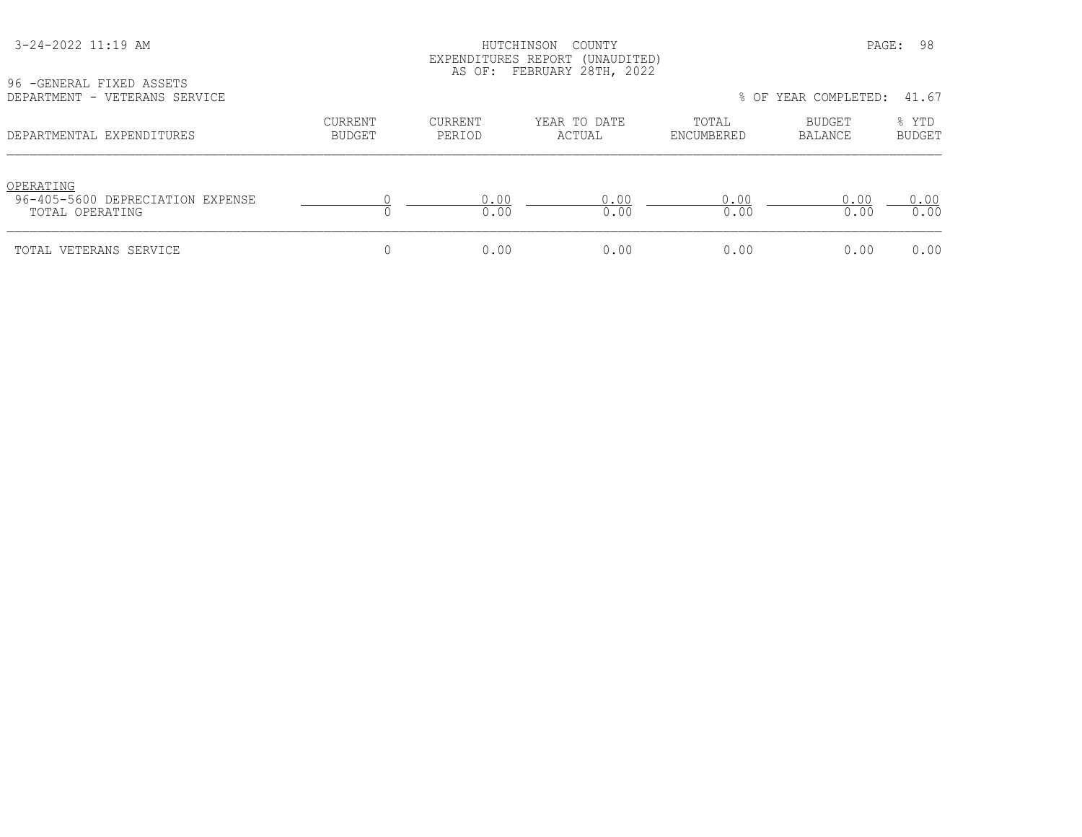#### HUTCHINSON COUNTY PAGE: 98 EXPENDITURES REPORT (UNAUDITED) AS OF: FEBRUARY 28TH, 2022

| 96 - GENERAL FIXED ASSETS     |  |  |
|-------------------------------|--|--|
| DEPARTMENT - VETERANS SERVICE |  |  |

| YO TULNLKAL FIALU ASSLIS<br>DEPARTMENT - VETERANS SERVICE        |                   |                   |                        |                     | % OF YEAR COMPLETED: | 41.67                  |
|------------------------------------------------------------------|-------------------|-------------------|------------------------|---------------------|----------------------|------------------------|
| DEPARTMENTAL EXPENDITURES                                        | CURRENT<br>BUDGET | CURRENT<br>PERIOD | YEAR TO DATE<br>ACTUAL | TOTAL<br>ENCUMBERED | BUDGET<br>BALANCE    | % YTD<br><b>BUDGET</b> |
| OPERATING<br>96-405-5600 DEPRECIATION EXPENSE<br>TOTAL OPERATING |                   | 0.00<br>0.00      | 0.00<br>0.00           | 0.00<br>0.00        | 0.00<br>0.00         | 0.00<br>0.00           |
| TOTAL VETERANS SERVICE                                           |                   | 0.00              | 0.00                   | 0.00                | 0.00                 | 0.00                   |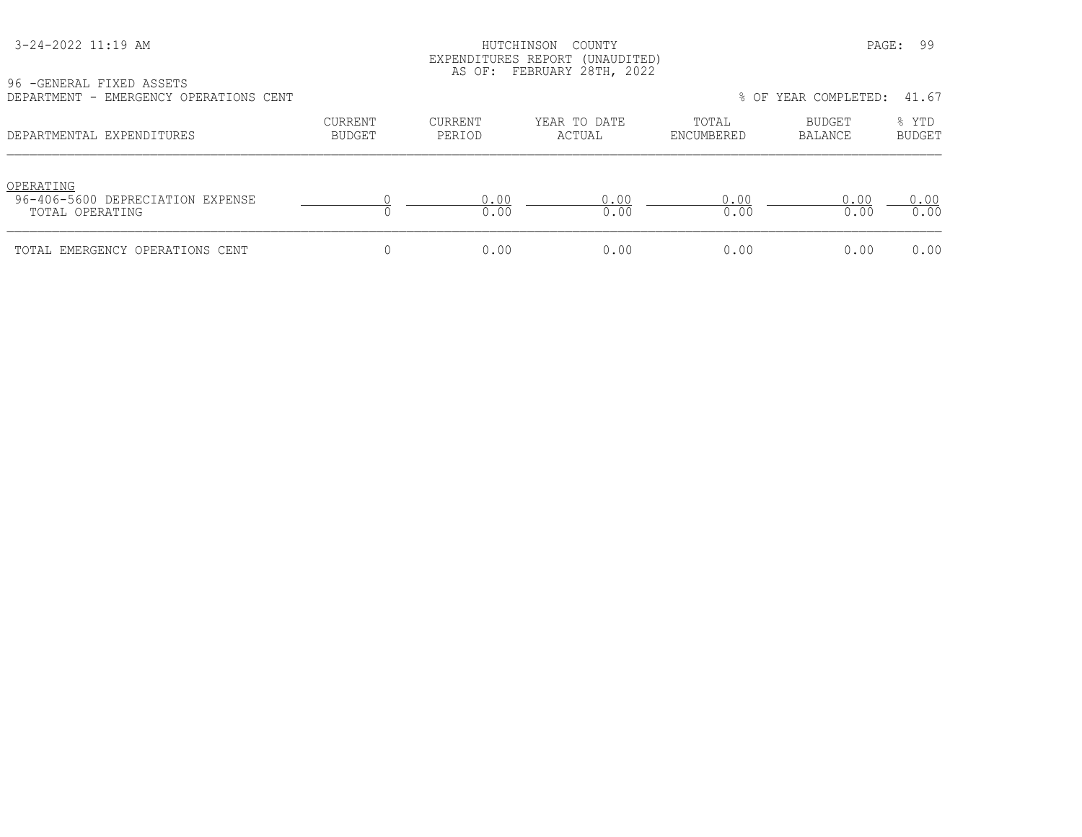#### HUTCHINSON COUNTY **PAGE: 99**  EXPENDITURES REPORT (UNAUDITED) AS OF: FEBRUARY 28TH, 2022

96 -GENERAL FIXED ASSETS

| DEPARTMENT - EMERGENCY OPERATIONS CENT                           |                          |                   |                        |                     | % OF YEAR COMPLETED:     | 41.67                  |
|------------------------------------------------------------------|--------------------------|-------------------|------------------------|---------------------|--------------------------|------------------------|
| DEPARTMENTAL EXPENDITURES                                        | CURRENT<br><b>BUDGET</b> | CURRENT<br>PERIOD | YEAR TO DATE<br>ACTUAL | TOTAL<br>ENCUMBERED | <b>BUDGET</b><br>BALANCE | % YTD<br><b>BUDGET</b> |
| OPERATING<br>96-406-5600 DEPRECIATION EXPENSE<br>TOTAL OPERATING |                          | 0.00<br>0.00      | 0.00<br>0.00           | 0.00<br>0.00        | 0.00<br>0.00             | 0.00<br>0.00           |
| TOTAL EMERGENCY OPERATIONS CENT                                  |                          | 0.00              | 0.00                   | 0.00                | 0.00                     | 0.00                   |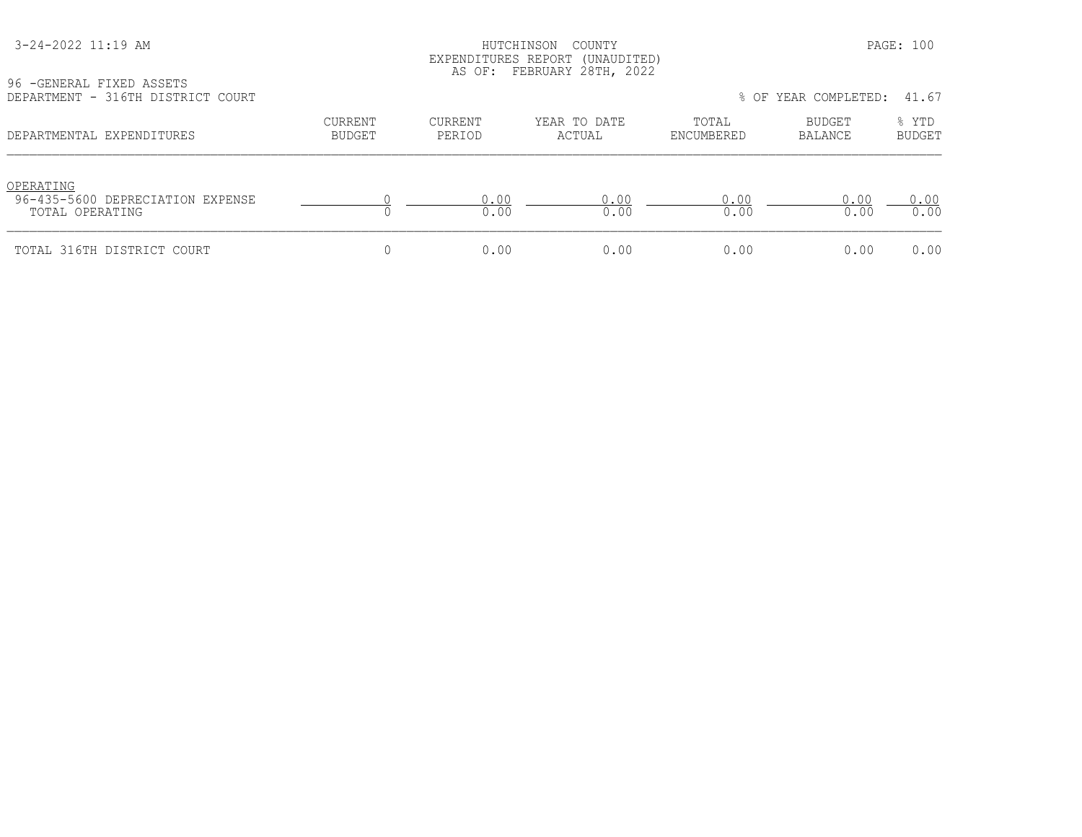#### HUTCHINSON COUNTY PAGE: 100 EXPENDITURES REPORT (UNAUDITED) AS OF: FEBRUARY 28TH, 2022

96 -GENERAL FIXED ASSETS

| DEPARTMENT - 316TH DISTRICT COURT                                |                          |                   |                        |                     | % OF YEAR COMPLETED:     | 41.67                  |
|------------------------------------------------------------------|--------------------------|-------------------|------------------------|---------------------|--------------------------|------------------------|
| DEPARTMENTAL EXPENDITURES                                        | CURRENT<br><b>BUDGET</b> | CURRENT<br>PERIOD | YEAR TO DATE<br>ACTUAL | TOTAL<br>ENCUMBERED | <b>BUDGET</b><br>BALANCE | % YTD<br><b>BUDGET</b> |
| OPERATING<br>96-435-5600 DEPRECIATION EXPENSE<br>TOTAL OPERATING |                          | 0.00<br>0.00      | 0.00<br>0.00           | 0.00<br>0.00        | 0.00<br>0.00             | 0.00<br>0.00           |
| TOTAL 316TH DISTRICT COURT                                       |                          | 0.00              | 0.00                   | 0.00                | 0.00                     | 0.00                   |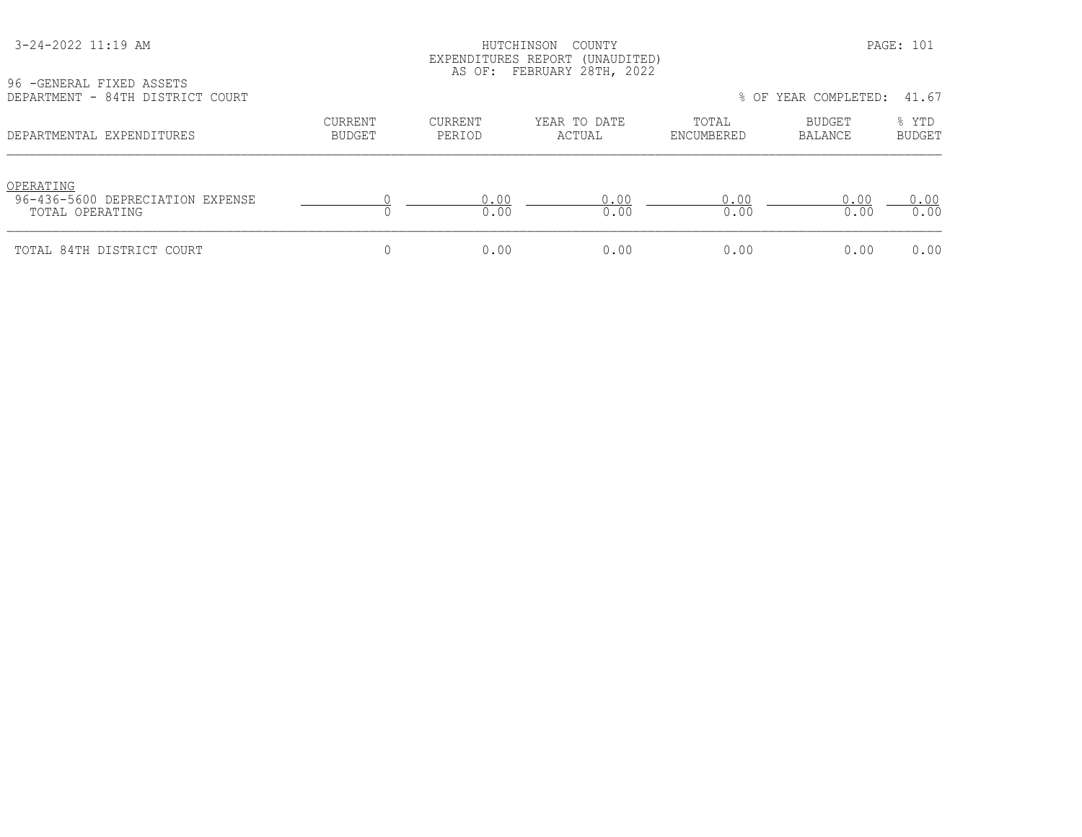#### HUTCHINSON COUNTY PAGE: 101 EXPENDITURES REPORT (UNAUDITED) AS OF: FEBRUARY 28TH, 2022

96 -GENERAL FIXED ASSETS

| DEPARTMENT - 84TH DISTRICT COURT                                 |                          |                   |                        |                     | % OF YEAR COMPLETED: | 41.67                  |
|------------------------------------------------------------------|--------------------------|-------------------|------------------------|---------------------|----------------------|------------------------|
| DEPARTMENTAL EXPENDITURES                                        | CURRENT<br><b>BUDGET</b> | CURRENT<br>PERIOD | YEAR TO DATE<br>ACTUAL | TOTAL<br>ENCUMBERED | BUDGET<br>BALANCE    | % YTD<br><b>BUDGET</b> |
| OPERATING<br>96-436-5600 DEPRECIATION EXPENSE<br>TOTAL OPERATING |                          | 0.00<br>0.00      | 0.00<br>0.00           | 0.00<br>0.00        | 0.00<br>0.00         | 0.00<br>0.00           |
| TOTAL 84TH DISTRICT COURT                                        |                          | 0.00              | 0.00                   | 0.00                | 0.00                 | 0.00                   |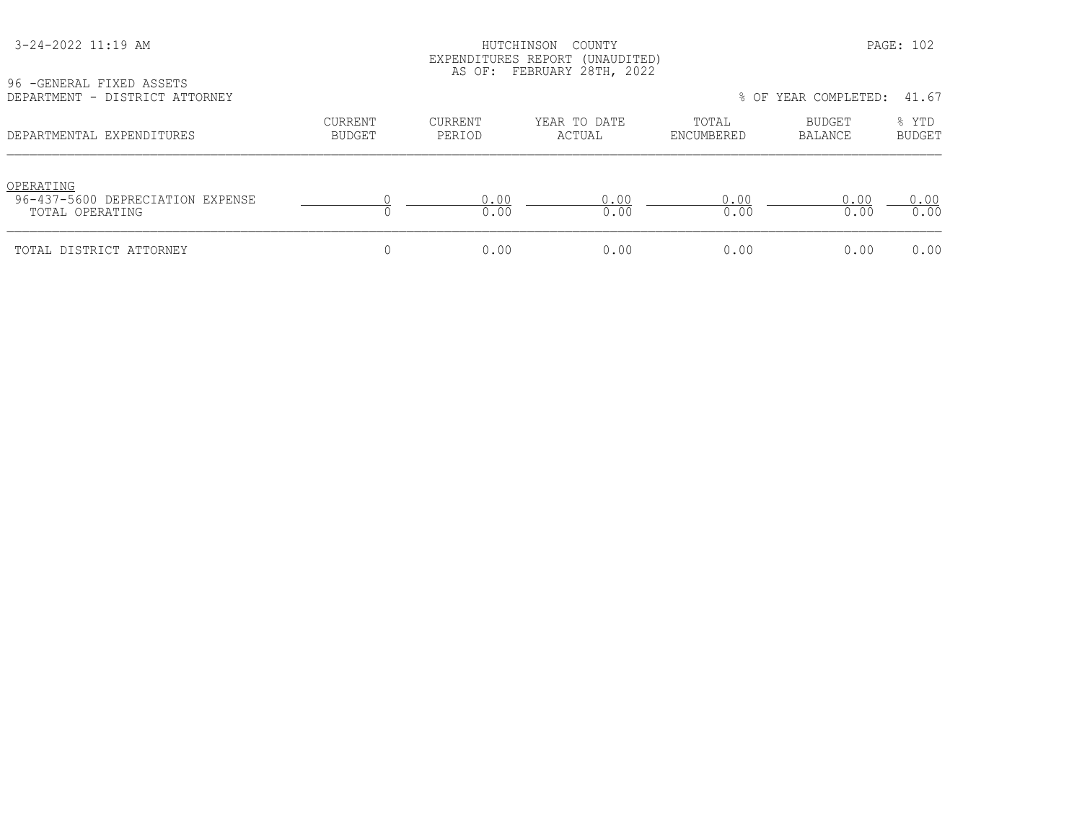#### HUTCHINSON COUNTY PAGE: 102 EXPENDITURES REPORT (UNAUDITED) AS OF: FEBRUARY 28TH, 2022

| 96 - GENERAL FIXED ASSETS      |  |
|--------------------------------|--|
| DEPARTMENT - DISTRICT ATTORNEY |  |

| YO TULNLKAL FIALU ASSLIS<br>DEPARTMENT - DISTRICT ATTORNEY       |                          |                          |                        |                     | % OF YEAR COMPLETED:     | 41.67           |  |
|------------------------------------------------------------------|--------------------------|--------------------------|------------------------|---------------------|--------------------------|-----------------|--|
| DEPARTMENTAL EXPENDITURES                                        | CURRENT<br><b>BUDGET</b> | <b>CURRENT</b><br>PERIOD | YEAR TO DATE<br>ACTUAL | TOTAL<br>ENCUMBERED | BUDGET<br><b>BALANCE</b> | % YTD<br>BUDGET |  |
| OPERATING<br>96-437-5600 DEPRECIATION EXPENSE<br>TOTAL OPERATING |                          | 0.00<br>0.00             | 0.00<br>0.00           | 0.00<br>0.00        | 0.00<br>0.00             | 0.00<br>0.00    |  |
| TOTAL DISTRICT ATTORNEY                                          |                          | 0.00                     | 0.00                   | 0.00                | 0.00                     | 0.00            |  |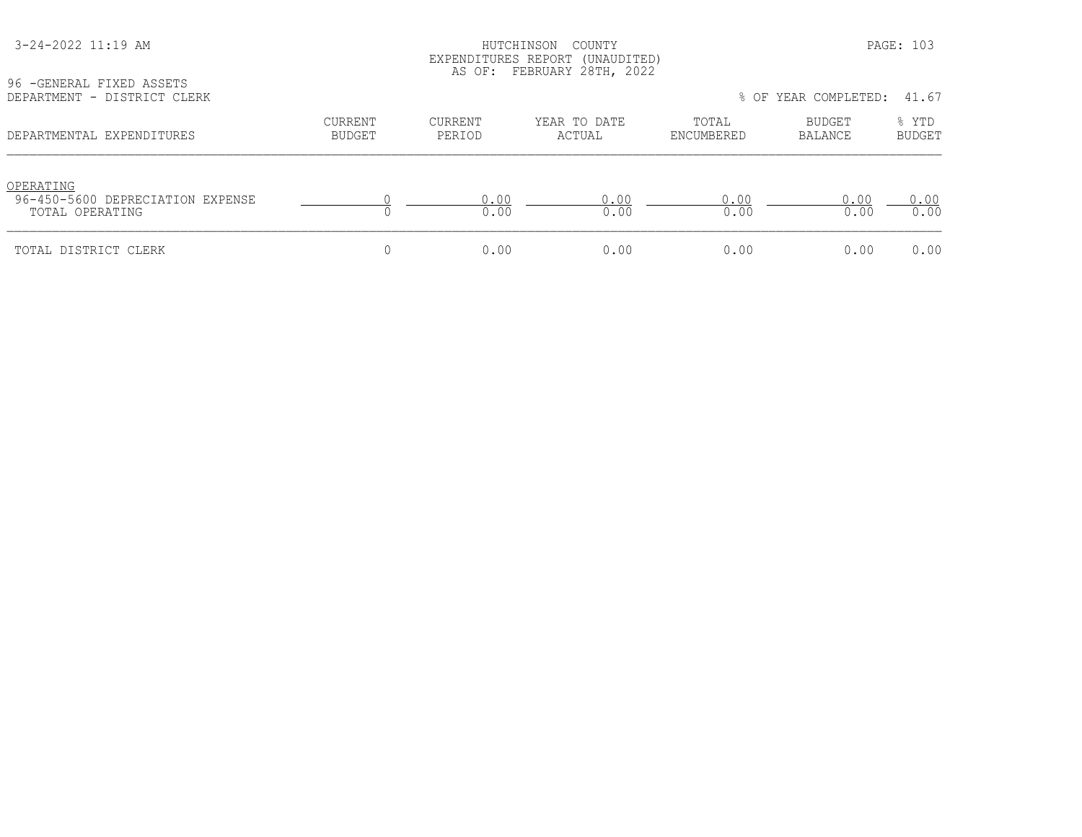#### HUTCHINSON COUNTY PAGE: 103 EXPENDITURES REPORT (UNAUDITED) AS OF: FEBRUARY 28TH, 2022

96 -GENERAL FIXED ASSETS<br>DEPARTMENT - DISTRICT CL

| DEPARTMENT - DISTRICT CLERK                                      |                          |                   |                        |                     | % OF YEAR COMPLETED: | 41.67                  |
|------------------------------------------------------------------|--------------------------|-------------------|------------------------|---------------------|----------------------|------------------------|
| DEPARTMENTAL EXPENDITURES                                        | CURRENT<br><b>BUDGET</b> | CURRENT<br>PERIOD | YEAR TO DATE<br>ACTUAL | TOTAL<br>ENCUMBERED | BUDGET<br>BALANCE    | % YTD<br><b>BUDGET</b> |
| OPERATING<br>96-450-5600 DEPRECIATION EXPENSE<br>TOTAL OPERATING |                          | 0.00<br>0.00      | 0.00<br>0.00           | 0.00<br>0.00        | 0.00<br>0.00         | 0.00<br>0.00           |
| TOTAL DISTRICT CLERK                                             |                          | 0.00              | 0.00                   | 0.00                | 0.00                 | 0.00                   |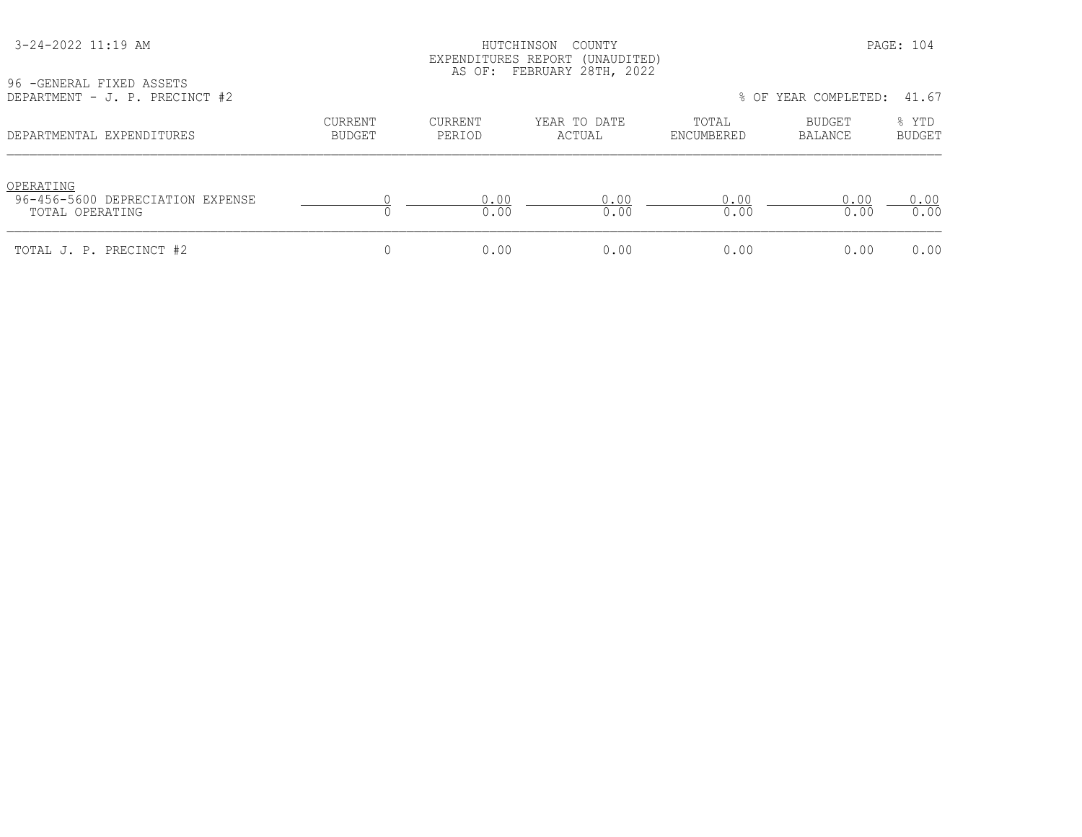HUTCHINSON COUNTY PAGE: 104 EXPENDITURES REPORT (UNAUDITED) AS OF: FEBRUARY 28TH, 2022

| 96 - GENERAL FIXED ASSETS<br>DEPARTMENT - J. P. PRECINCT #2      |                                 |                   |                        |                     | % OF YEAR COMPLETED: | 41.67                  |
|------------------------------------------------------------------|---------------------------------|-------------------|------------------------|---------------------|----------------------|------------------------|
| DEPARTMENTAL EXPENDITURES                                        | <b>CURRENT</b><br><b>BUDGET</b> | CURRENT<br>PERIOD | YEAR TO DATE<br>ACTUAL | TOTAL<br>ENCUMBERED | BUDGET<br>BALANCE    | % YTD<br><b>BUDGET</b> |
| OPERATING<br>96-456-5600 DEPRECIATION EXPENSE<br>TOTAL OPERATING |                                 | 0.00<br>0.00      | 0.00<br>0.00           | 0.00<br>0.00        | 0.00<br>0.00         | 0.00<br>0.00           |
| TOTAL J. P. PRECINCT #2                                          |                                 | 0.00              | 0.00                   | 0.00                | 0.00                 | 0.00                   |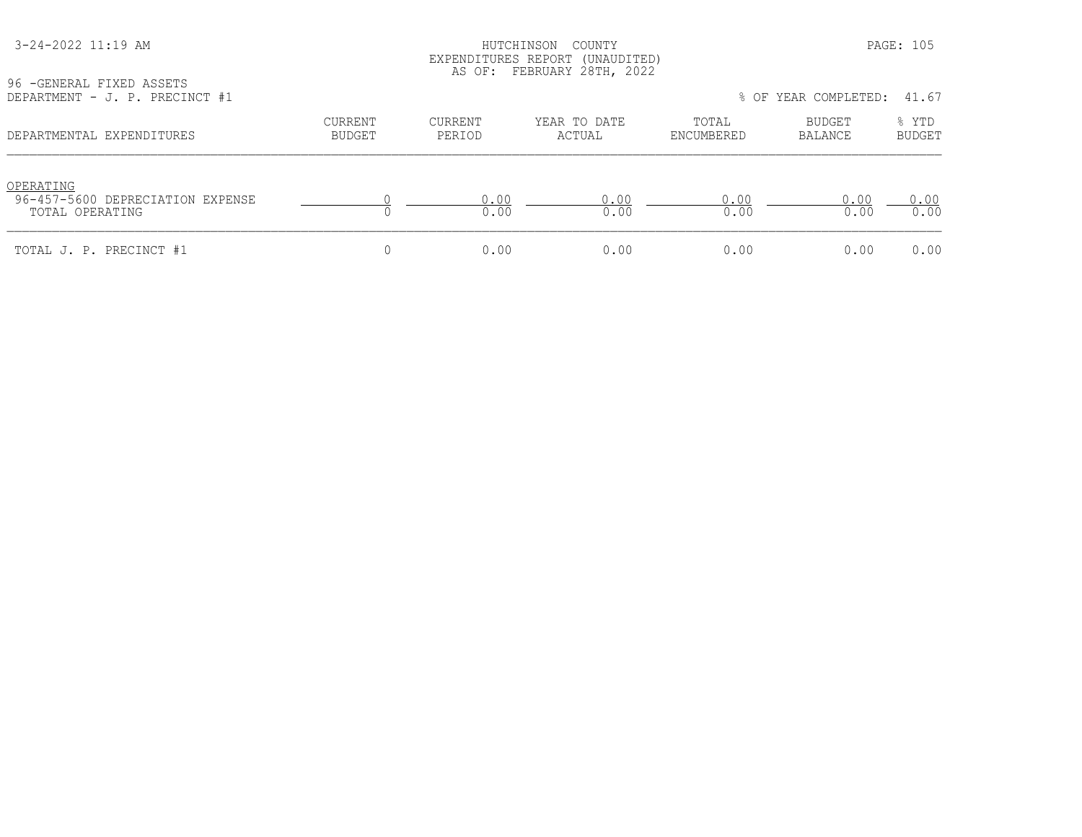96 -GENERAL FIXED ASSETS

HUTCHINSON COUNTY PAGE: 105 EXPENDITURES REPORT (UNAUDITED) AS OF: FEBRUARY 28TH, 2022

| DEPARTMENT - J. P. PRECINCT #1                                   |                                 |                   |                        |                     | % OF YEAR COMPLETED: 41.67 |                        |  |
|------------------------------------------------------------------|---------------------------------|-------------------|------------------------|---------------------|----------------------------|------------------------|--|
| DEPARTMENTAL EXPENDITURES                                        | <b>CURRENT</b><br><b>BUDGET</b> | CURRENT<br>PERIOD | YEAR TO DATE<br>ACTUAL | TOTAL<br>ENCUMBERED | BUDGET<br>BALANCE          | % YTD<br><b>BUDGET</b> |  |
| OPERATING<br>96-457-5600 DEPRECIATION EXPENSE<br>TOTAL OPERATING |                                 | 0.00<br>0.00      | N 00<br>0.00           | 0.00<br>0.00        | 0.00<br>0.00               | 0.00<br>0.00           |  |
| TOTAL J. P. PRECINCT #1                                          |                                 | 0.00              | 0.00                   | 0.00                | 0.00                       | 0.00                   |  |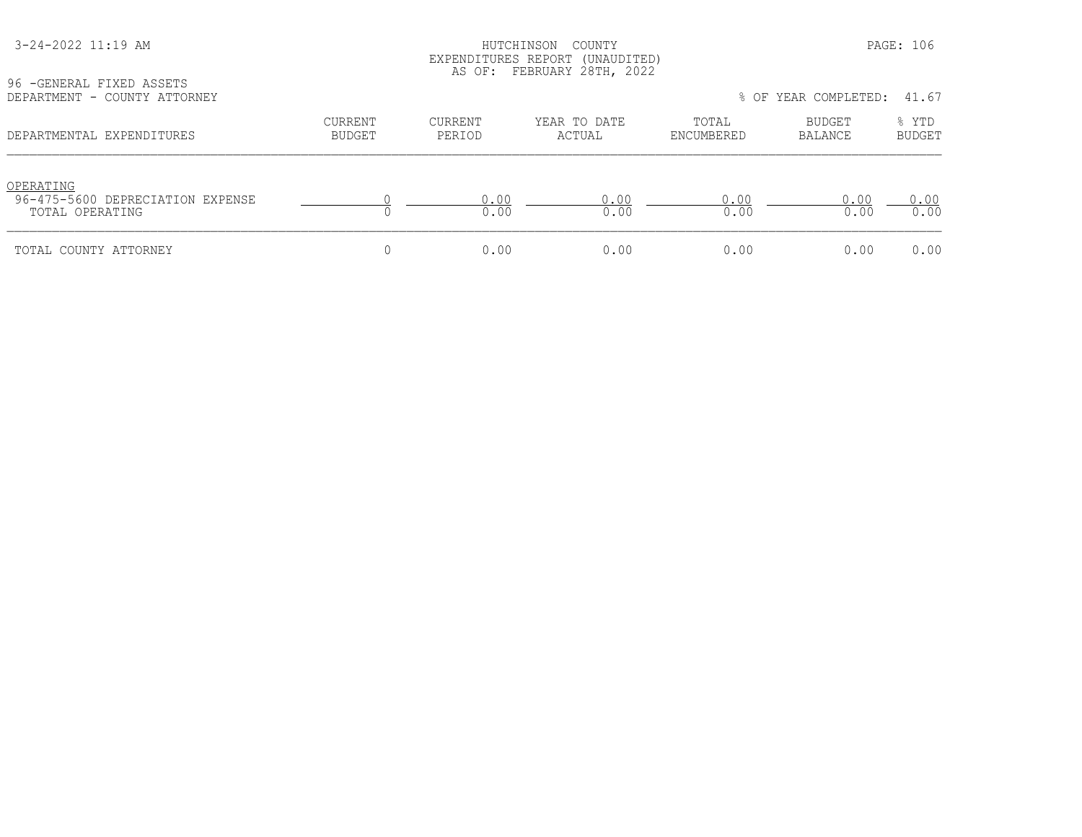#### HUTCHINSON COUNTY PAGE: 106 EXPENDITURES REPORT (UNAUDITED) AS OF: FEBRUARY 28TH, 2022

| 96 -GENERAL FIXED ASSETS<br>DEPARTMENT - COUNTY ATTORNEY |                          |                   | -- |
|----------------------------------------------------------|--------------------------|-------------------|----|
| DEPARTMENTAL EXPENDITURES                                | CURRENT<br><b>BUDGET</b> | CURRENT<br>PERIOD |    |

| YO TULNLKAL FIALU ASSLIS<br>DEPARTMENT - COUNTY ATTORNEY         |                          |                          |                        |                     | % OF YEAR COMPLETED: | 41.67                  |
|------------------------------------------------------------------|--------------------------|--------------------------|------------------------|---------------------|----------------------|------------------------|
| DEPARTMENTAL EXPENDITURES                                        | <b>CURRENT</b><br>BUDGET | <b>CURRENT</b><br>PERIOD | YEAR TO DATE<br>ACTUAL | TOTAL<br>ENCUMBERED | BUDGET<br>BALANCE    | % YTD<br><b>BUDGET</b> |
| OPERATING<br>96-475-5600 DEPRECIATION EXPENSE<br>TOTAL OPERATING |                          | 0.00<br>0.00             | 0.00<br>0.00           | 0.00<br>0.00        | 0.00<br>0.00         | 0.00<br>0.00           |
| TOTAL COUNTY ATTORNEY                                            | 0                        | 0.00                     | 0.00                   | 0.00                | 0.00                 | 0.00                   |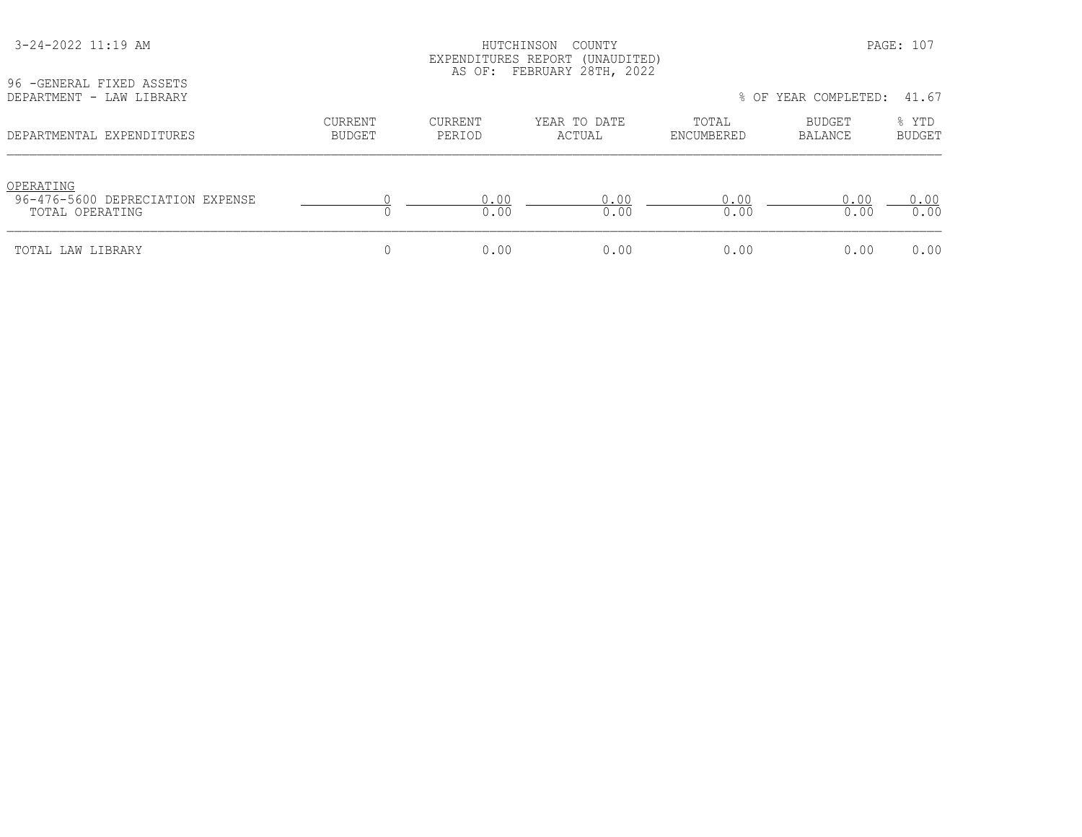| 96 - GENERAL FIXED ASSETS<br>DEPARTMENT - LAW LIBRARY            | EXPENDITURES REPORT (UNAUDITED)<br>AS OF: FEBRUARY 28TH, 2022<br>% OF YEAR COMPLETED:<br>41.67 |                          |                        |                     |                   |                 |  |
|------------------------------------------------------------------|------------------------------------------------------------------------------------------------|--------------------------|------------------------|---------------------|-------------------|-----------------|--|
| DEPARTMENTAL EXPENDITURES                                        | <b>CURRENT</b><br>BUDGET                                                                       | <b>CURRENT</b><br>PERIOD | YEAR TO DATE<br>ACTUAL | TOTAL<br>ENCUMBERED | BUDGET<br>BALANCE | % YTD<br>BUDGET |  |
| OPERATING<br>96-476-5600 DEPRECIATION EXPENSE<br>TOTAL OPERATING |                                                                                                | 0.00<br>0.00             | 0.00<br>0.00           | 0.00<br>0.00        | 0.00<br>0.00      | 0.00<br>0.00    |  |
| TOTAL LAW LIBRARY                                                | 0                                                                                              | 0.00                     | 0.00                   | 0.00                | 0.00              | 0.00            |  |

3-24-2022 11:19 AM HUTCHINSON COUNTY PAGE: 107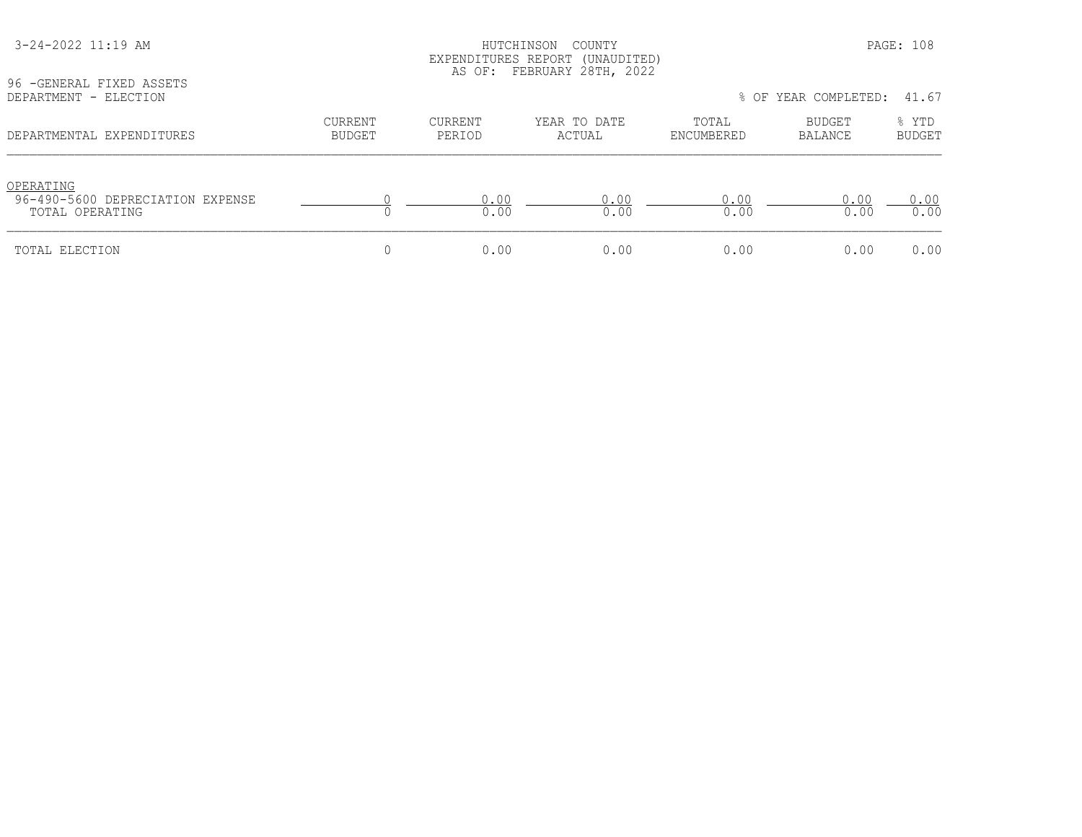| 96 - GENERAL FIXED ASSETS                                        | EXPENDITURES REPORT (UNAUDITED)<br>AS OF: FEBRUARY 28TH, 2022 |                   |                        |                               |                          |                        |  |
|------------------------------------------------------------------|---------------------------------------------------------------|-------------------|------------------------|-------------------------------|--------------------------|------------------------|--|
| DEPARTMENT - ELECTION                                            |                                                               |                   |                        | % OF YEAR COMPLETED:<br>41.67 |                          |                        |  |
| DEPARTMENTAL EXPENDITURES                                        | <b>CURRENT</b><br>BUDGET                                      | CURRENT<br>PERIOD | YEAR TO DATE<br>ACTUAL | TOTAL<br>ENCUMBERED           | BUDGET<br><b>BALANCE</b> | % YTD<br><b>BUDGET</b> |  |
| OPERATING<br>96-490-5600 DEPRECIATION EXPENSE<br>TOTAL OPERATING |                                                               | 0.00<br>0.00      | 0.00<br>0.00           | 0.00<br>0.00                  | 0.00<br>0.00             | 0.00<br>0.00           |  |
| TOTAL ELECTION                                                   |                                                               | 0.00              | 0.00                   | 0.00                          | 0.00                     | 0.00                   |  |

3-24-2022 11:19 AM HUTCHINSON COUNTY PAGE: 108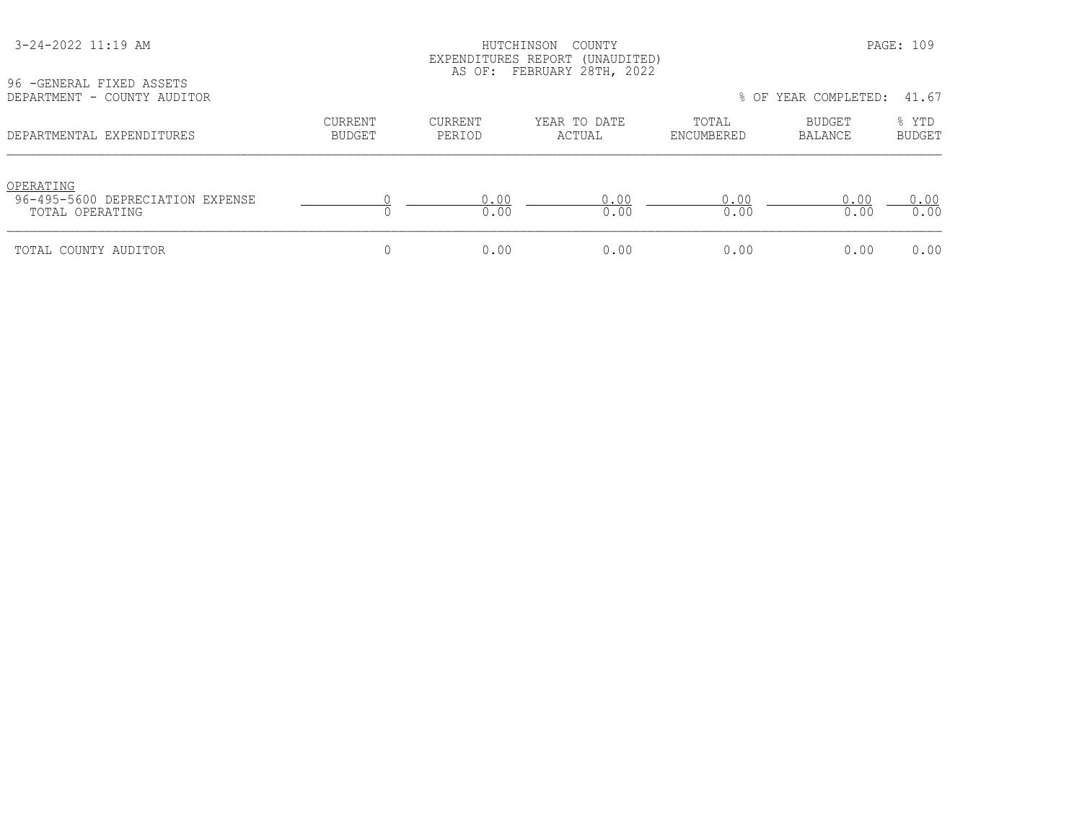## HUTCHINSON COUNTY PAGE: 109 EXPENDITURES REPORT (UNAUDITED) AS OF: FEBRUARY 28TH, 2022

96 -GENERAL FIXED ASSETS<br>DEPARTMENT - COUNTY AUDI

| DEPARTMENT - COUNTY AUDITOR                                      |                          |                   |                        |                     | % OF YEAR COMPLETED: 41.67 |                 |
|------------------------------------------------------------------|--------------------------|-------------------|------------------------|---------------------|----------------------------|-----------------|
| DEPARTMENTAL EXPENDITURES                                        | CURRENT<br><b>BUDGET</b> | CURRENT<br>PERIOD | YEAR TO DATE<br>ACTUAL | TOTAL<br>ENCUMBERED | BUDGET<br>BALANCE          | % YTD<br>BUDGET |
| OPERATING<br>96-495-5600 DEPRECIATION EXPENSE<br>TOTAL OPERATING |                          | 0.00<br>0.00      | 0.00<br>0.00           | 0.00<br>0.00        | 0.00<br>0.00               | 0.00<br>0.00    |
| TOTAL COUNTY AUDITOR                                             |                          | 0.00              | 0.00                   | 0.00                | 0.00                       | 0.00            |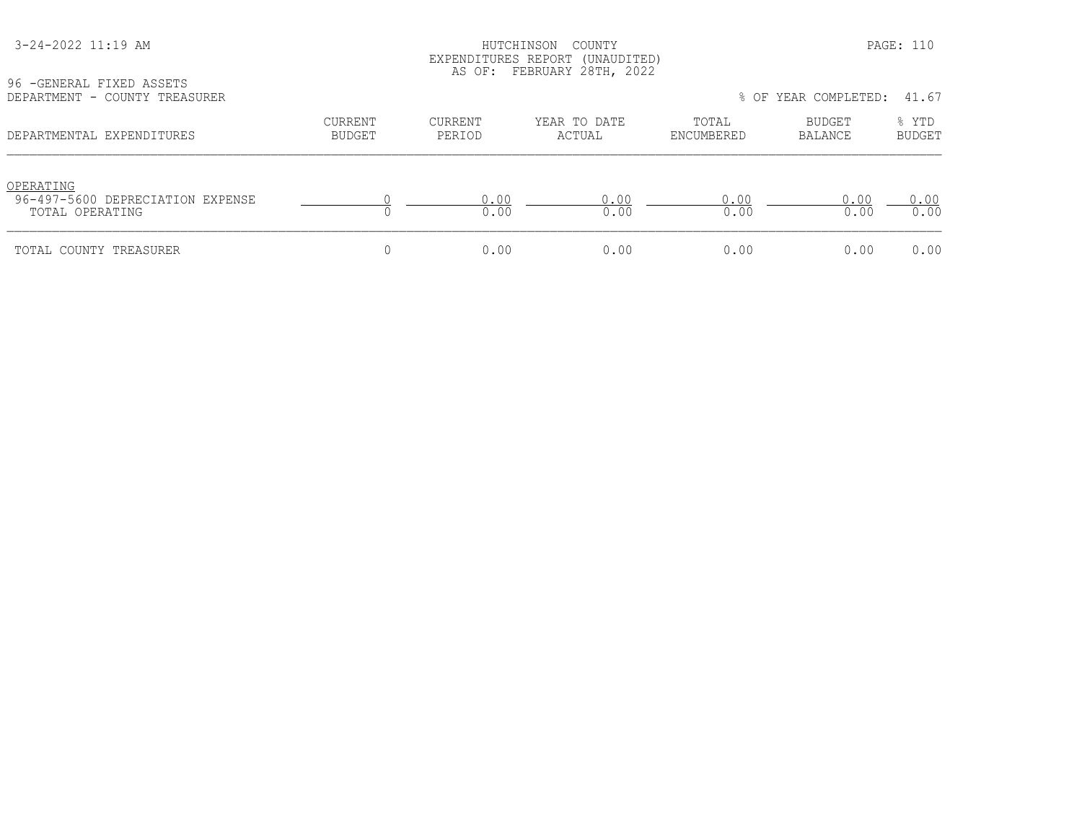#### HUTCHINSON COUNTY PAGE: 110 EXPENDITURES REPORT (UNAUDITED) AS OF: FEBRUARY 28TH, 2022

| 96 - GENERAL FIXED ASSETS |  |                               |  |
|---------------------------|--|-------------------------------|--|
|                           |  | DEPARTMENT - COUNTY TREASURER |  |

| DEPARTMENT - COUNTY TREASURER                                    |                          |                   |                        |                     | % OF YEAR COMPLETED:     | 41.67                  |
|------------------------------------------------------------------|--------------------------|-------------------|------------------------|---------------------|--------------------------|------------------------|
| DEPARTMENTAL EXPENDITURES                                        | CURRENT<br><b>BUDGET</b> | CURRENT<br>PERIOD | YEAR TO DATE<br>ACTUAL | TOTAL<br>ENCUMBERED | <b>BUDGET</b><br>BALANCE | % YTD<br><b>BUDGET</b> |
| OPERATING<br>96-497-5600 DEPRECIATION EXPENSE<br>TOTAL OPERATING |                          | 0.00<br>0.00      | 0.00<br>0.00           | 0.00<br>0.00        | 0.00<br>0.00             | 0.00<br>0.00           |
| TOTAL COUNTY TREASURER                                           |                          | 0.00              | 0.00                   | 0.00                | 0.00                     | 0.00                   |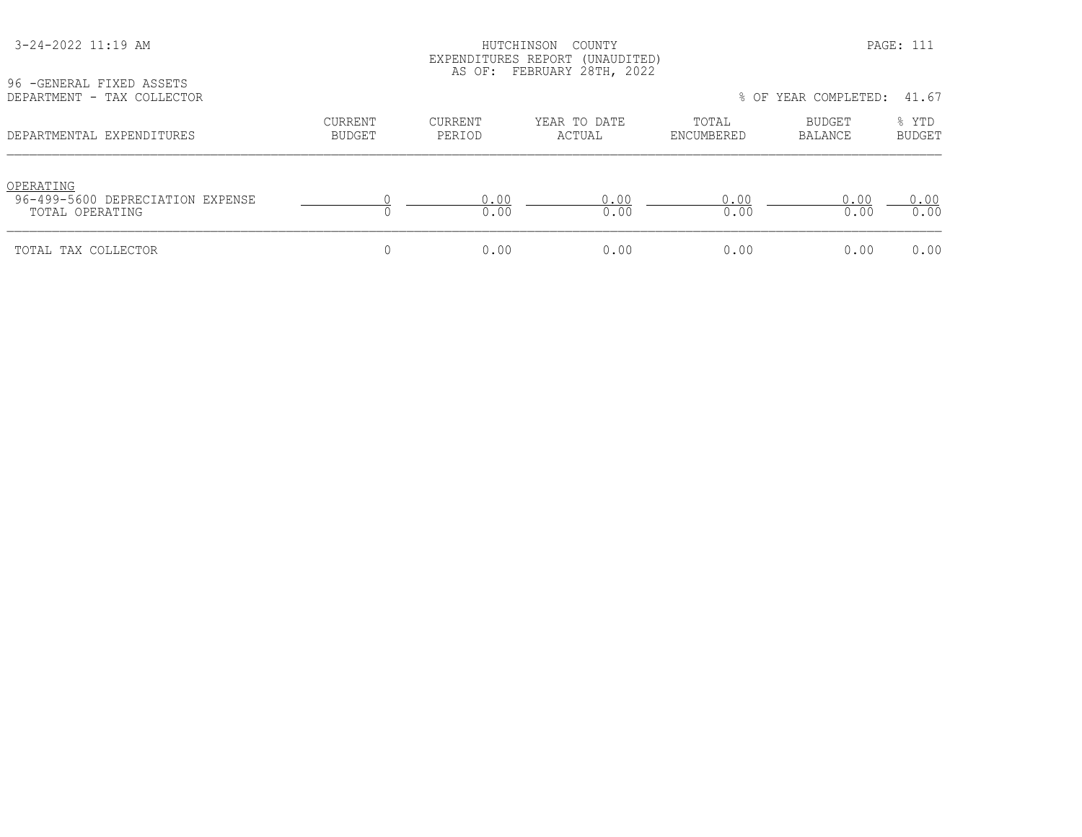#### HUTCHINSON COUNTY PAGE: 111 EXPENDITURES REPORT (UNAUDITED) AS OF: FEBRUARY 28TH, 2022

96 -GENERAL FIXED ASSETS

| SO LATNIVAT ITVIN WOODTO<br>DEPARTMENT - TAX COLLECTOR           |                   |                   |                        |                     | % OF YEAR COMPLETED: | 41.67                  |
|------------------------------------------------------------------|-------------------|-------------------|------------------------|---------------------|----------------------|------------------------|
| DEPARTMENTAL EXPENDITURES                                        | CURRENT<br>BUDGET | CURRENT<br>PERIOD | YEAR TO DATE<br>ACTUAL | TOTAL<br>ENCUMBERED | BUDGET<br>BALANCE    | % YTD<br><b>BUDGET</b> |
| OPERATING<br>96-499-5600 DEPRECIATION EXPENSE<br>TOTAL OPERATING |                   | 0.00<br>0.00      | 0.00<br>0.00           | 0.00<br>0.00        | 0.00<br>0.00         | 0.00<br>0.00           |
| TOTAL TAX COLLECTOR                                              |                   | 0.00              | 0.00                   | 0.00                | 0.00                 | 0.00                   |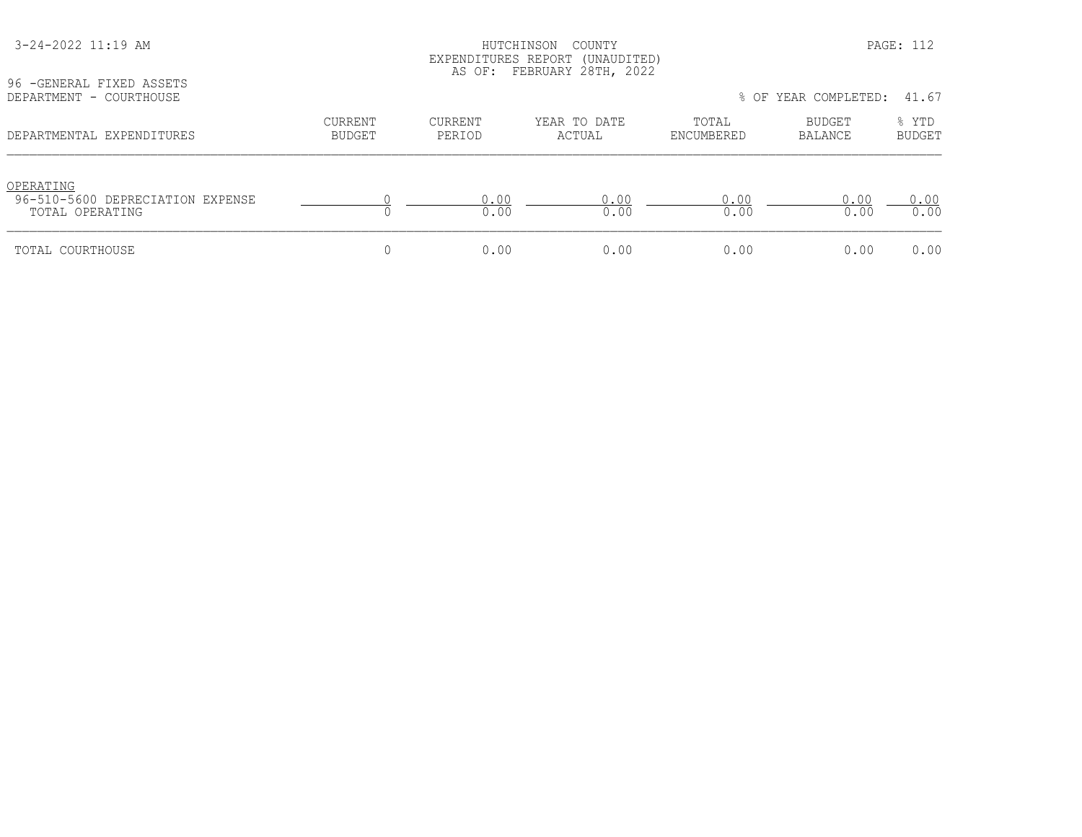| 96 - GENERAL FIXED ASSETS<br>DEPARTMENT - COURTHOUSE             | EXPENDITURES REPORT (UNAUDITED)<br>AS OF: FEBRUARY 28TH, 2022<br>% OF YEAR COMPLETED:<br>41.67 |                          |                        |                     |                          |                        |  |
|------------------------------------------------------------------|------------------------------------------------------------------------------------------------|--------------------------|------------------------|---------------------|--------------------------|------------------------|--|
| DEPARTMENTAL EXPENDITURES                                        | <b>CURRENT</b><br><b>BUDGET</b>                                                                | <b>CURRENT</b><br>PERIOD | YEAR TO DATE<br>ACTUAL | TOTAL<br>ENCUMBERED | BUDGET<br><b>BALANCE</b> | % YTD<br><b>BUDGET</b> |  |
| OPERATING<br>96-510-5600 DEPRECIATION EXPENSE<br>TOTAL OPERATING |                                                                                                | 0.00<br>0.00             | 0.00<br>0.00           | 0.00<br>0.00        | 0.00<br>0.00             | 0.00<br>0.00           |  |
| TOTAL COURTHOUSE                                                 |                                                                                                | 0.00                     | 0.00                   | 0.00                | 0.00                     | 0.00                   |  |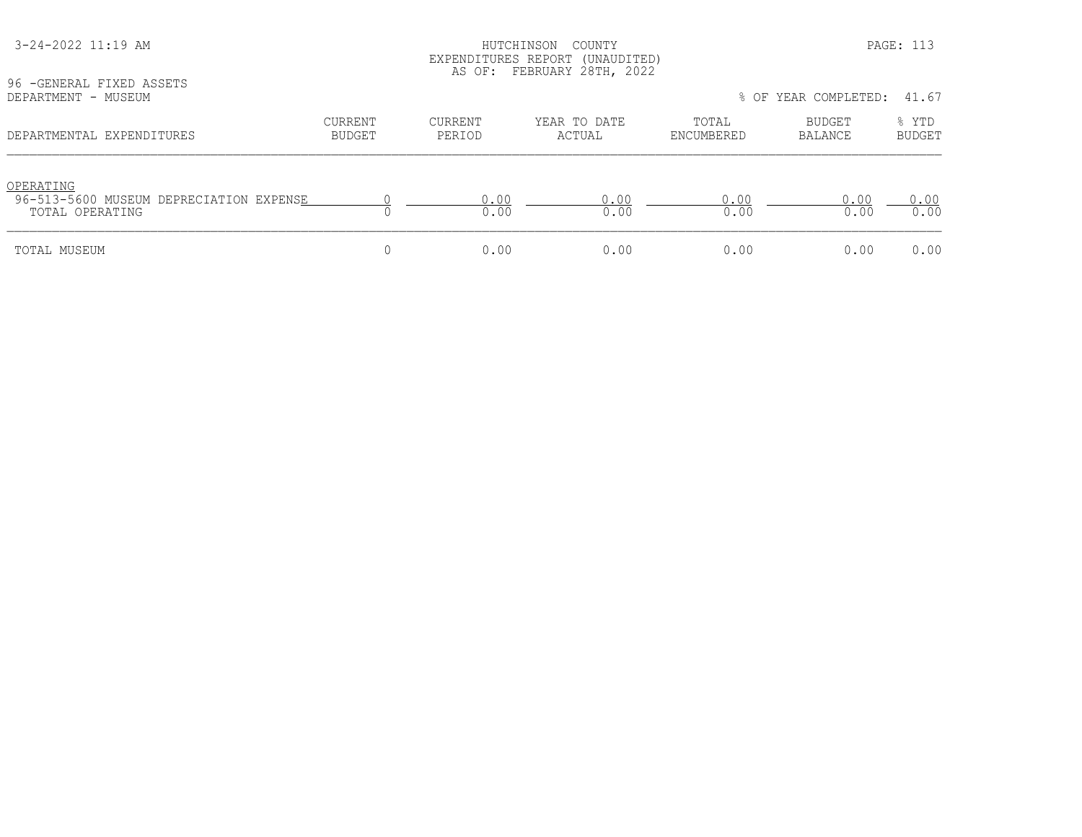| 96 - GENERAL FIXED ASSETS                                               | EXPENDITURES REPORT (UNAUDITED)<br>AS OF: FEBRUARY 28TH, 2022 |                   |                        |                     |                      |                        |  |
|-------------------------------------------------------------------------|---------------------------------------------------------------|-------------------|------------------------|---------------------|----------------------|------------------------|--|
| DEPARTMENT - MUSEUM                                                     |                                                               |                   |                        |                     | % OF YEAR COMPLETED: | 41.67                  |  |
| DEPARTMENTAL EXPENDITURES                                               | CURRENT<br><b>BUDGET</b>                                      | CURRENT<br>PERIOD | YEAR TO DATE<br>ACTUAL | TOTAL<br>ENCUMBERED | BUDGET<br>BALANCE    | % YTD<br><b>BUDGET</b> |  |
| OPERATING<br>96-513-5600 MUSEUM DEPRECIATION EXPENSE<br>TOTAL OPERATING |                                                               | 0.00<br>0.00      | 0.00<br>0.00           | 0.00<br>0.00        | 0.00<br>0.00         | 0.00<br>0.00           |  |
| TOTAL MUSEUM                                                            |                                                               | 0.00              | 0.00                   | 0.00                | 0.00                 | 0.00                   |  |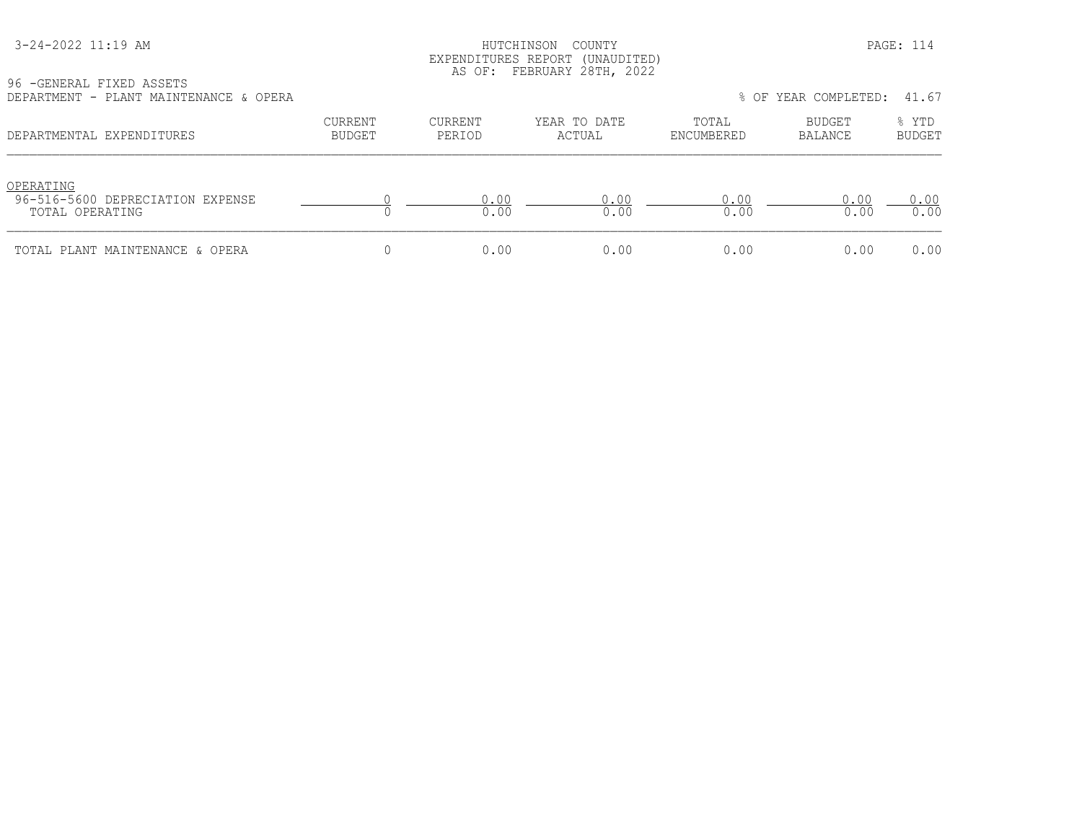| 3-24-2022 11:19 AM |
|--------------------|
|--------------------|

HUTCHINSON COUNTY PAGE: 114 EXPENDITURES REPORT (UNAUDITED) AS OF: FEBRUARY 28TH, 2022

96 -GENERAL FIXED ASSETS DEPARTMENT - PLANT MAINTENANCE & OPERA % OF YEAR COMPLETED: 41.67

| LE L'AIVITIEN I<br>THURT MUTHITIMUS A ATHIVU                     |                                 |                          |                        |                     | 0 UL ILAN CUNILLILL. TI.V |                        |
|------------------------------------------------------------------|---------------------------------|--------------------------|------------------------|---------------------|---------------------------|------------------------|
| DEPARTMENTAL EXPENDITURES                                        | <b>CURRENT</b><br><b>BUDGET</b> | <b>CURRENT</b><br>PERIOD | YEAR TO DATE<br>ACTUAL | TOTAL<br>ENCUMBERED | BUDGET<br>BALANCE         | % YTD<br><b>BUDGET</b> |
| OPERATING<br>96-516-5600 DEPRECIATION EXPENSE<br>TOTAL OPERATING |                                 | 0.00<br>0.00             | 0.00<br>0.00           | 0.00<br>0.00        | 0.00<br>0.00              | 0.00<br>0.00           |
| TOTAL PLANT MAINTENANCE & OPERA                                  |                                 | 0.00                     | 0.00                   | 0.00                | 0.00                      | 0.00                   |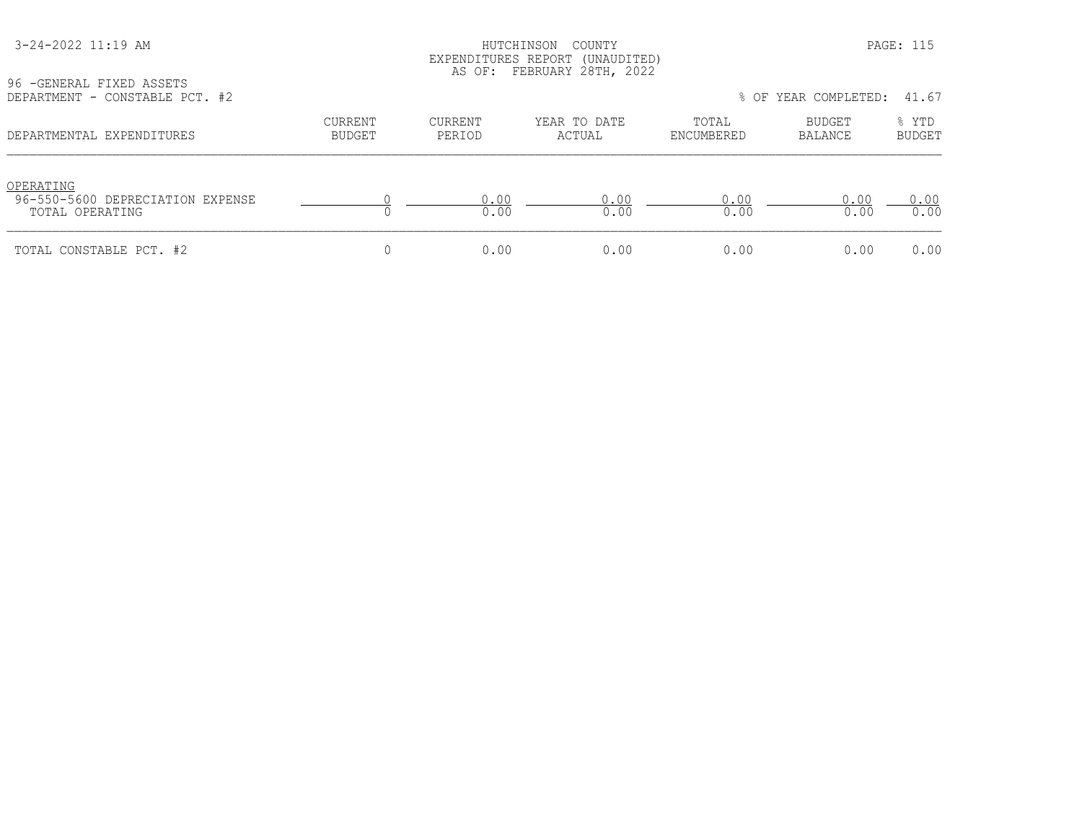#### HUTCHINSON COUNTY PAGE: 115 EXPENDITURES REPORT (UNAUDITED) AS OF: FEBRUARY 28TH, 2022

96 -GENERAL FIXED ASSETS<br>DEPARTMENT - CONSTABLE P

| DEPARTMENT - CONSTABLE PCT. #2                                   |                   |                   |                        |                     | % OF YEAR COMPLETED: | 41.67                  |
|------------------------------------------------------------------|-------------------|-------------------|------------------------|---------------------|----------------------|------------------------|
| DEPARTMENTAL EXPENDITURES                                        | CURRENT<br>BUDGET | CURRENT<br>PERIOD | YEAR TO DATE<br>ACTUAL | TOTAL<br>ENCUMBERED | BUDGET<br>BALANCE    | % YTD<br><b>BUDGET</b> |
| OPERATING<br>96-550-5600 DEPRECIATION EXPENSE<br>TOTAL OPERATING |                   | 0.00<br>0.00      | 0.00<br>0.00           | 0.00<br>0.00        | 0.00<br>0.00         | 0.00<br>0.00           |
| TOTAL CONSTABLE PCT. #2                                          |                   | 0.00              | 0.00                   | 0.00                | 0.00                 | 0.00                   |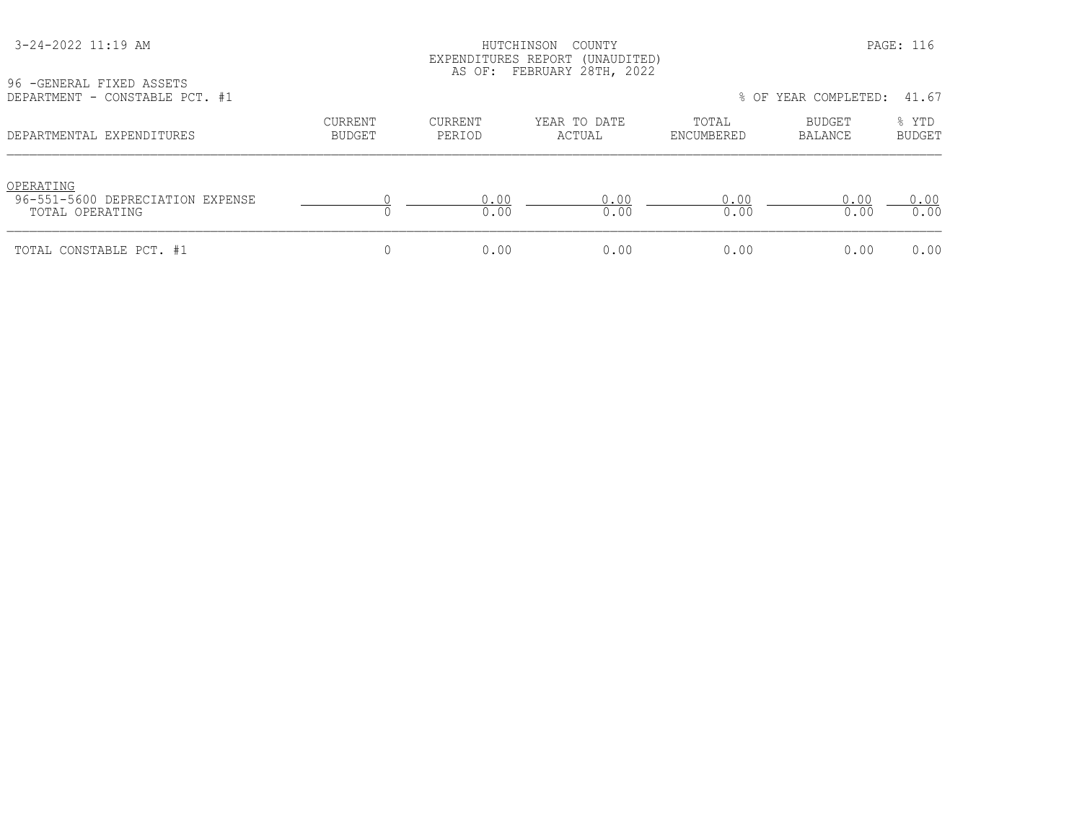## HUTCHINSON COUNTY PAGE: 116 EXPENDITURES REPORT (UNAUDITED) AS OF: FEBRUARY 28TH, 2022

96 -GENERAL FIXED ASSETS<br>DEPARTMENT - CONSTABLE P

| DEPARTMENT - CONSTABLE PCT. #1                                   |                   |                   |                        |                     | % OF YEAR COMPLETED: | 41.67                  |
|------------------------------------------------------------------|-------------------|-------------------|------------------------|---------------------|----------------------|------------------------|
| DEPARTMENTAL EXPENDITURES                                        | CURRENT<br>BUDGET | CURRENT<br>PERIOD | YEAR TO DATE<br>ACTUAL | TOTAL<br>ENCUMBERED | BUDGET<br>BALANCE    | % YTD<br><b>BUDGET</b> |
| OPERATING<br>96-551-5600 DEPRECIATION EXPENSE<br>TOTAL OPERATING |                   | 0.00<br>0.00      | 0.00<br>0.00           | 0.00<br>0.00        | 0.00<br>0.00         | 0.00<br>0.00           |
| TOTAL CONSTABLE PCT. #1                                          |                   | 0.00              | 0.00                   | 0.00                | 0.00                 | 0.00                   |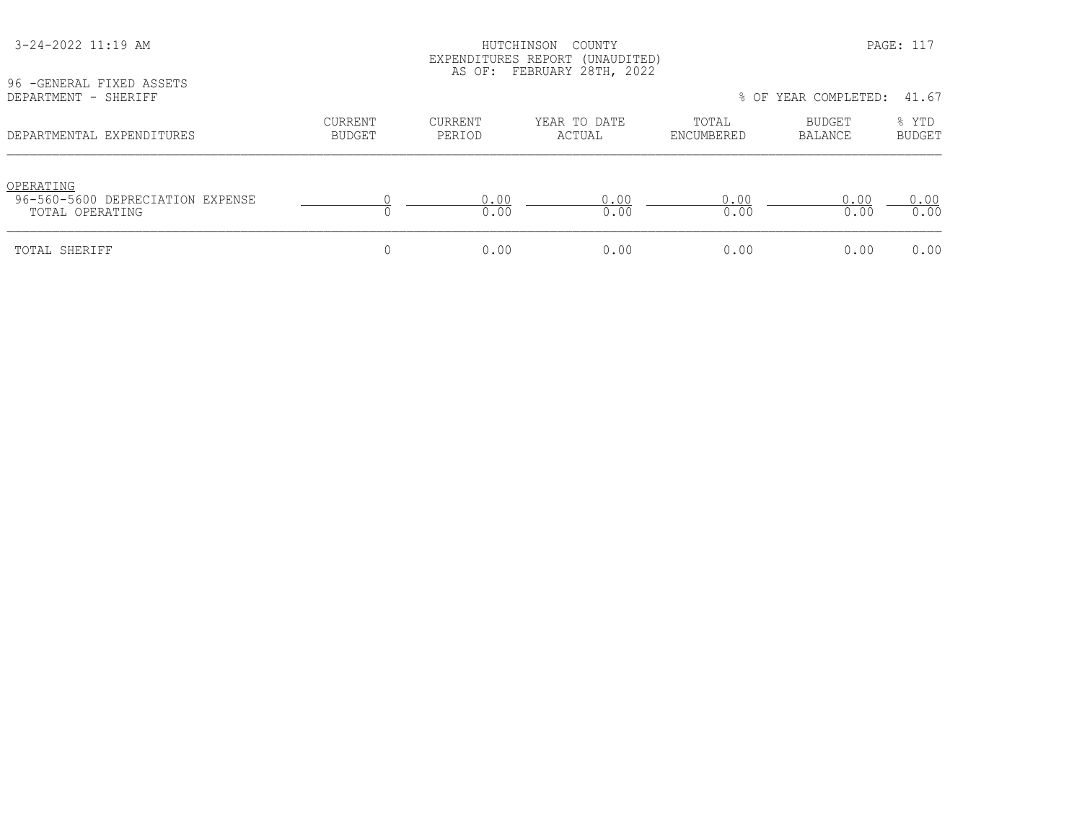| 96 - GENERAL FIXED ASSETS<br>DEPARTMENT - SHERIFF                | EXPENDITURES REPORT (UNAUDITED)<br>AS OF: FEBRUARY 28TH, 2022<br>% OF YEAR COMPLETED:<br>41.67 |                          |                        |                     |                   |                        |  |
|------------------------------------------------------------------|------------------------------------------------------------------------------------------------|--------------------------|------------------------|---------------------|-------------------|------------------------|--|
| DEPARTMENTAL EXPENDITURES                                        | <b>CURRENT</b><br>BUDGET                                                                       | <b>CURRENT</b><br>PERIOD | YEAR TO DATE<br>ACTUAL | TOTAL<br>ENCUMBERED | BUDGET<br>BALANCE | % YTD<br><b>BUDGET</b> |  |
| OPERATING<br>96-560-5600 DEPRECIATION EXPENSE<br>TOTAL OPERATING |                                                                                                | 0.00<br>0.00             | 0.00<br>0.00           | 0.00<br>0.00        | 0.00<br>0.00      | 0.00<br>0.00           |  |
| TOTAL SHERIFF                                                    |                                                                                                | 0.00                     | 0.00                   | 0.00                | 0.00              | 0.00                   |  |

# 3-24-2022 11:19 AM HUTCHINSON COUNTY PAGE: 117 EXPENDITURES REPORT (UNAUDITED)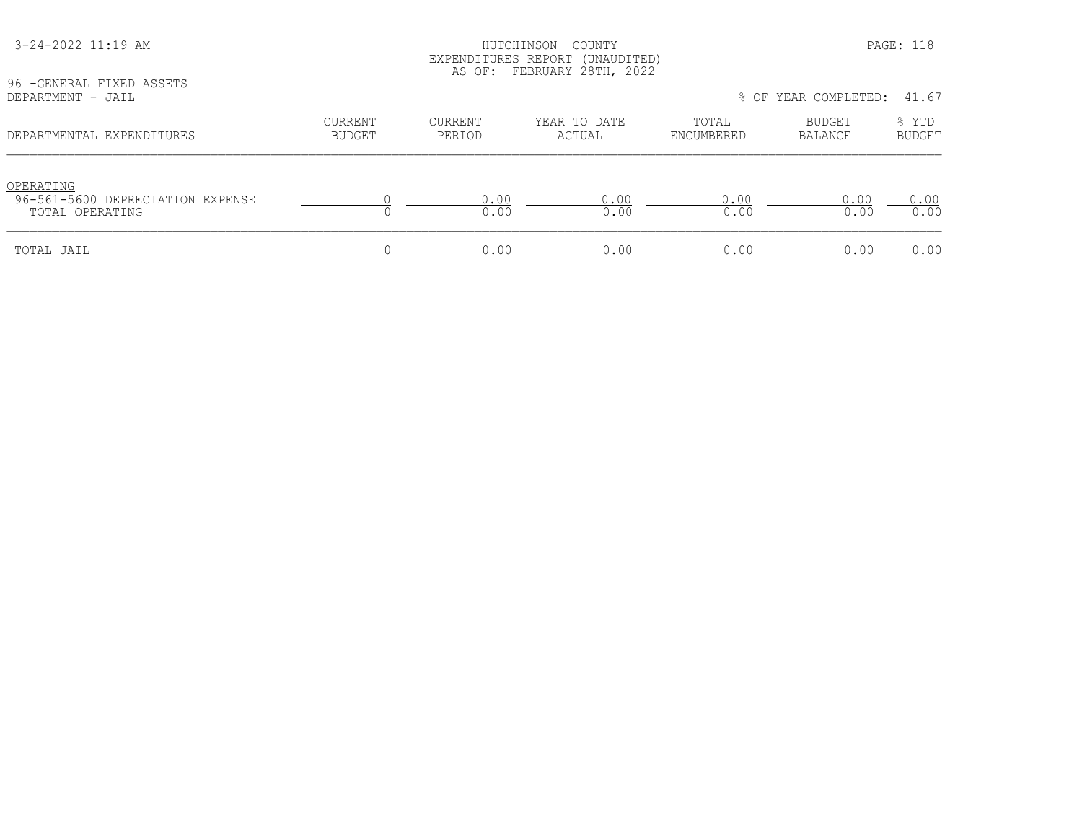| 96 - GENERAL FIXED ASSETS<br>DEPARTMENT - JAIL                   | LAPLNDIIURLS REPURI (UNAUDIILD)<br>AS OF: FEBRUARY 28TH, 2022<br>% OF YEAR COMPLETED: 41.67 |                   |                        |                     |                   |                        |
|------------------------------------------------------------------|---------------------------------------------------------------------------------------------|-------------------|------------------------|---------------------|-------------------|------------------------|
| DEPARTMENTAL EXPENDITURES                                        | CURRENT<br><b>BUDGET</b>                                                                    | CURRENT<br>PERIOD | YEAR TO DATE<br>ACTUAL | TOTAL<br>ENCUMBERED | BUDGET<br>BALANCE | % YTD<br><b>BUDGET</b> |
| OPERATING<br>96-561-5600 DEPRECIATION EXPENSE<br>TOTAL OPERATING |                                                                                             | 0.00<br>0.00      | 0.00<br>0.00           | 0.00<br>0.00        | 0.00<br>0.00      | 0.00<br>0.00           |
| TOTAL JAIL                                                       |                                                                                             | 0.00              | 0.00                   | 0.00                | 0.00              | 0.00                   |

EXPENDITURES REPORT (UNAUDITED)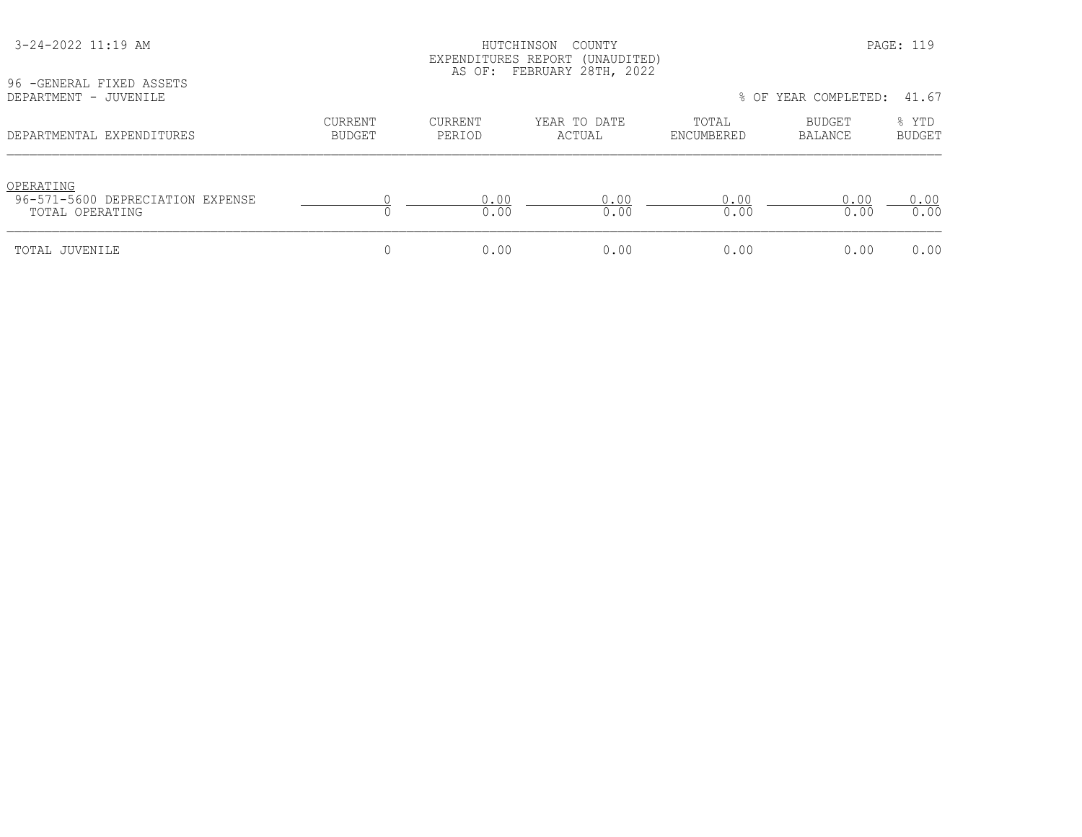| 96 - GENERAL FIXED ASSETS                                        | EXPENDITURES REPORT (UNAUDITED)<br>AS OF: FEBRUARY 28TH, 2022 |                   |                        |                     |                          |                        |  |  |
|------------------------------------------------------------------|---------------------------------------------------------------|-------------------|------------------------|---------------------|--------------------------|------------------------|--|--|
| DEPARTMENT - JUVENILE                                            |                                                               |                   |                        |                     | % OF YEAR COMPLETED:     | 41.67                  |  |  |
| DEPARTMENTAL EXPENDITURES                                        | <b>CURRENT</b><br>BUDGET                                      | CURRENT<br>PERIOD | YEAR TO DATE<br>ACTUAL | TOTAL<br>ENCUMBERED | BUDGET<br><b>BALANCE</b> | % YTD<br><b>BUDGET</b> |  |  |
| OPERATING<br>96-571-5600 DEPRECIATION EXPENSE<br>TOTAL OPERATING |                                                               | 0.00<br>0.00      | 0.00<br>0.00           | 0.00<br>0.00        | 0.00<br>0.00             | 0.00<br>0.00           |  |  |
| TOTAL JUVENILE                                                   |                                                               | 0.00              | 0.00                   | 0.00                | 0.00                     | 0.00                   |  |  |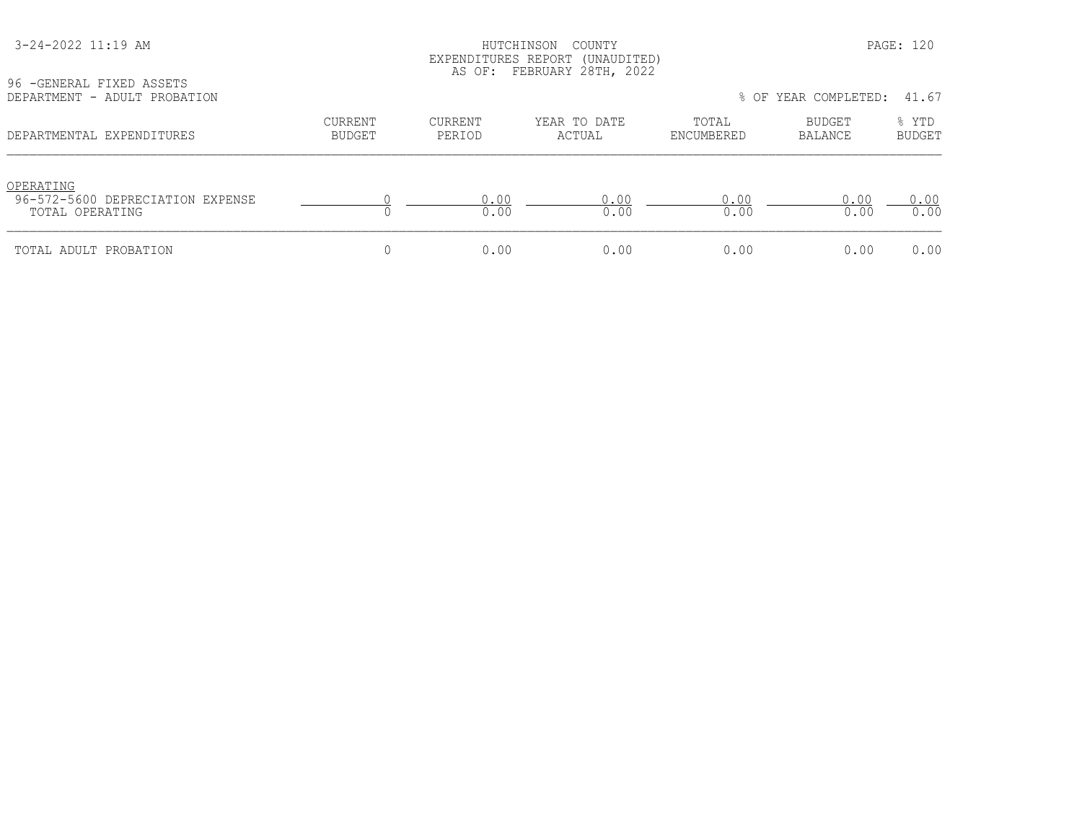## 3-24-2022 11:19 AM HUTCHINSON COUNTY PAGE: 120 EXPENDITURES REPORT (UNAUDITED) AS OF: FEBRUARY 28TH, 2022

| 96 - GENERAL FIXED ASSETS |  |                              |
|---------------------------|--|------------------------------|
|                           |  | DEPARTMENT - ADULT PROBATION |

| YO TULNLKAL FIALU ASSLIS<br>DEPARTMENT - ADULT PROBATION         |                   |                   |                        |                     | % OF YEAR COMPLETED: | 41.67                  |
|------------------------------------------------------------------|-------------------|-------------------|------------------------|---------------------|----------------------|------------------------|
| DEPARTMENTAL EXPENDITURES                                        | CURRENT<br>BUDGET | CURRENT<br>PERIOD | YEAR TO DATE<br>ACTUAL | TOTAL<br>ENCUMBERED | BUDGET<br>BALANCE    | % YTD<br><b>BUDGET</b> |
| OPERATING<br>96-572-5600 DEPRECIATION EXPENSE<br>TOTAL OPERATING |                   | 0.00<br>0.00      | 0.00<br>0.00           | 0.00<br>0.00        | 0.00<br>0.00         | 0.00<br>0.00           |
| TOTAL ADULT PROBATION                                            |                   | 0.00              | 0.00                   | 0.00                | 0.00                 | 0.00                   |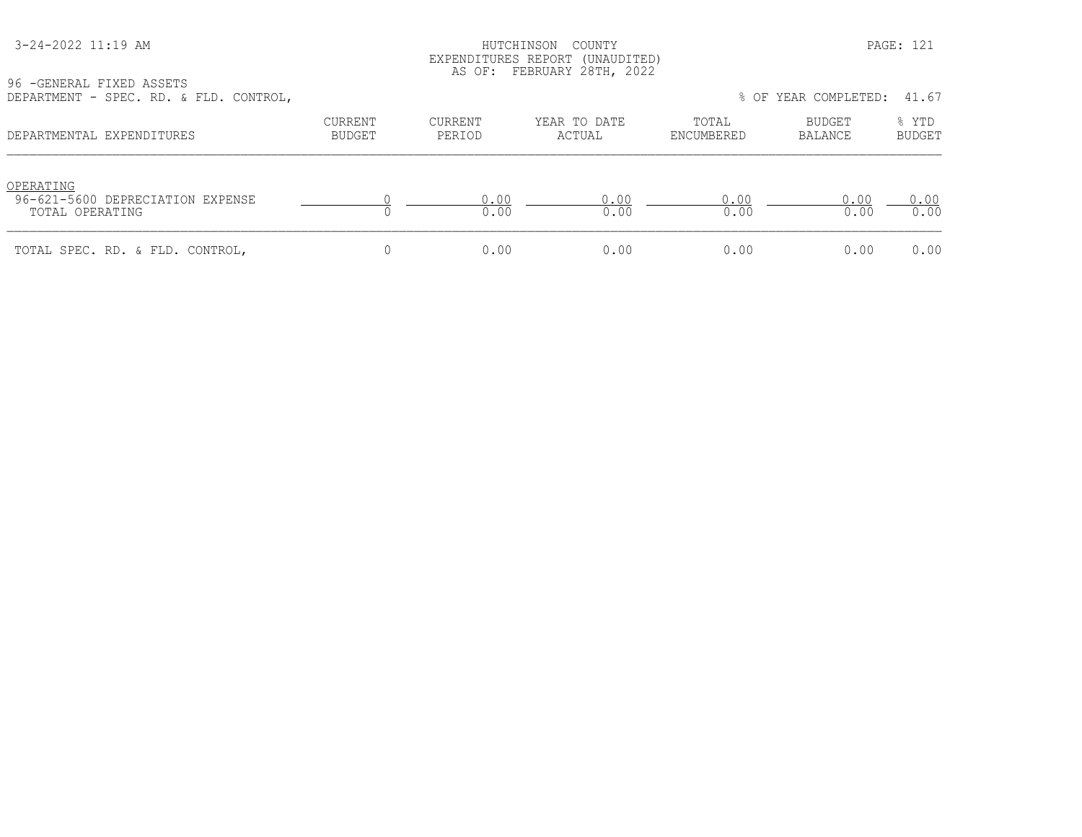#### HUTCHINSON COUNTY PAGE: 121 EXPENDITURES REPORT (UNAUDITED) AS OF: FEBRUARY 28TH, 2022

| DEFARIMENI - SFEG. KD. & FID. CONIKOL,                           |                   |                   |                        |                     | TO UP ILAN CUMPLEILLY. TI.OT |                        |
|------------------------------------------------------------------|-------------------|-------------------|------------------------|---------------------|------------------------------|------------------------|
| DEPARTMENTAL EXPENDITURES                                        | CURRENT<br>BUDGET | CURRENT<br>PERIOD | YEAR TO DATE<br>ACTUAL | TOTAL<br>ENCUMBERED | BUDGET<br>BALANCE            | % YTD<br><b>BUDGET</b> |
| OPERATING<br>96-621-5600 DEPRECIATION EXPENSE<br>TOTAL OPERATING |                   | 0 O O<br>0.00     | 0.00<br>0.00           | 0.00<br>0.00        | 0.00<br>0.00                 | 0.00<br>0.00           |
| TOTAL SPEC. RD. & FLD. CONTROL,                                  |                   | 0.00              | 0.00                   | 0.00                | 0.00                         | 0.00                   |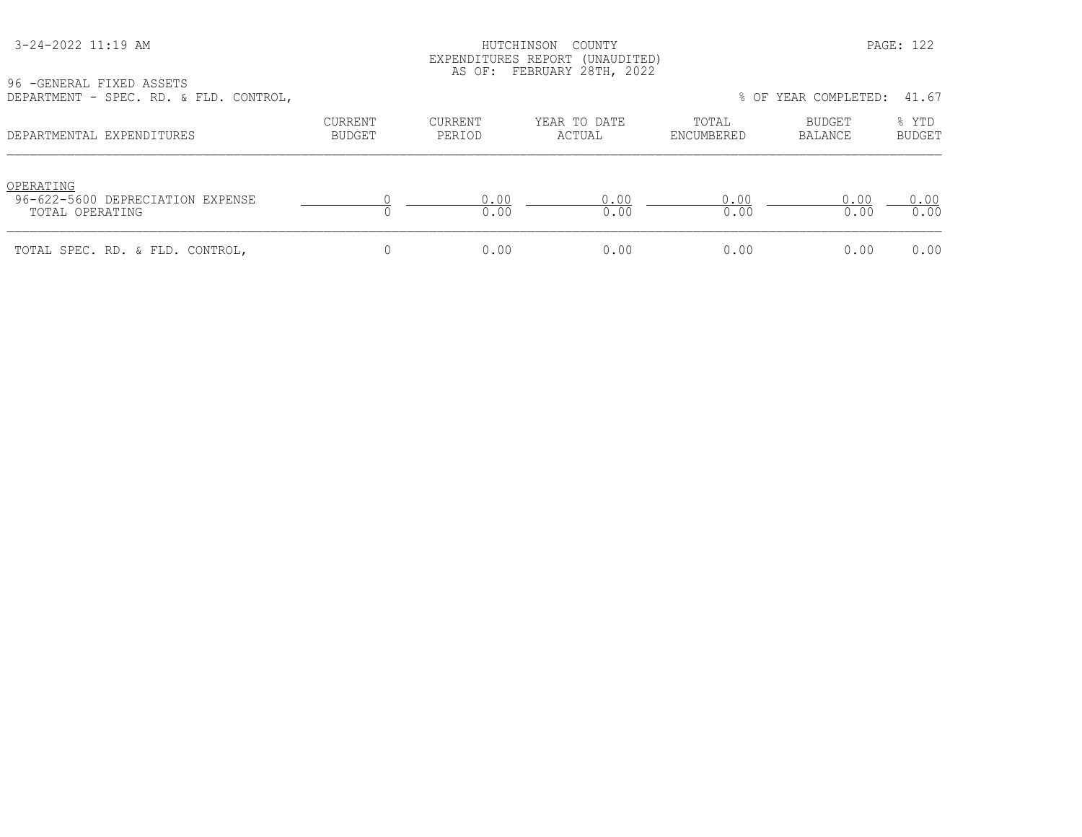#### HUTCHINSON COUNTY PAGE: 122 EXPENDITURES REPORT (UNAUDITED) AS OF: FEBRUARY 28TH, 2022

| nur un trunt t<br>OLDU. KD. & FID. CONIKOL,                      |                   |                          |                        |                     | 0 VI ILAN VVNILLLIDI. TI.VI |                        |
|------------------------------------------------------------------|-------------------|--------------------------|------------------------|---------------------|-----------------------------|------------------------|
| DEPARTMENTAL EXPENDITURES                                        | CURRENT<br>BUDGET | <b>CURRENT</b><br>PERIOD | YEAR TO DATE<br>ACTUAL | TOTAL<br>ENCUMBERED | BUDGET<br>BALANCE           | % YTD<br><b>BUDGET</b> |
| OPERATING<br>96-622-5600 DEPRECIATION EXPENSE<br>TOTAL OPERATING |                   | 0.00<br>0.00             | 0.00<br>0.00           | 0.00<br>0.00        | 0.00<br>0.00                | 0.00<br>0.00           |
| TOTAL SPEC. RD. & FLD. CONTROL,                                  |                   | 0.00                     | 0.00                   | 0.00                | 0.00                        | 0.00                   |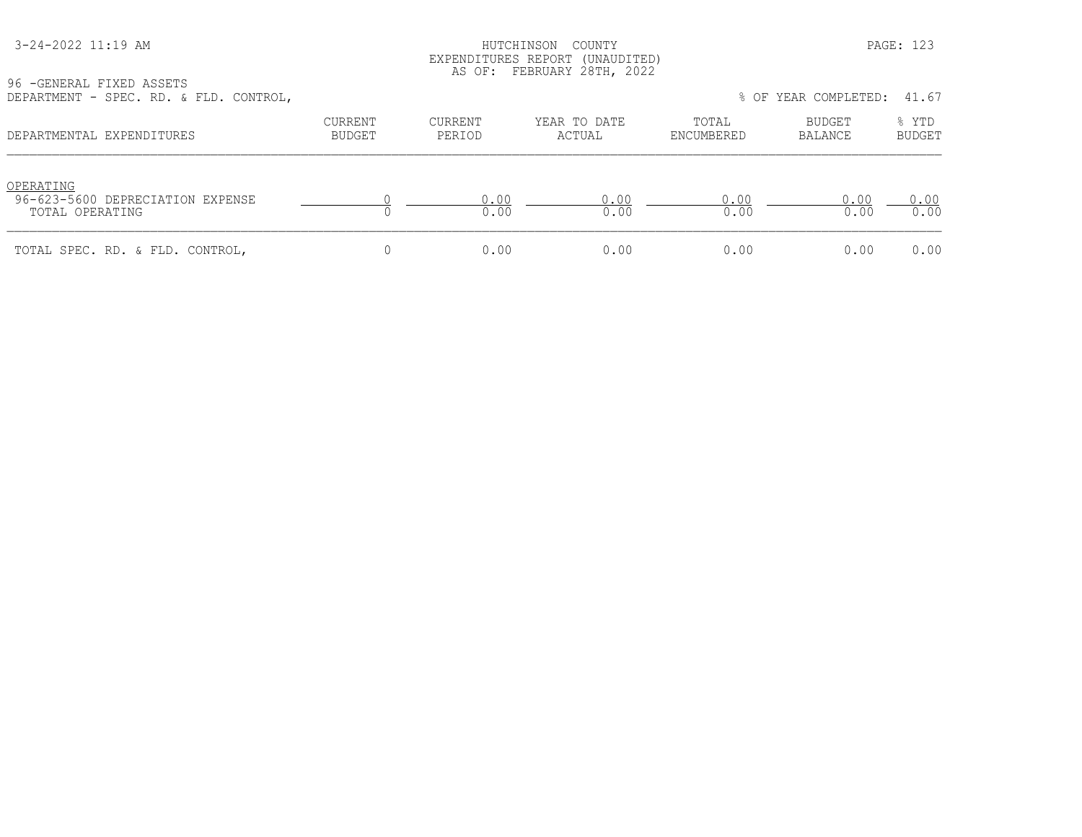#### HUTCHINSON COUNTY PAGE: 123 EXPENDITURES REPORT (UNAUDITED) AS OF: FEBRUARY 28TH, 2022

| DEFARIMENI - JIEU, RD, & IED, CONIROL,                           |                   |                   |                        |                     | O VI ILAN COMELLILL. TI.VI |                        |
|------------------------------------------------------------------|-------------------|-------------------|------------------------|---------------------|----------------------------|------------------------|
| DEPARTMENTAL EXPENDITURES                                        | CURRENT<br>BUDGET | CURRENT<br>PERIOD | YEAR TO DATE<br>ACTUAL | TOTAL<br>ENCUMBERED | BUDGET<br>BALANCE          | % YTD<br><b>BUDGET</b> |
| OPERATING<br>96-623-5600 DEPRECIATION EXPENSE<br>TOTAL OPERATING |                   | 0.00<br>0.00      | 0.00<br>0.00           | 0.00<br>0.00        | 0.00<br>0.00               | 0.00<br>0.00           |
| TOTAL SPEC. RD. & FLD. CONTROL,                                  |                   | 0.00              | 0.00                   | 0.00                | 0.00                       | 0.00                   |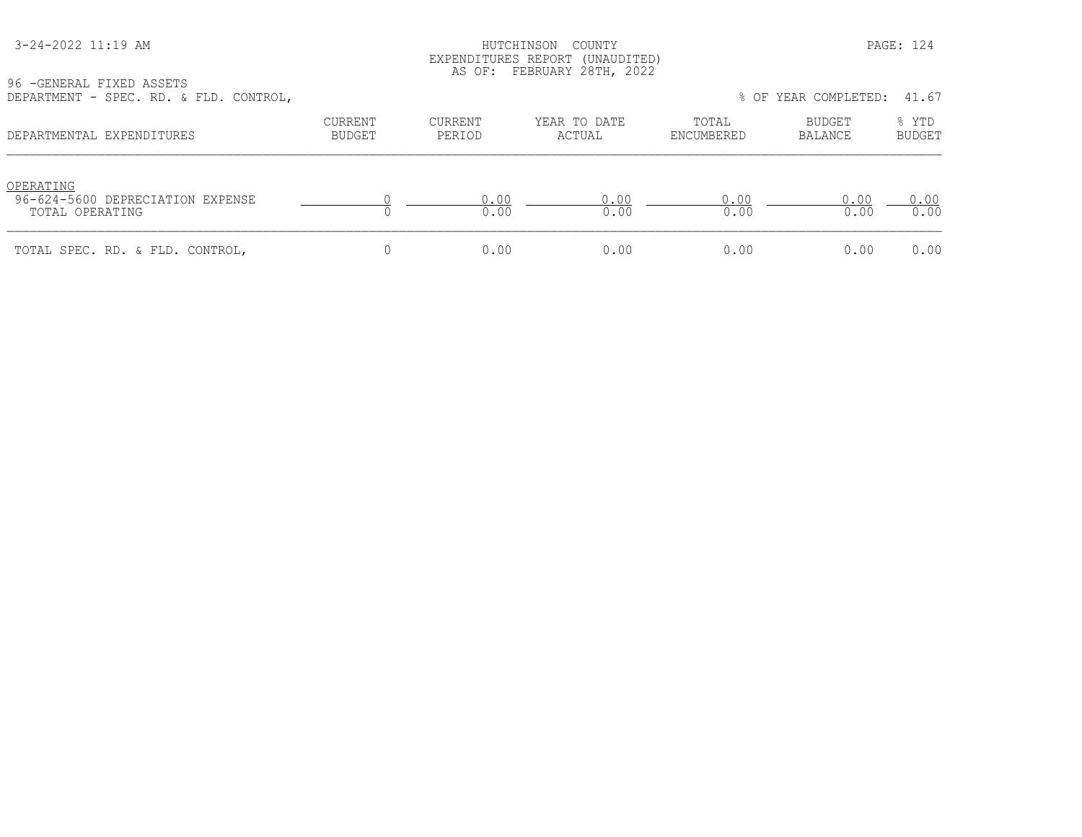#### HUTCHINSON COUNTY PAGE: 124 EXPENDITURES REPORT (UNAUDITED) AS OF: FEBRUARY 28TH, 2022

| DEFANIMENT - SEEC. ND. & FID. CONINUL,                           |                   |                          |                        |                     | O VI ILAN COMELLILL. TI.VI |                        |
|------------------------------------------------------------------|-------------------|--------------------------|------------------------|---------------------|----------------------------|------------------------|
| DEPARTMENTAL EXPENDITURES                                        | CURRENT<br>BUDGET | <b>CURRENT</b><br>PERIOD | YEAR TO DATE<br>ACTUAL | TOTAL<br>ENCUMBERED | BUDGET<br>BALANCE          | % YTD<br><b>BUDGET</b> |
| OPERATING<br>96-624-5600 DEPRECIATION EXPENSE<br>TOTAL OPERATING |                   | 0.00<br>0.00             | 0.00<br>0.00           | 0.00<br>0.00        | 0.00<br>0.00               | 0.00<br>0.00           |
| TOTAL SPEC. RD. & FLD. CONTROL,                                  |                   | 0.00                     | 0.00                   | 0.00                | 0.00                       | 0.00                   |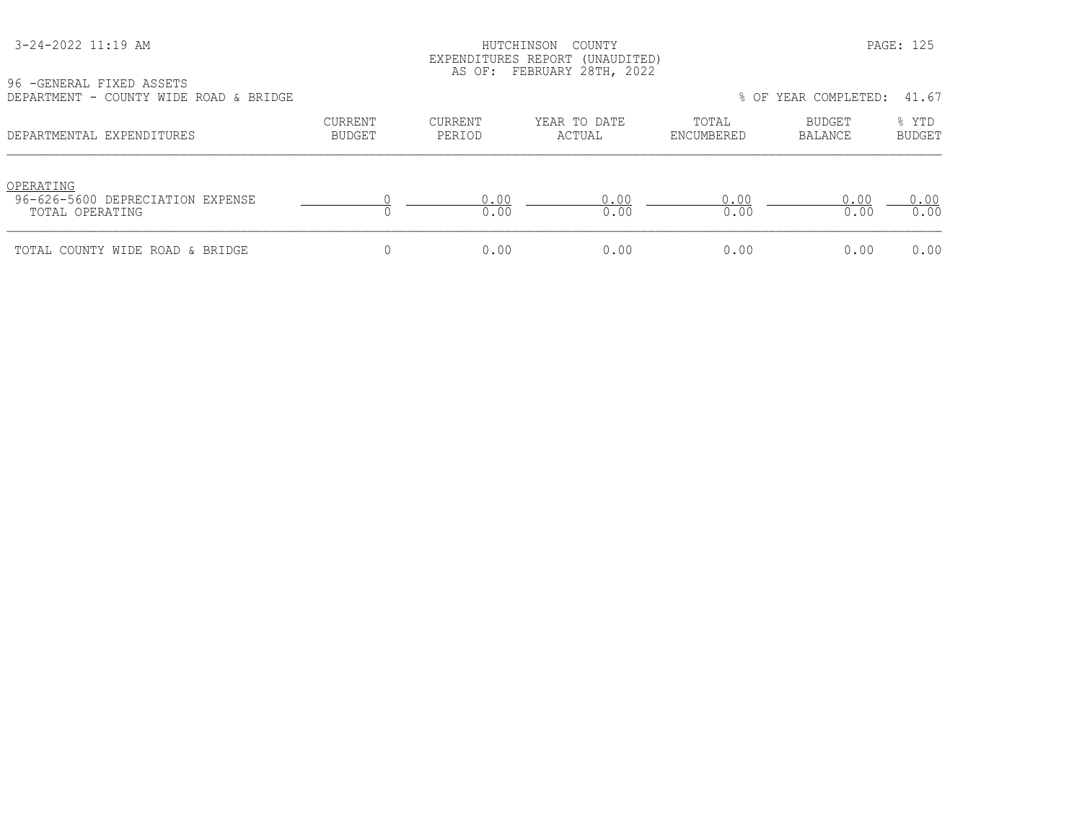| 3-24-2022 11:19 AM |
|--------------------|
|--------------------|

HUTCHINSON COUNTY PAGE: 125 EXPENDITURES REPORT (UNAUDITED) AS OF: FEBRUARY 28TH, 2022

96 -GENERAL FIXED ASSETS DEPARTMENT - COUNTY WIDE ROAD & BRIDGE % OF YEAR COMPLETED: 41.67

| णामारारामाना स<br>COONII WIDD KOND & DRIDOD                      |                          |                   |                        |                     | 0 OL TUIN CONITULIBU. | 71.VI                  |
|------------------------------------------------------------------|--------------------------|-------------------|------------------------|---------------------|-----------------------|------------------------|
| DEPARTMENTAL EXPENDITURES                                        | CURRENT<br><b>BUDGET</b> | CURRENT<br>PERIOD | YEAR TO DATE<br>ACTUAL | TOTAL<br>ENCUMBERED | BUDGET<br>BALANCE     | % YTD<br><b>BUDGET</b> |
| OPERATING<br>96-626-5600 DEPRECIATION EXPENSE<br>TOTAL OPERATING |                          | 0.00<br>0.00      | 0.00<br>0.00           | 0.00<br>0.00        | 0.00<br>0.00          | 0.00<br>0.00           |
| TOTAL COUNTY WIDE ROAD & BRIDGE                                  |                          | 0.00              | 0.00                   | 0.00                | 0.00                  | 0.00                   |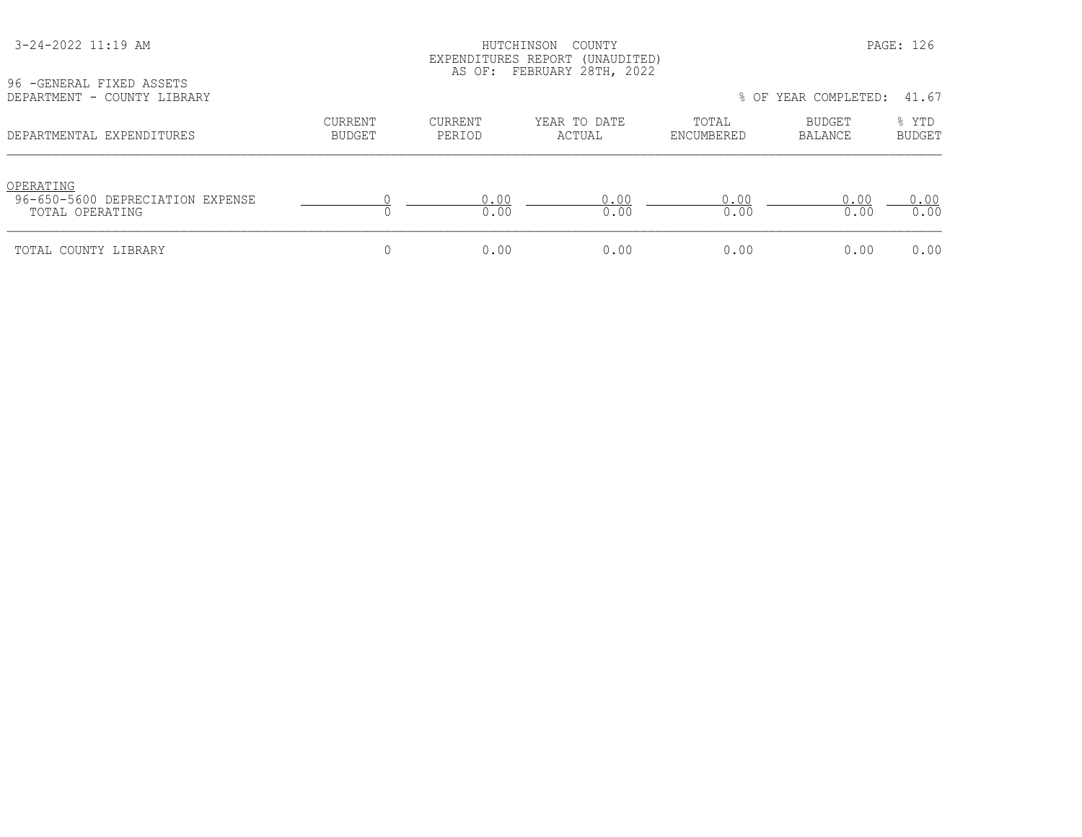| 3-24-2022 11:19 AM |
|--------------------|
|--------------------|

#### HUTCHINSON COUNTY PAGE: 126 EXPENDITURES REPORT (UNAUDITED) AS OF: FEBRUARY 28TH, 2022

96 -GENERAL FIXED ASSETS<br>DEPARTMENT - COUNTY LIBR

| DEPARTMENT - COUNTY LIBRARY                                      |                          |                   |                        |                     | % OF YEAR COMPLETED: 41.67 |                        |
|------------------------------------------------------------------|--------------------------|-------------------|------------------------|---------------------|----------------------------|------------------------|
| DEPARTMENTAL EXPENDITURES                                        | <b>CURRENT</b><br>BUDGET | CURRENT<br>PERIOD | YEAR TO DATE<br>ACTUAL | TOTAL<br>ENCUMBERED | BUDGET<br>BALANCE          | % YTD<br><b>BUDGET</b> |
| OPERATING<br>96-650-5600 DEPRECIATION EXPENSE<br>TOTAL OPERATING |                          | 0.00<br>0.00      | 0.00<br>0.00           | 0.00<br>0.00        | 0.00<br>0.00               | 0.00<br>0.00           |
| TOTAL COUNTY LIBRARY                                             |                          | 0.00              | 0.00                   | 0.00                | 0.00                       | 0.00                   |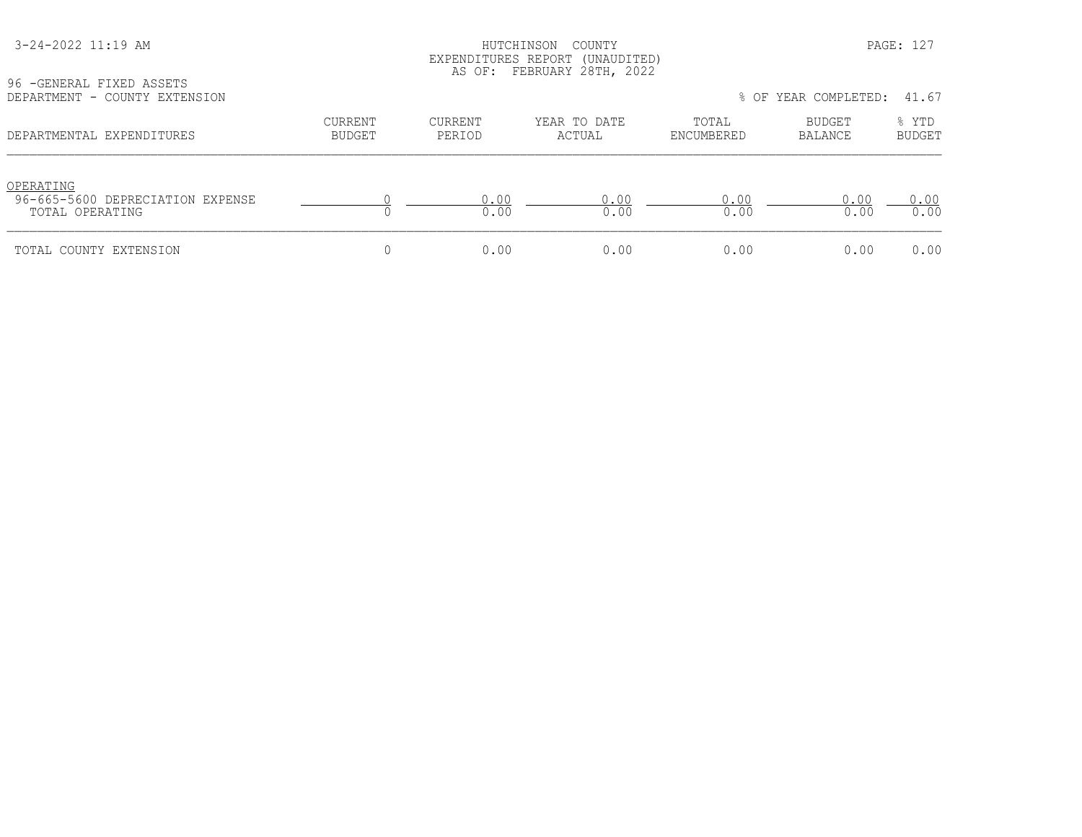#### HUTCHINSON COUNTY PAGE: 127 EXPENDITURES REPORT (UNAUDITED) AS OF: FEBRUARY 28TH, 2022

| 96 - GENERAL FIXED ASSETS     |  |
|-------------------------------|--|
|                               |  |
| DEPARTMENT - COUNTY EXTENSION |  |

| DEPARTMENT - COUNTY EXTENSION                                    |                          |                   |                        |                     | % OF YEAR COMPLETED:     | 41.67                  |
|------------------------------------------------------------------|--------------------------|-------------------|------------------------|---------------------|--------------------------|------------------------|
| DEPARTMENTAL EXPENDITURES                                        | CURRENT<br><b>BUDGET</b> | CURRENT<br>PERIOD | YEAR TO DATE<br>ACTUAL | TOTAL<br>ENCUMBERED | <b>BUDGET</b><br>BALANCE | % YTD<br><b>BUDGET</b> |
| OPERATING<br>96-665-5600 DEPRECIATION EXPENSE<br>TOTAL OPERATING |                          | 0.00<br>0.00      | 0.00<br>0.00           | 0.00<br>0.00        | 0.00<br>0.00             | 0.00<br>0.00           |
| TOTAL COUNTY EXTENSION                                           |                          | 0.00              | 0.00                   | 0.00                | 0.00                     | 0.00                   |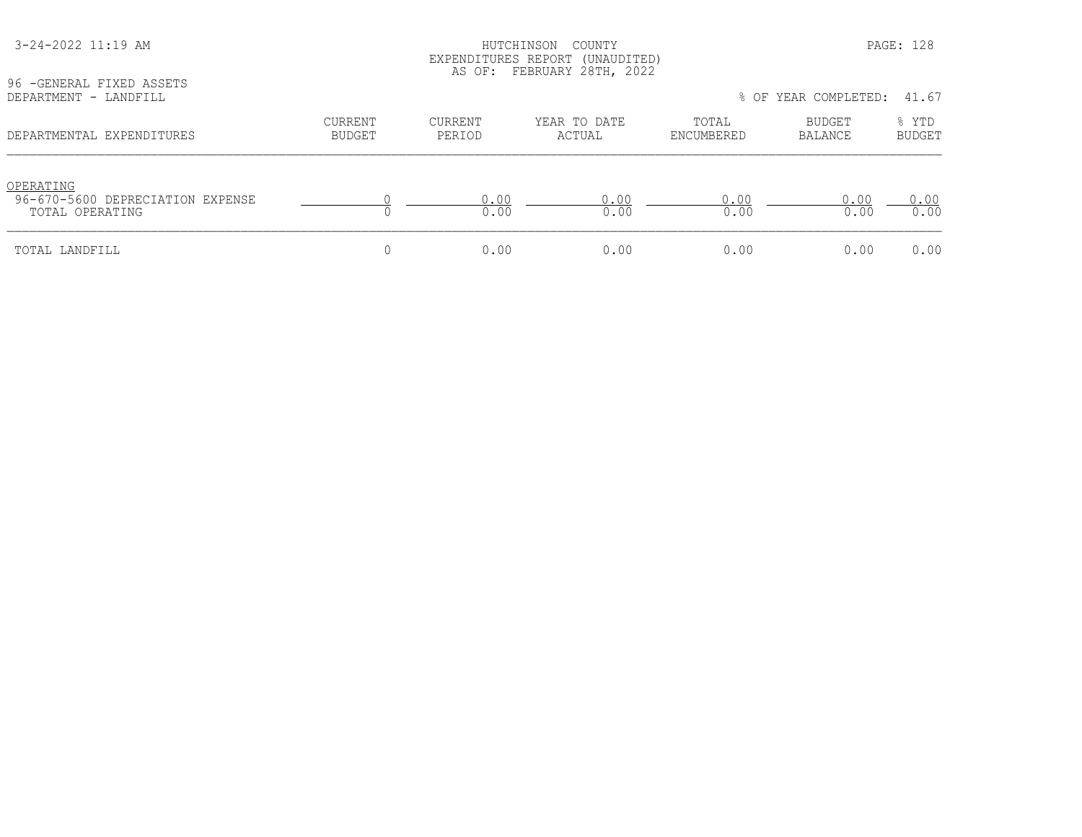| 96 - GENERAL FIXED ASSETS                                        | EXPENDITURES REPORT (UNAUDITED)<br>AS OF: FEBRUARY 28TH, 2022 |                   |                        |                     |                      |                        |  |
|------------------------------------------------------------------|---------------------------------------------------------------|-------------------|------------------------|---------------------|----------------------|------------------------|--|
| DEPARTMENT - LANDFILL                                            |                                                               |                   |                        |                     | % OF YEAR COMPLETED: |                        |  |
| DEPARTMENTAL EXPENDITURES                                        | <b>CURRENT</b><br><b>BUDGET</b>                               | CURRENT<br>PERIOD | YEAR TO DATE<br>ACTUAL | TOTAL<br>ENCUMBERED | BUDGET<br>BALANCE    | % YTD<br><b>BUDGET</b> |  |
| OPERATING<br>96-670-5600 DEPRECIATION EXPENSE<br>TOTAL OPERATING |                                                               | 0.00<br>0.00      | 0.00<br>0.00           | 0.00<br>0.00        | 0.00<br>0.00         | 0.00<br>0.00           |  |
| TOTAL LANDFILL                                                   |                                                               | 0.00              | 0.00                   | 0.00                | 0.00                 | 0.00                   |  |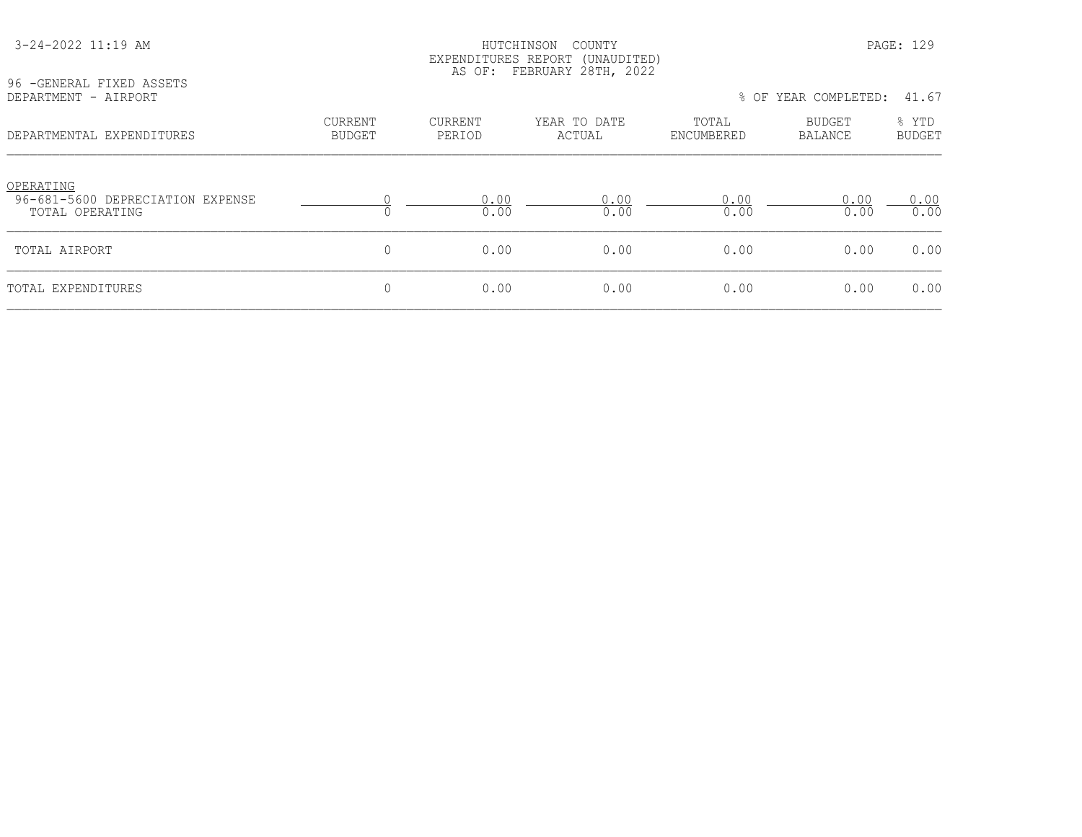| 96 - GENERAL FIXED ASSETS                                        |                          |                          |                        |                     |                            |                        |
|------------------------------------------------------------------|--------------------------|--------------------------|------------------------|---------------------|----------------------------|------------------------|
| DEPARTMENT - AIRPORT                                             |                          |                          |                        |                     | % OF YEAR COMPLETED: 41.67 |                        |
| DEPARTMENTAL EXPENDITURES                                        | CURRENT<br><b>BUDGET</b> | <b>CURRENT</b><br>PERIOD | YEAR TO DATE<br>ACTUAL | TOTAL<br>ENCUMBERED | BUDGET<br>BALANCE          | % YTD<br><b>BUDGET</b> |
| OPERATING<br>96-681-5600 DEPRECIATION EXPENSE<br>TOTAL OPERATING |                          | 0.00<br>0.00             | 0.00<br>0.00           | 0.00<br>0.00        | 0.00<br>0.00               | 0.00<br>0.00           |
| TOTAL AIRPORT                                                    | 0                        | 0.00                     | 0.00                   | 0.00                | 0.00                       | 0.00                   |
| TOTAL EXPENDITURES                                               | 0                        | 0.00                     | 0.00                   | 0.00                | 0.00                       | 0.00                   |